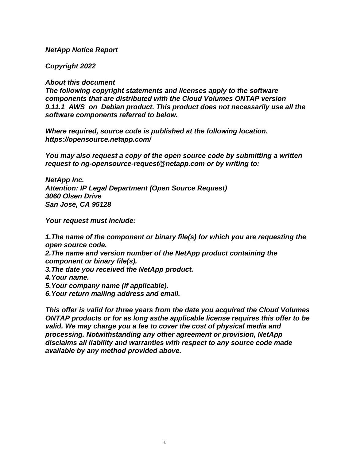## **NetApp Notice Report**

## **Copyright 2022**

### **About this document**

**The following copyright statements and licenses apply to the software components that are distributed with the Cloud Volumes ONTAP version 9.11.1\_AWS\_on\_Debian product. This product does not necessarily use all the software components referred to below.**

**Where required, source code is published at the following location. <https://opensource.netapp.com/>**

**You may also request a copy of the open source code by submitting a written request to ng-opensource-request@netapp.com or by writing to:**

**NetApp Inc. Attention: IP Legal Department (Open Source Request) 3060 Olsen Drive San Jose, CA 95128**

**Your request must include:**

**1.The name of the component or binary file(s) for which you are requesting the open source code.**

**2.The name and version number of the NetApp product containing the component or binary file(s).**

**3.The date you received the NetApp product.**

**4.Your name.**

**5.Your company name (if applicable).**

**6.Your return mailing address and email.**

**This offer is valid for three years from the date you acquired the Cloud Volumes ONTAP products or for as long asthe applicable license requires this offer to be valid. We may charge you a fee to cover the cost of physical media and processing. Notwithstanding any other agreement or provision, NetApp disclaims all liability and warranties with respect to any source code made available by any method provided above.**

1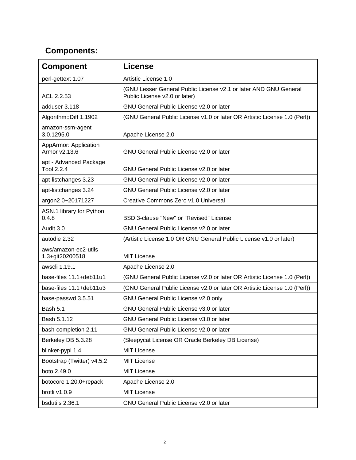# **Components:**

| <b>Component</b>                        | <b>License</b>                                                                                    |
|-----------------------------------------|---------------------------------------------------------------------------------------------------|
| perl-gettext 1.07                       | Artistic License 1.0                                                                              |
| ACL 2.2.53                              | (GNU Lesser General Public License v2.1 or later AND GNU General<br>Public License v2.0 or later) |
| adduser 3.118                           | GNU General Public License v2.0 or later                                                          |
| Algorithm::Diff 1.1902                  | (GNU General Public License v1.0 or later OR Artistic License 1.0 (Perl))                         |
| amazon-ssm-agent<br>3.0.1295.0          | Apache License 2.0                                                                                |
| AppArmor: Application<br>Armor v2.13.6  | <b>GNU General Public License v2.0 or later</b>                                                   |
| apt - Advanced Package<br>Tool 2.2.4    | <b>GNU General Public License v2.0 or later</b>                                                   |
| apt-listchanges 3.23                    | <b>GNU General Public License v2.0 or later</b>                                                   |
| apt-listchanges 3.24                    | <b>GNU General Public License v2.0 or later</b>                                                   |
| argon2 0~20171227                       | Creative Commons Zero v1.0 Universal                                                              |
| ASN.1 library for Python<br>0.4.8       | BSD 3-clause "New" or "Revised" License                                                           |
| Audit 3.0                               | GNU General Public License v2.0 or later                                                          |
| autodie 2.32                            | (Artistic License 1.0 OR GNU General Public License v1.0 or later)                                |
| aws/amazon-ec2-utils<br>1.3+git20200518 | <b>MIT License</b>                                                                                |
| awscli 1.19.1                           | Apache License 2.0                                                                                |
| base-files 11.1+deb11u1                 | (GNU General Public License v2.0 or later OR Artistic License 1.0 (Perl))                         |
| base-files 11.1+deb11u3                 | (GNU General Public License v2.0 or later OR Artistic License 1.0 (Perl))                         |
| base-passwd 3.5.51                      | GNU General Public License v2.0 only                                                              |
| <b>Bash 5.1</b>                         | GNU General Public License v3.0 or later                                                          |
| Bash 5.1.12                             | GNU General Public License v3.0 or later                                                          |
| bash-completion 2.11                    | GNU General Public License v2.0 or later                                                          |
| Berkeley DB 5.3.28                      | (Sleepycat License OR Oracle Berkeley DB License)                                                 |
| blinker-pypi 1.4                        | <b>MIT License</b>                                                                                |
| Bootstrap (Twitter) v4.5.2              | <b>MIT License</b>                                                                                |
| boto 2.49.0                             | <b>MIT License</b>                                                                                |
| botocore 1.20.0+repack                  | Apache License 2.0                                                                                |
| brotli v1.0.9                           | <b>MIT License</b>                                                                                |
| bsdutils 2.36.1                         | GNU General Public License v2.0 or later                                                          |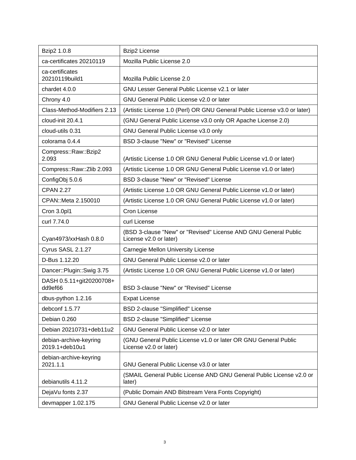| Bzip2 1.0.8                              | <b>Bzip2 License</b>                                                                      |
|------------------------------------------|-------------------------------------------------------------------------------------------|
| ca-certificates 20210119                 | Mozilla Public License 2.0                                                                |
| ca-certificates                          |                                                                                           |
| 20210119build1                           | Mozilla Public License 2.0                                                                |
| chardet 4.0.0                            | GNU Lesser General Public License v2.1 or later                                           |
| Chrony 4.0                               | GNU General Public License v2.0 or later                                                  |
| Class-Method-Modifiers 2.13              | (Artistic License 1.0 (Perl) OR GNU General Public License v3.0 or later)                 |
| cloud-init 20.4.1                        | (GNU General Public License v3.0 only OR Apache License 2.0)                              |
| cloud-utils 0.31                         | GNU General Public License v3.0 only                                                      |
| colorama 0.4.4                           | BSD 3-clause "New" or "Revised" License                                                   |
| Compress::Raw::Bzip2<br>2.093            | (Artistic License 1.0 OR GNU General Public License v1.0 or later)                        |
| Compress::Raw::Zlib 2.093                | (Artistic License 1.0 OR GNU General Public License v1.0 or later)                        |
| ConfigObj 5.0.6                          | BSD 3-clause "New" or "Revised" License                                                   |
| <b>CPAN 2.27</b>                         | (Artistic License 1.0 OR GNU General Public License v1.0 or later)                        |
| CPAN:: Meta 2.150010                     | (Artistic License 1.0 OR GNU General Public License v1.0 or later)                        |
| Cron 3.0pl1                              | Cron License                                                                              |
| curl 7.74.0                              | curl License                                                                              |
| Cyan4973/xxHash 0.8.0                    | (BSD 3-clause "New" or "Revised" License AND GNU General Public<br>License v2.0 or later) |
| Cyrus SASL 2.1.27                        | Carnegie Mellon University License                                                        |
| D-Bus 1.12.20                            | GNU General Public License v2.0 or later                                                  |
| Dancer::Plugin::Swig 3.75                | (Artistic License 1.0 OR GNU General Public License v1.0 or later)                        |
| DASH 0.5.11+git20200708+<br>dd9ef66      | BSD 3-clause "New" or "Revised" License                                                   |
| dbus-python 1.2.16                       | <b>Expat License</b>                                                                      |
| debconf 1.5.77                           | <b>BSD 2-clause "Simplified" License</b>                                                  |
| Debian 0.260                             | BSD 2-clause "Simplified" License                                                         |
| Debian 20210731+deb11u2                  | GNU General Public License v2.0 or later                                                  |
| debian-archive-keyring<br>2019.1+deb10u1 | (GNU General Public License v1.0 or later OR GNU General Public<br>License v2.0 or later) |
| debian-archive-keyring<br>2021.1.1       | GNU General Public License v3.0 or later                                                  |
| debianutils 4.11.2                       | (SMAIL General Public License AND GNU General Public License v2.0 or<br>later)            |
| DejaVu fonts 2.37                        | (Public Domain AND Bitstream Vera Fonts Copyright)                                        |
| devmapper 1.02.175                       | GNU General Public License v2.0 or later                                                  |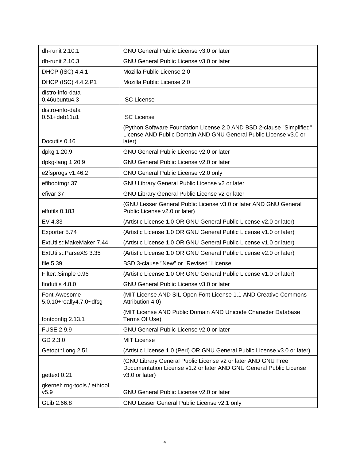| dh-runit 2.10.1                         | <b>GNU General Public License v3.0 or later</b>                                                                                                      |
|-----------------------------------------|------------------------------------------------------------------------------------------------------------------------------------------------------|
| dh-runit 2.10.3                         | GNU General Public License v3.0 or later                                                                                                             |
| DHCP (ISC) 4.4.1                        | Mozilla Public License 2.0                                                                                                                           |
| DHCP (ISC) 4.4.2.P1                     | Mozilla Public License 2.0                                                                                                                           |
| distro-info-data<br>0.46ubuntu4.3       | <b>ISC License</b>                                                                                                                                   |
| distro-info-data<br>$0.51 + deb11u1$    | <b>ISC License</b>                                                                                                                                   |
| Docutils 0.16                           | (Python Software Foundation License 2.0 AND BSD 2-clause "Simplified"<br>License AND Public Domain AND GNU General Public License v3.0 or<br>later)  |
| dpkg 1.20.9                             | GNU General Public License v2.0 or later                                                                                                             |
| dpkg-lang 1.20.9                        | GNU General Public License v2.0 or later                                                                                                             |
| e2fsprogs v1.46.2                       | GNU General Public License v2.0 only                                                                                                                 |
| efibootmgr 37                           | GNU Library General Public License v2 or later                                                                                                       |
| efivar 37                               | GNU Library General Public License v2 or later                                                                                                       |
| elfutils 0.183                          | (GNU Lesser General Public License v3.0 or later AND GNU General<br>Public License v2.0 or later)                                                    |
| EV 4.33                                 | (Artistic License 1.0 OR GNU General Public License v2.0 or later)                                                                                   |
| Exporter 5.74                           | (Artistic License 1.0 OR GNU General Public License v1.0 or later)                                                                                   |
| ExtUtils:: MakeMaker 7.44               | (Artistic License 1.0 OR GNU General Public License v1.0 or later)                                                                                   |
| ExtUtils::ParseXS 3.35                  | (Artistic License 1.0 OR GNU General Public License v2.0 or later)                                                                                   |
| file 5.39                               | BSD 3-clause "New" or "Revised" License                                                                                                              |
| Filter::Simple 0.96                     | (Artistic License 1.0 OR GNU General Public License v1.0 or later)                                                                                   |
| findutils 4.8.0                         | GNU General Public License v3.0 or later                                                                                                             |
| Font-Awesome<br>5.0.10+really4.7.0~dfsg | (MIT License AND SIL Open Font License 1.1 AND Creative Commons<br>Attribution 4.0)                                                                  |
| fontconfig 2.13.1                       | (MIT License AND Public Domain AND Unicode Character Database<br>Terms Of Use)                                                                       |
| <b>FUSE 2.9.9</b>                       | GNU General Public License v2.0 or later                                                                                                             |
| GD 2.3.0                                | <b>MIT License</b>                                                                                                                                   |
| Getopt::Long 2.51                       | (Artistic License 1.0 (Perl) OR GNU General Public License v3.0 or later)                                                                            |
| gettext 0.21                            | (GNU Library General Public License v2 or later AND GNU Free<br>Documentation License v1.2 or later AND GNU General Public License<br>v3.0 or later) |
| gkernel: rng-tools / ethtool<br>v5.9    | <b>GNU General Public License v2.0 or later</b>                                                                                                      |
| GLib 2.66.8                             | GNU Lesser General Public License v2.1 only                                                                                                          |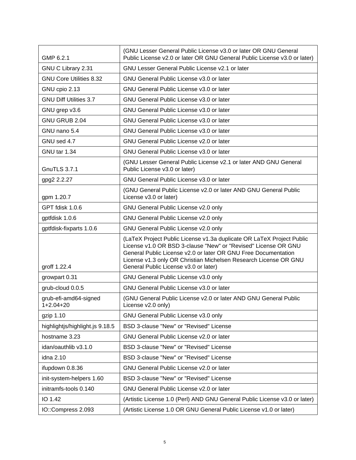| GMP 6.2.1                            | (GNU Lesser General Public License v3.0 or later OR GNU General<br>Public License v2.0 or later OR GNU General Public License v3.0 or later)                                                                                                                                                                           |
|--------------------------------------|------------------------------------------------------------------------------------------------------------------------------------------------------------------------------------------------------------------------------------------------------------------------------------------------------------------------|
| GNU C Library 2.31                   | GNU Lesser General Public License v2.1 or later                                                                                                                                                                                                                                                                        |
| <b>GNU Core Utilities 8.32</b>       | GNU General Public License v3.0 or later                                                                                                                                                                                                                                                                               |
| GNU cpio 2.13                        | GNU General Public License v3.0 or later                                                                                                                                                                                                                                                                               |
| <b>GNU Diff Utilities 3.7</b>        | GNU General Public License v3.0 or later                                                                                                                                                                                                                                                                               |
| GNU grep v3.6                        | GNU General Public License v3.0 or later                                                                                                                                                                                                                                                                               |
| GNU GRUB 2.04                        | GNU General Public License v3.0 or later                                                                                                                                                                                                                                                                               |
| GNU nano 5.4                         | GNU General Public License v3.0 or later                                                                                                                                                                                                                                                                               |
| GNU sed 4.7                          | GNU General Public License v2.0 or later                                                                                                                                                                                                                                                                               |
| GNU tar 1.34                         | GNU General Public License v3.0 or later                                                                                                                                                                                                                                                                               |
| <b>GnuTLS 3.7.1</b>                  | (GNU Lesser General Public License v2.1 or later AND GNU General<br>Public License v3.0 or later)                                                                                                                                                                                                                      |
| gpg2 2.2.27                          | GNU General Public License v3.0 or later                                                                                                                                                                                                                                                                               |
| gpm 1.20.7                           | (GNU General Public License v2.0 or later AND GNU General Public<br>License v3.0 or later)                                                                                                                                                                                                                             |
| GPT fdisk 1.0.6                      | GNU General Public License v2.0 only                                                                                                                                                                                                                                                                                   |
| gptfdisk 1.0.6                       | GNU General Public License v2.0 only                                                                                                                                                                                                                                                                                   |
| gptfdisk-fixparts 1.0.6              | GNU General Public License v2.0 only                                                                                                                                                                                                                                                                                   |
| groff 1.22.4                         | (LaTeX Project Public License v1.3a duplicate OR LaTeX Project Public<br>License v1.0 OR BSD 3-clause "New" or "Revised" License OR GNU<br>General Public License v2.0 or later OR GNU Free Documentation<br>License v1.3 only OR Christian Michelsen Research License OR GNU<br>General Public License v3.0 or later) |
| growpart 0.31                        | GNU General Public License v3.0 only                                                                                                                                                                                                                                                                                   |
| grub-cloud 0.0.5                     | GNU General Public License v3.0 or later                                                                                                                                                                                                                                                                               |
| grub-efi-amd64-signed<br>$1+2.04+20$ | (GNU General Public License v2.0 or later AND GNU General Public<br>License v2.0 only)                                                                                                                                                                                                                                 |
| gzip 1.10                            | GNU General Public License v3.0 only                                                                                                                                                                                                                                                                                   |
| highlightjs/highlight.js 9.18.5      | BSD 3-clause "New" or "Revised" License                                                                                                                                                                                                                                                                                |
| hostname 3.23                        | GNU General Public License v2.0 or later                                                                                                                                                                                                                                                                               |
| idan/oauthlib v3.1.0                 | BSD 3-clause "New" or "Revised" License                                                                                                                                                                                                                                                                                |
| idna 2.10                            | BSD 3-clause "New" or "Revised" License                                                                                                                                                                                                                                                                                |
| ifupdown 0.8.36                      | GNU General Public License v2.0 or later                                                                                                                                                                                                                                                                               |
| init-system-helpers 1.60             | BSD 3-clause "New" or "Revised" License                                                                                                                                                                                                                                                                                |
| initramfs-tools 0.140                | GNU General Public License v2.0 or later                                                                                                                                                                                                                                                                               |
| IO 1.42                              | (Artistic License 1.0 (Perl) AND GNU General Public License v3.0 or later)                                                                                                                                                                                                                                             |
| IO::Compress 2.093                   | (Artistic License 1.0 OR GNU General Public License v1.0 or later)                                                                                                                                                                                                                                                     |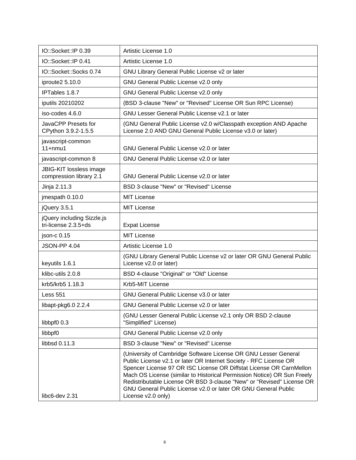| IO::Socket::IP 0.39                                | Artistic License 1.0                                                                                                                                                                                                                                                                                                                                                                                                                                    |
|----------------------------------------------------|---------------------------------------------------------------------------------------------------------------------------------------------------------------------------------------------------------------------------------------------------------------------------------------------------------------------------------------------------------------------------------------------------------------------------------------------------------|
| IO::Socket::IP 0.41                                | Artistic License 1.0                                                                                                                                                                                                                                                                                                                                                                                                                                    |
| IO::Socket::Socks 0.74                             | GNU Library General Public License v2 or later                                                                                                                                                                                                                                                                                                                                                                                                          |
| iproute2 5.10.0                                    | GNU General Public License v2.0 only                                                                                                                                                                                                                                                                                                                                                                                                                    |
| IPTables 1.8.7                                     | GNU General Public License v2.0 only                                                                                                                                                                                                                                                                                                                                                                                                                    |
| iputils 20210202                                   | (BSD 3-clause "New" or "Revised" License OR Sun RPC License)                                                                                                                                                                                                                                                                                                                                                                                            |
| iso-codes 4.6.0                                    | GNU Lesser General Public License v2.1 or later                                                                                                                                                                                                                                                                                                                                                                                                         |
| JavaCPP Presets for<br>CPython 3.9.2-1.5.5         | (GNU General Public License v2.0 w/Classpath exception AND Apache<br>License 2.0 AND GNU General Public License v3.0 or later)                                                                                                                                                                                                                                                                                                                          |
| javascript-common<br>$11+nmu1$                     | GNU General Public License v2.0 or later                                                                                                                                                                                                                                                                                                                                                                                                                |
| javascript-common 8                                | GNU General Public License v2.0 or later                                                                                                                                                                                                                                                                                                                                                                                                                |
| JBIG-KIT lossless image<br>compression library 2.1 | <b>GNU General Public License v2.0 or later</b>                                                                                                                                                                                                                                                                                                                                                                                                         |
| Jinja 2.11.3                                       | BSD 3-clause "New" or "Revised" License                                                                                                                                                                                                                                                                                                                                                                                                                 |
| jmespath 0.10.0                                    | <b>MIT License</b>                                                                                                                                                                                                                                                                                                                                                                                                                                      |
| jQuery 3.5.1                                       | <b>MIT License</b>                                                                                                                                                                                                                                                                                                                                                                                                                                      |
| jQuery including Sizzle.js<br>tri-license 2.3.5+ds | <b>Expat License</b>                                                                                                                                                                                                                                                                                                                                                                                                                                    |
| json-c $0.15$                                      | <b>MIT License</b>                                                                                                                                                                                                                                                                                                                                                                                                                                      |
| <b>JSON-PP 4.04</b>                                | Artistic License 1.0                                                                                                                                                                                                                                                                                                                                                                                                                                    |
| keyutils 1.6.1                                     | (GNU Library General Public License v2 or later OR GNU General Public<br>License v2.0 or later)                                                                                                                                                                                                                                                                                                                                                         |
| klibc-utils 2.0.8                                  | BSD 4-clause "Original" or "Old" License                                                                                                                                                                                                                                                                                                                                                                                                                |
| krb5/krb5 1.18.3                                   | Krb5-MIT License                                                                                                                                                                                                                                                                                                                                                                                                                                        |
| <b>Less 551</b>                                    | GNU General Public License v3.0 or later                                                                                                                                                                                                                                                                                                                                                                                                                |
| libapt-pkg6.0 2.2.4                                | GNU General Public License v2.0 or later                                                                                                                                                                                                                                                                                                                                                                                                                |
| libbpf0 0.3                                        | (GNU Lesser General Public License v2.1 only OR BSD 2-clause<br>"Simplified" License)                                                                                                                                                                                                                                                                                                                                                                   |
| libbpf0                                            | GNU General Public License v2.0 only                                                                                                                                                                                                                                                                                                                                                                                                                    |
| libbsd 0.11.3                                      | BSD 3-clause "New" or "Revised" License                                                                                                                                                                                                                                                                                                                                                                                                                 |
| libc6-dev 2.31                                     | (University of Cambridge Software License OR GNU Lesser General<br>Public License v2.1 or later OR Internet Society - RFC License OR<br>Spencer License 97 OR ISC License OR Diffstat License OR CarnMellon<br>Mach OS License (similar to Historical Permission Notice) OR Sun Freely<br>Redistributable License OR BSD 3-clause "New" or "Revised" License OR<br>GNU General Public License v2.0 or later OR GNU General Public<br>License v2.0 only) |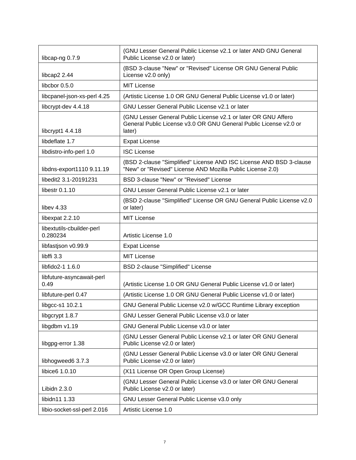| libcap-ng 0.7.9                       | (GNU Lesser General Public License v2.1 or later AND GNU General<br>Public License v2.0 or later)                                             |
|---------------------------------------|-----------------------------------------------------------------------------------------------------------------------------------------------|
| libcap2 2.44                          | (BSD 3-clause "New" or "Revised" License OR GNU General Public<br>License v2.0 only)                                                          |
| libcbor 0.5.0                         | <b>MIT License</b>                                                                                                                            |
| libcpanel-json-xs-perl 4.25           | (Artistic License 1.0 OR GNU General Public License v1.0 or later)                                                                            |
| libcrypt-dev 4.4.18                   | GNU Lesser General Public License v2.1 or later                                                                                               |
| libcrypt1 4.4.18                      | (GNU Lesser General Public License v2.1 or later OR GNU Affero<br>General Public License v3.0 OR GNU General Public License v2.0 or<br>later) |
| libdeflate 1.7                        | <b>Expat License</b>                                                                                                                          |
| libdistro-info-perl 1.0               | <b>ISC License</b>                                                                                                                            |
| libdns-export1110 9.11.19             | (BSD 2-clause "Simplified" License AND ISC License AND BSD 3-clause<br>"New" or "Revised" License AND Mozilla Public License 2.0)             |
| libedit2 3.1-20191231                 | BSD 3-clause "New" or "Revised" License                                                                                                       |
| libestr 0.1.10                        | GNU Lesser General Public License v2.1 or later                                                                                               |
| libev 4.33                            | (BSD 2-clause "Simplified" License OR GNU General Public License v2.0<br>or later)                                                            |
| libexpat 2.2.10                       | <b>MIT License</b>                                                                                                                            |
| libextutils-cbuilder-perl<br>0.280234 | Artistic License 1.0                                                                                                                          |
| libfastjson v0.99.9                   | <b>Expat License</b>                                                                                                                          |
| libffi 3.3                            | <b>MIT License</b>                                                                                                                            |
| libfido2-1 1.6.0                      | BSD 2-clause "Simplified" License                                                                                                             |
| libfuture-asyncawait-perl<br>0.49     | (Artistic License 1.0 OR GNU General Public License v1.0 or later)                                                                            |
| libfuture-perl 0.47                   | (Artistic License 1.0 OR GNU General Public License v1.0 or later)                                                                            |
| libgcc-s1 10.2.1                      | GNU General Public License v2.0 w/GCC Runtime Library exception                                                                               |
| libgcrypt 1.8.7                       | GNU Lesser General Public License v3.0 or later                                                                                               |
| libgdbm v1.19                         | GNU General Public License v3.0 or later                                                                                                      |
| libgpg-error 1.38                     | (GNU Lesser General Public License v2.1 or later OR GNU General<br>Public License v2.0 or later)                                              |
| libhogweed6 3.7.3                     | (GNU Lesser General Public License v3.0 or later OR GNU General<br>Public License v2.0 or later)                                              |
| libice6 1.0.10                        | (X11 License OR Open Group License)                                                                                                           |
| Libidn 2.3.0                          | (GNU Lesser General Public License v3.0 or later OR GNU General<br>Public License v2.0 or later)                                              |
| libidn11 1.33                         | GNU Lesser General Public License v3.0 only                                                                                                   |
| libio-socket-ssl-perl 2.016           | Artistic License 1.0                                                                                                                          |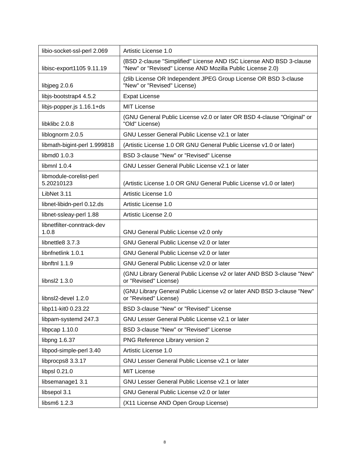| libio-socket-ssl-perl 2.069           | Artistic License 1.0                                                                                                              |
|---------------------------------------|-----------------------------------------------------------------------------------------------------------------------------------|
| libisc-export1105 9.11.19             | (BSD 2-clause "Simplified" License AND ISC License AND BSD 3-clause<br>"New" or "Revised" License AND Mozilla Public License 2.0) |
| libjpeg 2.0.6                         | (zlib License OR Independent JPEG Group License OR BSD 3-clause<br>"New" or "Revised" License)                                    |
| libjs-bootstrap4 4.5.2                | <b>Expat License</b>                                                                                                              |
| libjs-popper.js 1.16.1+ds             | <b>MIT License</b>                                                                                                                |
| libklibc 2.0.8                        | (GNU General Public License v2.0 or later OR BSD 4-clause "Original" or<br>"Old" License)                                         |
| liblognorm 2.0.5                      | GNU Lesser General Public License v2.1 or later                                                                                   |
| libmath-bigint-perl 1.999818          | (Artistic License 1.0 OR GNU General Public License v1.0 or later)                                                                |
| libmd0 1.0.3                          | BSD 3-clause "New" or "Revised" License                                                                                           |
| libmnl 1.0.4                          | GNU Lesser General Public License v2.1 or later                                                                                   |
| libmodule-corelist-perl<br>5.20210123 | (Artistic License 1.0 OR GNU General Public License v1.0 or later)                                                                |
| LibNet 3.11                           | Artistic License 1.0                                                                                                              |
| libnet-libidn-perl 0.12.ds            | Artistic License 1.0                                                                                                              |
| libnet-ssleay-perl 1.88               | Artistic License 2.0                                                                                                              |
| libnetfilter-conntrack-dev<br>1.0.8   | GNU General Public License v2.0 only                                                                                              |
| libnettle8 3.7.3                      | <b>GNU General Public License v2.0 or later</b>                                                                                   |
| libnfnetlink 1.0.1                    | <b>GNU General Public License v2.0 or later</b>                                                                                   |
| libnftnl 1.1.9                        | GNU General Public License v2.0 or later                                                                                          |
| libnsl2 1.3.0                         | (GNU Library General Public License v2 or later AND BSD 3-clause "New"<br>or "Revised" License)                                   |
| libnsl2-devel 1.2.0                   | (GNU Library General Public License v2 or later AND BSD 3-clause "New"<br>or "Revised" License)                                   |
| libp11-kit0 0.23.22                   | BSD 3-clause "New" or "Revised" License                                                                                           |
| libpam-systemd 247.3                  | GNU Lesser General Public License v2.1 or later                                                                                   |
| libpcap 1.10.0                        | BSD 3-clause "New" or "Revised" License                                                                                           |
| libpng 1.6.37                         | PNG Reference Library version 2                                                                                                   |
| libpod-simple-perl 3.40               | Artistic License 1.0                                                                                                              |
| libprocps8 3.3.17                     | GNU Lesser General Public License v2.1 or later                                                                                   |
| libpsl 0.21.0                         | <b>MIT License</b>                                                                                                                |
| libsemanage1 3.1                      | GNU Lesser General Public License v2.1 or later                                                                                   |
| libsepol 3.1                          | GNU General Public License v2.0 or later                                                                                          |
| libsm6 1.2.3                          | (X11 License AND Open Group License)                                                                                              |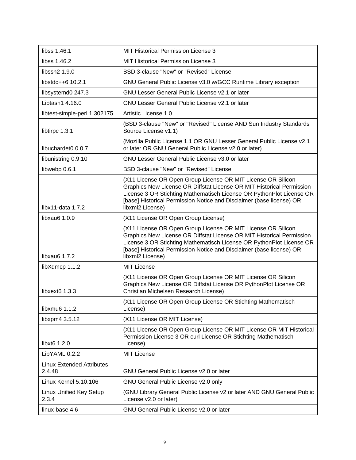| libss 1.46.1                               | MIT Historical Permission License 3                                                                                                                                                                                                                                                                       |
|--------------------------------------------|-----------------------------------------------------------------------------------------------------------------------------------------------------------------------------------------------------------------------------------------------------------------------------------------------------------|
| libss 1.46.2                               | <b>MIT Historical Permission License 3</b>                                                                                                                                                                                                                                                                |
| libssh2 1.9.0                              | BSD 3-clause "New" or "Revised" License                                                                                                                                                                                                                                                                   |
| libstdc++6 10.2.1                          | GNU General Public License v3.0 w/GCC Runtime Library exception                                                                                                                                                                                                                                           |
| libsystemd0 247.3                          | GNU Lesser General Public License v2.1 or later                                                                                                                                                                                                                                                           |
| Libtasn1 4.16.0                            | GNU Lesser General Public License v2.1 or later                                                                                                                                                                                                                                                           |
| libtest-simple-perl 1.302175               | Artistic License 1.0                                                                                                                                                                                                                                                                                      |
| libtirpc 1.3.1                             | (BSD 3-clause "New" or "Revised" License AND Sun Industry Standards<br>Source License v1.1)                                                                                                                                                                                                               |
| libuchardet0 0.0.7                         | (Mozilla Public License 1.1 OR GNU Lesser General Public License v2.1<br>or later OR GNU General Public License v2.0 or later)                                                                                                                                                                            |
| libunistring 0.9.10                        | GNU Lesser General Public License v3.0 or later                                                                                                                                                                                                                                                           |
| libwebp 0.6.1                              | BSD 3-clause "New" or "Revised" License                                                                                                                                                                                                                                                                   |
| libx11-data 1.7.2                          | (X11 License OR Open Group License OR MIT License OR Silicon<br>Graphics New License OR Diffstat License OR MIT Historical Permission<br>License 3 OR Stichting Mathematisch License OR PythonPlot License OR<br>[base] Historical Permission Notice and Disclaimer (base license) OR<br>libxml2 License) |
| libxau6 1.0.9                              | (X11 License OR Open Group License)                                                                                                                                                                                                                                                                       |
| libxau6 1.7.2                              | (X11 License OR Open Group License OR MIT License OR Silicon<br>Graphics New License OR Diffstat License OR MIT Historical Permission<br>License 3 OR Stichting Mathematisch License OR PythonPlot License OR<br>[base] Historical Permission Notice and Disclaimer (base license) OR<br>libxml2 License) |
| libXdmcp 1.1.2                             | <b>MIT License</b>                                                                                                                                                                                                                                                                                        |
| libxext6 1.3.3                             | (X11 License OR Open Group License OR MIT License OR Silicon<br>Graphics New License OR Diffstat License OR PythonPlot License OR<br>Christian Michelsen Research License)                                                                                                                                |
| libxmu6 1.1.2                              | (X11 License OR Open Group License OR Stichting Mathematisch<br>License)                                                                                                                                                                                                                                  |
| libxpm4 3.5.12                             | (X11 License OR MIT License)                                                                                                                                                                                                                                                                              |
| libxt6 1.2.0                               | (X11 License OR Open Group License OR MIT License OR MIT Historical<br>Permission License 3 OR curl License OR Stichting Mathematisch<br>License)                                                                                                                                                         |
| LibYAML 0.2.2                              | <b>MIT License</b>                                                                                                                                                                                                                                                                                        |
| <b>Linux Extended Attributes</b><br>2.4.48 | GNU General Public License v2.0 or later                                                                                                                                                                                                                                                                  |
| Linux Kernel 5.10.106                      | GNU General Public License v2.0 only                                                                                                                                                                                                                                                                      |
| Linux Unified Key Setup<br>2.3.4           | (GNU Library General Public License v2 or later AND GNU General Public<br>License v2.0 or later)                                                                                                                                                                                                          |
| linux-base 4.6                             | GNU General Public License v2.0 or later                                                                                                                                                                                                                                                                  |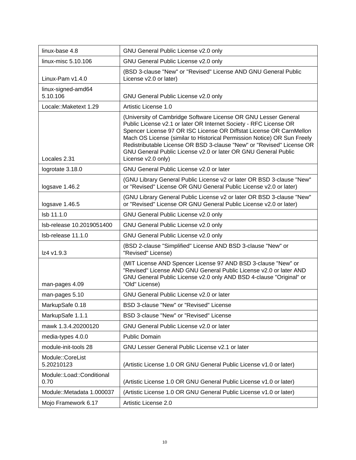| linux-base 4.8                    | GNU General Public License v2.0 only                                                                                                                                                                                                                                                                                                                                                                                                                    |
|-----------------------------------|---------------------------------------------------------------------------------------------------------------------------------------------------------------------------------------------------------------------------------------------------------------------------------------------------------------------------------------------------------------------------------------------------------------------------------------------------------|
| linux-misc 5.10.106               | GNU General Public License v2.0 only                                                                                                                                                                                                                                                                                                                                                                                                                    |
| Linux-Pam v1.4.0                  | (BSD 3-clause "New" or "Revised" License AND GNU General Public<br>License v2.0 or later)                                                                                                                                                                                                                                                                                                                                                               |
| linux-signed-amd64<br>5.10.106    | GNU General Public License v2.0 only                                                                                                                                                                                                                                                                                                                                                                                                                    |
| Locale:: Maketext 1.29            | Artistic License 1.0                                                                                                                                                                                                                                                                                                                                                                                                                                    |
| Locales 2.31                      | (University of Cambridge Software License OR GNU Lesser General<br>Public License v2.1 or later OR Internet Society - RFC License OR<br>Spencer License 97 OR ISC License OR Diffstat License OR CarnMellon<br>Mach OS License (similar to Historical Permission Notice) OR Sun Freely<br>Redistributable License OR BSD 3-clause "New" or "Revised" License OR<br>GNU General Public License v2.0 or later OR GNU General Public<br>License v2.0 only) |
| logrotate 3.18.0                  | GNU General Public License v2.0 or later                                                                                                                                                                                                                                                                                                                                                                                                                |
| logsave 1.46.2                    | (GNU Library General Public License v2 or later OR BSD 3-clause "New"<br>or "Revised" License OR GNU General Public License v2.0 or later)                                                                                                                                                                                                                                                                                                              |
| logsave 1.46.5                    | (GNU Library General Public License v2 or later OR BSD 3-clause "New"<br>or "Revised" License OR GNU General Public License v2.0 or later)                                                                                                                                                                                                                                                                                                              |
| Isb 11.1.0                        | GNU General Public License v2.0 only                                                                                                                                                                                                                                                                                                                                                                                                                    |
| Isb-release 10.2019051400         | GNU General Public License v2.0 only                                                                                                                                                                                                                                                                                                                                                                                                                    |
| Isb-release 11.1.0                | GNU General Public License v2.0 only                                                                                                                                                                                                                                                                                                                                                                                                                    |
| Iz4 v1.9.3                        | (BSD 2-clause "Simplified" License AND BSD 3-clause "New" or<br>"Revised" License)                                                                                                                                                                                                                                                                                                                                                                      |
| man-pages 4.09                    | (MIT License AND Spencer License 97 AND BSD 3-clause "New" or<br>"Revised" License AND GNU General Public License v2.0 or later AND<br>GNU General Public License v2.0 only AND BSD 4-clause "Original" or<br>"Old" License)                                                                                                                                                                                                                            |
| man-pages 5.10                    | GNU General Public License v2.0 or later                                                                                                                                                                                                                                                                                                                                                                                                                |
| MarkupSafe 0.18                   | BSD 3-clause "New" or "Revised" License                                                                                                                                                                                                                                                                                                                                                                                                                 |
| MarkupSafe 1.1.1                  | BSD 3-clause "New" or "Revised" License                                                                                                                                                                                                                                                                                                                                                                                                                 |
| mawk 1.3.4.20200120               | GNU General Public License v2.0 or later                                                                                                                                                                                                                                                                                                                                                                                                                |
| media-types 4.0.0                 | <b>Public Domain</b>                                                                                                                                                                                                                                                                                                                                                                                                                                    |
| module-init-tools 28              | GNU Lesser General Public License v2.1 or later                                                                                                                                                                                                                                                                                                                                                                                                         |
| Module::CoreList<br>5.20210123    | (Artistic License 1.0 OR GNU General Public License v1.0 or later)                                                                                                                                                                                                                                                                                                                                                                                      |
| Module::Load::Conditional<br>0.70 | (Artistic License 1.0 OR GNU General Public License v1.0 or later)                                                                                                                                                                                                                                                                                                                                                                                      |
| Module::Metadata 1.000037         | (Artistic License 1.0 OR GNU General Public License v1.0 or later)                                                                                                                                                                                                                                                                                                                                                                                      |
| Mojo Framework 6.17               | Artistic License 2.0                                                                                                                                                                                                                                                                                                                                                                                                                                    |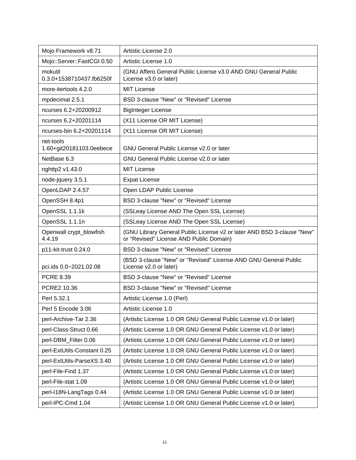| Mojo Framework v8.71                  | Artistic License 2.0                                                                                              |
|---------------------------------------|-------------------------------------------------------------------------------------------------------------------|
| Mojo::Server::FastCGI 0.50            | Artistic License 1.0                                                                                              |
| mokutil<br>0.3.0+1538710437.fb6250f   | (GNU Affero General Public License v3.0 AND GNU General Public<br>License v3.0 or later)                          |
| more-itertools 4.2.0                  | <b>MIT License</b>                                                                                                |
| mpdecimal 2.5.1                       | BSD 3-clause "New" or "Revised" License                                                                           |
| ncurses 6.2+20200912                  | <b>BigInteger License</b>                                                                                         |
| ncurses 6.2+20201114                  | (X11 License OR MIT License)                                                                                      |
| ncurses-bin 6.2+20201114              | (X11 License OR MIT License)                                                                                      |
| net-tools<br>1.60+git20181103.0eebece | GNU General Public License v2.0 or later                                                                          |
| NetBase 6.3                           | GNU General Public License v2.0 or later                                                                          |
| nghttp2 v1.43.0                       | <b>MIT License</b>                                                                                                |
| node-jquery 3.5.1                     | <b>Expat License</b>                                                                                              |
| OpenLDAP 2.4.57                       | Open LDAP Public License                                                                                          |
| OpenSSH 8.4p1                         | BSD 3-clause "New" or "Revised" License                                                                           |
| OpenSSL 1.1.1k                        | (SSLeay License AND The Open SSL License)                                                                         |
| OpenSSL 1.1.1n                        | (SSLeay License AND The Open SSL License)                                                                         |
| Openwall crypt_blowfish<br>4.4.19     | (GNU Library General Public License v2 or later AND BSD 3-clause "New"<br>or "Revised" License AND Public Domain) |
| p11-kit-trust 0.24.0                  | BSD 3-clause "New" or "Revised" License                                                                           |
| pci.ids 0.0~2021.02.08                | (BSD 3-clause "New" or "Revised" License AND GNU General Public<br>License v2.0 or later)                         |
| <b>PCRE 8.39</b>                      | BSD 3-clause "New" or "Revised" License                                                                           |
| PCRE2 10.36                           | BSD 3-clause "New" or "Revised" License                                                                           |
| Perl 5.32.1                           | Artistic License 1.0 (Perl)                                                                                       |
| Perl 5 Encode 3.06                    | Artistic License 1.0                                                                                              |
| perl-Archive-Tar 2.36                 | (Artistic License 1.0 OR GNU General Public License v1.0 or later)                                                |
| perl-Class-Struct 0.66                | (Artistic License 1.0 OR GNU General Public License v1.0 or later)                                                |
| perl-DBM Filter 0.06                  | (Artistic License 1.0 OR GNU General Public License v1.0 or later)                                                |
| perl-ExtUtils-Constant 0.25           | (Artistic License 1.0 OR GNU General Public License v1.0 or later)                                                |
| perl-ExtUtils-ParseXS 3.40            | (Artistic License 1.0 OR GNU General Public License v1.0 or later)                                                |
| perl-File-Find 1.37                   | (Artistic License 1.0 OR GNU General Public License v1.0 or later)                                                |
| perl-File-stat 1.09                   | (Artistic License 1.0 OR GNU General Public License v1.0 or later)                                                |
| perl-I18N-LangTags 0.44               | (Artistic License 1.0 OR GNU General Public License v1.0 or later)                                                |
| perl-IPC-Cmd 1.04                     | (Artistic License 1.0 OR GNU General Public License v1.0 or later)                                                |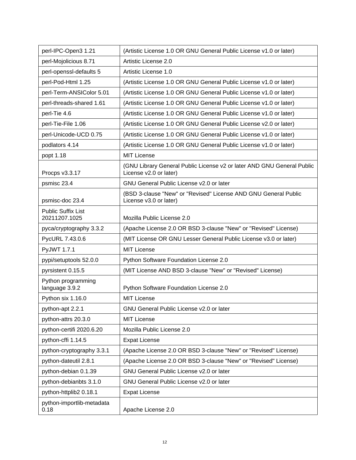| perl-IPC-Open3 1.21                        | (Artistic License 1.0 OR GNU General Public License v1.0 or later)                               |
|--------------------------------------------|--------------------------------------------------------------------------------------------------|
| perl-Mojolicious 8.71                      | Artistic License 2.0                                                                             |
| perl-openssl-defaults 5                    | Artistic License 1.0                                                                             |
| perl-Pod-Html 1.25                         | (Artistic License 1.0 OR GNU General Public License v1.0 or later)                               |
| perl-Term-ANSIColor 5.01                   | (Artistic License 1.0 OR GNU General Public License v1.0 or later)                               |
| perl-threads-shared 1.61                   | (Artistic License 1.0 OR GNU General Public License v1.0 or later)                               |
| perl-Tie 4.6                               | (Artistic License 1.0 OR GNU General Public License v1.0 or later)                               |
| perl-Tie-File 1.06                         | (Artistic License 1.0 OR GNU General Public License v2.0 or later)                               |
| perl-Unicode-UCD 0.75                      | (Artistic License 1.0 OR GNU General Public License v1.0 or later)                               |
| podlators 4.14                             | (Artistic License 1.0 OR GNU General Public License v1.0 or later)                               |
| popt 1.18                                  | <b>MIT License</b>                                                                               |
| Procps v3.3.17                             | (GNU Library General Public License v2 or later AND GNU General Public<br>License v2.0 or later) |
| psmisc 23.4                                | GNU General Public License v2.0 or later                                                         |
| psmisc-doc 23.4                            | (BSD 3-clause "New" or "Revised" License AND GNU General Public<br>License v3.0 or later)        |
| <b>Public Suffix List</b><br>20211207.1025 | Mozilla Public License 2.0                                                                       |
| pyca/cryptography 3.3.2                    | (Apache License 2.0 OR BSD 3-clause "New" or "Revised" License)                                  |
| PycURL 7.43.0.6                            | (MIT License OR GNU Lesser General Public License v3.0 or later)                                 |
| PyJWT 1.7.1                                | <b>MIT License</b>                                                                               |
| pypi/setuptools 52.0.0                     | Python Software Foundation License 2.0                                                           |
| pyrsistent 0.15.5                          | (MIT License AND BSD 3-clause "New" or "Revised" License)                                        |
| Python programming<br>language 3.9.2       | Python Software Foundation License 2.0                                                           |
| Python six 1.16.0                          | <b>MIT License</b>                                                                               |
| python-apt 2.2.1                           | GNU General Public License v2.0 or later                                                         |
| python-attrs 20.3.0                        | <b>MIT License</b>                                                                               |
| python-certifi 2020.6.20                   | Mozilla Public License 2.0                                                                       |
| python-cffi 1.14.5                         | <b>Expat License</b>                                                                             |
| python-cryptography 3.3.1                  | (Apache License 2.0 OR BSD 3-clause "New" or "Revised" License)                                  |
| python-dateutil 2.8.1                      | (Apache License 2.0 OR BSD 3-clause "New" or "Revised" License)                                  |
| python-debian 0.1.39                       | GNU General Public License v2.0 or later                                                         |
| python-debianbts 3.1.0                     | GNU General Public License v2.0 or later                                                         |
| python-httplib2 0.18.1                     | <b>Expat License</b>                                                                             |
| python-importlib-metadata<br>0.18          | Apache License 2.0                                                                               |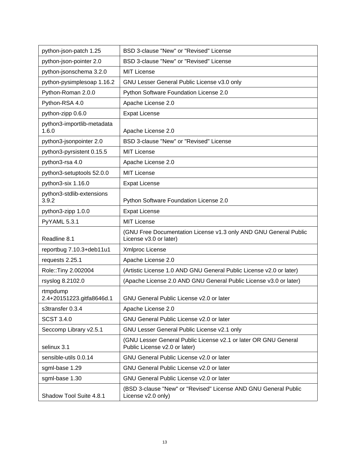| python-json-patch 1.25                | BSD 3-clause "New" or "Revised" License                                                          |
|---------------------------------------|--------------------------------------------------------------------------------------------------|
| python-json-pointer 2.0               | BSD 3-clause "New" or "Revised" License                                                          |
| python-jsonschema 3.2.0               | <b>MIT License</b>                                                                               |
| python-pysimplesoap 1.16.2            | GNU Lesser General Public License v3.0 only                                                      |
| Python-Roman 2.0.0                    | Python Software Foundation License 2.0                                                           |
| Python-RSA 4.0                        | Apache License 2.0                                                                               |
| python-zipp 0.6.0                     | <b>Expat License</b>                                                                             |
| python3-importlib-metadata<br>1.6.0   | Apache License 2.0                                                                               |
| python3-jsonpointer 2.0               | BSD 3-clause "New" or "Revised" License                                                          |
| python3-pyrsistent 0.15.5             | <b>MIT License</b>                                                                               |
| python3-rsa 4.0                       | Apache License 2.0                                                                               |
| python3-setuptools 52.0.0             | <b>MIT License</b>                                                                               |
| python3-six 1.16.0                    | <b>Expat License</b>                                                                             |
| python3-stdlib-extensions<br>3.9.2    | Python Software Foundation License 2.0                                                           |
| python3-zipp 1.0.0                    | <b>Expat License</b>                                                                             |
| PyYAML 5.3.1                          | <b>MIT License</b>                                                                               |
| Readline 8.1                          | (GNU Free Documentation License v1.3 only AND GNU General Public<br>License v3.0 or later)       |
| reportbug 7.10.3+deb11u1              | Xmlproc License                                                                                  |
| requests 2.25.1                       | Apache License 2.0                                                                               |
| Role:: Tiny 2.002004                  | (Artistic License 1.0 AND GNU General Public License v2.0 or later)                              |
| rsyslog 8.2102.0                      | (Apache License 2.0 AND GNU General Public License v3.0 or later)                                |
| rtmpdump<br>2.4+20151223.gitfa8646d.1 | GNU General Public License v2.0 or later                                                         |
| s3transfer 0.3.4                      | Apache License 2.0                                                                               |
| <b>SCST 3.4.0</b>                     | GNU General Public License v2.0 or later                                                         |
| Seccomp Library v2.5.1                | GNU Lesser General Public License v2.1 only                                                      |
| selinux 3.1                           | (GNU Lesser General Public License v2.1 or later OR GNU General<br>Public License v2.0 or later) |
| sensible-utils 0.0.14                 | GNU General Public License v2.0 or later                                                         |
| sgml-base 1.29                        | GNU General Public License v2.0 or later                                                         |
| sgml-base 1.30                        | GNU General Public License v2.0 or later                                                         |
| Shadow Tool Suite 4.8.1               | (BSD 3-clause "New" or "Revised" License AND GNU General Public<br>License v2.0 only)            |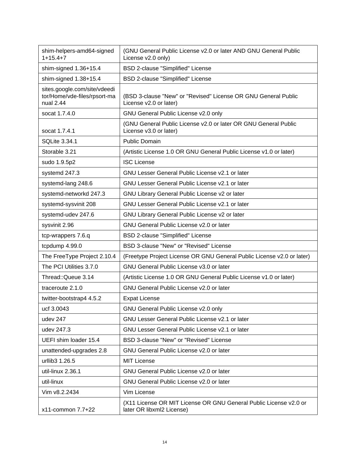| shim-helpers-amd64-signed<br>$1+15.4+7$                                   | (GNU General Public License v2.0 or later AND GNU General Public<br>License v2.0 only)         |
|---------------------------------------------------------------------------|------------------------------------------------------------------------------------------------|
| shim-signed 1.36+15.4                                                     | BSD 2-clause "Simplified" License                                                              |
| shim-signed 1.38+15.4                                                     | BSD 2-clause "Simplified" License                                                              |
| sites.google.com/site/vdeedi<br>tor/Home/vde-files/rpsort-ma<br>nual 2.44 | (BSD 3-clause "New" or "Revised" License OR GNU General Public<br>License v2.0 or later)       |
| socat 1.7.4.0                                                             | GNU General Public License v2.0 only                                                           |
| socat 1.7.4.1                                                             | (GNU General Public License v2.0 or later OR GNU General Public<br>License v3.0 or later)      |
| <b>SQLite 3.34.1</b>                                                      | <b>Public Domain</b>                                                                           |
| Storable 3.21                                                             | (Artistic License 1.0 OR GNU General Public License v1.0 or later)                             |
| sudo 1.9.5p2                                                              | <b>ISC License</b>                                                                             |
| systemd 247.3                                                             | GNU Lesser General Public License v2.1 or later                                                |
| systemd-lang 248.6                                                        | GNU Lesser General Public License v2.1 or later                                                |
| systemd-networkd 247.3                                                    | GNU Library General Public License v2 or later                                                 |
| systemd-sysvinit 208                                                      | GNU Lesser General Public License v2.1 or later                                                |
| systemd-udev 247.6                                                        | GNU Library General Public License v2 or later                                                 |
| sysvinit 2.96                                                             | GNU General Public License v2.0 or later                                                       |
| tcp-wrappers 7.6.q                                                        | BSD 2-clause "Simplified" License                                                              |
| tcpdump 4.99.0                                                            | BSD 3-clause "New" or "Revised" License                                                        |
| The FreeType Project 2.10.4                                               | (Freetype Project License OR GNU General Public License v2.0 or later)                         |
| The PCI Utilities 3.7.0                                                   | GNU General Public License v3.0 or later                                                       |
| Thread:: Queue 3.14                                                       | (Artistic License 1.0 OR GNU General Public License v1.0 or later)                             |
| traceroute 2.1.0                                                          | GNU General Public License v2.0 or later                                                       |
| twitter-bootstrap4 4.5.2                                                  | <b>Expat License</b>                                                                           |
| ucf 3.0043                                                                | GNU General Public License v2.0 only                                                           |
| udev 247                                                                  | GNU Lesser General Public License v2.1 or later                                                |
| udev 247.3                                                                | GNU Lesser General Public License v2.1 or later                                                |
| UEFI shim loader 15.4                                                     | BSD 3-clause "New" or "Revised" License                                                        |
| unattended-upgrades 2.8                                                   | GNU General Public License v2.0 or later                                                       |
| urllib3 1.26.5                                                            | <b>MIT License</b>                                                                             |
| util-linux 2.36.1                                                         | GNU General Public License v2.0 or later                                                       |
| util-linux                                                                | GNU General Public License v2.0 or later                                                       |
| Vim v8.2.2434                                                             | Vim License                                                                                    |
| x11-common 7.7+22                                                         | (X11 License OR MIT License OR GNU General Public License v2.0 or<br>later OR libxml2 License) |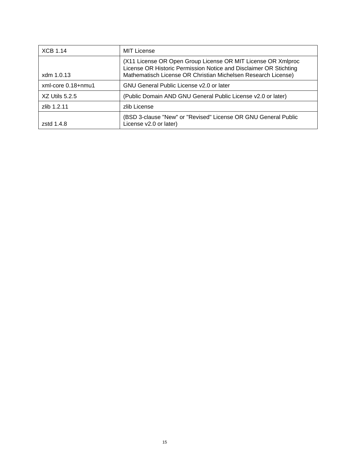| XCB 1.14           | <b>MIT License</b>                                                                                                                                                                                 |
|--------------------|----------------------------------------------------------------------------------------------------------------------------------------------------------------------------------------------------|
| xdm 1.0.13         | (X11 License OR Open Group License OR MIT License OR Xmlproc<br>License OR Historic Permission Notice and Disclaimer OR Stichting<br>Mathematisch License OR Christian Michelsen Research License) |
| xml-core 0.18+nmu1 | GNU General Public License v2.0 or later                                                                                                                                                           |
| $XZ$ Utils 5.2.5   | (Public Domain AND GNU General Public License v2.0 or later)                                                                                                                                       |
| zlib 1.2.11        | zlib License                                                                                                                                                                                       |
| zstd 1.4.8         | (BSD 3-clause "New" or "Revised" License OR GNU General Public<br>License v2.0 or later)                                                                                                           |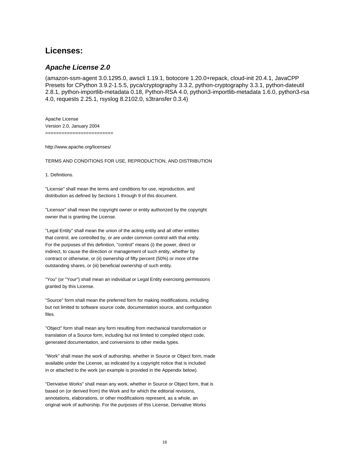# **Licenses:**

### **Apache License 2.0**

(amazon-ssm-agent 3.0.1295.0, awscli 1.19.1, botocore 1.20.0+repack, cloud-init 20.4.1, JavaCPP Presets for CPython 3.9.2-1.5.5, pyca/cryptography 3.3.2, python-cryptography 3.3.1, python-dateutil 2.8.1, python-importlib-metadata 0.18, Python-RSA 4.0, python3-importlib-metadata 1.6.0, python3-rsa 4.0, requests 2.25.1, rsyslog 8.2102.0, s3transfer 0.3.4)

Apache License Version 2.0, January 2004 =========================

http://www.apache.org/licenses/

TERMS AND CONDITIONS FOR USE, REPRODUCTION, AND DISTRIBUTION

1. Definitions.

"License" shall mean the terms and conditions for use, reproduction, and distribution as defined by Sections 1 through 9 of this document.

"Licensor" shall mean the copyright owner or entity authorized by the copyright owner that is granting the License.

"Legal Entity" shall mean the union of the acting entity and all other entities that control, are controlled by, or are under common control with that entity. For the purposes of this definition, "control" means (i) the power, direct or indirect, to cause the direction or management of such entity, whether by contract or otherwise, or (ii) ownership of fifty percent (50%) or more of the outstanding shares, or (iii) beneficial ownership of such entity.

"You" (or "Your") shall mean an individual or Legal Entity exercising permissions granted by this License.

"Source" form shall mean the preferred form for making modifications, including but not limited to software source code, documentation source, and configuration files.

"Object" form shall mean any form resulting from mechanical transformation or translation of a Source form, including but not limited to compiled object code, generated documentation, and conversions to other media types.

"Work" shall mean the work of authorship, whether in Source or Object form, made available under the License, as indicated by a copyright notice that is included in or attached to the work (an example is provided in the Appendix below).

"Derivative Works" shall mean any work, whether in Source or Object form, that is based on (or derived from) the Work and for which the editorial revisions, annotations, elaborations, or other modifications represent, as a whole, an original work of authorship. For the purposes of this License, Derivative Works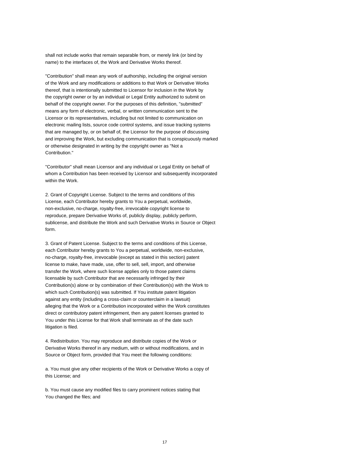shall not include works that remain separable from, or merely link (or bind by name) to the interfaces of, the Work and Derivative Works thereof.

"Contribution" shall mean any work of authorship, including the original version of the Work and any modifications or additions to that Work or Derivative Works thereof, that is intentionally submitted to Licensor for inclusion in the Work by the copyright owner or by an individual or Legal Entity authorized to submit on behalf of the copyright owner. For the purposes of this definition, "submitted" means any form of electronic, verbal, or written communication sent to the Licensor or its representatives, including but not limited to communication on electronic mailing lists, source code control systems, and issue tracking systems that are managed by, or on behalf of, the Licensor for the purpose of discussing and improving the Work, but excluding communication that is conspicuously marked or otherwise designated in writing by the copyright owner as "Not a Contribution."

"Contributor" shall mean Licensor and any individual or Legal Entity on behalf of whom a Contribution has been received by Licensor and subsequently incorporated within the Work.

2. Grant of Copyright License. Subject to the terms and conditions of this License, each Contributor hereby grants to You a perpetual, worldwide, non-exclusive, no-charge, royalty-free, irrevocable copyright license to reproduce, prepare Derivative Works of, publicly display, publicly perform, sublicense, and distribute the Work and such Derivative Works in Source or Object form.

3. Grant of Patent License. Subject to the terms and conditions of this License, each Contributor hereby grants to You a perpetual, worldwide, non-exclusive, no-charge, royalty-free, irrevocable (except as stated in this section) patent license to make, have made, use, offer to sell, sell, import, and otherwise transfer the Work, where such license applies only to those patent claims licensable by such Contributor that are necessarily infringed by their Contribution(s) alone or by combination of their Contribution(s) with the Work to which such Contribution(s) was submitted. If You institute patent litigation against any entity (including a cross-claim or counterclaim in a lawsuit) alleging that the Work or a Contribution incorporated within the Work constitutes direct or contributory patent infringement, then any patent licenses granted to You under this License for that Work shall terminate as of the date such litigation is filed.

4. Redistribution. You may reproduce and distribute copies of the Work or Derivative Works thereof in any medium, with or without modifications, and in Source or Object form, provided that You meet the following conditions:

a. You must give any other recipients of the Work or Derivative Works a copy of this License; and

b. You must cause any modified files to carry prominent notices stating that You changed the files; and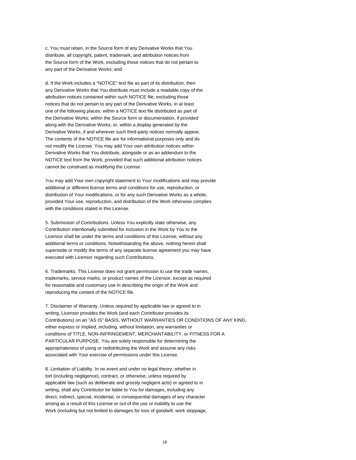c. You must retain, in the Source form of any Derivative Works that You distribute, all copyright, patent, trademark, and attribution notices from the Source form of the Work, excluding those notices that do not pertain to any part of the Derivative Works; and

d. If the Work includes a "NOTICE" text file as part of its distribution, then any Derivative Works that You distribute must include a readable copy of the attribution notices contained within such NOTICE file, excluding those notices that do not pertain to any part of the Derivative Works, in at least one of the following places: within a NOTICE text file distributed as part of the Derivative Works; within the Source form or documentation, if provided along with the Derivative Works; or, within a display generated by the Derivative Works, if and wherever such third-party notices normally appear. The contents of the NOTICE file are for informational purposes only and do not modify the License. You may add Your own attribution notices within Derivative Works that You distribute, alongside or as an addendum to the NOTICE text from the Work, provided that such additional attribution notices cannot be construed as modifying the License.

You may add Your own copyright statement to Your modifications and may provide additional or different license terms and conditions for use, reproduction, or distribution of Your modifications, or for any such Derivative Works as a whole, provided Your use, reproduction, and distribution of the Work otherwise complies with the conditions stated in this License.

5. Submission of Contributions. Unless You explicitly state otherwise, any Contribution intentionally submitted for inclusion in the Work by You to the Licensor shall be under the terms and conditions of this License, without any additional terms or conditions. Notwithstanding the above, nothing herein shall supersede or modify the terms of any separate license agreement you may have executed with Licensor regarding such Contributions.

6. Trademarks. This License does not grant permission to use the trade names, trademarks, service marks, or product names of the Licensor, except as required for reasonable and customary use in describing the origin of the Work and reproducing the content of the NOTICE file.

7. Disclaimer of Warranty. Unless required by applicable law or agreed to in writing, Licensor provides the Work (and each Contributor provides its Contributions) on an "AS IS" BASIS, WITHOUT WARRANTIES OR CONDITIONS OF ANY KIND, either express or implied, including, without limitation, any warranties or conditions of TITLE, NON-INFRINGEMENT, MERCHANTABILITY, or FITNESS FOR A PARTICULAR PURPOSE. You are solely responsible for determining the appropriateness of using or redistributing the Work and assume any risks associated with Your exercise of permissions under this License.

8. Limitation of Liability. In no event and under no legal theory, whether in tort (including negligence), contract, or otherwise, unless required by applicable law (such as deliberate and grossly negligent acts) or agreed to in writing, shall any Contributor be liable to You for damages, including any direct, indirect, special, incidental, or consequential damages of any character arising as a result of this License or out of the use or inability to use the Work (including but not limited to damages for loss of goodwill, work stoppage,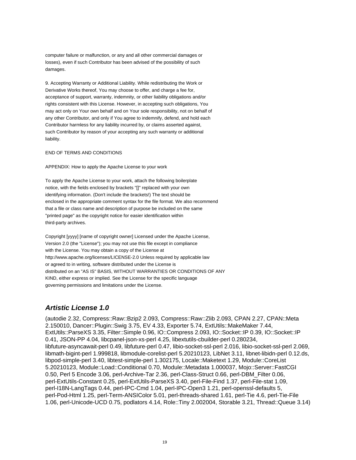computer failure or malfunction, or any and all other commercial damages or losses), even if such Contributor has been advised of the possibility of such damages.

9. Accepting Warranty or Additional Liability. While redistributing the Work or Derivative Works thereof, You may choose to offer, and charge a fee for, acceptance of support, warranty, indemnity, or other liability obligations and/or rights consistent with this License. However, in accepting such obligations, You may act only on Your own behalf and on Your sole responsibility, not on behalf of any other Contributor, and only if You agree to indemnify, defend, and hold each Contributor harmless for any liability incurred by, or claims asserted against, such Contributor by reason of your accepting any such warranty or additional liability.

### END OF TERMS AND CONDITIONS

APPENDIX: How to apply the Apache License to your work

To apply the Apache License to your work, attach the following boilerplate notice, with the fields enclosed by brackets "[]" replaced with your own identifying information. (Don't include the brackets!) The text should be enclosed in the appropriate comment syntax for the file format. We also recommend that a file or class name and description of purpose be included on the same "printed page" as the copyright notice for easier identification within third-party archives.

Copyright [yyyy] [name of copyright owner] Licensed under the Apache License, Version 2.0 (the "License"); you may not use this file except in compliance with the License. You may obtain a copy of the License at http://www.apache.org/licenses/LICENSE-2.0 Unless required by applicable law or agreed to in writing, software distributed under the License is distributed on an "AS IS" BASIS, WITHOUT WARRANTIES OR CONDITIONS OF ANY KIND, either express or implied. See the License for the specific language governing permissions and limitations under the License.

# **Artistic License 1.0**

(autodie 2.32, Compress::Raw::Bzip2 2.093, Compress::Raw::Zlib 2.093, CPAN 2.27, CPAN::Meta 2.150010, Dancer::Plugin::Swig 3.75, EV 4.33, Exporter 5.74, ExtUtils::MakeMaker 7.44, ExtUtils::ParseXS 3.35, Filter::Simple 0.96, IO::Compress 2.093, IO::Socket::IP 0.39, IO::Socket::IP 0.41, JSON-PP 4.04, libcpanel-json-xs-perl 4.25, libextutils-cbuilder-perl 0.280234, libfuture-asyncawait-perl 0.49, libfuture-perl 0.47, libio-socket-ssl-perl 2.016, libio-socket-ssl-perl 2.069, libmath-bigint-perl 1.999818, libmodule-corelist-perl 5.20210123, LibNet 3.11, libnet-libidn-perl 0.12.ds, libpod-simple-perl 3.40, libtest-simple-perl 1.302175, Locale::Maketext 1.29, Module::CoreList 5.20210123, Module::Load::Conditional 0.70, Module::Metadata 1.000037, Mojo::Server::FastCGI 0.50, Perl 5 Encode 3.06, perl-Archive-Tar 2.36, perl-Class-Struct 0.66, perl-DBM\_Filter 0.06, perl-ExtUtils-Constant 0.25, perl-ExtUtils-ParseXS 3.40, perl-File-Find 1.37, perl-File-stat 1.09, perl-I18N-LangTags 0.44, perl-IPC-Cmd 1.04, perl-IPC-Open3 1.21, perl-openssl-defaults 5, perl-Pod-Html 1.25, perl-Term-ANSIColor 5.01, perl-threads-shared 1.61, perl-Tie 4.6, perl-Tie-File 1.06, perl-Unicode-UCD 0.75, podlators 4.14, Role::Tiny 2.002004, Storable 3.21, Thread::Queue 3.14)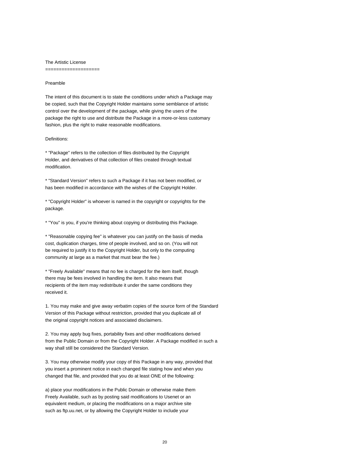The Artistic License ====================

### Preamble

The intent of this document is to state the conditions under which a Package may be copied, such that the Copyright Holder maintains some semblance of artistic control over the development of the package, while giving the users of the package the right to use and distribute the Package in a more-or-less customary fashion, plus the right to make reasonable modifications.

### Definitions:

\* "Package" refers to the collection of files distributed by the Copyright Holder, and derivatives of that collection of files created through textual modification.

\* "Standard Version" refers to such a Package if it has not been modified, or has been modified in accordance with the wishes of the Copyright Holder.

\* "Copyright Holder" is whoever is named in the copyright or copyrights for the package.

\* "You" is you, if you're thinking about copying or distributing this Package.

\* "Reasonable copying fee" is whatever you can justify on the basis of media cost, duplication charges, time of people involved, and so on. (You will not be required to justify it to the Copyright Holder, but only to the computing community at large as a market that must bear the fee.)

\* "Freely Available" means that no fee is charged for the item itself, though there may be fees involved in handling the item. It also means that recipients of the item may redistribute it under the same conditions they received it.

1. You may make and give away verbatim copies of the source form of the Standard Version of this Package without restriction, provided that you duplicate all of the original copyright notices and associated disclaimers.

2. You may apply bug fixes, portability fixes and other modifications derived from the Public Domain or from the Copyright Holder. A Package modified in such a way shall still be considered the Standard Version.

3. You may otherwise modify your copy of this Package in any way, provided that you insert a prominent notice in each changed file stating how and when you changed that file, and provided that you do at least ONE of the following:

a) place your modifications in the Public Domain or otherwise make them Freely Available, such as by posting said modifications to Usenet or an equivalent medium, or placing the modifications on a major archive site such as ftp.uu.net, or by allowing the Copyright Holder to include your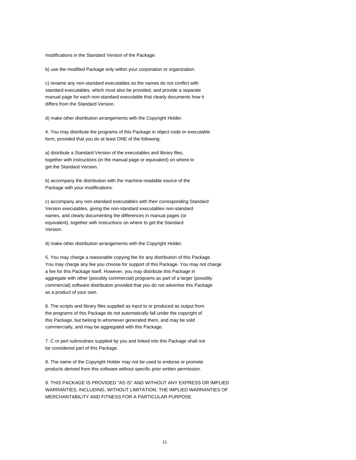#### modifications in the Standard Version of the Package.

b) use the modified Package only within your corporation or organization.

c) rename any non-standard executables so the names do not conflict with standard executables, which must also be provided, and provide a separate manual page for each non-standard executable that clearly documents how it differs from the Standard Version.

d) make other distribution arrangements with the Copyright Holder.

4. You may distribute the programs of this Package in object code or executable form, provided that you do at least ONE of the following:

a) distribute a Standard Version of the executables and library files, together with instructions (in the manual page or equivalent) on where to get the Standard Version.

b) accompany the distribution with the machine-readable source of the Package with your modifications.

c) accompany any non-standard executables with their corresponding Standard Version executables, giving the non-standard executables non-standard names, and clearly documenting the differences in manual pages (or equivalent), together with instructions on where to get the Standard Version.

d) make other distribution arrangements with the Copyright Holder.

5. You may charge a reasonable copying fee for any distribution of this Package. You may charge any fee you choose for support of this Package. You may not charge a fee for this Package itself. However, you may distribute this Package in aggregate with other (possibly commercial) programs as part of a larger (possibly commercial) software distribution provided that you do not advertise this Package as a product of your own.

6. The scripts and library files supplied as input to or produced as output from the programs of this Package do not automatically fall under the copyright of this Package, but belong to whomever generated them, and may be sold commercially, and may be aggregated with this Package.

7. C or perl subroutines supplied by you and linked into this Package shall not be considered part of this Package.

8. The name of the Copyright Holder may not be used to endorse or promote products derived from this software without specific prior written permission.

9. THIS PACKAGE IS PROVIDED "AS IS" AND WITHOUT ANY EXPRESS OR IMPLIED WARRANTIES, INCLUDING, WITHOUT LIMITATION, THE IMPLIED WARRANTIES OF MERCHANTABILITY AND FITNESS FOR A PARTICULAR PURPOSE.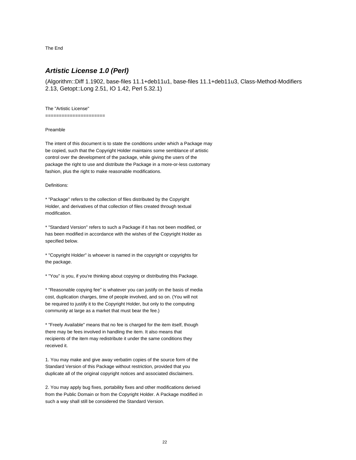The End

### **Artistic License 1.0 (Perl)**

(Algorithm::Diff 1.1902, base-files 11.1+deb11u1, base-files 11.1+deb11u3, Class-Method-Modifiers 2.13, Getopt::Long 2.51, IO 1.42, Perl 5.32.1)

The "Artistic License"

======================

### Preamble

The intent of this document is to state the conditions under which a Package may be copied, such that the Copyright Holder maintains some semblance of artistic control over the development of the package, while giving the users of the package the right to use and distribute the Package in a more-or-less customary fashion, plus the right to make reasonable modifications.

#### Definitions:

\* "Package" refers to the collection of files distributed by the Copyright Holder, and derivatives of that collection of files created through textual modification.

\* "Standard Version" refers to such a Package if it has not been modified, or has been modified in accordance with the wishes of the Copyright Holder as specified below.

\* "Copyright Holder" is whoever is named in the copyright or copyrights for the package.

\* "You" is you, if you're thinking about copying or distributing this Package.

\* "Reasonable copying fee" is whatever you can justify on the basis of media cost, duplication charges, time of people involved, and so on. (You will not be required to justify it to the Copyright Holder, but only to the computing community at large as a market that must bear the fee.)

\* "Freely Available" means that no fee is charged for the item itself, though there may be fees involved in handling the item. It also means that recipients of the item may redistribute it under the same conditions they received it.

1. You may make and give away verbatim copies of the source form of the Standard Version of this Package without restriction, provided that you duplicate all of the original copyright notices and associated disclaimers.

2. You may apply bug fixes, portability fixes and other modifications derived from the Public Domain or from the Copyright Holder. A Package modified in such a way shall still be considered the Standard Version.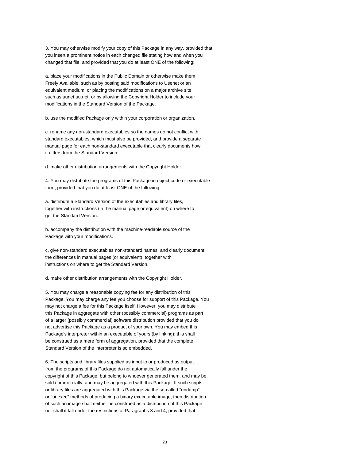3. You may otherwise modify your copy of this Package in any way, provided that you insert a prominent notice in each changed file stating how and when you changed that file, and provided that you do at least ONE of the following:

a. place your modifications in the Public Domain or otherwise make them Freely Available, such as by posting said modifications to Usenet or an equivalent medium, or placing the modifications on a major archive site such as uunet.uu.net, or by allowing the Copyright Holder to include your modifications in the Standard Version of the Package.

b. use the modified Package only within your corporation or organization.

c. rename any non-standard executables so the names do not conflict with standard executables, which must also be provided, and provide a separate manual page for each non-standard executable that clearly documents how it differs from the Standard Version.

d. make other distribution arrangements with the Copyright Holder.

4. You may distribute the programs of this Package in object code or executable form, provided that you do at least ONE of the following:

a. distribute a Standard Version of the executables and library files, together with instructions (in the manual page or equivalent) on where to get the Standard Version.

b. accompany the distribution with the machine-readable source of the Package with your modifications.

c. give non-standard executables non-standard names, and clearly document the differences in manual pages (or equivalent), together with instructions on where to get the Standard Version.

d. make other distribution arrangements with the Copyright Holder.

5. You may charge a reasonable copying fee for any distribution of this Package. You may charge any fee you choose for support of this Package. You may not charge a fee for this Package itself. However, you may distribute this Package in aggregate with other (possibly commercial) programs as part of a larger (possibly commercial) software distribution provided that you do not advertise this Package as a product of your own. You may embed this Package's interpreter within an executable of yours (by linking); this shall be construed as a mere form of aggregation, provided that the complete Standard Version of the interpreter is so embedded.

6. The scripts and library files supplied as input to or produced as output from the programs of this Package do not automatically fall under the copyright of this Package, but belong to whoever generated them, and may be sold commercially, and may be aggregated with this Package. If such scripts or library files are aggregated with this Package via the so-called "undump" or "unexec" methods of producing a binary executable image, then distribution of such an image shall neither be construed as a distribution of this Package nor shall it fall under the restrictions of Paragraphs 3 and 4, provided that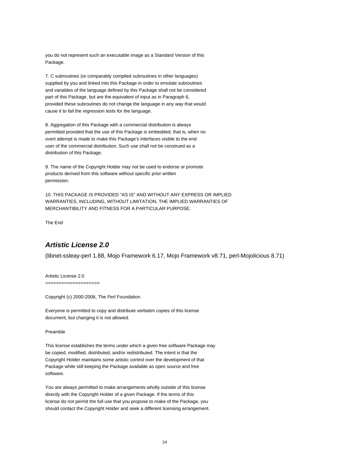you do not represent such an executable image as a Standard Version of this Package.

7. C subroutines (or comparably compiled subroutines in other languages) supplied by you and linked into this Package in order to emulate subroutines and variables of the language defined by this Package shall not be considered part of this Package, but are the equivalent of input as in Paragraph 6, provided these subroutines do not change the language in any way that would cause it to fail the regression tests for the language.

8. Aggregation of this Package with a commercial distribution is always permitted provided that the use of this Package is embedded; that is, when no overt attempt is made to make this Package's interfaces visible to the end user of the commercial distribution. Such use shall not be construed as a distribution of this Package.

9. The name of the Copyright Holder may not be used to endorse or promote products derived from this software without specific prior written permission.

10. THIS PACKAGE IS PROVIDED "AS IS" AND WITHOUT ANY EXPRESS OR IMPLIED WARRANTIES, INCLUDING, WITHOUT LIMITATION, THE IMPLIED WARRANTIES OF MERCHANTIBILITY AND FITNESS FOR A PARTICULAR PURPOSE.

The End

### **Artistic License 2.0**

(libnet-ssleay-perl 1.88, Mojo Framework 6.17, Mojo Framework v8.71, perl-Mojolicious 8.71)

#### Artistic License 2.0

#### ====================

Copyright (c) 2000-2006, The Perl Foundation.

Everyone is permitted to copy and distribute verbatim copies of this license document, but changing it is not allowed.

### Preamble

This license establishes the terms under which a given free software Package may be copied, modified, distributed, and/or redistributed. The intent is that the Copyright Holder maintains some artistic control over the development of that Package while still keeping the Package available as open source and free software.

You are always permitted to make arrangements wholly outside of this license directly with the Copyright Holder of a given Package. If the terms of this license do not permit the full use that you propose to make of the Package, you should contact the Copyright Holder and seek a different licensing arrangement.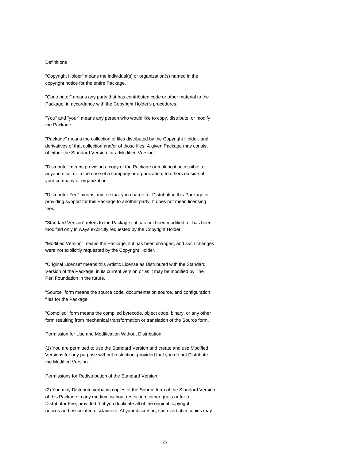#### **Definitions**

"Copyright Holder" means the individual(s) or organization(s) named in the copyright notice for the entire Package.

"Contributor" means any party that has contributed code or other material to the Package, in accordance with the Copyright Holder's procedures.

"You" and "your" means any person who would like to copy, distribute, or modify the Package.

"Package" means the collection of files distributed by the Copyright Holder, and derivatives of that collection and/or of those files. A given Package may consist of either the Standard Version, or a Modified Version.

"Distribute" means providing a copy of the Package or making it accessible to anyone else, or in the case of a company or organization, to others outside of your company or organization.

"Distributor Fee" means any fee that you charge for Distributing this Package or providing support for this Package to another party. It does not mean licensing fees.

"Standard Version" refers to the Package if it has not been modified, or has been modified only in ways explicitly requested by the Copyright Holder.

"Modified Version" means the Package, if it has been changed, and such changes were not explicitly requested by the Copyright Holder.

"Original License" means this Artistic License as Distributed with the Standard Version of the Package, in its current version or as it may be modified by The Perl Foundation in the future.

"Source" form means the source code, documentation source, and configuration files for the Package.

"Compiled" form means the compiled bytecode, object code, binary, or any other form resulting from mechanical transformation or translation of the Source form.

Permission for Use and Modification Without Distribution

(1) You are permitted to use the Standard Version and create and use Modified Versions for any purpose without restriction, provided that you do not Distribute the Modified Version.

Permissions for Redistribution of the Standard Version

(2) You may Distribute verbatim copies of the Source form of the Standard Version of this Package in any medium without restriction, either gratis or for a Distributor Fee, provided that you duplicate all of the original copyright notices and associated disclaimers. At your discretion, such verbatim copies may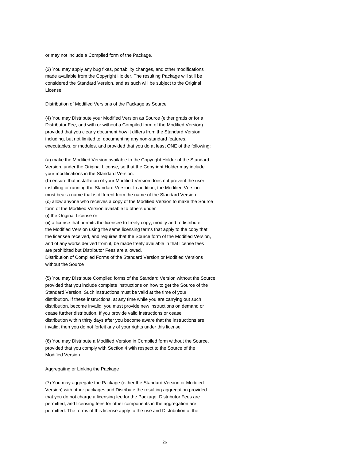or may not include a Compiled form of the Package.

(3) You may apply any bug fixes, portability changes, and other modifications made available from the Copyright Holder. The resulting Package will still be considered the Standard Version, and as such will be subject to the Original License.

Distribution of Modified Versions of the Package as Source

(4) You may Distribute your Modified Version as Source (either gratis or for a Distributor Fee, and with or without a Compiled form of the Modified Version) provided that you clearly document how it differs from the Standard Version, including, but not limited to, documenting any non-standard features, executables, or modules, and provided that you do at least ONE of the following:

(a) make the Modified Version available to the Copyright Holder of the Standard Version, under the Original License, so that the Copyright Holder may include your modifications in the Standard Version.

(b) ensure that installation of your Modified Version does not prevent the user installing or running the Standard Version. In addition, the Modified Version must bear a name that is different from the name of the Standard Version. (c) allow anyone who receives a copy of the Modified Version to make the Source form of the Modified Version available to others under

(i) the Original License or

(ii) a license that permits the licensee to freely copy, modify and redistribute the Modified Version using the same licensing terms that apply to the copy that the licensee received, and requires that the Source form of the Modified Version, and of any works derived from it, be made freely available in that license fees are prohibited but Distributor Fees are allowed.

Distribution of Compiled Forms of the Standard Version or Modified Versions without the Source

(5) You may Distribute Compiled forms of the Standard Version without the Source, provided that you include complete instructions on how to get the Source of the Standard Version. Such instructions must be valid at the time of your distribution. If these instructions, at any time while you are carrying out such distribution, become invalid, you must provide new instructions on demand or cease further distribution. If you provide valid instructions or cease distribution within thirty days after you become aware that the instructions are invalid, then you do not forfeit any of your rights under this license.

(6) You may Distribute a Modified Version in Compiled form without the Source, provided that you comply with Section 4 with respect to the Source of the Modified Version.

#### Aggregating or Linking the Package

(7) You may aggregate the Package (either the Standard Version or Modified Version) with other packages and Distribute the resulting aggregation provided that you do not charge a licensing fee for the Package. Distributor Fees are permitted, and licensing fees for other components in the aggregation are permitted. The terms of this license apply to the use and Distribution of the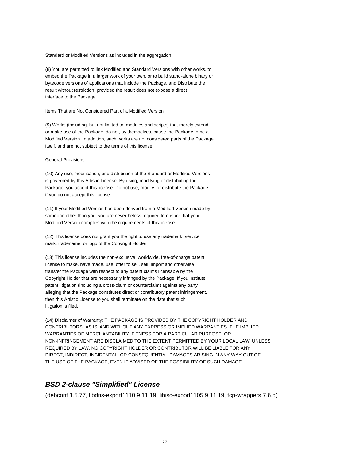Standard or Modified Versions as included in the aggregation.

(8) You are permitted to link Modified and Standard Versions with other works, to embed the Package in a larger work of your own, or to build stand-alone binary or bytecode versions of applications that include the Package, and Distribute the result without restriction, provided the result does not expose a direct interface to the Package.

Items That are Not Considered Part of a Modified Version

(9) Works (including, but not limited to, modules and scripts) that merely extend or make use of the Package, do not, by themselves, cause the Package to be a Modified Version. In addition, such works are not considered parts of the Package itself, and are not subject to the terms of this license.

### General Provisions

(10) Any use, modification, and distribution of the Standard or Modified Versions is governed by this Artistic License. By using, modifying or distributing the Package, you accept this license. Do not use, modify, or distribute the Package, if you do not accept this license.

(11) If your Modified Version has been derived from a Modified Version made by someone other than you, you are nevertheless required to ensure that your Modified Version complies with the requirements of this license.

(12) This license does not grant you the right to use any trademark, service mark, tradename, or logo of the Copyright Holder.

(13) This license includes the non-exclusive, worldwide, free-of-charge patent license to make, have made, use, offer to sell, sell, import and otherwise transfer the Package with respect to any patent claims licensable by the Copyright Holder that are necessarily infringed by the Package. If you institute patent litigation (including a cross-claim or counterclaim) against any party alleging that the Package constitutes direct or contributory patent infringement, then this Artistic License to you shall terminate on the date that such litigation is filed.

(14) Disclaimer of Warranty: THE PACKAGE IS PROVIDED BY THE COPYRIGHT HOLDER AND CONTRIBUTORS "AS IS' AND WITHOUT ANY EXPRESS OR IMPLIED WARRANTIES. THE IMPLIED WARRANTIES OF MERCHANTABILITY, FITNESS FOR A PARTICULAR PURPOSE, OR NON-INFRINGEMENT ARE DISCLAIMED TO THE EXTENT PERMITTED BY YOUR LOCAL LAW. UNLESS REQUIRED BY LAW, NO COPYRIGHT HOLDER OR CONTRIBUTOR WILL BE LIABLE FOR ANY DIRECT, INDIRECT, INCIDENTAL, OR CONSEQUENTIAL DAMAGES ARISING IN ANY WAY OUT OF THE USE OF THE PACKAGE, EVEN IF ADVISED OF THE POSSIBILITY OF SUCH DAMAGE.

### **BSD 2-clause "Simplified" License**

(debconf 1.5.77, libdns-export1110 9.11.19, libisc-export1105 9.11.19, tcp-wrappers 7.6.q)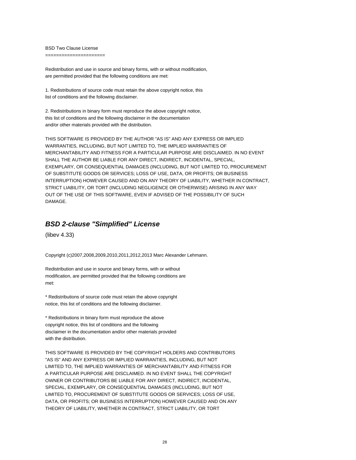### BSD Two Clause License

======================

Redistribution and use in source and binary forms, with or without modification, are permitted provided that the following conditions are met:

1. Redistributions of source code must retain the above copyright notice, this list of conditions and the following disclaimer.

2. Redistributions in binary form must reproduce the above copyright notice, this list of conditions and the following disclaimer in the documentation and/or other materials provided with the distribution.

THIS SOFTWARE IS PROVIDED BY THE AUTHOR "AS IS" AND ANY EXPRESS OR IMPLIED WARRANTIES, INCLUDING, BUT NOT LIMITED TO, THE IMPLIED WARRANTIES OF MERCHANTABILITY AND FITNESS FOR A PARTICULAR PURPOSE ARE DISCLAIMED. IN NO EVENT SHALL THE AUTHOR BE LIABLE FOR ANY DIRECT, INDIRECT, INCIDENTAL, SPECIAL, EXEMPLARY, OR CONSEQUENTIAL DAMAGES (INCLUDING, BUT NOT LIMITED TO, PROCUREMENT OF SUBSTITUTE GOODS OR SERVICES; LOSS OF USE, DATA, OR PROFITS; OR BUSINESS INTERRUPTION) HOWEVER CAUSED AND ON ANY THEORY OF LIABILITY, WHETHER IN CONTRACT, STRICT LIABILITY, OR TORT (INCLUDING NEGLIGENCE OR OTHERWISE) ARISING IN ANY WAY OUT OF THE USE OF THIS SOFTWARE, EVEN IF ADVISED OF THE POSSIBILITY OF SUCH DAMAGE.

### **BSD 2-clause "Simplified" License**

(libev 4.33)

Copyright (c)2007,2008,2009,2010,2011,2012,2013 Marc Alexander Lehmann.

Redistribution and use in source and binary forms, with or without modification, are permitted provided that the following conditions are met:

\* Redistributions of source code must retain the above copyright notice, this list of conditions and the following disclaimer.

\* Redistributions in binary form must reproduce the above copyright notice, this list of conditions and the following disclaimer in the documentation and/or other materials provided with the distribution.

THIS SOFTWARE IS PROVIDED BY THE COPYRIGHT HOLDERS AND CONTRIBUTORS "AS IS" AND ANY EXPRESS OR IMPLIED WARRANTIES, INCLUDING, BUT NOT LIMITED TO, THE IMPLIED WARRANTIES OF MERCHANTABILITY AND FITNESS FOR A PARTICULAR PURPOSE ARE DISCLAIMED. IN NO EVENT SHALL THE COPYRIGHT OWNER OR CONTRIBUTORS BE LIABLE FOR ANY DIRECT, INDIRECT, INCIDENTAL, SPECIAL, EXEMPLARY, OR CONSEQUENTIAL DAMAGES (INCLUDING, BUT NOT LIMITED TO, PROCUREMENT OF SUBSTITUTE GOODS OR SERVICES; LOSS OF USE, DATA, OR PROFITS; OR BUSINESS INTERRUPTION) HOWEVER CAUSED AND ON ANY THEORY OF LIABILITY, WHETHER IN CONTRACT, STRICT LIABILITY, OR TORT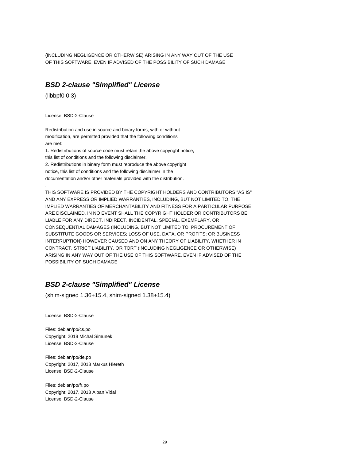(INCLUDING NEGLIGENCE OR OTHERWISE) ARISING IN ANY WAY OUT OF THE USE OF THIS SOFTWARE, EVEN IF ADVISED OF THE POSSIBILITY OF SUCH DAMAGE

### **BSD 2-clause "Simplified" License**

(libbpf0 0.3)

.

License: BSD-2-Clause

Redistribution and use in source and binary forms, with or without modification, are permitted provided that the following conditions are met:

1. Redistributions of source code must retain the above copyright notice, this list of conditions and the following disclaimer.

2. Redistributions in binary form must reproduce the above copyright notice, this list of conditions and the following disclaimer in the documentation and/or other materials provided with the distribution.

THIS SOFTWARE IS PROVIDED BY THE COPYRIGHT HOLDERS AND CONTRIBUTORS "AS IS" AND ANY EXPRESS OR IMPLIED WARRANTIES, INCLUDING, BUT NOT LIMITED TO, THE IMPLIED WARRANTIES OF MERCHANTABILITY AND FITNESS FOR A PARTICULAR PURPOSE ARE DISCLAIMED. IN NO EVENT SHALL THE COPYRIGHT HOLDER OR CONTRIBUTORS BE LIABLE FOR ANY DIRECT, INDIRECT, INCIDENTAL, SPECIAL, EXEMPLARY, OR CONSEQUENTIAL DAMAGES (INCLUDING, BUT NOT LIMITED TO, PROCUREMENT OF SUBSTITUTE GOODS OR SERVICES; LOSS OF USE, DATA, OR PROFITS; OR BUSINESS INTERRUPTION) HOWEVER CAUSED AND ON ANY THEORY OF LIABILITY, WHETHER IN CONTRACT, STRICT LIABILITY, OR TORT (INCLUDING NEGLIGENCE OR OTHERWISE) ARISING IN ANY WAY OUT OF THE USE OF THIS SOFTWARE, EVEN IF ADVISED OF THE POSSIBILITY OF SUCH DAMAGE

# **BSD 2-clause "Simplified" License**

(shim-signed 1.36+15.4, shim-signed 1.38+15.4)

License: BSD-2-Clause

Files: debian/po/cs.po Copyright: 2018 Michal Simunek License: BSD-2-Clause

Files: debian/po/de.po Copyright: 2017, 2018 Markus Hiereth License: BSD-2-Clause

Files: debian/po/fr.po Copyright: 2017, 2018 Alban Vidal License: BSD-2-Clause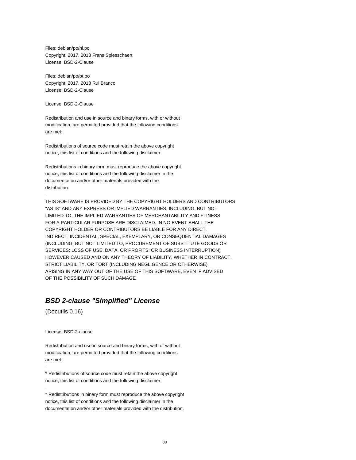Files: debian/po/nl.po Copyright: 2017, 2018 Frans Spiesschaert License: BSD-2-Clause

Files: debian/po/pt.po Copyright: 2017, 2018 Rui Branco License: BSD-2-Clause

License: BSD-2-Clause

.

.

.

Redistribution and use in source and binary forms, with or without modification, are permitted provided that the following conditions are met:

Redistributions of source code must retain the above copyright notice, this list of conditions and the following disclaimer.

Redistributions in binary form must reproduce the above copyright notice, this list of conditions and the following disclaimer in the documentation and/or other materials provided with the distribution.

THIS SOFTWARE IS PROVIDED BY THE COPYRIGHT HOLDERS AND CONTRIBUTORS "AS IS" AND ANY EXPRESS OR IMPLIED WARRANTIES, INCLUDING, BUT NOT LIMITED TO, THE IMPLIED WARRANTIES OF MERCHANTABILITY AND FITNESS FOR A PARTICULAR PURPOSE ARE DISCLAIMED. IN NO EVENT SHALL THE COPYRIGHT HOLDER OR CONTRIBUTORS BE LIABLE FOR ANY DIRECT, INDIRECT, INCIDENTAL, SPECIAL, EXEMPLARY, OR CONSEQUENTIAL DAMAGES (INCLUDING, BUT NOT LIMITED TO, PROCUREMENT OF SUBSTITUTE GOODS OR SERVICES; LOSS OF USE, DATA, OR PROFITS; OR BUSINESS INTERRUPTION) HOWEVER CAUSED AND ON ANY THEORY OF LIABILITY, WHETHER IN CONTRACT, STRICT LIABILITY, OR TORT (INCLUDING NEGLIGENCE OR OTHERWISE) ARISING IN ANY WAY OUT OF THE USE OF THIS SOFTWARE, EVEN IF ADVISED OF THE POSSIBILITY OF SUCH DAMAGE

### **BSD 2-clause "Simplified" License**

(Docutils 0.16)

.

.

License: BSD-2-clause

Redistribution and use in source and binary forms, with or without modification, are permitted provided that the following conditions are met:

\* Redistributions of source code must retain the above copyright notice, this list of conditions and the following disclaimer.

\* Redistributions in binary form must reproduce the above copyright notice, this list of conditions and the following disclaimer in the documentation and/or other materials provided with the distribution.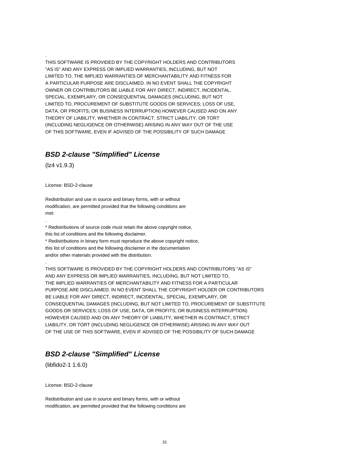THIS SOFTWARE IS PROVIDED BY THE COPYRIGHT HOLDERS AND CONTRIBUTORS "AS IS" AND ANY EXPRESS OR IMPLIED WARRANTIES, INCLUDING, BUT NOT LIMITED TO, THE IMPLIED WARRANTIES OF MERCHANTABILITY AND FITNESS FOR A PARTICULAR PURPOSE ARE DISCLAIMED. IN NO EVENT SHALL THE COPYRIGHT OWNER OR CONTRIBUTORS BE LIABLE FOR ANY DIRECT, INDIRECT, INCIDENTAL, SPECIAL, EXEMPLARY, OR CONSEQUENTIAL DAMAGES (INCLUDING, BUT NOT LIMITED TO, PROCUREMENT OF SUBSTITUTE GOODS OR SERVICES; LOSS OF USE, DATA, OR PROFITS; OR BUSINESS INTERRUPTION) HOWEVER CAUSED AND ON ANY THEORY OF LIABILITY, WHETHER IN CONTRACT, STRICT LIABILITY, OR TORT (INCLUDING NEGLIGENCE OR OTHERWISE) ARISING IN ANY WAY OUT OF THE USE OF THIS SOFTWARE, EVEN IF ADVISED OF THE POSSIBILITY OF SUCH DAMAGE

### **BSD 2-clause "Simplified" License**

(lz4 v1.9.3)

.

.

.

License: BSD-2-clause

Redistribution and use in source and binary forms, with or without modification, are permitted provided that the following conditions are met:

\* Redistributions of source code must retain the above copyright notice, this list of conditions and the following disclaimer.

\* Redistributions in binary form must reproduce the above copyright notice, this list of conditions and the following disclaimer in the documentation and/or other materials provided with the distribution.

THIS SOFTWARE IS PROVIDED BY THE COPYRIGHT HOLDERS AND CONTRIBUTORS "AS IS" AND ANY EXPRESS OR IMPLIED WARRANTIES, INCLUDING, BUT NOT LIMITED TO, THE IMPLIED WARRANTIES OF MERCHANTABILITY AND FITNESS FOR A PARTICULAR PURPOSE ARE DISCLAIMED. IN NO EVENT SHALL THE COPYRIGHT HOLDER OR CONTRIBUTORS BE LIABLE FOR ANY DIRECT, INDIRECT, INCIDENTAL, SPECIAL, EXEMPLARY, OR CONSEQUENTIAL DAMAGES (INCLUDING, BUT NOT LIMITED TO, PROCUREMENT OF SUBSTITUTE GOODS OR SERVICES; LOSS OF USE, DATA, OR PROFITS; OR BUSINESS INTERRUPTION) HOWEVER CAUSED AND ON ANY THEORY OF LIABILITY, WHETHER IN CONTRACT, STRICT LIABILITY, OR TORT (INCLUDING NEGLIGENCE OR OTHERWISE) ARISING IN ANY WAY OUT OF THE USE OF THIS SOFTWARE, EVEN IF ADVISED OF THE POSSIBILITY OF SUCH DAMAGE

### **BSD 2-clause "Simplified" License**

(libfido2-1 1.6.0)

License: BSD-2-clause

Redistribution and use in source and binary forms, with or without modification, are permitted provided that the following conditions are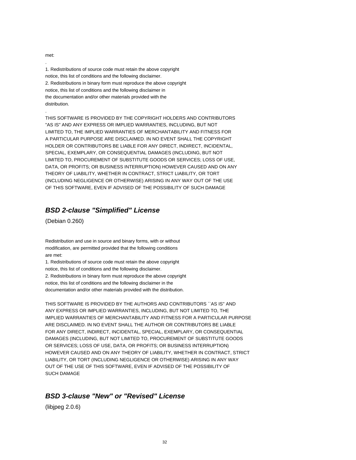met: .

.

1. Redistributions of source code must retain the above copyright notice, this list of conditions and the following disclaimer. 2. Redistributions in binary form must reproduce the above copyright notice, this list of conditions and the following disclaimer in the documentation and/or other materials provided with the distribution.

THIS SOFTWARE IS PROVIDED BY THE COPYRIGHT HOLDERS AND CONTRIBUTORS "AS IS" AND ANY EXPRESS OR IMPLIED WARRANTIES, INCLUDING, BUT NOT LIMITED TO, THE IMPLIED WARRANTIES OF MERCHANTABILITY AND FITNESS FOR A PARTICULAR PURPOSE ARE DISCLAIMED. IN NO EVENT SHALL THE COPYRIGHT HOLDER OR CONTRIBUTORS BE LIABLE FOR ANY DIRECT, INDIRECT, INCIDENTAL, SPECIAL, EXEMPLARY, OR CONSEQUENTIAL DAMAGES (INCLUDING, BUT NOT LIMITED TO, PROCUREMENT OF SUBSTITUTE GOODS OR SERVICES; LOSS OF USE, DATA, OR PROFITS; OR BUSINESS INTERRUPTION) HOWEVER CAUSED AND ON ANY THEORY OF LIABILITY, WHETHER IN CONTRACT, STRICT LIABILITY, OR TORT (INCLUDING NEGLIGENCE OR OTHERWISE) ARISING IN ANY WAY OUT OF THE USE OF THIS SOFTWARE, EVEN IF ADVISED OF THE POSSIBILITY OF SUCH DAMAGE

# **BSD 2-clause "Simplified" License**

(Debian 0.260)

Redistribution and use in source and binary forms, with or without modification, are permitted provided that the following conditions are met:

1. Redistributions of source code must retain the above copyright notice, this list of conditions and the following disclaimer. 2. Redistributions in binary form must reproduce the above copyright notice, this list of conditions and the following disclaimer in the documentation and/or other materials provided with the distribution.

THIS SOFTWARE IS PROVIDED BY THE AUTHORS AND CONTRIBUTORS ``AS IS'' AND ANY EXPRESS OR IMPLIED WARRANTIES, INCLUDING, BUT NOT LIMITED TO, THE IMPLIED WARRANTIES OF MERCHANTABILITY AND FITNESS FOR A PARTICULAR PURPOSE ARE DISCLAIMED. IN NO EVENT SHALL THE AUTHOR OR CONTRIBUTORS BE LIABLE FOR ANY DIRECT, INDIRECT, INCIDENTAL, SPECIAL, EXEMPLARY, OR CONSEQUENTIAL DAMAGES (INCLUDING, BUT NOT LIMITED TO, PROCUREMENT OF SUBSTITUTE GOODS OR SERVICES; LOSS OF USE, DATA, OR PROFITS; OR BUSINESS INTERRUPTION) HOWEVER CAUSED AND ON ANY THEORY OF LIABILITY, WHETHER IN CONTRACT, STRICT LIABILITY, OR TORT (INCLUDING NEGLIGENCE OR OTHERWISE) ARISING IN ANY WAY OUT OF THE USE OF THIS SOFTWARE, EVEN IF ADVISED OF THE POSSIBILITY OF SUCH DAMAGE

# **BSD 3-clause "New" or "Revised" License**

(libjpeg 2.0.6)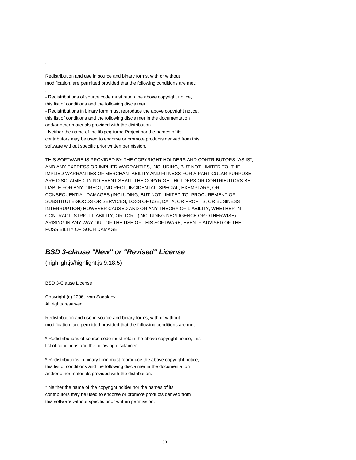Redistribution and use in source and binary forms, with or without modification, are permitted provided that the following conditions are met:

- Redistributions of source code must retain the above copyright notice,

this list of conditions and the following disclaimer.

.

.

.

- Redistributions in binary form must reproduce the above copyright notice, this list of conditions and the following disclaimer in the documentation and/or other materials provided with the distribution.

- Neither the name of the libjpeg-turbo Project nor the names of its

contributors may be used to endorse or promote products derived from this software without specific prior written permission.

THIS SOFTWARE IS PROVIDED BY THE COPYRIGHT HOLDERS AND CONTRIBUTORS "AS IS", AND ANY EXPRESS OR IMPLIED WARRANTIES, INCLUDING, BUT NOT LIMITED TO, THE IMPLIED WARRANTIES OF MERCHANTABILITY AND FITNESS FOR A PARTICULAR PURPOSE ARE DISCLAIMED. IN NO EVENT SHALL THE COPYRIGHT HOLDERS OR CONTRIBUTORS BE LIABLE FOR ANY DIRECT, INDIRECT, INCIDENTAL, SPECIAL, EXEMPLARY, OR CONSEQUENTIAL DAMAGES (INCLUDING, BUT NOT LIMITED TO, PROCUREMENT OF SUBSTITUTE GOODS OR SERVICES; LOSS OF USE, DATA, OR PROFITS; OR BUSINESS INTERRUPTION) HOWEVER CAUSED AND ON ANY THEORY OF LIABILITY, WHETHER IN CONTRACT, STRICT LIABILITY, OR TORT (INCLUDING NEGLIGENCE OR OTHERWISE) ARISING IN ANY WAY OUT OF THE USE OF THIS SOFTWARE, EVEN IF ADVISED OF THE POSSIBILITY OF SUCH DAMAGE

### **BSD 3-clause "New" or "Revised" License**

(highlightjs/highlight.js 9.18.5)

BSD 3-Clause License

Copyright (c) 2006, Ivan Sagalaev. All rights reserved.

Redistribution and use in source and binary forms, with or without modification, are permitted provided that the following conditions are met:

\* Redistributions of source code must retain the above copyright notice, this list of conditions and the following disclaimer.

\* Redistributions in binary form must reproduce the above copyright notice, this list of conditions and the following disclaimer in the documentation and/or other materials provided with the distribution.

\* Neither the name of the copyright holder nor the names of its contributors may be used to endorse or promote products derived from this software without specific prior written permission.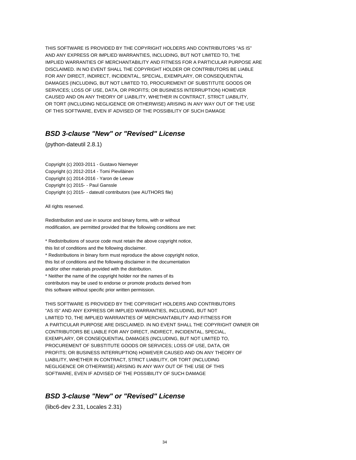THIS SOFTWARE IS PROVIDED BY THE COPYRIGHT HOLDERS AND CONTRIBUTORS "AS IS" AND ANY EXPRESS OR IMPLIED WARRANTIES, INCLUDING, BUT NOT LIMITED TO, THE IMPLIED WARRANTIES OF MERCHANTABILITY AND FITNESS FOR A PARTICULAR PURPOSE ARE DISCLAIMED. IN NO EVENT SHALL THE COPYRIGHT HOLDER OR CONTRIBUTORS BE LIABLE FOR ANY DIRECT, INDIRECT, INCIDENTAL, SPECIAL, EXEMPLARY, OR CONSEQUENTIAL DAMAGES (INCLUDING, BUT NOT LIMITED TO, PROCUREMENT OF SUBSTITUTE GOODS OR SERVICES; LOSS OF USE, DATA, OR PROFITS; OR BUSINESS INTERRUPTION) HOWEVER CAUSED AND ON ANY THEORY OF LIABILITY, WHETHER IN CONTRACT, STRICT LIABILITY, OR TORT (INCLUDING NEGLIGENCE OR OTHERWISE) ARISING IN ANY WAY OUT OF THE USE OF THIS SOFTWARE, EVEN IF ADVISED OF THE POSSIBILITY OF SUCH DAMAGE

### **BSD 3-clause "New" or "Revised" License**

(python-dateutil 2.8.1)

Copyright (c) 2003-2011 - Gustavo Niemeyer Copyright (c) 2012-2014 - Tomi Pieviläinen Copyright (c) 2014-2016 - Yaron de Leeuw Copyright (c) 2015- - Paul Ganssle Copyright (c) 2015- - dateutil contributors (see AUTHORS file)

All rights reserved.

Redistribution and use in source and binary forms, with or without modification, are permitted provided that the following conditions are met:

\* Redistributions of source code must retain the above copyright notice, this list of conditions and the following disclaimer. \* Redistributions in binary form must reproduce the above copyright notice, this list of conditions and the following disclaimer in the documentation and/or other materials provided with the distribution.

\* Neither the name of the copyright holder nor the names of its contributors may be used to endorse or promote products derived from this software without specific prior written permission.

THIS SOFTWARE IS PROVIDED BY THE COPYRIGHT HOLDERS AND CONTRIBUTORS "AS IS" AND ANY EXPRESS OR IMPLIED WARRANTIES, INCLUDING, BUT NOT LIMITED TO, THE IMPLIED WARRANTIES OF MERCHANTABILITY AND FITNESS FOR A PARTICULAR PURPOSE ARE DISCLAIMED. IN NO EVENT SHALL THE COPYRIGHT OWNER OR CONTRIBUTORS BE LIABLE FOR ANY DIRECT, INDIRECT, INCIDENTAL, SPECIAL, EXEMPLARY, OR CONSEQUENTIAL DAMAGES (INCLUDING, BUT NOT LIMITED TO, PROCUREMENT OF SUBSTITUTE GOODS OR SERVICES; LOSS OF USE, DATA, OR PROFITS; OR BUSINESS INTERRUPTION) HOWEVER CAUSED AND ON ANY THEORY OF LIABILITY, WHETHER IN CONTRACT, STRICT LIABILITY, OR TORT (INCLUDING NEGLIGENCE OR OTHERWISE) ARISING IN ANY WAY OUT OF THE USE OF THIS SOFTWARE, EVEN IF ADVISED OF THE POSSIBILITY OF SUCH DAMAGE

## **BSD 3-clause "New" or "Revised" License**

(libc6-dev 2.31, Locales 2.31)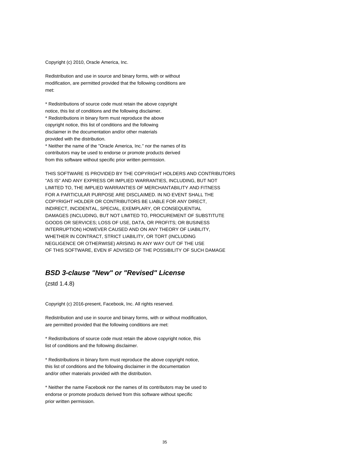Copyright (c) 2010, Oracle America, Inc.

Redistribution and use in source and binary forms, with or without modification, are permitted provided that the following conditions are met:

\* Redistributions of source code must retain the above copyright notice, this list of conditions and the following disclaimer. \* Redistributions in binary form must reproduce the above copyright notice, this list of conditions and the following disclaimer in the documentation and/or other materials provided with the distribution.

\* Neither the name of the "Oracle America, Inc." nor the names of its contributors may be used to endorse or promote products derived from this software without specific prior written permission.

THIS SOFTWARE IS PROVIDED BY THE COPYRIGHT HOLDERS AND CONTRIBUTORS "AS IS" AND ANY EXPRESS OR IMPLIED WARRANTIES, INCLUDING, BUT NOT LIMITED TO, THE IMPLIED WARRANTIES OF MERCHANTABILITY AND FITNESS FOR A PARTICULAR PURPOSE ARE DISCLAIMED. IN NO EVENT SHALL THE COPYRIGHT HOLDER OR CONTRIBUTORS BE LIABLE FOR ANY DIRECT, INDIRECT, INCIDENTAL, SPECIAL, EXEMPLARY, OR CONSEQUENTIAL DAMAGES (INCLUDING, BUT NOT LIMITED TO, PROCUREMENT OF SUBSTITUTE GOODS OR SERVICES; LOSS OF USE, DATA, OR PROFITS; OR BUSINESS INTERRUPTION) HOWEVER CAUSED AND ON ANY THEORY OF LIABILITY, WHETHER IN CONTRACT, STRICT LIABILITY, OR TORT (INCLUDING NEGLIGENCE OR OTHERWISE) ARISING IN ANY WAY OUT OF THE USE OF THIS SOFTWARE, EVEN IF ADVISED OF THE POSSIBILITY OF SUCH DAMAGE

# **BSD 3-clause "New" or "Revised" License**

(zstd 1.4.8)

Copyright (c) 2016-present, Facebook, Inc. All rights reserved.

Redistribution and use in source and binary forms, with or without modification, are permitted provided that the following conditions are met:

\* Redistributions of source code must retain the above copyright notice, this list of conditions and the following disclaimer.

\* Redistributions in binary form must reproduce the above copyright notice, this list of conditions and the following disclaimer in the documentation and/or other materials provided with the distribution.

\* Neither the name Facebook nor the names of its contributors may be used to endorse or promote products derived from this software without specific prior written permission.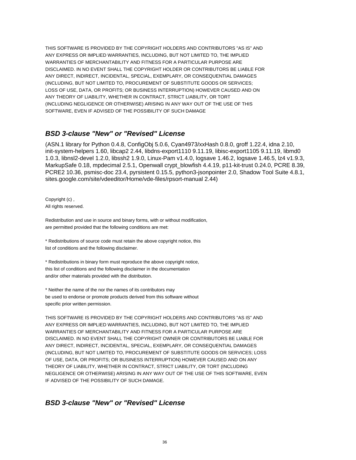THIS SOFTWARE IS PROVIDED BY THE COPYRIGHT HOLDERS AND CONTRIBUTORS "AS IS" AND ANY EXPRESS OR IMPLIED WARRANTIES, INCLUDING, BUT NOT LIMITED TO, THE IMPLIED WARRANTIES OF MERCHANTABILITY AND FITNESS FOR A PARTICULAR PURPOSE ARE DISCLAIMED. IN NO EVENT SHALL THE COPYRIGHT HOLDER OR CONTRIBUTORS BE LIABLE FOR ANY DIRECT, INDIRECT, INCIDENTAL, SPECIAL, EXEMPLARY, OR CONSEQUENTIAL DAMAGES (INCLUDING, BUT NOT LIMITED TO, PROCUREMENT OF SUBSTITUTE GOODS OR SERVICES; LOSS OF USE, DATA, OR PROFITS; OR BUSINESS INTERRUPTION) HOWEVER CAUSED AND ON ANY THEORY OF LIABILITY, WHETHER IN CONTRACT, STRICT LIABILITY, OR TORT (INCLUDING NEGLIGENCE OR OTHERWISE) ARISING IN ANY WAY OUT OF THE USE OF THIS SOFTWARE, EVEN IF ADVISED OF THE POSSIBILITY OF SUCH DAMAGE

### **BSD 3-clause "New" or "Revised" License**

(ASN.1 library for Python 0.4.8, ConfigObj 5.0.6, Cyan4973/xxHash 0.8.0, groff 1.22.4, idna 2.10, init-system-helpers 1.60, libcap2 2.44, libdns-export1110 9.11.19, libisc-export1105 9.11.19, libmd0 1.0.3, libnsl2-devel 1.2.0, libssh2 1.9.0, Linux-Pam v1.4.0, logsave 1.46.2, logsave 1.46.5, lz4 v1.9.3, MarkupSafe 0.18, mpdecimal 2.5.1, Openwall crypt blowfish 4.4.19, p11-kit-trust 0.24.0, PCRE 8.39, PCRE2 10.36, psmisc-doc 23.4, pyrsistent 0.15.5, python3-jsonpointer 2.0, Shadow Tool Suite 4.8.1, sites.google.com/site/vdeeditor/Home/vde-files/rpsort-manual 2.44)

Copyright (c) , All rights reserved.

Redistribution and use in source and binary forms, with or without modification, are permitted provided that the following conditions are met:

\* Redistributions of source code must retain the above copyright notice, this list of conditions and the following disclaimer.

\* Redistributions in binary form must reproduce the above copyright notice, this list of conditions and the following disclaimer in the documentation and/or other materials provided with the distribution.

\* Neither the name of the nor the names of its contributors may be used to endorse or promote products derived from this software without specific prior written permission.

THIS SOFTWARE IS PROVIDED BY THE COPYRIGHT HOLDERS AND CONTRIBUTORS "AS IS" AND ANY EXPRESS OR IMPLIED WARRANTIES, INCLUDING, BUT NOT LIMITED TO, THE IMPLIED WARRANTIES OF MERCHANTABILITY AND FITNESS FOR A PARTICULAR PURPOSE ARE DISCLAIMED. IN NO EVENT SHALL THE COPYRIGHT OWNER OR CONTRIBUTORS BE LIABLE FOR ANY DIRECT, INDIRECT, INCIDENTAL, SPECIAL, EXEMPLARY, OR CONSEQUENTIAL DAMAGES (INCLUDING, BUT NOT LIMITED TO, PROCUREMENT OF SUBSTITUTE GOODS OR SERVICES; LOSS OF USE, DATA, OR PROFITS; OR BUSINESS INTERRUPTION) HOWEVER CAUSED AND ON ANY THEORY OF LIABILITY, WHETHER IN CONTRACT, STRICT LIABILITY, OR TORT (INCLUDING NEGLIGENCE OR OTHERWISE) ARISING IN ANY WAY OUT OF THE USE OF THIS SOFTWARE, EVEN IF ADVISED OF THE POSSIBILITY OF SUCH DAMAGE.

### **BSD 3-clause "New" or "Revised" License**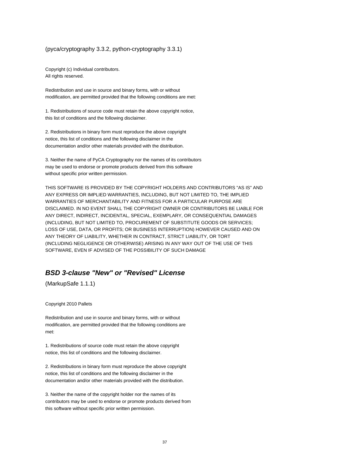#### (pyca/cryptography 3.3.2, python-cryptography 3.3.1)

Copyright (c) Individual contributors. All rights reserved.

Redistribution and use in source and binary forms, with or without modification, are permitted provided that the following conditions are met:

1. Redistributions of source code must retain the above copyright notice, this list of conditions and the following disclaimer.

2. Redistributions in binary form must reproduce the above copyright notice, this list of conditions and the following disclaimer in the documentation and/or other materials provided with the distribution.

3. Neither the name of PyCA Cryptography nor the names of its contributors may be used to endorse or promote products derived from this software without specific prior written permission.

THIS SOFTWARE IS PROVIDED BY THE COPYRIGHT HOLDERS AND CONTRIBUTORS "AS IS" AND ANY EXPRESS OR IMPLIED WARRANTIES, INCLUDING, BUT NOT LIMITED TO, THE IMPLIED WARRANTIES OF MERCHANTABILITY AND FITNESS FOR A PARTICULAR PURPOSE ARE DISCLAIMED. IN NO EVENT SHALL THE COPYRIGHT OWNER OR CONTRIBUTORS BE LIABLE FOR ANY DIRECT, INDIRECT, INCIDENTAL, SPECIAL, EXEMPLARY, OR CONSEQUENTIAL DAMAGES (INCLUDING, BUT NOT LIMITED TO, PROCUREMENT OF SUBSTITUTE GOODS OR SERVICES; LOSS OF USE, DATA, OR PROFITS; OR BUSINESS INTERRUPTION) HOWEVER CAUSED AND ON ANY THEORY OF LIABILITY, WHETHER IN CONTRACT, STRICT LIABILITY, OR TORT (INCLUDING NEGLIGENCE OR OTHERWISE) ARISING IN ANY WAY OUT OF THE USE OF THIS SOFTWARE, EVEN IF ADVISED OF THE POSSIBILITY OF SUCH DAMAGE

# **BSD 3-clause "New" or "Revised" License**

(MarkupSafe 1.1.1)

Copyright 2010 Pallets

Redistribution and use in source and binary forms, with or without modification, are permitted provided that the following conditions are met:

1. Redistributions of source code must retain the above copyright notice, this list of conditions and the following disclaimer.

2. Redistributions in binary form must reproduce the above copyright notice, this list of conditions and the following disclaimer in the documentation and/or other materials provided with the distribution.

3. Neither the name of the copyright holder nor the names of its contributors may be used to endorse or promote products derived from this software without specific prior written permission.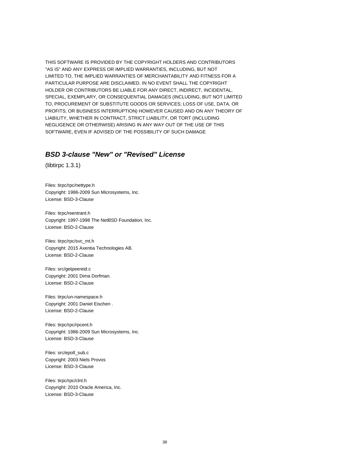THIS SOFTWARE IS PROVIDED BY THE COPYRIGHT HOLDERS AND CONTRIBUTORS "AS IS" AND ANY EXPRESS OR IMPLIED WARRANTIES, INCLUDING, BUT NOT LIMITED TO, THE IMPLIED WARRANTIES OF MERCHANTABILITY AND FITNESS FOR A PARTICULAR PURPOSE ARE DISCLAIMED. IN NO EVENT SHALL THE COPYRIGHT HOLDER OR CONTRIBUTORS BE LIABLE FOR ANY DIRECT, INDIRECT, INCIDENTAL, SPECIAL, EXEMPLARY, OR CONSEQUENTIAL DAMAGES (INCLUDING, BUT NOT LIMITED TO, PROCUREMENT OF SUBSTITUTE GOODS OR SERVICES; LOSS OF USE, DATA, OR PROFITS; OR BUSINESS INTERRUPTION) HOWEVER CAUSED AND ON ANY THEORY OF LIABILITY, WHETHER IN CONTRACT, STRICT LIABILITY, OR TORT (INCLUDING NEGLIGENCE OR OTHERWISE) ARISING IN ANY WAY OUT OF THE USE OF THIS SOFTWARE, EVEN IF ADVISED OF THE POSSIBILITY OF SUCH DAMAGE

## **BSD 3-clause "New" or "Revised" License**

(libtirpc 1.3.1)

Files: tirpc/rpc/nettype.h Copyright: 1986-2009 Sun Microsystems, Inc. License: BSD-3-Clause

Files: tirpc/reentrant.h Copyright: 1997-1998 The NetBSD Foundation, Inc. License: BSD-2-Clause

Files: tirpc/rpc/svc\_mt.h Copyright: 2015 Axentia Technologies AB. License: BSD-2-Clause

Files: src/getpeereid.c Copyright: 2001 Dima Dorfman. License: BSD-2-Clause

Files: tirpc/un-namespace.h Copyright: 2001 Daniel Eischen . License: BSD-2-Clause

Files: tirpc/rpc/rpcent.h Copyright: 1986-2009 Sun Microsystems, Inc. License: BSD-3-Clause

Files: src/epoll\_sub.c Copyright: 2003 Niels Provos License: BSD-3-Clause

Files: tirpc/rpc/clnt.h Copyright: 2010 Oracle America, Inc. License: BSD-3-Clause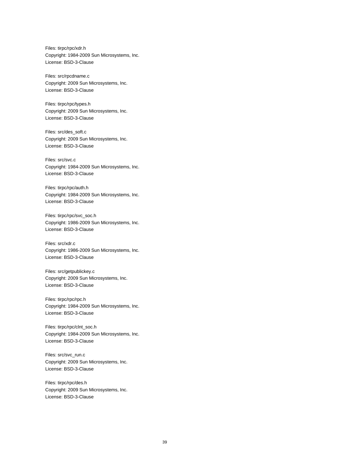Files: tirpc/rpc/xdr.h Copyright: 1984-2009 Sun Microsystems, Inc. License: BSD-3-Clause

Files: src/rpcdname.c Copyright: 2009 Sun Microsystems, Inc. License: BSD-3-Clause

Files: tirpc/rpc/types.h Copyright: 2009 Sun Microsystems, Inc. License: BSD-3-Clause

Files: src/des\_soft.c Copyright: 2009 Sun Microsystems, Inc. License: BSD-3-Clause

Files: src/svc.c Copyright: 1984-2009 Sun Microsystems, Inc. License: BSD-3-Clause

Files: tirpc/rpc/auth.h Copyright: 1984-2009 Sun Microsystems, Inc. License: BSD-3-Clause

Files: tirpc/rpc/svc\_soc.h Copyright: 1986-2009 Sun Microsystems, Inc. License: BSD-3-Clause

Files: src/xdr.c Copyright: 1986-2009 Sun Microsystems, Inc. License: BSD-3-Clause

Files: src/getpublickey.c Copyright: 2009 Sun Microsystems, Inc. License: BSD-3-Clause

Files: tirpc/rpc/rpc.h Copyright: 1984-2009 Sun Microsystems, Inc. License: BSD-3-Clause

Files: tirpc/rpc/clnt\_soc.h Copyright: 1984-2009 Sun Microsystems, Inc. License: BSD-3-Clause

Files: src/svc\_run.c Copyright: 2009 Sun Microsystems, Inc. License: BSD-3-Clause

Files: tirpc/rpc/des.h Copyright: 2009 Sun Microsystems, Inc. License: BSD-3-Clause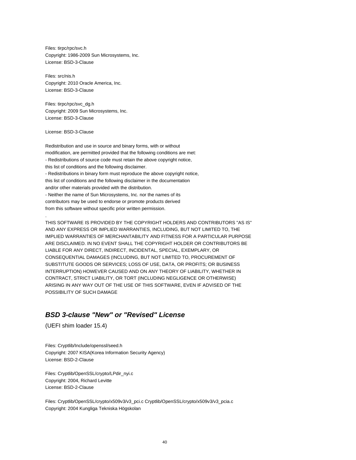Files: tirpc/rpc/svc.h Copyright: 1986-2009 Sun Microsystems, Inc. License: BSD-3-Clause

Files: src/nis.h Copyright: 2010 Oracle America, Inc. License: BSD-3-Clause

Files: tirpc/rpc/svc\_dg.h Copyright: 2009 Sun Microsystems, Inc. License: BSD-3-Clause

License: BSD-3-Clause

.

Redistribution and use in source and binary forms, with or without modification, are permitted provided that the following conditions are met: - Redistributions of source code must retain the above copyright notice, this list of conditions and the following disclaimer. - Redistributions in binary form must reproduce the above copyright notice, this list of conditions and the following disclaimer in the documentation and/or other materials provided with the distribution. - Neither the name of Sun Microsystems, Inc. nor the names of its contributors may be used to endorse or promote products derived from this software without specific prior written permission.

THIS SOFTWARE IS PROVIDED BY THE COPYRIGHT HOLDERS AND CONTRIBUTORS "AS IS" AND ANY EXPRESS OR IMPLIED WARRANTIES, INCLUDING, BUT NOT LIMITED TO, THE IMPLIED WARRANTIES OF MERCHANTABILITY AND FITNESS FOR A PARTICULAR PURPOSE ARE DISCLAIMED. IN NO EVENT SHALL THE COPYRIGHT HOLDER OR CONTRIBUTORS BE LIABLE FOR ANY DIRECT, INDIRECT, INCIDENTAL, SPECIAL, EXEMPLARY, OR CONSEQUENTIAL DAMAGES (INCLUDING, BUT NOT LIMITED TO, PROCUREMENT OF SUBSTITUTE GOODS OR SERVICES; LOSS OF USE, DATA, OR PROFITS; OR BUSINESS INTERRUPTION) HOWEVER CAUSED AND ON ANY THEORY OF LIABILITY, WHETHER IN CONTRACT, STRICT LIABILITY, OR TORT (INCLUDING NEGLIGENCE OR OTHERWISE) ARISING IN ANY WAY OUT OF THE USE OF THIS SOFTWARE, EVEN IF ADVISED OF THE POSSIBILITY OF SUCH DAMAGE

## **BSD 3-clause "New" or "Revised" License**

(UEFI shim loader 15.4)

Files: Cryptlib/Include/openssl/seed.h Copyright: 2007 KISA(Korea Information Security Agency) License: BSD-2-Clause

Files: Cryptlib/OpenSSL/crypto/LPdir\_nyi.c Copyright: 2004, Richard Levitte License: BSD-2-Clause

Files: Cryptlib/OpenSSL/crypto/x509v3/v3\_pci.c Cryptlib/OpenSSL/crypto/x509v3/v3\_pcia.c Copyright: 2004 Kungliga Tekniska Högskolan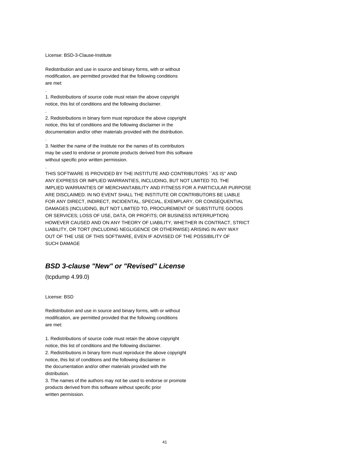License: BSD-3-Clause-Institute

.

.

.

.

Redistribution and use in source and binary forms, with or without modification, are permitted provided that the following conditions are met:

1. Redistributions of source code must retain the above copyright notice, this list of conditions and the following disclaimer.

2. Redistributions in binary form must reproduce the above copyright notice, this list of conditions and the following disclaimer in the documentation and/or other materials provided with the distribution.

3. Neither the name of the Institute nor the names of its contributors may be used to endorse or promote products derived from this software without specific prior written permission.

THIS SOFTWARE IS PROVIDED BY THE INSTITUTE AND CONTRIBUTORS ``AS IS'' AND ANY EXPRESS OR IMPLIED WARRANTIES, INCLUDING, BUT NOT LIMITED TO, THE IMPLIED WARRANTIES OF MERCHANTABILITY AND FITNESS FOR A PARTICULAR PURPOSE ARE DISCLAIMED. IN NO EVENT SHALL THE INSTITUTE OR CONTRIBUTORS BE LIABLE FOR ANY DIRECT, INDIRECT, INCIDENTAL, SPECIAL, EXEMPLARY, OR CONSEQUENTIAL DAMAGES (INCLUDING, BUT NOT LIMITED TO, PROCUREMENT OF SUBSTITUTE GOODS OR SERVICES; LOSS OF USE, DATA, OR PROFITS; OR BUSINESS INTERRUPTION) HOWEVER CAUSED AND ON ANY THEORY OF LIABILITY, WHETHER IN CONTRACT, STRICT LIABILITY, OR TORT (INCLUDING NEGLIGENCE OR OTHERWISE) ARISING IN ANY WAY OUT OF THE USE OF THIS SOFTWARE, EVEN IF ADVISED OF THE POSSIBILITY OF SUCH DAMAGE

## **BSD 3-clause "New" or "Revised" License**

(tcpdump 4.99.0)

License: BSD

Redistribution and use in source and binary forms, with or without modification, are permitted provided that the following conditions are met:

1. Redistributions of source code must retain the above copyright notice, this list of conditions and the following disclaimer. 2. Redistributions in binary form must reproduce the above copyright notice, this list of conditions and the following disclaimer in the documentation and/or other materials provided with the distribution.

3. The names of the authors may not be used to endorse or promote products derived from this software without specific prior written permission.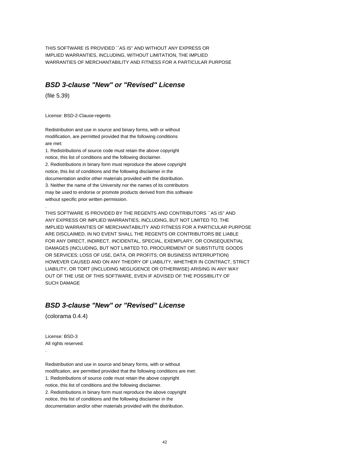THIS SOFTWARE IS PROVIDED ``AS IS'' AND WITHOUT ANY EXPRESS OR IMPLIED WARRANTIES, INCLUDING, WITHOUT LIMITATION, THE IMPLIED WARRANTIES OF MERCHANTABILITY AND FITNESS FOR A PARTICULAR PURPOSE

### **BSD 3-clause "New" or "Revised" License**

(file 5.39)

.

License: BSD-2-Clause-regents

Redistribution and use in source and binary forms, with or without modification, are permitted provided that the following conditions are met:

1. Redistributions of source code must retain the above copyright notice, this list of conditions and the following disclaimer. 2. Redistributions in binary form must reproduce the above copyright notice, this list of conditions and the following disclaimer in the documentation and/or other materials provided with the distribution. 3. Neither the name of the University nor the names of its contributors may be used to endorse or promote products derived from this software without specific prior written permission.

THIS SOFTWARE IS PROVIDED BY THE REGENTS AND CONTRIBUTORS ``AS IS'' AND ANY EXPRESS OR IMPLIED WARRANTIES, INCLUDING, BUT NOT LIMITED TO, THE IMPLIED WARRANTIES OF MERCHANTABILITY AND FITNESS FOR A PARTICULAR PURPOSE ARE DISCLAIMED. IN NO EVENT SHALL THE REGENTS OR CONTRIBUTORS BE LIABLE FOR ANY DIRECT, INDIRECT, INCIDENTAL, SPECIAL, EXEMPLARY, OR CONSEQUENTIAL DAMAGES (INCLUDING, BUT NOT LIMITED TO, PROCUREMENT OF SUBSTITUTE GOODS OR SERVICES; LOSS OF USE, DATA, OR PROFITS; OR BUSINESS INTERRUPTION) HOWEVER CAUSED AND ON ANY THEORY OF LIABILITY, WHETHER IN CONTRACT, STRICT LIABILITY, OR TORT (INCLUDING NEGLIGENCE OR OTHERWISE) ARISING IN ANY WAY OUT OF THE USE OF THIS SOFTWARE, EVEN IF ADVISED OF THE POSSIBILITY OF SUCH DAMAGE

## **BSD 3-clause "New" or "Revised" License**

(colorama 0.4.4)

License: BSD-3 All rights reserved.

.

Redistribution and use in source and binary forms, with or without modification, are permitted provided that the following conditions are met: 1. Redistributions of source code must retain the above copyright notice, this list of conditions and the following disclaimer. 2. Redistributions in binary form must reproduce the above copyright notice, this list of conditions and the following disclaimer in the documentation and/or other materials provided with the distribution.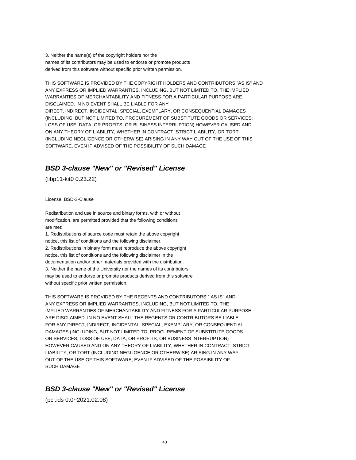3. Neither the name(s) of the copyright holders nor the names of its contributors may be used to endorse or promote products derived from this software without specific prior written permission.

THIS SOFTWARE IS PROVIDED BY THE COPYRIGHT HOLDERS AND CONTRIBUTORS "AS IS" AND ANY EXPRESS OR IMPLIED WARRANTIES, INCLUDING, BUT NOT LIMITED TO, THE IMPLIED WARRANTIES OF MERCHANTABILITY AND FITNESS FOR A PARTICULAR PURPOSE ARE DISCLAIMED. IN NO EVENT SHALL BE LIABLE FOR ANY DIRECT, INDIRECT, INCIDENTAL, SPECIAL, EXEMPLARY, OR CONSEQUENTIAL DAMAGES (INCLUDING, BUT NOT LIMITED TO, PROCUREMENT OF SUBSTITUTE GOODS OR SERVICES; LOSS OF USE, DATA, OR PROFITS; OR BUSINESS INTERRUPTION) HOWEVER CAUSED AND ON ANY THEORY OF LIABILITY, WHETHER IN CONTRACT, STRICT LIABILITY, OR TORT (INCLUDING NEGLIGENCE OR OTHERWISE) ARISING IN ANY WAY OUT OF THE USE OF THIS SOFTWARE, EVEN IF ADVISED OF THE POSSIBILITY OF SUCH DAMAGE

### **BSD 3-clause "New" or "Revised" License**

(libp11-kit0 0.23.22)

.

License: BSD-3-Clause

.

Redistribution and use in source and binary forms, with or without modification, are permitted provided that the following conditions are met:

1. Redistributions of source code must retain the above copyright notice, this list of conditions and the following disclaimer. 2. Redistributions in binary form must reproduce the above copyright notice, this list of conditions and the following disclaimer in the documentation and/or other materials provided with the distribution. 3. Neither the name of the University nor the names of its contributors may be used to endorse or promote products derived from this software without specific prior written permission.

THIS SOFTWARE IS PROVIDED BY THE REGENTS AND CONTRIBUTORS ``AS IS'' AND ANY EXPRESS OR IMPLIED WARRANTIES, INCLUDING, BUT NOT LIMITED TO, THE IMPLIED WARRANTIES OF MERCHANTABILITY AND FITNESS FOR A PARTICULAR PURPOSE ARE DISCLAIMED. IN NO EVENT SHALL THE REGENTS OR CONTRIBUTORS BE LIABLE FOR ANY DIRECT, INDIRECT, INCIDENTAL, SPECIAL, EXEMPLARY, OR CONSEQUENTIAL DAMAGES (INCLUDING, BUT NOT LIMITED TO, PROCUREMENT OF SUBSTITUTE GOODS OR SERVICES; LOSS OF USE, DATA, OR PROFITS; OR BUSINESS INTERRUPTION) HOWEVER CAUSED AND ON ANY THEORY OF LIABILITY, WHETHER IN CONTRACT, STRICT LIABILITY, OR TORT (INCLUDING NEGLIGENCE OR OTHERWISE) ARISING IN ANY WAY OUT OF THE USE OF THIS SOFTWARE, EVEN IF ADVISED OF THE POSSIBILITY OF SUCH DAMAGE

## **BSD 3-clause "New" or "Revised" License**

(pci.ids 0.0~2021.02.08)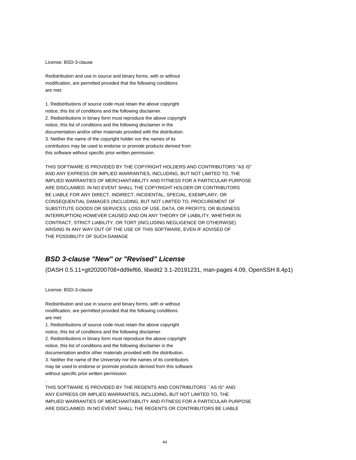License: BSD-3-clause

.

.

Redistribution and use in source and binary forms, with or without modification, are permitted provided that the following conditions are met:

1. Redistributions of source code must retain the above copyright notice, this list of conditions and the following disclaimer. 2. Redistributions in binary form must reproduce the above copyright notice, this list of conditions and the following disclaimer in the documentation and/or other materials provided with the distribution. 3. Neither the name of the copyright holder nor the names of its contributors may be used to endorse or promote products derived from this software without specific prior written permission.

THIS SOFTWARE IS PROVIDED BY THE COPYRIGHT HOLDERS AND CONTRIBUTORS "AS IS" AND ANY EXPRESS OR IMPLIED WARRANTIES, INCLUDING, BUT NOT LIMITED TO, THE IMPLIED WARRANTIES OF MERCHANTABILITY AND FITNESS FOR A PARTICULAR PURPOSE ARE DISCLAIMED. IN NO EVENT SHALL THE COPYRIGHT HOLDER OR CONTRIBUTORS BE LIABLE FOR ANY DIRECT, INDIRECT, INCIDENTAL, SPECIAL, EXEMPLARY, OR CONSEQUENTIAL DAMAGES (INCLUDING, BUT NOT LIMITED TO, PROCUREMENT OF SUBSTITUTE GOODS OR SERVICES; LOSS OF USE, DATA, OR PROFITS; OR BUSINESS INTERRUPTION) HOWEVER CAUSED AND ON ANY THEORY OF LIABILITY, WHETHER IN CONTRACT, STRICT LIABILITY, OR TORT (INCLUDING NEGLIGENCE OR OTHERWISE) ARISING IN ANY WAY OUT OF THE USE OF THIS SOFTWARE, EVEN IF ADVISED OF THE POSSIBILITY OF SUCH DAMAGE

# **BSD 3-clause "New" or "Revised" License**

(DASH 0.5.11+git20200708+dd9ef66, libedit2 3.1-20191231, man-pages 4.09, OpenSSH 8.4p1)

License: BSD-3-clause

.

Redistribution and use in source and binary forms, with or without modification, are permitted provided that the following conditions are met:

1. Redistributions of source code must retain the above copyright notice, this list of conditions and the following disclaimer.

2. Redistributions in binary form must reproduce the above copyright notice, this list of conditions and the following disclaimer in the documentation and/or other materials provided with the distribution. 3. Neither the name of the University nor the names of its contributors may be used to endorse or promote products derived from this software without specific prior written permission.

THIS SOFTWARE IS PROVIDED BY THE REGENTS AND CONTRIBUTORS ``AS IS'' AND ANY EXPRESS OR IMPLIED WARRANTIES, INCLUDING, BUT NOT LIMITED TO, THE IMPLIED WARRANTIES OF MERCHANTABILITY AND FITNESS FOR A PARTICULAR PURPOSE ARE DISCLAIMED. IN NO EVENT SHALL THE REGENTS OR CONTRIBUTORS BE LIABLE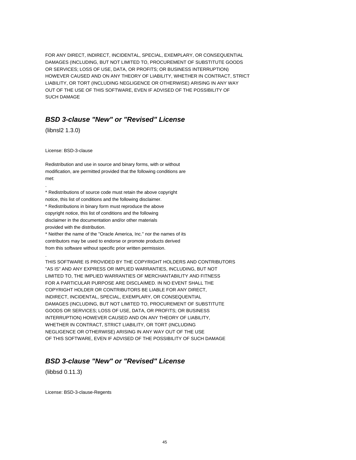FOR ANY DIRECT, INDIRECT, INCIDENTAL, SPECIAL, EXEMPLARY, OR CONSEQUENTIAL DAMAGES (INCLUDING, BUT NOT LIMITED TO, PROCUREMENT OF SUBSTITUTE GOODS OR SERVICES; LOSS OF USE, DATA, OR PROFITS; OR BUSINESS INTERRUPTION) HOWEVER CAUSED AND ON ANY THEORY OF LIABILITY, WHETHER IN CONTRACT, STRICT LIABILITY, OR TORT (INCLUDING NEGLIGENCE OR OTHERWISE) ARISING IN ANY WAY OUT OF THE USE OF THIS SOFTWARE, EVEN IF ADVISED OF THE POSSIBILITY OF SUCH DAMAGE

# **BSD 3-clause "New" or "Revised" License**

(libnsl2 1.3.0)

.

.

License: BSD-3-clause

Redistribution and use in source and binary forms, with or without modification, are permitted provided that the following conditions are met:

\* Redistributions of source code must retain the above copyright notice, this list of conditions and the following disclaimer.

\* Redistributions in binary form must reproduce the above copyright notice, this list of conditions and the following disclaimer in the documentation and/or other materials provided with the distribution.

\* Neither the name of the "Oracle America, Inc." nor the names of its contributors may be used to endorse or promote products derived from this software without specific prior written permission.

THIS SOFTWARE IS PROVIDED BY THE COPYRIGHT HOLDERS AND CONTRIBUTORS "AS IS" AND ANY EXPRESS OR IMPLIED WARRANTIES, INCLUDING, BUT NOT LIMITED TO, THE IMPLIED WARRANTIES OF MERCHANTABILITY AND FITNESS FOR A PARTICULAR PURPOSE ARE DISCLAIMED. IN NO EVENT SHALL THE COPYRIGHT HOLDER OR CONTRIBUTORS BE LIABLE FOR ANY DIRECT, INDIRECT, INCIDENTAL, SPECIAL, EXEMPLARY, OR CONSEQUENTIAL DAMAGES (INCLUDING, BUT NOT LIMITED TO, PROCUREMENT OF SUBSTITUTE GOODS OR SERVICES; LOSS OF USE, DATA, OR PROFITS; OR BUSINESS INTERRUPTION) HOWEVER CAUSED AND ON ANY THEORY OF LIABILITY, WHETHER IN CONTRACT, STRICT LIABILITY, OR TORT (INCLUDING NEGLIGENCE OR OTHERWISE) ARISING IN ANY WAY OUT OF THE USE OF THIS SOFTWARE, EVEN IF ADVISED OF THE POSSIBILITY OF SUCH DAMAGE

# **BSD 3-clause "New" or "Revised" License**

(libbsd 0.11.3)

License: BSD-3-clause-Regents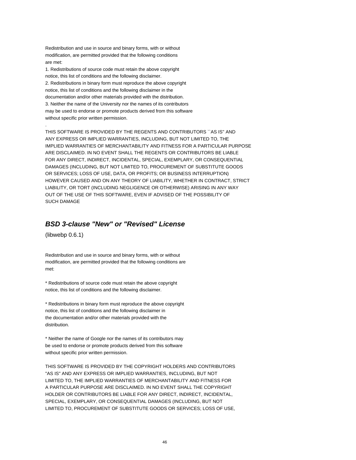Redistribution and use in source and binary forms, with or without modification, are permitted provided that the following conditions are met:

1. Redistributions of source code must retain the above copyright notice, this list of conditions and the following disclaimer. 2. Redistributions in binary form must reproduce the above copyright notice, this list of conditions and the following disclaimer in the documentation and/or other materials provided with the distribution. 3. Neither the name of the University nor the names of its contributors may be used to endorse or promote products derived from this software without specific prior written permission.

THIS SOFTWARE IS PROVIDED BY THE REGENTS AND CONTRIBUTORS ``AS IS'' AND ANY EXPRESS OR IMPLIED WARRANTIES, INCLUDING, BUT NOT LIMITED TO, THE IMPLIED WARRANTIES OF MERCHANTABILITY AND FITNESS FOR A PARTICULAR PURPOSE ARE DISCLAIMED. IN NO EVENT SHALL THE REGENTS OR CONTRIBUTORS BE LIABLE FOR ANY DIRECT, INDIRECT, INCIDENTAL, SPECIAL, EXEMPLARY, OR CONSEQUENTIAL DAMAGES (INCLUDING, BUT NOT LIMITED TO, PROCUREMENT OF SUBSTITUTE GOODS OR SERVICES; LOSS OF USE, DATA, OR PROFITS; OR BUSINESS INTERRUPTION) HOWEVER CAUSED AND ON ANY THEORY OF LIABILITY, WHETHER IN CONTRACT, STRICT LIABILITY, OR TORT (INCLUDING NEGLIGENCE OR OTHERWISE) ARISING IN ANY WAY OUT OF THE USE OF THIS SOFTWARE, EVEN IF ADVISED OF THE POSSIBILITY OF SUCH DAMAGE

## **BSD 3-clause "New" or "Revised" License**

(libwebp 0.6.1)

.

Redistribution and use in source and binary forms, with or without modification, are permitted provided that the following conditions are met:

\* Redistributions of source code must retain the above copyright notice, this list of conditions and the following disclaimer.

\* Redistributions in binary form must reproduce the above copyright notice, this list of conditions and the following disclaimer in the documentation and/or other materials provided with the distribution.

\* Neither the name of Google nor the names of its contributors may be used to endorse or promote products derived from this software without specific prior written permission.

THIS SOFTWARE IS PROVIDED BY THE COPYRIGHT HOLDERS AND CONTRIBUTORS "AS IS" AND ANY EXPRESS OR IMPLIED WARRANTIES, INCLUDING, BUT NOT LIMITED TO, THE IMPLIED WARRANTIES OF MERCHANTABILITY AND FITNESS FOR A PARTICULAR PURPOSE ARE DISCLAIMED. IN NO EVENT SHALL THE COPYRIGHT HOLDER OR CONTRIBUTORS BE LIABLE FOR ANY DIRECT, INDIRECT, INCIDENTAL, SPECIAL, EXEMPLARY, OR CONSEQUENTIAL DAMAGES (INCLUDING, BUT NOT LIMITED TO, PROCUREMENT OF SUBSTITUTE GOODS OR SERVICES; LOSS OF USE,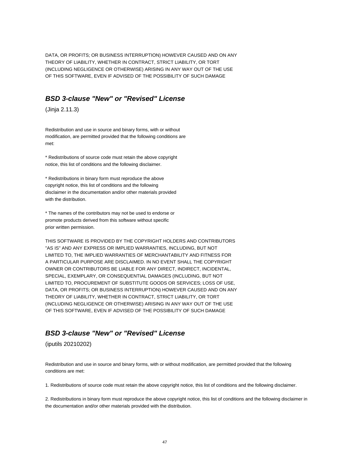DATA, OR PROFITS; OR BUSINESS INTERRUPTION) HOWEVER CAUSED AND ON ANY THEORY OF LIABILITY, WHETHER IN CONTRACT, STRICT LIABILITY, OR TORT (INCLUDING NEGLIGENCE OR OTHERWISE) ARISING IN ANY WAY OUT OF THE USE OF THIS SOFTWARE, EVEN IF ADVISED OF THE POSSIBILITY OF SUCH DAMAGE

## **BSD 3-clause "New" or "Revised" License**

(Jinja 2.11.3)

Redistribution and use in source and binary forms, with or without modification, are permitted provided that the following conditions are met:

\* Redistributions of source code must retain the above copyright notice, this list of conditions and the following disclaimer.

\* Redistributions in binary form must reproduce the above copyright notice, this list of conditions and the following disclaimer in the documentation and/or other materials provided with the distribution.

\* The names of the contributors may not be used to endorse or promote products derived from this software without specific prior written permission.

THIS SOFTWARE IS PROVIDED BY THE COPYRIGHT HOLDERS AND CONTRIBUTORS "AS IS" AND ANY EXPRESS OR IMPLIED WARRANTIES, INCLUDING, BUT NOT LIMITED TO, THE IMPLIED WARRANTIES OF MERCHANTABILITY AND FITNESS FOR A PARTICULAR PURPOSE ARE DISCLAIMED. IN NO EVENT SHALL THE COPYRIGHT OWNER OR CONTRIBUTORS BE LIABLE FOR ANY DIRECT, INDIRECT, INCIDENTAL, SPECIAL, EXEMPLARY, OR CONSEQUENTIAL DAMAGES (INCLUDING, BUT NOT LIMITED TO, PROCUREMENT OF SUBSTITUTE GOODS OR SERVICES; LOSS OF USE, DATA, OR PROFITS; OR BUSINESS INTERRUPTION) HOWEVER CAUSED AND ON ANY THEORY OF LIABILITY, WHETHER IN CONTRACT, STRICT LIABILITY, OR TORT (INCLUDING NEGLIGENCE OR OTHERWISE) ARISING IN ANY WAY OUT OF THE USE OF THIS SOFTWARE, EVEN IF ADVISED OF THE POSSIBILITY OF SUCH DAMAGE

# **BSD 3-clause "New" or "Revised" License**

(iputils 20210202)

Redistribution and use in source and binary forms, with or without modification, are permitted provided that the following conditions are met:

1. Redistributions of source code must retain the above copyright notice, this list of conditions and the following disclaimer.

2. Redistributions in binary form must reproduce the above copyright notice, this list of conditions and the following disclaimer in the documentation and/or other materials provided with the distribution.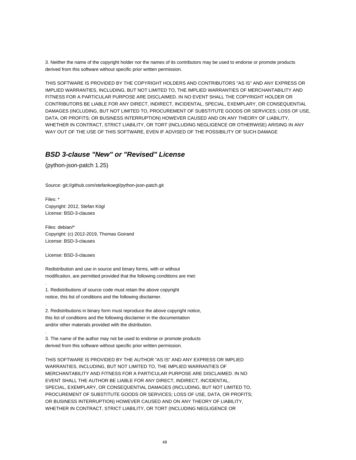3. Neither the name of the copyright holder nor the names of its contributors may be used to endorse or promote products derived from this software without specific prior written permission.

THIS SOFTWARE IS PROVIDED BY THE COPYRIGHT HOLDERS AND CONTRIBUTORS "AS IS" AND ANY EXPRESS OR IMPLIED WARRANTIES, INCLUDING, BUT NOT LIMITED TO, THE IMPLIED WARRANTIES OF MERCHANTABILITY AND FITNESS FOR A PARTICULAR PURPOSE ARE DISCLAIMED. IN NO EVENT SHALL THE COPYRIGHT HOLDER OR CONTRIBUTORS BE LIABLE FOR ANY DIRECT, INDIRECT, INCIDENTAL, SPECIAL, EXEMPLARY, OR CONSEQUENTIAL DAMAGES (INCLUDING, BUT NOT LIMITED TO, PROCUREMENT OF SUBSTITUTE GOODS OR SERVICES; LOSS OF USE, DATA, OR PROFITS; OR BUSINESS INTERRUPTION) HOWEVER CAUSED AND ON ANY THEORY OF LIABILITY, WHETHER IN CONTRACT, STRICT LIABILITY, OR TORT (INCLUDING NEGLIGENCE OR OTHERWISE) ARISING IN ANY WAY OUT OF THE USE OF THIS SOFTWARE, EVEN IF ADVISED OF THE POSSIBILITY OF SUCH DAMAGE

#### **BSD 3-clause "New" or "Revised" License**

(python-json-patch 1.25)

Source: git://github.com/stefankoegl/python-json-patch.git

Files: \* Copyright: 2012, Stefan Kögl License: BSD-3-clauses

Files: debian/\* Copyright: (c) 2012-2019, Thomas Goirand License: BSD-3-clauses

License: BSD-3-clauses

.

.

.

.

Redistribution and use in source and binary forms, with or without modification, are permitted provided that the following conditions are met:

1. Redistributions of source code must retain the above copyright notice, this list of conditions and the following disclaimer.

2. Redistributions in binary form must reproduce the above copyright notice, this list of conditions and the following disclaimer in the documentation and/or other materials provided with the distribution.

3. The name of the author may not be used to endorse or promote products derived from this software without specific prior written permission.

THIS SOFTWARE IS PROVIDED BY THE AUTHOR "AS IS" AND ANY EXPRESS OR IMPLIED WARRANTIES, INCLUDING, BUT NOT LIMITED TO, THE IMPLIED WARRANTIES OF MERCHANTABILITY AND FITNESS FOR A PARTICULAR PURPOSE ARE DISCLAIMED. IN NO EVENT SHALL THE AUTHOR BE LIABLE FOR ANY DIRECT, INDIRECT, INCIDENTAL, SPECIAL, EXEMPLARY, OR CONSEQUENTIAL DAMAGES (INCLUDING, BUT NOT LIMITED TO, PROCUREMENT OF SUBSTITUTE GOODS OR SERVICES; LOSS OF USE, DATA, OR PROFITS; OR BUSINESS INTERRUPTION) HOWEVER CAUSED AND ON ANY THEORY OF LIABILITY, WHETHER IN CONTRACT, STRICT LIABILITY, OR TORT (INCLUDING NEGLIGENCE OR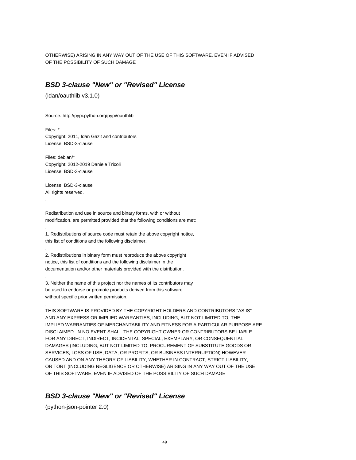OTHERWISE) ARISING IN ANY WAY OUT OF THE USE OF THIS SOFTWARE, EVEN IF ADVISED OF THE POSSIBILITY OF SUCH DAMAGE

### **BSD 3-clause "New" or "Revised" License**

(idan/oauthlib v3.1.0)

Source: http://pypi.python.org/pypi/oauthlib

Files: \* Copyright: 2011, Idan Gazit and contributors License: BSD-3-clause

Files: debian/\* Copyright: 2012-2019 Daniele Tricoli License: BSD-3-clause

License: BSD-3-clause All rights reserved.

.

.

.

.

.

Redistribution and use in source and binary forms, with or without modification, are permitted provided that the following conditions are met:

1. Redistributions of source code must retain the above copyright notice, this list of conditions and the following disclaimer.

2. Redistributions in binary form must reproduce the above copyright notice, this list of conditions and the following disclaimer in the documentation and/or other materials provided with the distribution.

3. Neither the name of this project nor the names of its contributors may be used to endorse or promote products derived from this software without specific prior written permission.

THIS SOFTWARE IS PROVIDED BY THE COPYRIGHT HOLDERS AND CONTRIBUTORS "AS IS" AND ANY EXPRESS OR IMPLIED WARRANTIES, INCLUDING, BUT NOT LIMITED TO, THE IMPLIED WARRANTIES OF MERCHANTABILITY AND FITNESS FOR A PARTICULAR PURPOSE ARE DISCLAIMED. IN NO EVENT SHALL THE COPYRIGHT OWNER OR CONTRIBUTORS BE LIABLE FOR ANY DIRECT, INDIRECT, INCIDENTAL, SPECIAL, EXEMPLARY, OR CONSEQUENTIAL DAMAGES (INCLUDING, BUT NOT LIMITED TO, PROCUREMENT OF SUBSTITUTE GOODS OR SERVICES; LOSS OF USE, DATA, OR PROFITS; OR BUSINESS INTERRUPTION) HOWEVER CAUSED AND ON ANY THEORY OF LIABILITY, WHETHER IN CONTRACT, STRICT LIABILITY, OR TORT (INCLUDING NEGLIGENCE OR OTHERWISE) ARISING IN ANY WAY OUT OF THE USE OF THIS SOFTWARE, EVEN IF ADVISED OF THE POSSIBILITY OF SUCH DAMAGE

# **BSD 3-clause "New" or "Revised" License**

(python-json-pointer 2.0)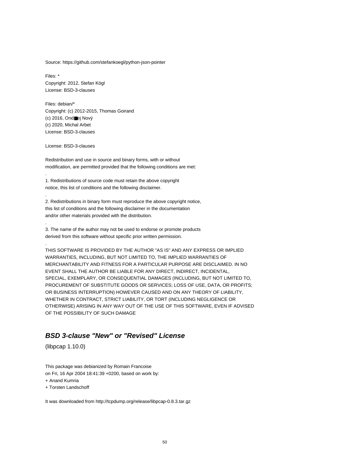Source: https://github.com/stefankoegl/python-json-pointer

Files: \* Copyright: 2012, Stefan Kögl License: BSD-3-clauses

Files: debian/\* Copyright: (c) 2012-2015, Thomas Goirand (c) 2016, Ond■ej Nový (c) 2020, Michal Arbet License: BSD-3-clauses

License: BSD-3-clauses

.

.

.

.

Redistribution and use in source and binary forms, with or without modification, are permitted provided that the following conditions are met:

1. Redistributions of source code must retain the above copyright notice, this list of conditions and the following disclaimer.

2. Redistributions in binary form must reproduce the above copyright notice, this list of conditions and the following disclaimer in the documentation and/or other materials provided with the distribution.

3. The name of the author may not be used to endorse or promote products derived from this software without specific prior written permission.

THIS SOFTWARE IS PROVIDED BY THE AUTHOR "AS IS" AND ANY EXPRESS OR IMPLIED WARRANTIES, INCLUDING, BUT NOT LIMITED TO, THE IMPLIED WARRANTIES OF MERCHANTABILITY AND FITNESS FOR A PARTICULAR PURPOSE ARE DISCLAIMED. IN NO EVENT SHALL THE AUTHOR BE LIABLE FOR ANY DIRECT, INDIRECT, INCIDENTAL, SPECIAL, EXEMPLARY, OR CONSEQUENTIAL DAMAGES (INCLUDING, BUT NOT LIMITED TO, PROCUREMENT OF SUBSTITUTE GOODS OR SERVICES; LOSS OF USE, DATA, OR PROFITS; OR BUSINESS INTERRUPTION) HOWEVER CAUSED AND ON ANY THEORY OF LIABILITY, WHETHER IN CONTRACT, STRICT LIABILITY, OR TORT (INCLUDING NEGLIGENCE OR OTHERWISE) ARISING IN ANY WAY OUT OF THE USE OF THIS SOFTWARE, EVEN IF ADVISED OF THE POSSIBILITY OF SUCH DAMAGE

# **BSD 3-clause "New" or "Revised" License**

(libpcap 1.10.0)

This package was debianized by Romain Francoise on Fri, 16 Apr 2004 18:41:39 +0200, based on work by: + Anand Kumria + Torsten Landschoff

It was downloaded from http://tcpdump.org/release/libpcap-0.8.3.tar.gz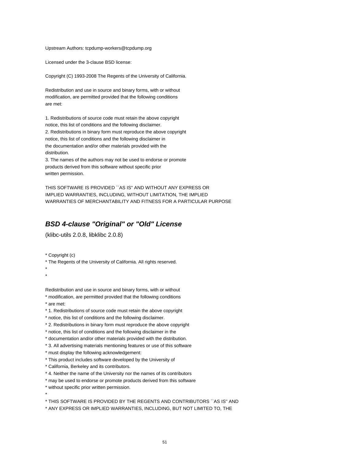Upstream Authors: tcpdump-workers@tcpdump.org

Licensed under the 3-clause BSD license:

Copyright (C) 1993-2008 The Regents of the University of California.

Redistribution and use in source and binary forms, with or without modification, are permitted provided that the following conditions are met:

1. Redistributions of source code must retain the above copyright notice, this list of conditions and the following disclaimer. 2. Redistributions in binary form must reproduce the above copyright notice, this list of conditions and the following disclaimer in the documentation and/or other materials provided with the distribution.

3. The names of the authors may not be used to endorse or promote products derived from this software without specific prior written permission.

THIS SOFTWARE IS PROVIDED ``AS IS'' AND WITHOUT ANY EXPRESS OR IMPLIED WARRANTIES, INCLUDING, WITHOUT LIMITATION, THE IMPLIED WARRANTIES OF MERCHANTABILITY AND FITNESS FOR A PARTICULAR PURPOSE

### **BSD 4-clause "Original" or "Old" License**

(klibc-utils 2.0.8, libklibc 2.0.8)

\* Copyright (c)

\* The Regents of the University of California. All rights reserved.

\*

\*

Redistribution and use in source and binary forms, with or without

\* modification, are permitted provided that the following conditions

\* are met:

\* 1. Redistributions of source code must retain the above copyright

\* notice, this list of conditions and the following disclaimer.

\* 2. Redistributions in binary form must reproduce the above copyright

\* notice, this list of conditions and the following disclaimer in the

\* documentation and/or other materials provided with the distribution.

\* 3. All advertising materials mentioning features or use of this software

\* must display the following acknowledgement:

\* This product includes software developed by the University of

\* California, Berkeley and its contributors.

\* 4. Neither the name of the University nor the names of its contributors

\* may be used to endorse or promote products derived from this software

\* without specific prior written permission.

\*

\* THIS SOFTWARE IS PROVIDED BY THE REGENTS AND CONTRIBUTORS ``AS IS'' AND

\* ANY EXPRESS OR IMPLIED WARRANTIES, INCLUDING, BUT NOT LIMITED TO, THE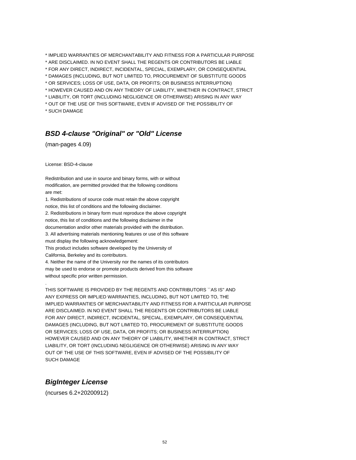\* IMPLIED WARRANTIES OF MERCHANTABILITY AND FITNESS FOR A PARTICULAR PURPOSE \* ARE DISCLAIMED. IN NO EVENT SHALL THE REGENTS OR CONTRIBUTORS BE LIABLE \* FOR ANY DIRECT, INDIRECT, INCIDENTAL, SPECIAL, EXEMPLARY, OR CONSEQUENTIAL \* DAMAGES (INCLUDING, BUT NOT LIMITED TO, PROCUREMENT OF SUBSTITUTE GOODS \* OR SERVICES; LOSS OF USE, DATA, OR PROFITS; OR BUSINESS INTERRUPTION) \* HOWEVER CAUSED AND ON ANY THEORY OF LIABILITY, WHETHER IN CONTRACT, STRICT \* LIABILITY, OR TORT (INCLUDING NEGLIGENCE OR OTHERWISE) ARISING IN ANY WAY \* OUT OF THE USE OF THIS SOFTWARE, EVEN IF ADVISED OF THE POSSIBILITY OF

\* SUCH DAMAGE

## **BSD 4-clause "Original" or "Old" License**

(man-pages 4.09)

License: BSD-4-clause

.

Redistribution and use in source and binary forms, with or without modification, are permitted provided that the following conditions are met:

1. Redistributions of source code must retain the above copyright notice, this list of conditions and the following disclaimer.

2. Redistributions in binary form must reproduce the above copyright notice, this list of conditions and the following disclaimer in the

documentation and/or other materials provided with the distribution.

3. All advertising materials mentioning features or use of this software must display the following acknowledgement:

This product includes software developed by the University of California, Berkeley and its contributors.

4. Neither the name of the University nor the names of its contributors may be used to endorse or promote products derived from this software without specific prior written permission.

THIS SOFTWARE IS PROVIDED BY THE REGENTS AND CONTRIBUTORS ``AS IS'' AND ANY EXPRESS OR IMPLIED WARRANTIES, INCLUDING, BUT NOT LIMITED TO, THE IMPLIED WARRANTIES OF MERCHANTABILITY AND FITNESS FOR A PARTICULAR PURPOSE ARE DISCLAIMED. IN NO EVENT SHALL THE REGENTS OR CONTRIBUTORS BE LIABLE FOR ANY DIRECT, INDIRECT, INCIDENTAL, SPECIAL, EXEMPLARY, OR CONSEQUENTIAL DAMAGES (INCLUDING, BUT NOT LIMITED TO, PROCUREMENT OF SUBSTITUTE GOODS OR SERVICES; LOSS OF USE, DATA, OR PROFITS; OR BUSINESS INTERRUPTION) HOWEVER CAUSED AND ON ANY THEORY OF LIABILITY, WHETHER IN CONTRACT, STRICT LIABILITY, OR TORT (INCLUDING NEGLIGENCE OR OTHERWISE) ARISING IN ANY WAY OUT OF THE USE OF THIS SOFTWARE, EVEN IF ADVISED OF THE POSSIBILITY OF SUCH DAMAGE

#### **BigInteger License**

(ncurses 6.2+20200912)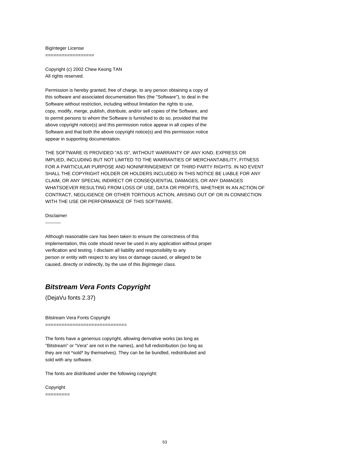BigInteger License

==================

Copyright (c) 2002 Chew Keong TAN All rights reserved.

Permission is hereby granted, free of charge, to any person obtaining a copy of this software and associated documentation files (the "Software"), to deal in the Software without restriction, including without limitation the rights to use, copy, modify, merge, publish, distribute, and/or sell copies of the Software, and to permit persons to whom the Software is furnished to do so, provided that the above copyright notice(s) and this permission notice appear in all copies of the Software and that both the above copyright notice(s) and this permission notice appear in supporting documentation.

THE SOFTWARE IS PROVIDED "AS IS", WITHOUT WARRANTY OF ANY KIND, EXPRESS OR IMPLIED, INCLUDING BUT NOT LIMITED TO THE WARRANTIES OF MERCHANTABILITY, FITNESS FOR A PARTICULAR PURPOSE AND NONINFRINGEMENT OF THIRD PARTY RIGHTS. IN NO EVENT SHALL THE COPYRIGHT HOLDER OR HOLDERS INCLUDED IN THIS NOTICE BE LIABLE FOR ANY CLAIM, OR ANY SPECIAL INDIRECT OR CONSEQUENTIAL DAMAGES, OR ANY DAMAGES WHATSOEVER RESULTING FROM LOSS OF USE, DATA OR PROFITS, WHETHER IN AN ACTION OF CONTRACT, NEGLIGENCE OR OTHER TORTIOUS ACTION, ARISING OUT OF OR IN CONNECTION WITH THE USE OR PERFORMANCE OF THIS SOFTWARE.

Disclaimer

----------

Although reasonable care has been taken to ensure the correctness of this implementation, this code should never be used in any application without proper verification and testing. I disclaim all liability and responsibility to any person or entity with respect to any loss or damage caused, or alleged to be caused, directly or indirectly, by the use of this BigInteger class.

# **Bitstream Vera Fonts Copyright**

(DejaVu fonts 2.37)

Bitstream Vera Fonts Copyright

===============================

The fonts have a generous copyright, allowing derivative works (as long as "Bitstream" or "Vera" are not in the names), and full redistribution (so long as they are not \*sold\* by themselves). They can be be bundled, redistributed and sold with any software.

The fonts are distributed under the following copyright:

Copyright

=========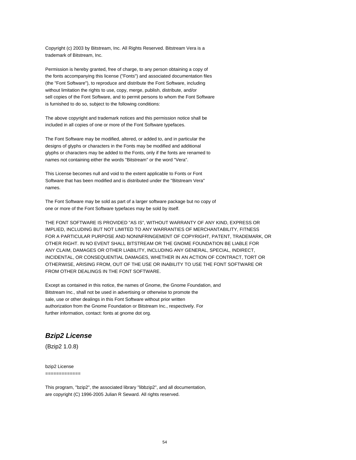Copyright (c) 2003 by Bitstream, Inc. All Rights Reserved. Bitstream Vera is a trademark of Bitstream, Inc.

Permission is hereby granted, free of charge, to any person obtaining a copy of the fonts accompanying this license ("Fonts") and associated documentation files (the "Font Software"), to reproduce and distribute the Font Software, including without limitation the rights to use, copy, merge, publish, distribute, and/or sell copies of the Font Software, and to permit persons to whom the Font Software is furnished to do so, subject to the following conditions:

The above copyright and trademark notices and this permission notice shall be included in all copies of one or more of the Font Software typefaces.

The Font Software may be modified, altered, or added to, and in particular the designs of glyphs or characters in the Fonts may be modified and additional glyphs or characters may be added to the Fonts, only if the fonts are renamed to names not containing either the words "Bitstream" or the word "Vera".

This License becomes null and void to the extent applicable to Fonts or Font Software that has been modified and is distributed under the "Bitstream Vera" names.

The Font Software may be sold as part of a larger software package but no copy of one or more of the Font Software typefaces may be sold by itself.

THE FONT SOFTWARE IS PROVIDED "AS IS", WITHOUT WARRANTY OF ANY KIND, EXPRESS OR IMPLIED, INCLUDING BUT NOT LIMITED TO ANY WARRANTIES OF MERCHANTABILITY, FITNESS FOR A PARTICULAR PURPOSE AND NONINFRINGEMENT OF COPYRIGHT, PATENT, TRADEMARK, OR OTHER RIGHT. IN NO EVENT SHALL BITSTREAM OR THE GNOME FOUNDATION BE LIABLE FOR ANY CLAIM, DAMAGES OR OTHER LIABILITY, INCLUDING ANY GENERAL, SPECIAL, INDIRECT, INCIDENTAL, OR CONSEQUENTIAL DAMAGES, WHETHER IN AN ACTION OF CONTRACT, TORT OR OTHERWISE, ARISING FROM, OUT OF THE USE OR INABILITY TO USE THE FONT SOFTWARE OR FROM OTHER DEALINGS IN THE FONT SOFTWARE.

Except as contained in this notice, the names of Gnome, the Gnome Foundation, and Bitstream Inc., shall not be used in advertising or otherwise to promote the sale, use or other dealings in this Font Software without prior written authorization from the Gnome Foundation or Bitstream Inc., respectively. For further information, contact: fonts at gnome dot org.

## **Bzip2 License**

(Bzip2 1.0.8)

#### bzip2 License

=============

This program, "bzip2", the associated library "libbzip2", and all documentation, are copyright (C) 1996-2005 Julian R Seward. All rights reserved.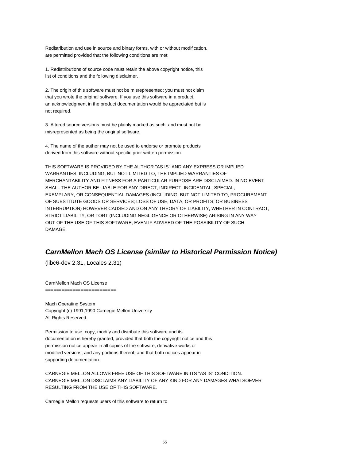Redistribution and use in source and binary forms, with or without modification, are permitted provided that the following conditions are met:

1. Redistributions of source code must retain the above copyright notice, this list of conditions and the following disclaimer.

2. The origin of this software must not be misrepresented; you must not claim that you wrote the original software. If you use this software in a product, an acknowledgment in the product documentation would be appreciated but is not required.

3. Altered source versions must be plainly marked as such, and must not be misrepresented as being the original software.

4. The name of the author may not be used to endorse or promote products derived from this software without specific prior written permission.

THIS SOFTWARE IS PROVIDED BY THE AUTHOR "AS IS" AND ANY EXPRESS OR IMPLIED WARRANTIES, INCLUDING, BUT NOT LIMITED TO, THE IMPLIED WARRANTIES OF MERCHANTABILITY AND FITNESS FOR A PARTICULAR PURPOSE ARE DISCLAIMED. IN NO EVENT SHALL THE AUTHOR BE LIABLE FOR ANY DIRECT, INDIRECT, INCIDENTAL, SPECIAL, EXEMPLARY, OR CONSEQUENTIAL DAMAGES (INCLUDING, BUT NOT LIMITED TO, PROCUREMENT OF SUBSTITUTE GOODS OR SERVICES; LOSS OF USE, DATA, OR PROFITS; OR BUSINESS INTERRUPTION) HOWEVER CAUSED AND ON ANY THEORY OF LIABILITY, WHETHER IN CONTRACT, STRICT LIABILITY, OR TORT (INCLUDING NEGLIGENCE OR OTHERWISE) ARISING IN ANY WAY OUT OF THE USE OF THIS SOFTWARE, EVEN IF ADVISED OF THE POSSIBILITY OF SUCH DAMAGE.

#### **CarnMellon Mach OS License (similar to Historical Permission Notice)**

(libc6-dev 2.31, Locales 2.31)

CarnMellon Mach OS License ==========================

Mach Operating System Copyright (c) 1991,1990 Carnegie Mellon University All Rights Reserved.

Permission to use, copy, modify and distribute this software and its documentation is hereby granted, provided that both the copyright notice and this permission notice appear in all copies of the software, derivative works or modified versions, and any portions thereof, and that both notices appear in supporting documentation.

CARNEGIE MELLON ALLOWS FREE USE OF THIS SOFTWARE IN ITS "AS IS" CONDITION. CARNEGIE MELLON DISCLAIMS ANY LIABILITY OF ANY KIND FOR ANY DAMAGES WHATSOEVER RESULTING FROM THE USE OF THIS SOFTWARE.

Carnegie Mellon requests users of this software to return to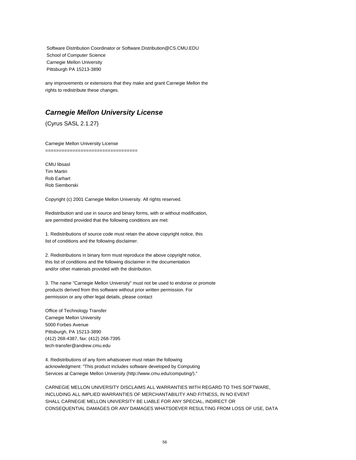Software Distribution Coordinator or Software.Distribution@CS.CMU.EDU School of Computer Science Carnegie Mellon University Pittsburgh PA 15213-3890

any improvements or extensions that they make and grant Carnegie Mellon the rights to redistribute these changes.

## **Carnegie Mellon University License**

(Cyrus SASL 2.1.27)

Carnegie Mellon University License =====================================

CMU libsasl Tim Martin Rob Earhart Rob Siemborski

Copyright (c) 2001 Carnegie Mellon University. All rights reserved.

Redistribution and use in source and binary forms, with or without modification, are permitted provided that the following conditions are met:

1. Redistributions of source code must retain the above copyright notice, this list of conditions and the following disclaimer.

2. Redistributions in binary form must reproduce the above copyright notice, this list of conditions and the following disclaimer in the documentation and/or other materials provided with the distribution.

3. The name "Carnegie Mellon University" must not be used to endorse or promote products derived from this software without prior written permission. For permission or any other legal details, please contact

Office of Technology Transfer Carnegie Mellon University 5000 Forbes Avenue Pittsburgh, PA 15213-3890 (412) 268-4387, fax: (412) 268-7395 tech-transfer@andrew.cmu.edu

4. Redistributions of any form whatsoever must retain the following acknowledgment: "This product includes software developed by Computing Services at Carnegie Mellon University (http://www.cmu.edu/computing/)."

CARNEGIE MELLON UNIVERSITY DISCLAIMS ALL WARRANTIES WITH REGARD TO THIS SOFTWARE, INCLUDING ALL IMPLIED WARRANTIES OF MERCHANTABILITY AND FITNESS, IN NO EVENT SHALL CARNEGIE MELLON UNIVERSITY BE LIABLE FOR ANY SPECIAL, INDIRECT OR CONSEQUENTIAL DAMAGES OR ANY DAMAGES WHATSOEVER RESULTING FROM LOSS OF USE, DATA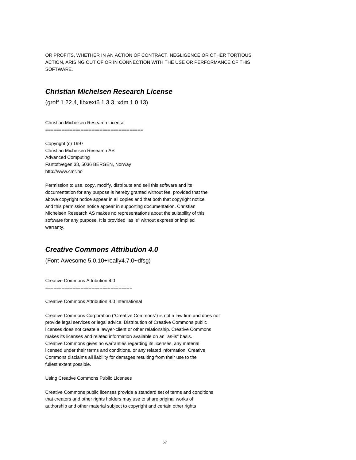OR PROFITS, WHETHER IN AN ACTION OF CONTRACT, NEGLIGENCE OR OTHER TORTIOUS ACTION, ARISING OUT OF OR IN CONNECTION WITH THE USE OR PERFORMANCE OF THIS SOFTWARE.

### **Christian Michelsen Research License**

(groff 1.22.4, libxext6 1.3.3, xdm 1.0.13)

====================================

Christian Michelsen Research License

Copyright (c) 1997 Christian Michelsen Research AS Advanced Computing Fantoftvegen 38, 5036 BERGEN, Norway http://www.cmr.no

Permission to use, copy, modify, distribute and sell this software and its documentation for any purpose is hereby granted without fee, provided that the above copyright notice appear in all copies and that both that copyright notice and this permission notice appear in supporting documentation. Christian Michelsen Research AS makes no representations about the suitability of this software for any purpose. It is provided "as is" without express or implied warranty.

## **Creative Commons Attribution 4.0**

(Font-Awesome 5.0.10+really4.7.0~dfsg)

Creative Commons Attribution 4.0 ===================================

Creative Commons Attribution 4.0 International

Creative Commons Corporation ("Creative Commons") is not a law firm and does not provide legal services or legal advice. Distribution of Creative Commons public licenses does not create a lawyer-client or other relationship. Creative Commons makes its licenses and related information available on an "as-is" basis. Creative Commons gives no warranties regarding its licenses, any material licensed under their terms and conditions, or any related information. Creative Commons disclaims all liability for damages resulting from their use to the fullest extent possible.

Using Creative Commons Public Licenses

Creative Commons public licenses provide a standard set of terms and conditions that creators and other rights holders may use to share original works of authorship and other material subject to copyright and certain other rights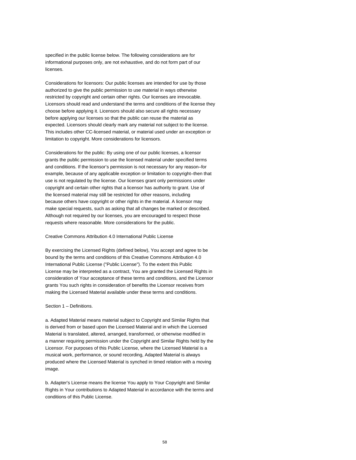specified in the public license below. The following considerations are for informational purposes only, are not exhaustive, and do not form part of our licenses.

Considerations for licensors: Our public licenses are intended for use by those authorized to give the public permission to use material in ways otherwise restricted by copyright and certain other rights. Our licenses are irrevocable. Licensors should read and understand the terms and conditions of the license they choose before applying it. Licensors should also secure all rights necessary before applying our licenses so that the public can reuse the material as expected. Licensors should clearly mark any material not subject to the license. This includes other CC-licensed material, or material used under an exception or limitation to copyright. More considerations for licensors.

Considerations for the public: By using one of our public licenses, a licensor grants the public permission to use the licensed material under specified terms and conditions. If the licensor's permission is not necessary for any reason–for example, because of any applicable exception or limitation to copyright–then that use is not regulated by the license. Our licenses grant only permissions under copyright and certain other rights that a licensor has authority to grant. Use of the licensed material may still be restricted for other reasons, including because others have copyright or other rights in the material. A licensor may make special requests, such as asking that all changes be marked or described. Although not required by our licenses, you are encouraged to respect those requests where reasonable. More considerations for the public.

#### Creative Commons Attribution 4.0 International Public License

By exercising the Licensed Rights (defined below), You accept and agree to be bound by the terms and conditions of this Creative Commons Attribution 4.0 International Public License ("Public License"). To the extent this Public License may be interpreted as a contract, You are granted the Licensed Rights in consideration of Your acceptance of these terms and conditions, and the Licensor grants You such rights in consideration of benefits the Licensor receives from making the Licensed Material available under these terms and conditions.

#### Section 1 – Definitions.

a. Adapted Material means material subject to Copyright and Similar Rights that is derived from or based upon the Licensed Material and in which the Licensed Material is translated, altered, arranged, transformed, or otherwise modified in a manner requiring permission under the Copyright and Similar Rights held by the Licensor. For purposes of this Public License, where the Licensed Material is a musical work, performance, or sound recording, Adapted Material is always produced where the Licensed Material is synched in timed relation with a moving image.

b. Adapter's License means the license You apply to Your Copyright and Similar Rights in Your contributions to Adapted Material in accordance with the terms and conditions of this Public License.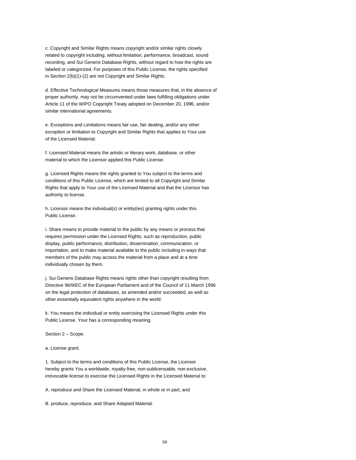c. Copyright and Similar Rights means copyright and/or similar rights closely related to copyright including, without limitation, performance, broadcast, sound recording, and Sui Generis Database Rights, without regard to how the rights are labeled or categorized. For purposes of this Public License, the rights specified in Section 2(b)(1)-(2) are not Copyright and Similar Rights.

d. Effective Technological Measures means those measures that, in the absence of proper authority, may not be circumvented under laws fulfilling obligations under Article 11 of the WIPO Copyright Treaty adopted on December 20, 1996, and/or similar international agreements.

e. Exceptions and Limitations means fair use, fair dealing, and/or any other exception or limitation to Copyright and Similar Rights that applies to Your use of the Licensed Material.

f. Licensed Material means the artistic or literary work, database, or other material to which the Licensor applied this Public License.

g. Licensed Rights means the rights granted to You subject to the terms and conditions of this Public License, which are limited to all Copyright and Similar Rights that apply to Your use of the Licensed Material and that the Licensor has authority to license.

h. Licensor means the individual(s) or entity(ies) granting rights under this Public License.

i. Share means to provide material to the public by any means or process that requires permission under the Licensed Rights, such as reproduction, public display, public performance, distribution, dissemination, communication, or importation, and to make material available to the public including in ways that members of the public may access the material from a place and at a time individually chosen by them.

j. Sui Generis Database Rights means rights other than copyright resulting from Directive 96/9/EC of the European Parliament and of the Council of 11 March 1996 on the legal protection of databases, as amended and/or succeeded, as well as other essentially equivalent rights anywhere in the world.

k. You means the individual or entity exercising the Licensed Rights under this Public License. Your has a corresponding meaning.

Section 2 – Scope.

a. License grant.

1. Subject to the terms and conditions of this Public License, the Licensor hereby grants You a worldwide, royalty-free, non-sublicensable, non-exclusive, irrevocable license to exercise the Licensed Rights in the Licensed Material to:

A. reproduce and Share the Licensed Material, in whole or in part; and

B. produce, reproduce, and Share Adapted Material.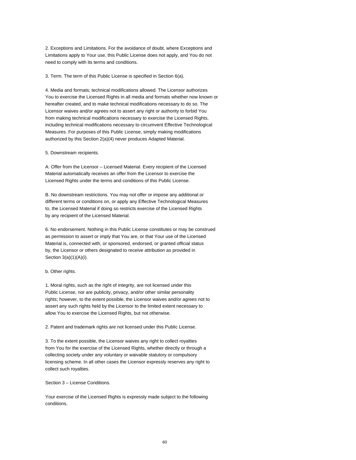2. Exceptions and Limitations. For the avoidance of doubt, where Exceptions and Limitations apply to Your use, this Public License does not apply, and You do not need to comply with its terms and conditions.

3. Term. The term of this Public License is specified in Section 6(a).

4. Media and formats; technical modifications allowed. The Licensor authorizes You to exercise the Licensed Rights in all media and formats whether now known or hereafter created, and to make technical modifications necessary to do so. The Licensor waives and/or agrees not to assert any right or authority to forbid You from making technical modifications necessary to exercise the Licensed Rights, including technical modifications necessary to circumvent Effective Technological Measures. For purposes of this Public License, simply making modifications authorized by this Section 2(a)(4) never produces Adapted Material.

5. Downstream recipients.

A. Offer from the Licensor – Licensed Material. Every recipient of the Licensed Material automatically receives an offer from the Licensor to exercise the Licensed Rights under the terms and conditions of this Public License.

B. No downstream restrictions. You may not offer or impose any additional or different terms or conditions on, or apply any Effective Technological Measures to, the Licensed Material if doing so restricts exercise of the Licensed Rights by any recipient of the Licensed Material.

6. No endorsement. Nothing in this Public License constitutes or may be construed as permission to assert or imply that You are, or that Your use of the Licensed Material is, connected with, or sponsored, endorsed, or granted official status by, the Licensor or others designated to receive attribution as provided in Section 3(a)(1)(A)(i).

#### b. Other rights.

1. Moral rights, such as the right of integrity, are not licensed under this Public License, nor are publicity, privacy, and/or other similar personality rights; however, to the extent possible, the Licensor waives and/or agrees not to assert any such rights held by the Licensor to the limited extent necessary to allow You to exercise the Licensed Rights, but not otherwise.

2. Patent and trademark rights are not licensed under this Public License.

3. To the extent possible, the Licensor waives any right to collect royalties from You for the exercise of the Licensed Rights, whether directly or through a collecting society under any voluntary or waivable statutory or compulsory licensing scheme. In all other cases the Licensor expressly reserves any right to collect such royalties.

#### Section 3 – License Conditions.

Your exercise of the Licensed Rights is expressly made subject to the following conditions.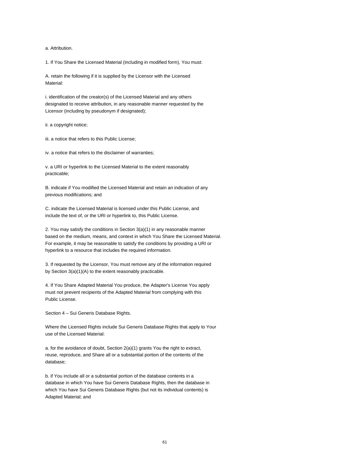a. Attribution.

1. If You Share the Licensed Material (including in modified form), You must:

A. retain the following if it is supplied by the Licensor with the Licensed Material:

i. identification of the creator(s) of the Licensed Material and any others designated to receive attribution, in any reasonable manner requested by the Licensor (including by pseudonym if designated);

ii. a copyright notice;

iii. a notice that refers to this Public License;

iv. a notice that refers to the disclaimer of warranties;

v. a URI or hyperlink to the Licensed Material to the extent reasonably practicable;

B. indicate if You modified the Licensed Material and retain an indication of any previous modifications; and

C. indicate the Licensed Material is licensed under this Public License, and include the text of, or the URI or hyperlink to, this Public License.

2. You may satisfy the conditions in Section 3(a)(1) in any reasonable manner based on the medium, means, and context in which You Share the Licensed Material. For example, it may be reasonable to satisfy the conditions by providing a URI or hyperlink to a resource that includes the required information.

3. If requested by the Licensor, You must remove any of the information required by Section 3(a)(1)(A) to the extent reasonably practicable.

4. If You Share Adapted Material You produce, the Adapter's License You apply must not prevent recipients of the Adapted Material from complying with this Public License.

Section 4 – Sui Generis Database Rights.

Where the Licensed Rights include Sui Generis Database Rights that apply to Your use of the Licensed Material:

a. for the avoidance of doubt, Section 2(a)(1) grants You the right to extract, reuse, reproduce, and Share all or a substantial portion of the contents of the database;

b. if You include all or a substantial portion of the database contents in a database in which You have Sui Generis Database Rights, then the database in which You have Sui Generis Database Rights (but not its individual contents) is Adapted Material; and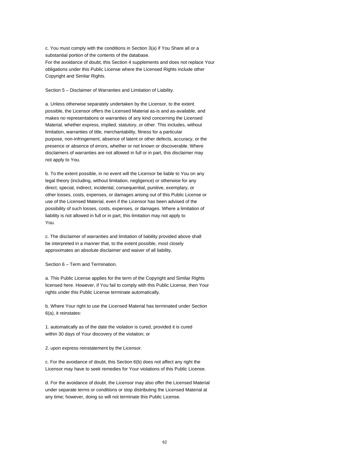c. You must comply with the conditions in Section 3(a) if You Share all or a substantial portion of the contents of the database. For the avoidance of doubt, this Section 4 supplements and does not replace Your obligations under this Public License where the Licensed Rights include other Copyright and Similar Rights.

Section 5 – Disclaimer of Warranties and Limitation of Liability.

a. Unless otherwise separately undertaken by the Licensor, to the extent possible, the Licensor offers the Licensed Material as-is and as-available, and makes no representations or warranties of any kind concerning the Licensed Material, whether express, implied, statutory, or other. This includes, without limitation, warranties of title, merchantability, fitness for a particular purpose, non-infringement, absence of latent or other defects, accuracy, or the presence or absence of errors, whether or not known or discoverable. Where disclaimers of warranties are not allowed in full or in part, this disclaimer may not apply to You.

b. To the extent possible, in no event will the Licensor be liable to You on any legal theory (including, without limitation, negligence) or otherwise for any direct, special, indirect, incidental, consequential, punitive, exemplary, or other losses, costs, expenses, or damages arising out of this Public License or use of the Licensed Material, even if the Licensor has been advised of the possibility of such losses, costs, expenses, or damages. Where a limitation of liability is not allowed in full or in part, this limitation may not apply to You.

c. The disclaimer of warranties and limitation of liability provided above shall be interpreted in a manner that, to the extent possible, most closely approximates an absolute disclaimer and waiver of all liability.

Section 6 – Term and Termination.

a. This Public License applies for the term of the Copyright and Similar Rights licensed here. However, if You fail to comply with this Public License, then Your rights under this Public License terminate automatically.

b. Where Your right to use the Licensed Material has terminated under Section 6(a), it reinstates:

1. automatically as of the date the violation is cured, provided it is cured within 30 days of Your discovery of the violation; or

2. upon express reinstatement by the Licensor.

c. For the avoidance of doubt, this Section 6(b) does not affect any right the Licensor may have to seek remedies for Your violations of this Public License.

d. For the avoidance of doubt, the Licensor may also offer the Licensed Material under separate terms or conditions or stop distributing the Licensed Material at any time; however, doing so will not terminate this Public License.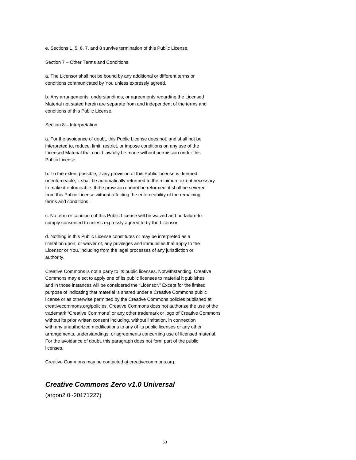e. Sections 1, 5, 6, 7, and 8 survive termination of this Public License.

Section 7 – Other Terms and Conditions.

a. The Licensor shall not be bound by any additional or different terms or conditions communicated by You unless expressly agreed.

b. Any arrangements, understandings, or agreements regarding the Licensed Material not stated herein are separate from and independent of the terms and conditions of this Public License.

Section 8 – Interpretation.

a. For the avoidance of doubt, this Public License does not, and shall not be interpreted to, reduce, limit, restrict, or impose conditions on any use of the Licensed Material that could lawfully be made without permission under this Public License.

b. To the extent possible, if any provision of this Public License is deemed unenforceable, it shall be automatically reformed to the minimum extent necessary to make it enforceable. If the provision cannot be reformed, it shall be severed from this Public License without affecting the enforceability of the remaining terms and conditions.

c. No term or condition of this Public License will be waived and no failure to comply consented to unless expressly agreed to by the Licensor.

d. Nothing in this Public License constitutes or may be interpreted as a limitation upon, or waiver of, any privileges and immunities that apply to the Licensor or You, including from the legal processes of any jurisdiction or authority.

Creative Commons is not a party to its public licenses. Notwithstanding, Creative Commons may elect to apply one of its public licenses to material it publishes and in those instances will be considered the "Licensor." Except for the limited purpose of indicating that material is shared under a Creative Commons public license or as otherwise permitted by the Creative Commons policies published at creativecommons.org/policies, Creative Commons does not authorize the use of the trademark "Creative Commons" or any other trademark or logo of Creative Commons without its prior written consent including, without limitation, in connection with any unauthorized modifications to any of its public licenses or any other arrangements, understandings, or agreements concerning use of licensed material. For the avoidance of doubt, this paragraph does not form part of the public licenses.

Creative Commons may be contacted at creativecommons.org.

## **Creative Commons Zero v1.0 Universal**

(argon2 0~20171227)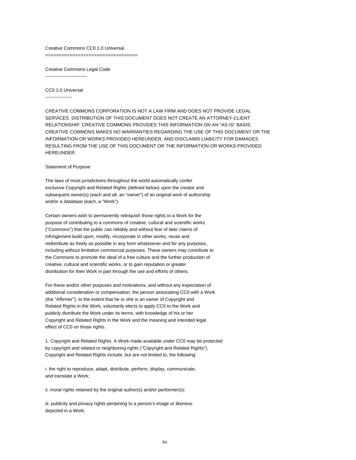#### Creative Commons CC0 1.0 Universal

==================================

Creative Commons Legal Code ---------------------------

CC0 1.0 Universal

-----------------

CREATIVE COMMONS CORPORATION IS NOT A LAW FIRM AND DOES NOT PROVIDE LEGAL SERVICES. DISTRIBUTION OF THIS DOCUMENT DOES NOT CREATE AN ATTORNEY-CLIENT RELATIONSHIP. CREATIVE COMMONS PROVIDES THIS INFORMATION ON AN "AS-IS" BASIS. CREATIVE COMMONS MAKES NO WARRANTIES REGARDING THE USE OF THIS DOCUMENT OR THE INFORMATION OR WORKS PROVIDED HEREUNDER, AND DISCLAIMS LIABILITY FOR DAMAGES RESULTING FROM THE USE OF THIS DOCUMENT OR THE INFORMATION OR WORKS PROVIDED HEREUNDER.

#### Statement of Purpose

The laws of most jurisdictions throughout the world automatically confer exclusive Copyright and Related Rights (defined below) upon the creator and subsequent owner(s) (each and all, an "owner") of an original work of authorship and/or a database (each, a "Work").

Certain owners wish to permanently relinquish those rights to a Work for the purpose of contributing to a commons of creative, cultural and scientific works ("Commons") that the public can reliably and without fear of later claims of infringement build upon, modify, incorporate in other works, reuse and redistribute as freely as possible in any form whatsoever and for any purposes, including without limitation commercial purposes. These owners may contribute to the Commons to promote the ideal of a free culture and the further production of creative, cultural and scientific works, or to gain reputation or greater distribution for their Work in part through the use and efforts of others.

For these and/or other purposes and motivations, and without any expectation of additional consideration or compensation, the person associating CC0 with a Work (the "Affirmer"), to the extent that he or she is an owner of Copyright and Related Rights in the Work, voluntarily elects to apply CC0 to the Work and publicly distribute the Work under its terms, with knowledge of his or her Copyright and Related Rights in the Work and the meaning and intended legal effect of CC0 on those rights.

1. Copyright and Related Rights. A Work made available under CC0 may be protected by copyright and related or neighboring rights ("Copyright and Related Rights"). Copyright and Related Rights include, but are not limited to, the following:

i. the right to reproduce, adapt, distribute, perform, display, communicate, and translate a Work;

ii. moral rights retained by the original author(s) and/or performer(s);

iii. publicity and privacy rights pertaining to a person's image or likeness depicted in a Work;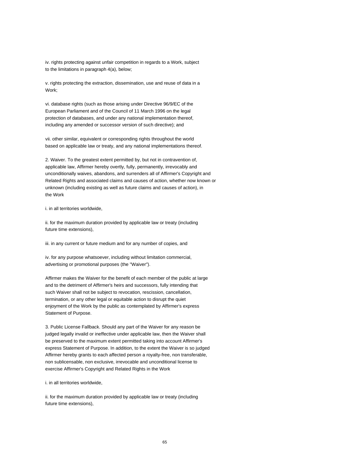iv. rights protecting against unfair competition in regards to a Work, subject to the limitations in paragraph 4(a), below;

v. rights protecting the extraction, dissemination, use and reuse of data in a Work;

vi. database rights (such as those arising under Directive 96/9/EC of the European Parliament and of the Council of 11 March 1996 on the legal protection of databases, and under any national implementation thereof, including any amended or successor version of such directive); and

vii. other similar, equivalent or corresponding rights throughout the world based on applicable law or treaty, and any national implementations thereof.

2. Waiver. To the greatest extent permitted by, but not in contravention of, applicable law, Affirmer hereby overtly, fully, permanently, irrevocably and unconditionally waives, abandons, and surrenders all of Affirmer's Copyright and Related Rights and associated claims and causes of action, whether now known or unknown (including existing as well as future claims and causes of action), in the Work

i. in all territories worldwide,

ii. for the maximum duration provided by applicable law or treaty (including future time extensions),

iii. in any current or future medium and for any number of copies, and

iv. for any purpose whatsoever, including without limitation commercial, advertising or promotional purposes (the "Waiver").

Affirmer makes the Waiver for the benefit of each member of the public at large and to the detriment of Affirmer's heirs and successors, fully intending that such Waiver shall not be subject to revocation, rescission, cancellation, termination, or any other legal or equitable action to disrupt the quiet enjoyment of the Work by the public as contemplated by Affirmer's express Statement of Purpose.

3. Public License Fallback. Should any part of the Waiver for any reason be judged legally invalid or ineffective under applicable law, then the Waiver shall be preserved to the maximum extent permitted taking into account Affirmer's express Statement of Purpose. In addition, to the extent the Waiver is so judged Affirmer hereby grants to each affected person a royalty-free, non transferable, non sublicensable, non exclusive, irrevocable and unconditional license to exercise Affirmer's Copyright and Related Rights in the Work

#### i. in all territories worldwide,

ii. for the maximum duration provided by applicable law or treaty (including future time extensions),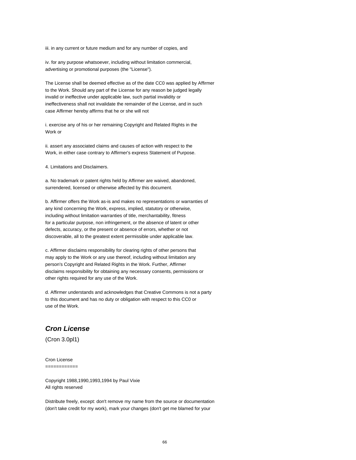iii. in any current or future medium and for any number of copies, and

iv. for any purpose whatsoever, including without limitation commercial, advertising or promotional purposes (the "License").

The License shall be deemed effective as of the date CC0 was applied by Affirmer to the Work. Should any part of the License for any reason be judged legally invalid or ineffective under applicable law, such partial invalidity or ineffectiveness shall not invalidate the remainder of the License, and in such case Affirmer hereby affirms that he or she will not

i. exercise any of his or her remaining Copyright and Related Rights in the Work or

ii. assert any associated claims and causes of action with respect to the Work, in either case contrary to Affirmer's express Statement of Purpose.

4. Limitations and Disclaimers.

a. No trademark or patent rights held by Affirmer are waived, abandoned, surrendered, licensed or otherwise affected by this document.

b. Affirmer offers the Work as-is and makes no representations or warranties of any kind concerning the Work, express, implied, statutory or otherwise, including without limitation warranties of title, merchantability, fitness for a particular purpose, non infringement, or the absence of latent or other defects, accuracy, or the present or absence of errors, whether or not discoverable, all to the greatest extent permissible under applicable law.

c. Affirmer disclaims responsibility for clearing rights of other persons that may apply to the Work or any use thereof, including without limitation any person's Copyright and Related Rights in the Work. Further, Affirmer disclaims responsibility for obtaining any necessary consents, permissions or other rights required for any use of the Work.

d. Affirmer understands and acknowledges that Creative Commons is not a party to this document and has no duty or obligation with respect to this CC0 or use of the Work.

## **Cron License**

(Cron 3.0pl1)

Cron License ============

Copyright 1988,1990,1993,1994 by Paul Vixie All rights reserved

Distribute freely, except: don't remove my name from the source or documentation (don't take credit for my work), mark your changes (don't get me blamed for your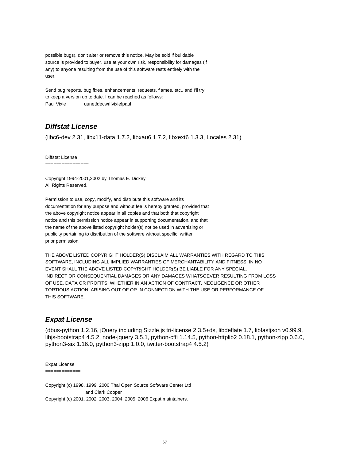possible bugs), don't alter or remove this notice. May be sold if buildable source is provided to buyer. use at your own risk, responsibility for damages (if any) to anyone resulting from the use of this software rests entirely with the user.

Send bug reports, bug fixes, enhancements, requests, flames, etc., and I'll try to keep a version up to date. I can be reached as follows: Paul Vixie uunet!decwrl!vixie!paul

# **Diffstat License**

(libc6-dev 2.31, libx11-data 1.7.2, libxau6 1.7.2, libxext6 1.3.3, Locales 2.31)

Diffstat License

================

Copyright 1994-2001,2002 by Thomas E. Dickey All Rights Reserved.

Permission to use, copy, modify, and distribute this software and its documentation for any purpose and without fee is hereby granted, provided that the above copyright notice appear in all copies and that both that copyright notice and this permission notice appear in supporting documentation, and that the name of the above listed copyright holder(s) not be used in advertising or publicity pertaining to distribution of the software without specific, written prior permission.

THE ABOVE LISTED COPYRIGHT HOLDER(S) DISCLAIM ALL WARRANTIES WITH REGARD TO THIS SOFTWARE, INCLUDING ALL IMPLIED WARRANTIES OF MERCHANTABILITY AND FITNESS, IN NO EVENT SHALL THE ABOVE LISTED COPYRIGHT HOLDER(S) BE LIABLE FOR ANY SPECIAL, INDIRECT OR CONSEQUENTIAL DAMAGES OR ANY DAMAGES WHATSOEVER RESULTING FROM LOSS OF USE, DATA OR PROFITS, WHETHER IN AN ACTION OF CONTRACT, NEGLIGENCE OR OTHER TORTIOUS ACTION, ARISING OUT OF OR IN CONNECTION WITH THE USE OR PERFORMANCE OF THIS SOFTWARE.

# **Expat License**

(dbus-python 1.2.16, jQuery including Sizzle.js tri-license 2.3.5+ds, libdeflate 1.7, libfastjson v0.99.9, libjs-bootstrap4 4.5.2, node-jquery 3.5.1, python-cffi 1.14.5, python-httplib2 0.18.1, python-zipp 0.6.0, python3-six 1.16.0, python3-zipp 1.0.0, twitter-bootstrap4 4.5.2)

Expat License

=============

Copyright (c) 1998, 1999, 2000 Thai Open Source Software Center Ltd and Clark Cooper Copyright (c) 2001, 2002, 2003, 2004, 2005, 2006 Expat maintainers.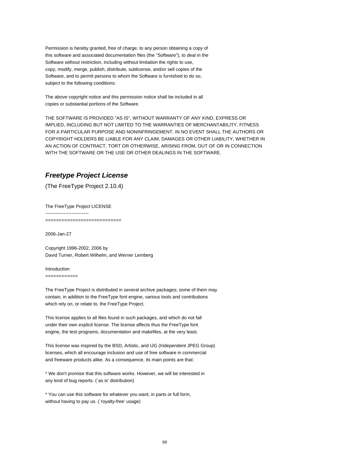Permission is hereby granted, free of charge, to any person obtaining a copy of this software and associated documentation files (the "Software"), to deal in the Software without restriction, including without limitation the rights to use, copy, modify, merge, publish, distribute, sublicense, and/or sell copies of the Software, and to permit persons to whom the Software is furnished to do so, subject to the following conditions:

The above copyright notice and this permission notice shall be included in all copies or substantial portions of the Software.

THE SOFTWARE IS PROVIDED "AS IS", WITHOUT WARRANTY OF ANY KIND, EXPRESS OR IMPLIED, INCLUDING BUT NOT LIMITED TO THE WARRANTIES OF MERCHANTABILITY, FITNESS FOR A PARTICULAR PURPOSE AND NONINFRINGEMENT. IN NO EVENT SHALL THE AUTHORS OR COPYRIGHT HOLDERS BE LIABLE FOR ANY CLAIM, DAMAGES OR OTHER LIABILITY, WHETHER IN AN ACTION OF CONTRACT, TORT OR OTHERWISE, ARISING FROM, OUT OF OR IN CONNECTION WITH THE SOFTWARE OR THE USE OR OTHER DEALINGS IN THE SOFTWARE.

## **Freetype Project License**

(The FreeType Project 2.10.4)

The FreeType Project LICENSE ---------------------------- ============================

2006-Jan-27

Copyright 1996-2002, 2006 by David Turner, Robert Wilhelm, and Werner Lemberg

Introduction

============

The FreeType Project is distributed in several archive packages; some of them may contain, in addition to the FreeType font engine, various tools and contributions which rely on, or relate to, the FreeType Project.

This license applies to all files found in such packages, and which do not fall under their own explicit license. The license affects thus the FreeType font engine, the test programs, documentation and makefiles, at the very least.

This license was inspired by the BSD, Artistic, and IJG (Independent JPEG Group) licenses, which all encourage inclusion and use of free software in commercial and freeware products alike. As a consequence, its main points are that:

\* We don't promise that this software works. However, we will be interested in any kind of bug reports. (`as is' distribution)

\* You can use this software for whatever you want, in parts or full form, without having to pay us. (`royalty-free' usage)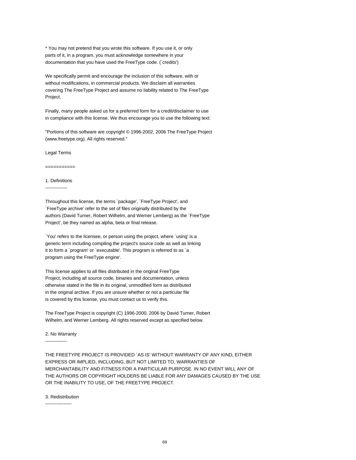\* You may not pretend that you wrote this software. If you use it, or only parts of it, in a program, you must acknowledge somewhere in your documentation that you have used the FreeType code. (`credits')

We specifically permit and encourage the inclusion of this software, with or without modifications, in commercial products. We disclaim all warranties covering The FreeType Project and assume no liability related to The FreeType Project.

Finally, many people asked us for a preferred form for a credit/disclaimer to use in compliance with this license. We thus encourage you to use the following text:

"Portions of this software are copyright © 1996-2002, 2006 The FreeType Project (www.freetype.org). All rights reserved."

Legal Terms

===========

#### 1. Definitions --------------

Throughout this license, the terms `package', `FreeType Project', and `FreeType archive' refer to the set of files originally distributed by the authors (David Turner, Robert Wilhelm, and Werner Lemberg) as the `FreeType Project', be they named as alpha, beta or final release.

`You' refers to the licensee, or person using the project, where `using' is a generic term including compiling the project's source code as well as linking it to form a `program' or `executable'. This program is referred to as `a program using the FreeType engine'.

This license applies to all files distributed in the original FreeType Project, including all source code, binaries and documentation, unless otherwise stated in the file in its original, unmodified form as distributed in the original archive. If you are unsure whether or not a particular file is covered by this license, you must contact us to verify this.

The FreeType Project is copyright (C) 1996-2000, 2006 by David Turner, Robert Wilhelm, and Werner Lemberg. All rights reserved except as specified below.

#### 2. No Warranty

--------------

THE FREETYPE PROJECT IS PROVIDED `AS IS' WITHOUT WARRANTY OF ANY KIND, EITHER EXPRESS OR IMPLIED, INCLUDING, BUT NOT LIMITED TO, WARRANTIES OF MERCHANTABILITY AND FITNESS FOR A PARTICULAR PURPOSE. IN NO EVENT WILL ANY OF THE AUTHORS OR COPYRIGHT HOLDERS BE LIABLE FOR ANY DAMAGES CAUSED BY THE USE OR THE INABILITY TO USE, OF THE FREETYPE PROJECT.

#### 3. Redistribution

-----------------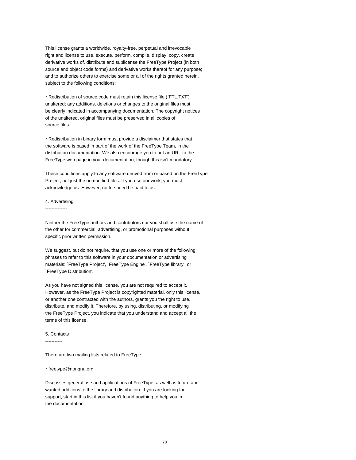This license grants a worldwide, royalty-free, perpetual and irrevocable right and license to use, execute, perform, compile, display, copy, create derivative works of, distribute and sublicense the FreeType Project (in both source and object code forms) and derivative works thereof for any purpose; and to authorize others to exercise some or all of the rights granted herein, subject to the following conditions:

\* Redistribution of source code must retain this license file (`FTL.TXT') unaltered; any additions, deletions or changes to the original files must be clearly indicated in accompanying documentation. The copyright notices of the unaltered, original files must be preserved in all copies of source files.

\* Redistribution in binary form must provide a disclaimer that states that the software is based in part of the work of the FreeType Team, in the distribution documentation. We also encourage you to put an URL to the FreeType web page in your documentation, though this isn't mandatory.

These conditions apply to any software derived from or based on the FreeType Project, not just the unmodified files. If you use our work, you must acknowledge us. However, no fee need be paid to us.

#### 4. Advertising

--------------

Neither the FreeType authors and contributors nor you shall use the name of the other for commercial, advertising, or promotional purposes without specific prior written permission.

We suggest, but do not require, that you use one or more of the following phrases to refer to this software in your documentation or advertising materials: `FreeType Project', `FreeType Engine', `FreeType library', or `FreeType Distribution'.

As you have not signed this license, you are not required to accept it. However, as the FreeType Project is copyrighted material, only this license, or another one contracted with the authors, grants you the right to use, distribute, and modify it. Therefore, by using, distributing, or modifying the FreeType Project, you indicate that you understand and accept all the terms of this license.

#### 5. Contacts

-----------

There are two mailing lists related to FreeType:

#### \* freetype@nongnu.org

Discusses general use and applications of FreeType, as well as future and wanted additions to the library and distribution. If you are looking for support, start in this list if you haven't found anything to help you in the documentation.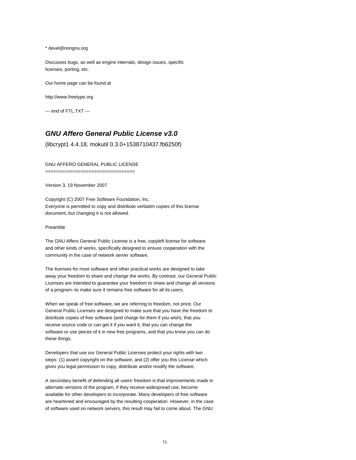\* devel@nongnu.org

Discusses bugs, as well as engine internals, design issues, specific licenses, porting, etc.

Our home page can be found at

http://www.freetype.org

--- end of FTL.TXT ---

### **GNU Affero General Public License v3.0**

(libcrypt1 4.4.18, mokutil 0.3.0+1538710437.fb6250f)

#### GNU AFFERO GENERAL PUBLIC LICENSE

=================================

Version 3, 19 November 2007

Copyright (C) 2007 Free Software Foundation, Inc. Everyone is permitted to copy and distribute verbatim copies of this license document, but changing it is not allowed.

#### Preamble

The GNU Affero General Public License is a free, copyleft license for software and other kinds of works, specifically designed to ensure cooperation with the community in the case of network server software.

The licenses for most software and other practical works are designed to take away your freedom to share and change the works. By contrast, our General Public Licenses are intended to guarantee your freedom to share and change all versions of a program--to make sure it remains free software for all its users.

When we speak of free software, we are referring to freedom, not price. Our General Public Licenses are designed to make sure that you have the freedom to distribute copies of free software (and charge for them if you wish), that you receive source code or can get it if you want it, that you can change the software or use pieces of it in new free programs, and that you know you can do these things.

Developers that use our General Public Licenses protect your rights with two steps: (1) assert copyright on the software, and (2) offer you this License which gives you legal permission to copy, distribute and/or modify the software.

A secondary benefit of defending all users' freedom is that improvements made in alternate versions of the program, if they receive widespread use, become available for other developers to incorporate. Many developers of free software are heartened and encouraged by the resulting cooperation. However, in the case of software used on network servers, this result may fail to come about. The GNU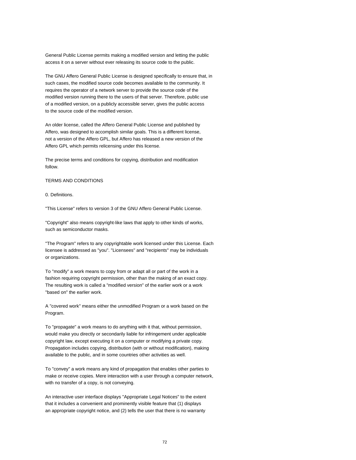General Public License permits making a modified version and letting the public access it on a server without ever releasing its source code to the public.

The GNU Affero General Public License is designed specifically to ensure that, in such cases, the modified source code becomes available to the community. It requires the operator of a network server to provide the source code of the modified version running there to the users of that server. Therefore, public use of a modified version, on a publicly accessible server, gives the public access to the source code of the modified version.

An older license, called the Affero General Public License and published by Affero, was designed to accomplish similar goals. This is a different license, not a version of the Affero GPL, but Affero has released a new version of the Affero GPL which permits relicensing under this license.

The precise terms and conditions for copying, distribution and modification follow.

#### TERMS AND CONDITIONS

0. Definitions.

"This License" refers to version 3 of the GNU Affero General Public License.

"Copyright" also means copyright-like laws that apply to other kinds of works, such as semiconductor masks.

"The Program" refers to any copyrightable work licensed under this License. Each licensee is addressed as "you". "Licensees" and "recipients" may be individuals or organizations.

To "modify" a work means to copy from or adapt all or part of the work in a fashion requiring copyright permission, other than the making of an exact copy. The resulting work is called a "modified version" of the earlier work or a work "based on" the earlier work.

A "covered work" means either the unmodified Program or a work based on the Program.

To "propagate" a work means to do anything with it that, without permission, would make you directly or secondarily liable for infringement under applicable copyright law, except executing it on a computer or modifying a private copy. Propagation includes copying, distribution (with or without modification), making available to the public, and in some countries other activities as well.

To "convey" a work means any kind of propagation that enables other parties to make or receive copies. Mere interaction with a user through a computer network, with no transfer of a copy, is not conveying.

An interactive user interface displays "Appropriate Legal Notices" to the extent that it includes a convenient and prominently visible feature that (1) displays an appropriate copyright notice, and (2) tells the user that there is no warranty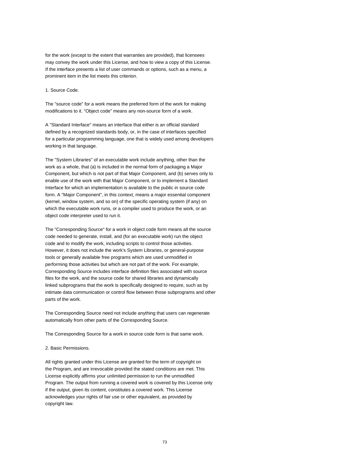for the work (except to the extent that warranties are provided), that licensees may convey the work under this License, and how to view a copy of this License. If the interface presents a list of user commands or options, such as a menu, a prominent item in the list meets this criterion.

1. Source Code.

The "source code" for a work means the preferred form of the work for making modifications to it. "Object code" means any non-source form of a work.

A "Standard Interface" means an interface that either is an official standard defined by a recognized standards body, or, in the case of interfaces specified for a particular programming language, one that is widely used among developers working in that language.

The "System Libraries" of an executable work include anything, other than the work as a whole, that (a) is included in the normal form of packaging a Major Component, but which is not part of that Major Component, and (b) serves only to enable use of the work with that Major Component, or to implement a Standard Interface for which an implementation is available to the public in source code form. A "Major Component", in this context, means a major essential component (kernel, window system, and so on) of the specific operating system (if any) on which the executable work runs, or a compiler used to produce the work, or an object code interpreter used to run it.

The "Corresponding Source" for a work in object code form means all the source code needed to generate, install, and (for an executable work) run the object code and to modify the work, including scripts to control those activities. However, it does not include the work's System Libraries, or general-purpose tools or generally available free programs which are used unmodified in performing those activities but which are not part of the work. For example, Corresponding Source includes interface definition files associated with source files for the work, and the source code for shared libraries and dynamically linked subprograms that the work is specifically designed to require, such as by intimate data communication or control flow between those subprograms and other parts of the work.

The Corresponding Source need not include anything that users can regenerate automatically from other parts of the Corresponding Source.

The Corresponding Source for a work in source code form is that same work.

2. Basic Permissions.

All rights granted under this License are granted for the term of copyright on the Program, and are irrevocable provided the stated conditions are met. This License explicitly affirms your unlimited permission to run the unmodified Program. The output from running a covered work is covered by this License only if the output, given its content, constitutes a covered work. This License acknowledges your rights of fair use or other equivalent, as provided by copyright law.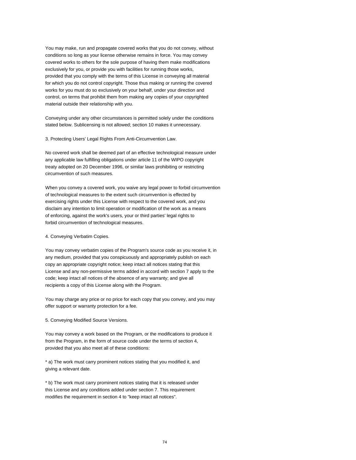You may make, run and propagate covered works that you do not convey, without conditions so long as your license otherwise remains in force. You may convey covered works to others for the sole purpose of having them make modifications exclusively for you, or provide you with facilities for running those works, provided that you comply with the terms of this License in conveying all material for which you do not control copyright. Those thus making or running the covered works for you must do so exclusively on your behalf, under your direction and control, on terms that prohibit them from making any copies of your copyrighted material outside their relationship with you.

Conveying under any other circumstances is permitted solely under the conditions stated below. Sublicensing is not allowed; section 10 makes it unnecessary.

3. Protecting Users' Legal Rights From Anti-Circumvention Law.

No covered work shall be deemed part of an effective technological measure under any applicable law fulfilling obligations under article 11 of the WIPO copyright treaty adopted on 20 December 1996, or similar laws prohibiting or restricting circumvention of such measures.

When you convey a covered work, you waive any legal power to forbid circumvention of technological measures to the extent such circumvention is effected by exercising rights under this License with respect to the covered work, and you disclaim any intention to limit operation or modification of the work as a means of enforcing, against the work's users, your or third parties' legal rights to forbid circumvention of technological measures.

4. Conveying Verbatim Copies.

You may convey verbatim copies of the Program's source code as you receive it, in any medium, provided that you conspicuously and appropriately publish on each copy an appropriate copyright notice; keep intact all notices stating that this License and any non-permissive terms added in accord with section 7 apply to the code; keep intact all notices of the absence of any warranty; and give all recipients a copy of this License along with the Program.

You may charge any price or no price for each copy that you convey, and you may offer support or warranty protection for a fee.

5. Conveying Modified Source Versions.

You may convey a work based on the Program, or the modifications to produce it from the Program, in the form of source code under the terms of section 4, provided that you also meet all of these conditions:

\* a) The work must carry prominent notices stating that you modified it, and giving a relevant date.

\* b) The work must carry prominent notices stating that it is released under this License and any conditions added under section 7. This requirement modifies the requirement in section 4 to "keep intact all notices".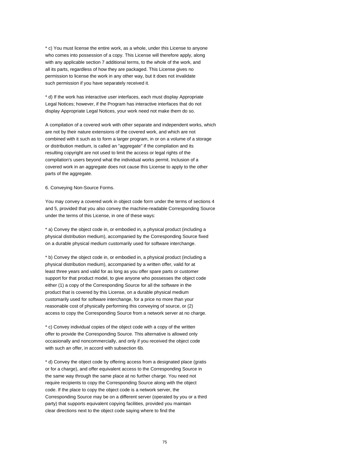\* c) You must license the entire work, as a whole, under this License to anyone who comes into possession of a copy. This License will therefore apply, along with any applicable section 7 additional terms, to the whole of the work, and all its parts, regardless of how they are packaged. This License gives no permission to license the work in any other way, but it does not invalidate such permission if you have separately received it.

\* d) If the work has interactive user interfaces, each must display Appropriate Legal Notices; however, if the Program has interactive interfaces that do not display Appropriate Legal Notices, your work need not make them do so.

A compilation of a covered work with other separate and independent works, which are not by their nature extensions of the covered work, and which are not combined with it such as to form a larger program, in or on a volume of a storage or distribution medium, is called an "aggregate" if the compilation and its resulting copyright are not used to limit the access or legal rights of the compilation's users beyond what the individual works permit. Inclusion of a covered work in an aggregate does not cause this License to apply to the other parts of the aggregate.

6. Conveying Non-Source Forms.

You may convey a covered work in object code form under the terms of sections 4 and 5, provided that you also convey the machine-readable Corresponding Source under the terms of this License, in one of these ways:

\* a) Convey the object code in, or embodied in, a physical product (including a physical distribution medium), accompanied by the Corresponding Source fixed on a durable physical medium customarily used for software interchange.

\* b) Convey the object code in, or embodied in, a physical product (including a physical distribution medium), accompanied by a written offer, valid for at least three years and valid for as long as you offer spare parts or customer support for that product model, to give anyone who possesses the object code either (1) a copy of the Corresponding Source for all the software in the product that is covered by this License, on a durable physical medium customarily used for software interchange, for a price no more than your reasonable cost of physically performing this conveying of source, or (2) access to copy the Corresponding Source from a network server at no charge.

\* c) Convey individual copies of the object code with a copy of the written offer to provide the Corresponding Source. This alternative is allowed only occasionally and noncommercially, and only if you received the object code with such an offer, in accord with subsection 6b.

\* d) Convey the object code by offering access from a designated place (gratis or for a charge), and offer equivalent access to the Corresponding Source in the same way through the same place at no further charge. You need not require recipients to copy the Corresponding Source along with the object code. If the place to copy the object code is a network server, the Corresponding Source may be on a different server (operated by you or a third party) that supports equivalent copying facilities, provided you maintain clear directions next to the object code saying where to find the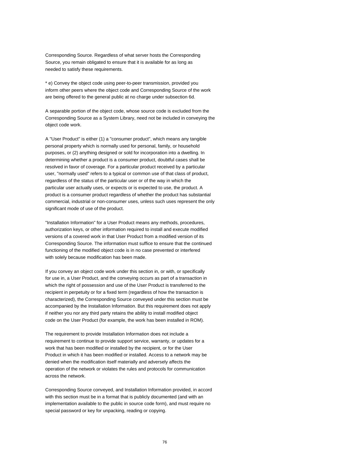Corresponding Source. Regardless of what server hosts the Corresponding Source, you remain obligated to ensure that it is available for as long as needed to satisfy these requirements.

\* e) Convey the object code using peer-to-peer transmission, provided you inform other peers where the object code and Corresponding Source of the work are being offered to the general public at no charge under subsection 6d.

A separable portion of the object code, whose source code is excluded from the Corresponding Source as a System Library, need not be included in conveying the object code work.

A "User Product" is either (1) a "consumer product", which means any tangible personal property which is normally used for personal, family, or household purposes, or (2) anything designed or sold for incorporation into a dwelling. In determining whether a product is a consumer product, doubtful cases shall be resolved in favor of coverage. For a particular product received by a particular user, "normally used" refers to a typical or common use of that class of product, regardless of the status of the particular user or of the way in which the particular user actually uses, or expects or is expected to use, the product. A product is a consumer product regardless of whether the product has substantial commercial, industrial or non-consumer uses, unless such uses represent the only significant mode of use of the product.

"Installation Information" for a User Product means any methods, procedures, authorization keys, or other information required to install and execute modified versions of a covered work in that User Product from a modified version of its Corresponding Source. The information must suffice to ensure that the continued functioning of the modified object code is in no case prevented or interfered with solely because modification has been made.

If you convey an object code work under this section in, or with, or specifically for use in, a User Product, and the conveying occurs as part of a transaction in which the right of possession and use of the User Product is transferred to the recipient in perpetuity or for a fixed term (regardless of how the transaction is characterized), the Corresponding Source conveyed under this section must be accompanied by the Installation Information. But this requirement does not apply if neither you nor any third party retains the ability to install modified object code on the User Product (for example, the work has been installed in ROM).

The requirement to provide Installation Information does not include a requirement to continue to provide support service, warranty, or updates for a work that has been modified or installed by the recipient, or for the User Product in which it has been modified or installed. Access to a network may be denied when the modification itself materially and adversely affects the operation of the network or violates the rules and protocols for communication across the network.

Corresponding Source conveyed, and Installation Information provided, in accord with this section must be in a format that is publicly documented (and with an implementation available to the public in source code form), and must require no special password or key for unpacking, reading or copying.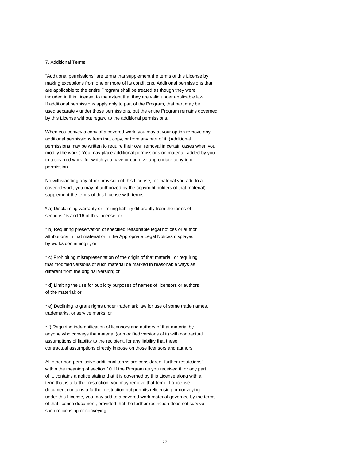#### 7. Additional Terms.

"Additional permissions" are terms that supplement the terms of this License by making exceptions from one or more of its conditions. Additional permissions that are applicable to the entire Program shall be treated as though they were included in this License, to the extent that they are valid under applicable law. If additional permissions apply only to part of the Program, that part may be used separately under those permissions, but the entire Program remains governed by this License without regard to the additional permissions.

When you convey a copy of a covered work, you may at your option remove any additional permissions from that copy, or from any part of it. (Additional permissions may be written to require their own removal in certain cases when you modify the work.) You may place additional permissions on material, added by you to a covered work, for which you have or can give appropriate copyright permission.

Notwithstanding any other provision of this License, for material you add to a covered work, you may (if authorized by the copyright holders of that material) supplement the terms of this License with terms:

\* a) Disclaiming warranty or limiting liability differently from the terms of sections 15 and 16 of this License; or

\* b) Requiring preservation of specified reasonable legal notices or author attributions in that material or in the Appropriate Legal Notices displayed by works containing it; or

\* c) Prohibiting misrepresentation of the origin of that material, or requiring that modified versions of such material be marked in reasonable ways as different from the original version; or

\* d) Limiting the use for publicity purposes of names of licensors or authors of the material; or

\* e) Declining to grant rights under trademark law for use of some trade names, trademarks, or service marks; or

\* f) Requiring indemnification of licensors and authors of that material by anyone who conveys the material (or modified versions of it) with contractual assumptions of liability to the recipient, for any liability that these contractual assumptions directly impose on those licensors and authors.

All other non-permissive additional terms are considered "further restrictions" within the meaning of section 10. If the Program as you received it, or any part of it, contains a notice stating that it is governed by this License along with a term that is a further restriction, you may remove that term. If a license document contains a further restriction but permits relicensing or conveying under this License, you may add to a covered work material governed by the terms of that license document, provided that the further restriction does not survive such relicensing or conveying.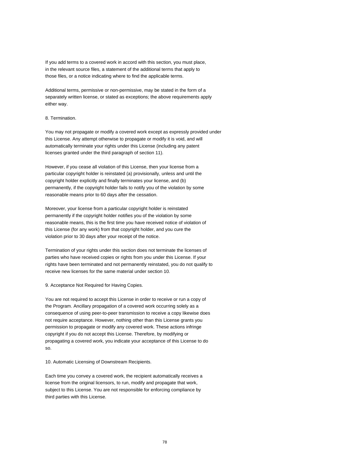If you add terms to a covered work in accord with this section, you must place, in the relevant source files, a statement of the additional terms that apply to those files, or a notice indicating where to find the applicable terms.

Additional terms, permissive or non-permissive, may be stated in the form of a separately written license, or stated as exceptions; the above requirements apply either way.

## 8. Termination.

You may not propagate or modify a covered work except as expressly provided under this License. Any attempt otherwise to propagate or modify it is void, and will automatically terminate your rights under this License (including any patent licenses granted under the third paragraph of section 11).

However, if you cease all violation of this License, then your license from a particular copyright holder is reinstated (a) provisionally, unless and until the copyright holder explicitly and finally terminates your license, and (b) permanently, if the copyright holder fails to notify you of the violation by some reasonable means prior to 60 days after the cessation.

Moreover, your license from a particular copyright holder is reinstated permanently if the copyright holder notifies you of the violation by some reasonable means, this is the first time you have received notice of violation of this License (for any work) from that copyright holder, and you cure the violation prior to 30 days after your receipt of the notice.

Termination of your rights under this section does not terminate the licenses of parties who have received copies or rights from you under this License. If your rights have been terminated and not permanently reinstated, you do not qualify to receive new licenses for the same material under section 10.

#### 9. Acceptance Not Required for Having Copies.

You are not required to accept this License in order to receive or run a copy of the Program. Ancillary propagation of a covered work occurring solely as a consequence of using peer-to-peer transmission to receive a copy likewise does not require acceptance. However, nothing other than this License grants you permission to propagate or modify any covered work. These actions infringe copyright if you do not accept this License. Therefore, by modifying or propagating a covered work, you indicate your acceptance of this License to do so.

10. Automatic Licensing of Downstream Recipients.

Each time you convey a covered work, the recipient automatically receives a license from the original licensors, to run, modify and propagate that work, subject to this License. You are not responsible for enforcing compliance by third parties with this License.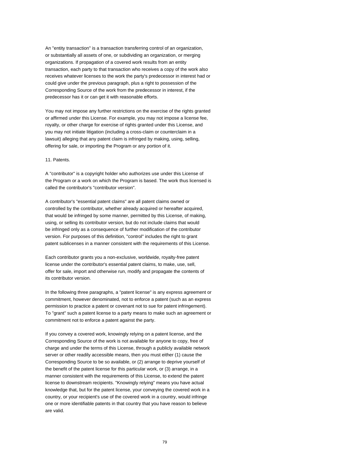An "entity transaction" is a transaction transferring control of an organization, or substantially all assets of one, or subdividing an organization, or merging organizations. If propagation of a covered work results from an entity transaction, each party to that transaction who receives a copy of the work also receives whatever licenses to the work the party's predecessor in interest had or could give under the previous paragraph, plus a right to possession of the Corresponding Source of the work from the predecessor in interest, if the predecessor has it or can get it with reasonable efforts.

You may not impose any further restrictions on the exercise of the rights granted or affirmed under this License. For example, you may not impose a license fee, royalty, or other charge for exercise of rights granted under this License, and you may not initiate litigation (including a cross-claim or counterclaim in a lawsuit) alleging that any patent claim is infringed by making, using, selling, offering for sale, or importing the Program or any portion of it.

## 11. Patents.

A "contributor" is a copyright holder who authorizes use under this License of the Program or a work on which the Program is based. The work thus licensed is called the contributor's "contributor version".

A contributor's "essential patent claims" are all patent claims owned or controlled by the contributor, whether already acquired or hereafter acquired, that would be infringed by some manner, permitted by this License, of making, using, or selling its contributor version, but do not include claims that would be infringed only as a consequence of further modification of the contributor version. For purposes of this definition, "control" includes the right to grant patent sublicenses in a manner consistent with the requirements of this License.

Each contributor grants you a non-exclusive, worldwide, royalty-free patent license under the contributor's essential patent claims, to make, use, sell, offer for sale, import and otherwise run, modify and propagate the contents of its contributor version.

In the following three paragraphs, a "patent license" is any express agreement or commitment, however denominated, not to enforce a patent (such as an express permission to practice a patent or covenant not to sue for patent infringement). To "grant" such a patent license to a party means to make such an agreement or commitment not to enforce a patent against the party.

If you convey a covered work, knowingly relying on a patent license, and the Corresponding Source of the work is not available for anyone to copy, free of charge and under the terms of this License, through a publicly available network server or other readily accessible means, then you must either (1) cause the Corresponding Source to be so available, or (2) arrange to deprive yourself of the benefit of the patent license for this particular work, or (3) arrange, in a manner consistent with the requirements of this License, to extend the patent license to downstream recipients. "Knowingly relying" means you have actual knowledge that, but for the patent license, your conveying the covered work in a country, or your recipient's use of the covered work in a country, would infringe one or more identifiable patents in that country that you have reason to believe are valid.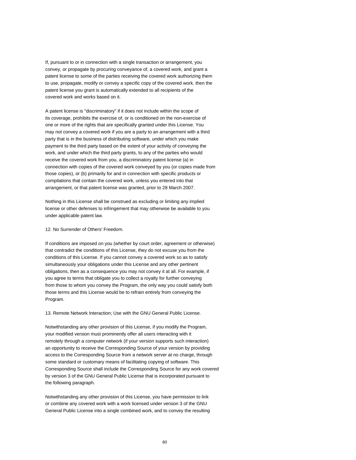If, pursuant to or in connection with a single transaction or arrangement, you convey, or propagate by procuring conveyance of, a covered work, and grant a patent license to some of the parties receiving the covered work authorizing them to use, propagate, modify or convey a specific copy of the covered work, then the patent license you grant is automatically extended to all recipients of the covered work and works based on it.

A patent license is "discriminatory" if it does not include within the scope of its coverage, prohibits the exercise of, or is conditioned on the non-exercise of one or more of the rights that are specifically granted under this License. You may not convey a covered work if you are a party to an arrangement with a third party that is in the business of distributing software, under which you make payment to the third party based on the extent of your activity of conveying the work, and under which the third party grants, to any of the parties who would receive the covered work from you, a discriminatory patent license (a) in connection with copies of the covered work conveyed by you (or copies made from those copies), or (b) primarily for and in connection with specific products or compilations that contain the covered work, unless you entered into that arrangement, or that patent license was granted, prior to 28 March 2007.

Nothing in this License shall be construed as excluding or limiting any implied license or other defenses to infringement that may otherwise be available to you under applicable patent law.

#### 12. No Surrender of Others' Freedom.

If conditions are imposed on you (whether by court order, agreement or otherwise) that contradict the conditions of this License, they do not excuse you from the conditions of this License. If you cannot convey a covered work so as to satisfy simultaneously your obligations under this License and any other pertinent obligations, then as a consequence you may not convey it at all. For example, if you agree to terms that obligate you to collect a royalty for further conveying from those to whom you convey the Program, the only way you could satisfy both those terms and this License would be to refrain entirely from conveying the Program.

13. Remote Network Interaction; Use with the GNU General Public License.

Notwithstanding any other provision of this License, if you modify the Program, your modified version must prominently offer all users interacting with it remotely through a computer network (if your version supports such interaction) an opportunity to receive the Corresponding Source of your version by providing access to the Corresponding Source from a network server at no charge, through some standard or customary means of facilitating copying of software. This Corresponding Source shall include the Corresponding Source for any work covered by version 3 of the GNU General Public License that is incorporated pursuant to the following paragraph.

Notwithstanding any other provision of this License, you have permission to link or combine any covered work with a work licensed under version 3 of the GNU General Public License into a single combined work, and to convey the resulting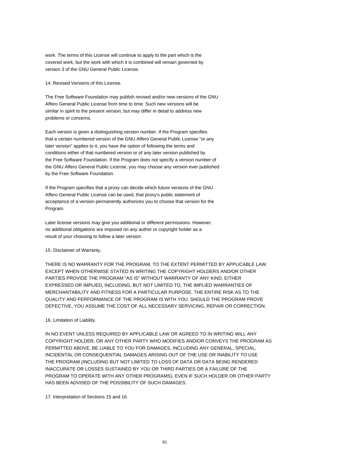work. The terms of this License will continue to apply to the part which is the covered work, but the work with which it is combined will remain governed by version 3 of the GNU General Public License.

14. Revised Versions of this License.

The Free Software Foundation may publish revised and/or new versions of the GNU Affero General Public License from time to time. Such new versions will be similar in spirit to the present version, but may differ in detail to address new problems or concerns.

Each version is given a distinguishing version number. If the Program specifies that a certain numbered version of the GNU Affero General Public License "or any later version" applies to it, you have the option of following the terms and conditions either of that numbered version or of any later version published by the Free Software Foundation. If the Program does not specify a version number of the GNU Affero General Public License, you may choose any version ever published by the Free Software Foundation.

If the Program specifies that a proxy can decide which future versions of the GNU Affero General Public License can be used, that proxy's public statement of acceptance of a version permanently authorizes you to choose that version for the Program.

Later license versions may give you additional or different permissions. However, no additional obligations are imposed on any author or copyright holder as a result of your choosing to follow a later version.

## 15. Disclaimer of Warranty.

THERE IS NO WARRANTY FOR THE PROGRAM, TO THE EXTENT PERMITTED BY APPLICABLE LAW. EXCEPT WHEN OTHERWISE STATED IN WRITING THE COPYRIGHT HOLDERS AND/OR OTHER PARTIES PROVIDE THE PROGRAM "AS IS" WITHOUT WARRANTY OF ANY KIND, EITHER EXPRESSED OR IMPLIED, INCLUDING, BUT NOT LIMITED TO, THE IMPLIED WARRANTIES OF MERCHANTABILITY AND FITNESS FOR A PARTICULAR PURPOSE. THE ENTIRE RISK AS TO THE QUALITY AND PERFORMANCE OF THE PROGRAM IS WITH YOU. SHOULD THE PROGRAM PROVE DEFECTIVE, YOU ASSUME THE COST OF ALL NECESSARY SERVICING, REPAIR OR CORRECTION.

## 16. Limitation of Liability.

IN NO EVENT UNLESS REQUIRED BY APPLICABLE LAW OR AGREED TO IN WRITING WILL ANY COPYRIGHT HOLDER, OR ANY OTHER PARTY WHO MODIFIES AND/OR CONVEYS THE PROGRAM AS PERMITTED ABOVE, BE LIABLE TO YOU FOR DAMAGES, INCLUDING ANY GENERAL, SPECIAL, INCIDENTAL OR CONSEQUENTIAL DAMAGES ARISING OUT OF THE USE OR INABILITY TO USE THE PROGRAM (INCLUDING BUT NOT LIMITED TO LOSS OF DATA OR DATA BEING RENDERED INACCURATE OR LOSSES SUSTAINED BY YOU OR THIRD PARTIES OR A FAILURE OF THE PROGRAM TO OPERATE WITH ANY OTHER PROGRAMS), EVEN IF SUCH HOLDER OR OTHER PARTY HAS BEEN ADVISED OF THE POSSIBILITY OF SUCH DAMAGES.

17. Interpretation of Sections 15 and 16.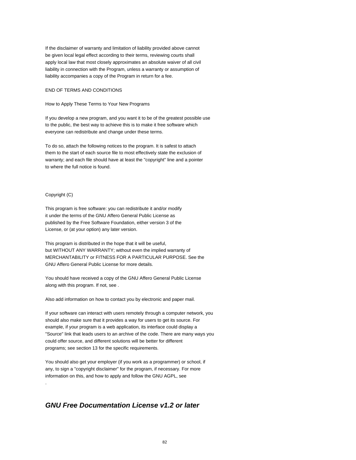If the disclaimer of warranty and limitation of liability provided above cannot be given local legal effect according to their terms, reviewing courts shall apply local law that most closely approximates an absolute waiver of all civil liability in connection with the Program, unless a warranty or assumption of liability accompanies a copy of the Program in return for a fee.

## END OF TERMS AND CONDITIONS

How to Apply These Terms to Your New Programs

If you develop a new program, and you want it to be of the greatest possible use to the public, the best way to achieve this is to make it free software which everyone can redistribute and change under these terms.

To do so, attach the following notices to the program. It is safest to attach them to the start of each source file to most effectively state the exclusion of warranty; and each file should have at least the "copyright" line and a pointer to where the full notice is found.

## Copyright (C)

.

This program is free software: you can redistribute it and/or modify it under the terms of the GNU Affero General Public License as published by the Free Software Foundation, either version 3 of the License, or (at your option) any later version.

This program is distributed in the hope that it will be useful, but WITHOUT ANY WARRANTY; without even the implied warranty of MERCHANTABILITY or FITNESS FOR A PARTICULAR PURPOSE. See the GNU Affero General Public License for more details.

You should have received a copy of the GNU Affero General Public License along with this program. If not, see .

Also add information on how to contact you by electronic and paper mail.

If your software can interact with users remotely through a computer network, you should also make sure that it provides a way for users to get its source. For example, if your program is a web application, its interface could display a "Source" link that leads users to an archive of the code. There are many ways you could offer source, and different solutions will be better for different programs; see section 13 for the specific requirements.

You should also get your employer (if you work as a programmer) or school, if any, to sign a "copyright disclaimer" for the program, if necessary. For more information on this, and how to apply and follow the GNU AGPL, see

# **GNU Free Documentation License v1.2 or later**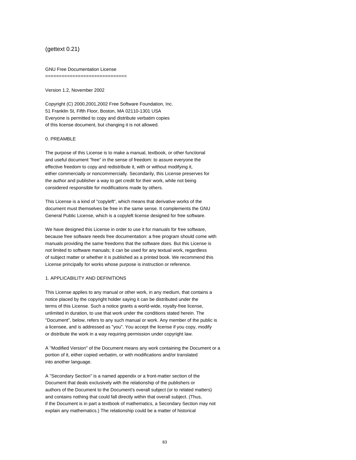## (gettext 0.21)

GNU Free Documentation License

==============================

Version 1.2, November 2002

Copyright (C) 2000,2001,2002 Free Software Foundation, Inc. 51 Franklin St, Fifth Floor, Boston, MA 02110-1301 USA Everyone is permitted to copy and distribute verbatim copies of this license document, but changing it is not allowed.

#### 0. PREAMBLE

The purpose of this License is to make a manual, textbook, or other functional and useful document "free" in the sense of freedom: to assure everyone the effective freedom to copy and redistribute it, with or without modifying it, either commercially or noncommercially. Secondarily, this License preserves for the author and publisher a way to get credit for their work, while not being considered responsible for modifications made by others.

This License is a kind of "copyleft", which means that derivative works of the document must themselves be free in the same sense. It complements the GNU General Public License, which is a copyleft license designed for free software.

We have designed this License in order to use it for manuals for free software, because free software needs free documentation: a free program should come with manuals providing the same freedoms that the software does. But this License is not limited to software manuals; it can be used for any textual work, regardless of subject matter or whether it is published as a printed book. We recommend this License principally for works whose purpose is instruction or reference.

## 1. APPLICABILITY AND DEFINITIONS

This License applies to any manual or other work, in any medium, that contains a notice placed by the copyright holder saying it can be distributed under the terms of this License. Such a notice grants a world-wide, royalty-free license, unlimited in duration, to use that work under the conditions stated herein. The "Document", below, refers to any such manual or work. Any member of the public is a licensee, and is addressed as "you". You accept the license if you copy, modify or distribute the work in a way requiring permission under copyright law.

A "Modified Version" of the Document means any work containing the Document or a portion of it, either copied verbatim, or with modifications and/or translated into another language.

A "Secondary Section" is a named appendix or a front-matter section of the Document that deals exclusively with the relationship of the publishers or authors of the Document to the Document's overall subject (or to related matters) and contains nothing that could fall directly within that overall subject. (Thus, if the Document is in part a textbook of mathematics, a Secondary Section may not explain any mathematics.) The relationship could be a matter of historical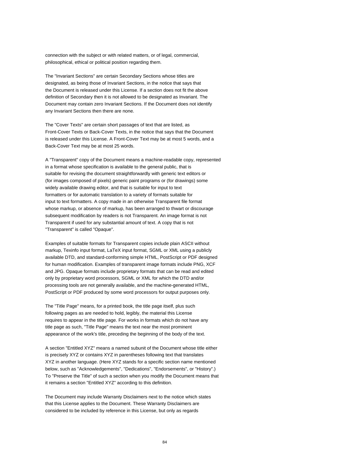connection with the subject or with related matters, or of legal, commercial, philosophical, ethical or political position regarding them.

The "Invariant Sections" are certain Secondary Sections whose titles are designated, as being those of Invariant Sections, in the notice that says that the Document is released under this License. If a section does not fit the above definition of Secondary then it is not allowed to be designated as Invariant. The Document may contain zero Invariant Sections. If the Document does not identify any Invariant Sections then there are none.

The "Cover Texts" are certain short passages of text that are listed, as Front-Cover Texts or Back-Cover Texts, in the notice that says that the Document is released under this License. A Front-Cover Text may be at most 5 words, and a Back-Cover Text may be at most 25 words.

A "Transparent" copy of the Document means a machine-readable copy, represented in a format whose specification is available to the general public, that is suitable for revising the document straightforwardly with generic text editors or (for images composed of pixels) generic paint programs or (for drawings) some widely available drawing editor, and that is suitable for input to text formatters or for automatic translation to a variety of formats suitable for input to text formatters. A copy made in an otherwise Transparent file format whose markup, or absence of markup, has been arranged to thwart or discourage subsequent modification by readers is not Transparent. An image format is not Transparent if used for any substantial amount of text. A copy that is not "Transparent" is called "Opaque".

Examples of suitable formats for Transparent copies include plain ASCII without markup, Texinfo input format, LaTeX input format, SGML or XML using a publicly available DTD, and standard-conforming simple HTML, PostScript or PDF designed for human modification. Examples of transparent image formats include PNG, XCF and JPG. Opaque formats include proprietary formats that can be read and edited only by proprietary word processors, SGML or XML for which the DTD and/or processing tools are not generally available, and the machine-generated HTML, PostScript or PDF produced by some word processors for output purposes only.

The "Title Page" means, for a printed book, the title page itself, plus such following pages as are needed to hold, legibly, the material this License requires to appear in the title page. For works in formats which do not have any title page as such, "Title Page" means the text near the most prominent appearance of the work's title, preceding the beginning of the body of the text.

A section "Entitled XYZ" means a named subunit of the Document whose title either is precisely XYZ or contains XYZ in parentheses following text that translates XYZ in another language. (Here XYZ stands for a specific section name mentioned below, such as "Acknowledgements", "Dedications", "Endorsements", or "History".) To "Preserve the Title" of such a section when you modify the Document means that it remains a section "Entitled XYZ" according to this definition.

The Document may include Warranty Disclaimers next to the notice which states that this License applies to the Document. These Warranty Disclaimers are considered to be included by reference in this License, but only as regards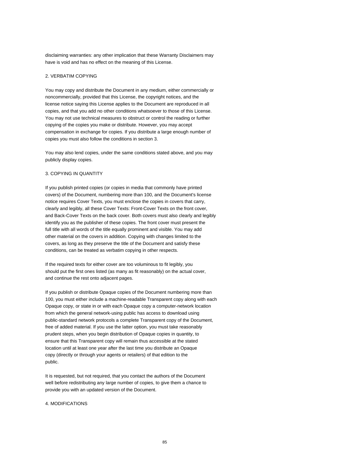disclaiming warranties: any other implication that these Warranty Disclaimers may have is void and has no effect on the meaning of this License.

## 2. VERBATIM COPYING

You may copy and distribute the Document in any medium, either commercially or noncommercially, provided that this License, the copyright notices, and the license notice saying this License applies to the Document are reproduced in all copies, and that you add no other conditions whatsoever to those of this License. You may not use technical measures to obstruct or control the reading or further copying of the copies you make or distribute. However, you may accept compensation in exchange for copies. If you distribute a large enough number of copies you must also follow the conditions in section 3.

You may also lend copies, under the same conditions stated above, and you may publicly display copies.

#### 3. COPYING IN QUANTITY

If you publish printed copies (or copies in media that commonly have printed covers) of the Document, numbering more than 100, and the Document's license notice requires Cover Texts, you must enclose the copies in covers that carry, clearly and legibly, all these Cover Texts: Front-Cover Texts on the front cover, and Back-Cover Texts on the back cover. Both covers must also clearly and legibly identify you as the publisher of these copies. The front cover must present the full title with all words of the title equally prominent and visible. You may add other material on the covers in addition. Copying with changes limited to the covers, as long as they preserve the title of the Document and satisfy these conditions, can be treated as verbatim copying in other respects.

If the required texts for either cover are too voluminous to fit legibly, you should put the first ones listed (as many as fit reasonably) on the actual cover, and continue the rest onto adjacent pages.

If you publish or distribute Opaque copies of the Document numbering more than 100, you must either include a machine-readable Transparent copy along with each Opaque copy, or state in or with each Opaque copy a computer-network location from which the general network-using public has access to download using public-standard network protocols a complete Transparent copy of the Document, free of added material. If you use the latter option, you must take reasonably prudent steps, when you begin distribution of Opaque copies in quantity, to ensure that this Transparent copy will remain thus accessible at the stated location until at least one year after the last time you distribute an Opaque copy (directly or through your agents or retailers) of that edition to the public.

It is requested, but not required, that you contact the authors of the Document well before redistributing any large number of copies, to give them a chance to provide you with an updated version of the Document.

#### 4. MODIFICATIONS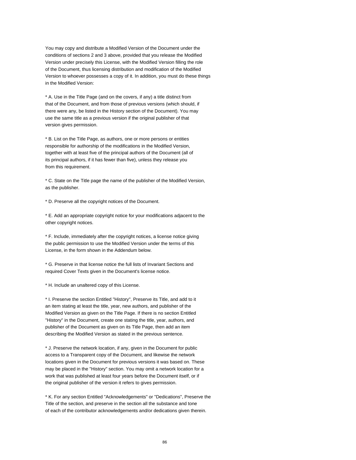You may copy and distribute a Modified Version of the Document under the conditions of sections 2 and 3 above, provided that you release the Modified Version under precisely this License, with the Modified Version filling the role of the Document, thus licensing distribution and modification of the Modified Version to whoever possesses a copy of it. In addition, you must do these things in the Modified Version:

\* A. Use in the Title Page (and on the covers, if any) a title distinct from that of the Document, and from those of previous versions (which should, if there were any, be listed in the History section of the Document). You may use the same title as a previous version if the original publisher of that version gives permission.

\* B. List on the Title Page, as authors, one or more persons or entities responsible for authorship of the modifications in the Modified Version, together with at least five of the principal authors of the Document (all of its principal authors, if it has fewer than five), unless they release you from this requirement.

\* C. State on the Title page the name of the publisher of the Modified Version, as the publisher.

\* D. Preserve all the copyright notices of the Document.

\* E. Add an appropriate copyright notice for your modifications adjacent to the other copyright notices.

\* F. Include, immediately after the copyright notices, a license notice giving the public permission to use the Modified Version under the terms of this License, in the form shown in the Addendum below.

\* G. Preserve in that license notice the full lists of Invariant Sections and required Cover Texts given in the Document's license notice.

\* H. Include an unaltered copy of this License.

\* I. Preserve the section Entitled "History", Preserve its Title, and add to it an item stating at least the title, year, new authors, and publisher of the Modified Version as given on the Title Page. If there is no section Entitled "History" in the Document, create one stating the title, year, authors, and publisher of the Document as given on its Title Page, then add an item describing the Modified Version as stated in the previous sentence.

\* J. Preserve the network location, if any, given in the Document for public access to a Transparent copy of the Document, and likewise the network locations given in the Document for previous versions it was based on. These may be placed in the "History" section. You may omit a network location for a work that was published at least four years before the Document itself, or if the original publisher of the version it refers to gives permission.

\* K. For any section Entitled "Acknowledgements" or "Dedications", Preserve the Title of the section, and preserve in the section all the substance and tone of each of the contributor acknowledgements and/or dedications given therein.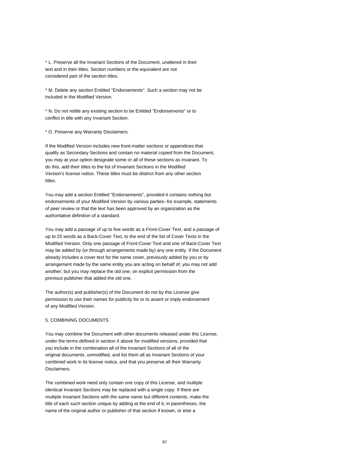\* L. Preserve all the Invariant Sections of the Document, unaltered in their text and in their titles. Section numbers or the equivalent are not considered part of the section titles.

\* M. Delete any section Entitled "Endorsements". Such a section may not be included in the Modified Version.

\* N. Do not retitle any existing section to be Entitled "Endorsements" or to conflict in title with any Invariant Section.

\* O. Preserve any Warranty Disclaimers.

If the Modified Version includes new front-matter sections or appendices that qualify as Secondary Sections and contain no material copied from the Document, you may at your option designate some or all of these sections as invariant. To do this, add their titles to the list of Invariant Sections in the Modified Version's license notice. These titles must be distinct from any other section titles.

You may add a section Entitled "Endorsements", provided it contains nothing but endorsements of your Modified Version by various parties--for example, statements of peer review or that the text has been approved by an organization as the authoritative definition of a standard.

You may add a passage of up to five words as a Front-Cover Text, and a passage of up to 25 words as a Back-Cover Text, to the end of the list of Cover Texts in the Modified Version. Only one passage of Front-Cover Text and one of Back-Cover Text may be added by (or through arrangements made by) any one entity. If the Document already includes a cover text for the same cover, previously added by you or by arrangement made by the same entity you are acting on behalf of, you may not add another; but you may replace the old one, on explicit permission from the previous publisher that added the old one.

The author(s) and publisher(s) of the Document do not by this License give permission to use their names for publicity for or to assert or imply endorsement of any Modified Version.

## 5. COMBINING DOCUMENTS

You may combine the Document with other documents released under this License, under the terms defined in section 4 above for modified versions, provided that you include in the combination all of the Invariant Sections of all of the original documents, unmodified, and list them all as Invariant Sections of your combined work in its license notice, and that you preserve all their Warranty Disclaimers.

The combined work need only contain one copy of this License, and multiple identical Invariant Sections may be replaced with a single copy. If there are multiple Invariant Sections with the same name but different contents, make the title of each such section unique by adding at the end of it, in parentheses, the name of the original author or publisher of that section if known, or else a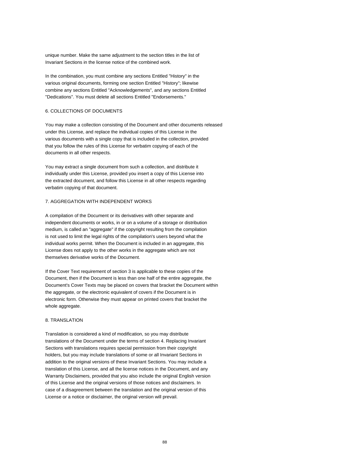unique number. Make the same adjustment to the section titles in the list of Invariant Sections in the license notice of the combined work.

In the combination, you must combine any sections Entitled "History" in the various original documents, forming one section Entitled "History"; likewise combine any sections Entitled "Acknowledgements", and any sections Entitled "Dedications". You must delete all sections Entitled "Endorsements."

## 6. COLLECTIONS OF DOCUMENTS

You may make a collection consisting of the Document and other documents released under this License, and replace the individual copies of this License in the various documents with a single copy that is included in the collection, provided that you follow the rules of this License for verbatim copying of each of the documents in all other respects.

You may extract a single document from such a collection, and distribute it individually under this License, provided you insert a copy of this License into the extracted document, and follow this License in all other respects regarding verbatim copying of that document.

## 7. AGGREGATION WITH INDEPENDENT WORKS

A compilation of the Document or its derivatives with other separate and independent documents or works, in or on a volume of a storage or distribution medium, is called an "aggregate" if the copyright resulting from the compilation is not used to limit the legal rights of the compilation's users beyond what the individual works permit. When the Document is included in an aggregate, this License does not apply to the other works in the aggregate which are not themselves derivative works of the Document.

If the Cover Text requirement of section 3 is applicable to these copies of the Document, then if the Document is less than one half of the entire aggregate, the Document's Cover Texts may be placed on covers that bracket the Document within the aggregate, or the electronic equivalent of covers if the Document is in electronic form. Otherwise they must appear on printed covers that bracket the whole aggregate.

#### 8. TRANSLATION

Translation is considered a kind of modification, so you may distribute translations of the Document under the terms of section 4. Replacing Invariant Sections with translations requires special permission from their copyright holders, but you may include translations of some or all Invariant Sections in addition to the original versions of these Invariant Sections. You may include a translation of this License, and all the license notices in the Document, and any Warranty Disclaimers, provided that you also include the original English version of this License and the original versions of those notices and disclaimers. In case of a disagreement between the translation and the original version of this License or a notice or disclaimer, the original version will prevail.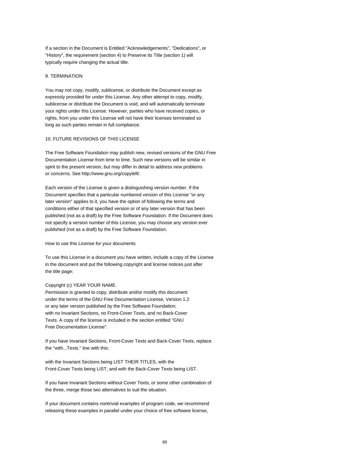If a section in the Document is Entitled "Acknowledgements", "Dedications", or "History", the requirement (section 4) to Preserve its Title (section 1) will typically require changing the actual title.

## 9. TERMINATION

You may not copy, modify, sublicense, or distribute the Document except as expressly provided for under this License. Any other attempt to copy, modify, sublicense or distribute the Document is void, and will automatically terminate your rights under this License. However, parties who have received copies, or rights, from you under this License will not have their licenses terminated so long as such parties remain in full compliance.

#### 10. FUTURE REVISIONS OF THIS LICENSE

The Free Software Foundation may publish new, revised versions of the GNU Free Documentation License from time to time. Such new versions will be similar in spirit to the present version, but may differ in detail to address new problems or concerns. See http://www.gnu.org/copyleft/.

Each version of the License is given a distinguishing version number. If the Document specifies that a particular numbered version of this License "or any later version" applies to it, you have the option of following the terms and conditions either of that specified version or of any later version that has been published (not as a draft) by the Free Software Foundation. If the Document does not specify a version number of this License, you may choose any version ever published (not as a draft) by the Free Software Foundation.

How to use this License for your documents

To use this License in a document you have written, include a copy of the License in the document and put the following copyright and license notices just after the title page:

## Copyright (c) YEAR YOUR NAME.

Permission is granted to copy, distribute and/or modify this document under the terms of the GNU Free Documentation License, Version 1.2 or any later version published by the Free Software Foundation; with no Invariant Sections, no Front-Cover Texts, and no Back-Cover Texts. A copy of the license is included in the section entitled "GNU Free Documentation License".

If you have Invariant Sections, Front-Cover Texts and Back-Cover Texts, replace the "with...Texts." line with this:

with the Invariant Sections being LIST THEIR TITLES, with the Front-Cover Texts being LIST, and with the Back-Cover Texts being LIST.

If you have Invariant Sections without Cover Texts, or some other combination of the three, merge those two alternatives to suit the situation.

If your document contains nontrivial examples of program code, we recommend releasing these examples in parallel under your choice of free software license,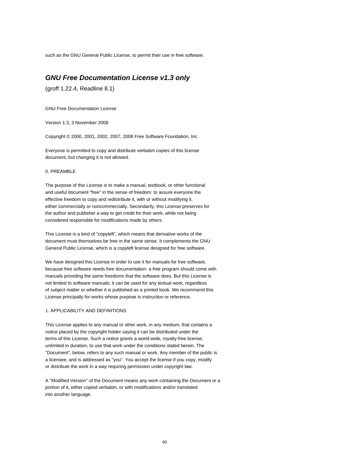such as the GNU General Public License, to permit their use in free software.

# **GNU Free Documentation License v1.3 only**

(groff 1.22.4, Readline 8.1)

GNU Free Documentation License

Version 1.3, 3 November 2008

Copyright © 2000, 2001, 2002, 2007, 2008 Free Software Foundation, Inc.

Everyone is permitted to copy and distribute verbatim copies of this license document, but changing it is not allowed.

#### 0. PREAMBLE

The purpose of this License is to make a manual, textbook, or other functional and useful document "free" in the sense of freedom: to assure everyone the effective freedom to copy and redistribute it, with or without modifying it, either commercially or noncommercially. Secondarily, this License preserves for the author and publisher a way to get credit for their work, while not being considered responsible for modifications made by others.

This License is a kind of "copyleft", which means that derivative works of the document must themselves be free in the same sense. It complements the GNU General Public License, which is a copyleft license designed for free software.

We have designed this License in order to use it for manuals for free software, because free software needs free documentation: a free program should come with manuals providing the same freedoms that the software does. But this License is not limited to software manuals; it can be used for any textual work, regardless of subject matter or whether it is published as a printed book. We recommend this License principally for works whose purpose is instruction or reference.

### 1. APPLICABILITY AND DEFINITIONS

This License applies to any manual or other work, in any medium, that contains a notice placed by the copyright holder saying it can be distributed under the terms of this License. Such a notice grants a world-wide, royalty-free license, unlimited in duration, to use that work under the conditions stated herein. The "Document", below, refers to any such manual or work. Any member of the public is a licensee, and is addressed as "you". You accept the license if you copy, modify or distribute the work in a way requiring permission under copyright law.

A "Modified Version" of the Document means any work containing the Document or a portion of it, either copied verbatim, or with modifications and/or translated into another language.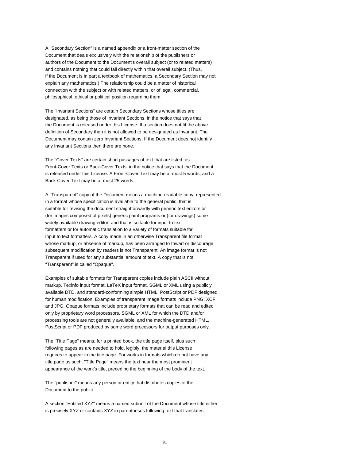A "Secondary Section" is a named appendix or a front-matter section of the Document that deals exclusively with the relationship of the publishers or authors of the Document to the Document's overall subject (or to related matters) and contains nothing that could fall directly within that overall subject. (Thus, if the Document is in part a textbook of mathematics, a Secondary Section may not explain any mathematics.) The relationship could be a matter of historical connection with the subject or with related matters, or of legal, commercial, philosophical, ethical or political position regarding them.

The "Invariant Sections" are certain Secondary Sections whose titles are designated, as being those of Invariant Sections, in the notice that says that the Document is released under this License. If a section does not fit the above definition of Secondary then it is not allowed to be designated as Invariant. The Document may contain zero Invariant Sections. If the Document does not identify any Invariant Sections then there are none.

The "Cover Texts" are certain short passages of text that are listed, as Front-Cover Texts or Back-Cover Texts, in the notice that says that the Document is released under this License. A Front-Cover Text may be at most 5 words, and a Back-Cover Text may be at most 25 words.

A "Transparent" copy of the Document means a machine-readable copy, represented in a format whose specification is available to the general public, that is suitable for revising the document straightforwardly with generic text editors or (for images composed of pixels) generic paint programs or (for drawings) some widely available drawing editor, and that is suitable for input to text formatters or for automatic translation to a variety of formats suitable for input to text formatters. A copy made in an otherwise Transparent file format whose markup, or absence of markup, has been arranged to thwart or discourage subsequent modification by readers is not Transparent. An image format is not Transparent if used for any substantial amount of text. A copy that is not "Transparent" is called "Opaque".

Examples of suitable formats for Transparent copies include plain ASCII without markup, Texinfo input format, LaTeX input format, SGML or XML using a publicly available DTD, and standard-conforming simple HTML, PostScript or PDF designed for human modification. Examples of transparent image formats include PNG, XCF and JPG. Opaque formats include proprietary formats that can be read and edited only by proprietary word processors, SGML or XML for which the DTD and/or processing tools are not generally available, and the machine-generated HTML, PostScript or PDF produced by some word processors for output purposes only.

The "Title Page" means, for a printed book, the title page itself, plus such following pages as are needed to hold, legibly, the material this License requires to appear in the title page. For works in formats which do not have any title page as such, "Title Page" means the text near the most prominent appearance of the work's title, preceding the beginning of the body of the text.

The "publisher" means any person or entity that distributes copies of the Document to the public.

A section "Entitled XYZ" means a named subunit of the Document whose title either is precisely XYZ or contains XYZ in parentheses following text that translates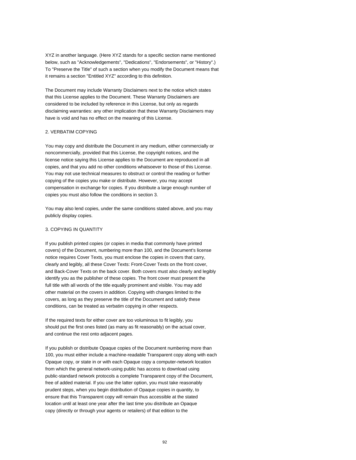XYZ in another language. (Here XYZ stands for a specific section name mentioned below, such as "Acknowledgements", "Dedications", "Endorsements", or "History".) To "Preserve the Title" of such a section when you modify the Document means that it remains a section "Entitled XYZ" according to this definition.

The Document may include Warranty Disclaimers next to the notice which states that this License applies to the Document. These Warranty Disclaimers are considered to be included by reference in this License, but only as regards disclaiming warranties: any other implication that these Warranty Disclaimers may have is void and has no effect on the meaning of this License.

## 2. VERBATIM COPYING

You may copy and distribute the Document in any medium, either commercially or noncommercially, provided that this License, the copyright notices, and the license notice saying this License applies to the Document are reproduced in all copies, and that you add no other conditions whatsoever to those of this License. You may not use technical measures to obstruct or control the reading or further copying of the copies you make or distribute. However, you may accept compensation in exchange for copies. If you distribute a large enough number of copies you must also follow the conditions in section 3.

You may also lend copies, under the same conditions stated above, and you may publicly display copies.

#### 3. COPYING IN QUANTITY

If you publish printed copies (or copies in media that commonly have printed covers) of the Document, numbering more than 100, and the Document's license notice requires Cover Texts, you must enclose the copies in covers that carry, clearly and legibly, all these Cover Texts: Front-Cover Texts on the front cover, and Back-Cover Texts on the back cover. Both covers must also clearly and legibly identify you as the publisher of these copies. The front cover must present the full title with all words of the title equally prominent and visible. You may add other material on the covers in addition. Copying with changes limited to the covers, as long as they preserve the title of the Document and satisfy these conditions, can be treated as verbatim copying in other respects.

If the required texts for either cover are too voluminous to fit legibly, you should put the first ones listed (as many as fit reasonably) on the actual cover, and continue the rest onto adjacent pages.

If you publish or distribute Opaque copies of the Document numbering more than 100, you must either include a machine-readable Transparent copy along with each Opaque copy, or state in or with each Opaque copy a computer-network location from which the general network-using public has access to download using public-standard network protocols a complete Transparent copy of the Document, free of added material. If you use the latter option, you must take reasonably prudent steps, when you begin distribution of Opaque copies in quantity, to ensure that this Transparent copy will remain thus accessible at the stated location until at least one year after the last time you distribute an Opaque copy (directly or through your agents or retailers) of that edition to the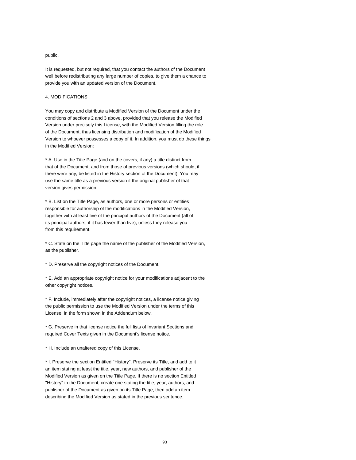#### public.

It is requested, but not required, that you contact the authors of the Document well before redistributing any large number of copies, to give them a chance to provide you with an updated version of the Document.

### 4. MODIFICATIONS

You may copy and distribute a Modified Version of the Document under the conditions of sections 2 and 3 above, provided that you release the Modified Version under precisely this License, with the Modified Version filling the role of the Document, thus licensing distribution and modification of the Modified Version to whoever possesses a copy of it. In addition, you must do these things in the Modified Version:

\* A. Use in the Title Page (and on the covers, if any) a title distinct from that of the Document, and from those of previous versions (which should, if there were any, be listed in the History section of the Document). You may use the same title as a previous version if the original publisher of that version gives permission.

\* B. List on the Title Page, as authors, one or more persons or entities responsible for authorship of the modifications in the Modified Version, together with at least five of the principal authors of the Document (all of its principal authors, if it has fewer than five), unless they release you from this requirement.

\* C. State on the Title page the name of the publisher of the Modified Version, as the publisher.

\* D. Preserve all the copyright notices of the Document.

\* E. Add an appropriate copyright notice for your modifications adjacent to the other copyright notices.

\* F. Include, immediately after the copyright notices, a license notice giving the public permission to use the Modified Version under the terms of this License, in the form shown in the Addendum below.

\* G. Preserve in that license notice the full lists of Invariant Sections and required Cover Texts given in the Document's license notice.

\* H. Include an unaltered copy of this License.

\* I. Preserve the section Entitled "History", Preserve its Title, and add to it an item stating at least the title, year, new authors, and publisher of the Modified Version as given on the Title Page. If there is no section Entitled "History" in the Document, create one stating the title, year, authors, and publisher of the Document as given on its Title Page, then add an item describing the Modified Version as stated in the previous sentence.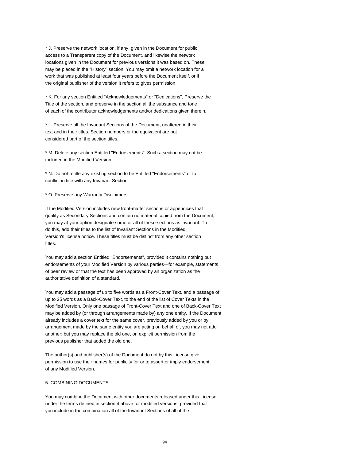\* J. Preserve the network location, if any, given in the Document for public access to a Transparent copy of the Document, and likewise the network locations given in the Document for previous versions it was based on. These may be placed in the "History" section. You may omit a network location for a work that was published at least four years before the Document itself, or if the original publisher of the version it refers to gives permission.

\* K. For any section Entitled "Acknowledgements" or "Dedications", Preserve the Title of the section, and preserve in the section all the substance and tone of each of the contributor acknowledgements and/or dedications given therein.

\* L. Preserve all the Invariant Sections of the Document, unaltered in their text and in their titles. Section numbers or the equivalent are not considered part of the section titles.

\* M. Delete any section Entitled "Endorsements". Such a section may not be included in the Modified Version.

\* N. Do not retitle any existing section to be Entitled "Endorsements" or to conflict in title with any Invariant Section.

\* O. Preserve any Warranty Disclaimers.

If the Modified Version includes new front-matter sections or appendices that qualify as Secondary Sections and contain no material copied from the Document, you may at your option designate some or all of these sections as invariant. To do this, add their titles to the list of Invariant Sections in the Modified Version's license notice. These titles must be distinct from any other section titles.

You may add a section Entitled "Endorsements", provided it contains nothing but endorsements of your Modified Version by various parties—for example, statements of peer review or that the text has been approved by an organization as the authoritative definition of a standard.

You may add a passage of up to five words as a Front-Cover Text, and a passage of up to 25 words as a Back-Cover Text, to the end of the list of Cover Texts in the Modified Version. Only one passage of Front-Cover Text and one of Back-Cover Text may be added by (or through arrangements made by) any one entity. If the Document already includes a cover text for the same cover, previously added by you or by arrangement made by the same entity you are acting on behalf of, you may not add another; but you may replace the old one, on explicit permission from the previous publisher that added the old one.

The author(s) and publisher(s) of the Document do not by this License give permission to use their names for publicity for or to assert or imply endorsement of any Modified Version.

## 5. COMBINING DOCUMENTS

You may combine the Document with other documents released under this License, under the terms defined in section 4 above for modified versions, provided that you include in the combination all of the Invariant Sections of all of the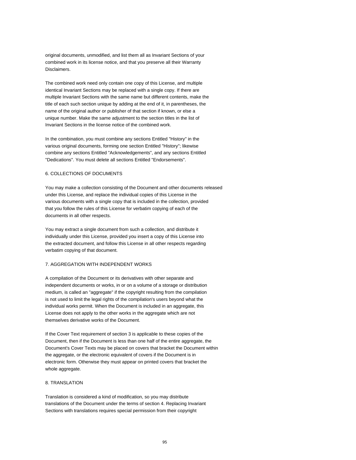original documents, unmodified, and list them all as Invariant Sections of your combined work in its license notice, and that you preserve all their Warranty Disclaimers.

The combined work need only contain one copy of this License, and multiple identical Invariant Sections may be replaced with a single copy. If there are multiple Invariant Sections with the same name but different contents, make the title of each such section unique by adding at the end of it, in parentheses, the name of the original author or publisher of that section if known, or else a unique number. Make the same adjustment to the section titles in the list of Invariant Sections in the license notice of the combined work.

In the combination, you must combine any sections Entitled "History" in the various original documents, forming one section Entitled "History"; likewise combine any sections Entitled "Acknowledgements", and any sections Entitled "Dedications". You must delete all sections Entitled "Endorsements".

## 6. COLLECTIONS OF DOCUMENTS

You may make a collection consisting of the Document and other documents released under this License, and replace the individual copies of this License in the various documents with a single copy that is included in the collection, provided that you follow the rules of this License for verbatim copying of each of the documents in all other respects.

You may extract a single document from such a collection, and distribute it individually under this License, provided you insert a copy of this License into the extracted document, and follow this License in all other respects regarding verbatim copying of that document.

## 7. AGGREGATION WITH INDEPENDENT WORKS

A compilation of the Document or its derivatives with other separate and independent documents or works, in or on a volume of a storage or distribution medium, is called an "aggregate" if the copyright resulting from the compilation is not used to limit the legal rights of the compilation's users beyond what the individual works permit. When the Document is included in an aggregate, this License does not apply to the other works in the aggregate which are not themselves derivative works of the Document.

If the Cover Text requirement of section 3 is applicable to these copies of the Document, then if the Document is less than one half of the entire aggregate, the Document's Cover Texts may be placed on covers that bracket the Document within the aggregate, or the electronic equivalent of covers if the Document is in electronic form. Otherwise they must appear on printed covers that bracket the whole aggregate.

### 8. TRANSLATION

Translation is considered a kind of modification, so you may distribute translations of the Document under the terms of section 4. Replacing Invariant Sections with translations requires special permission from their copyright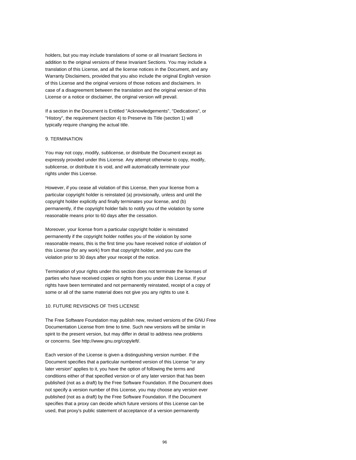holders, but you may include translations of some or all Invariant Sections in addition to the original versions of these Invariant Sections. You may include a translation of this License, and all the license notices in the Document, and any Warranty Disclaimers, provided that you also include the original English version of this License and the original versions of those notices and disclaimers. In case of a disagreement between the translation and the original version of this License or a notice or disclaimer, the original version will prevail.

If a section in the Document is Entitled "Acknowledgements", "Dedications", or "History", the requirement (section 4) to Preserve its Title (section 1) will typically require changing the actual title.

#### 9. TERMINATION

You may not copy, modify, sublicense, or distribute the Document except as expressly provided under this License. Any attempt otherwise to copy, modify, sublicense, or distribute it is void, and will automatically terminate your rights under this License.

However, if you cease all violation of this License, then your license from a particular copyright holder is reinstated (a) provisionally, unless and until the copyright holder explicitly and finally terminates your license, and (b) permanently, if the copyright holder fails to notify you of the violation by some reasonable means prior to 60 days after the cessation.

Moreover, your license from a particular copyright holder is reinstated permanently if the copyright holder notifies you of the violation by some reasonable means, this is the first time you have received notice of violation of this License (for any work) from that copyright holder, and you cure the violation prior to 30 days after your receipt of the notice.

Termination of your rights under this section does not terminate the licenses of parties who have received copies or rights from you under this License. If your rights have been terminated and not permanently reinstated, receipt of a copy of some or all of the same material does not give you any rights to use it.

#### 10. FUTURE REVISIONS OF THIS LICENSE

The Free Software Foundation may publish new, revised versions of the GNU Free Documentation License from time to time. Such new versions will be similar in spirit to the present version, but may differ in detail to address new problems or concerns. See http://www.gnu.org/copyleft/.

Each version of the License is given a distinguishing version number. If the Document specifies that a particular numbered version of this License "or any later version" applies to it, you have the option of following the terms and conditions either of that specified version or of any later version that has been published (not as a draft) by the Free Software Foundation. If the Document does not specify a version number of this License, you may choose any version ever published (not as a draft) by the Free Software Foundation. If the Document specifies that a proxy can decide which future versions of this License can be used, that proxy's public statement of acceptance of a version permanently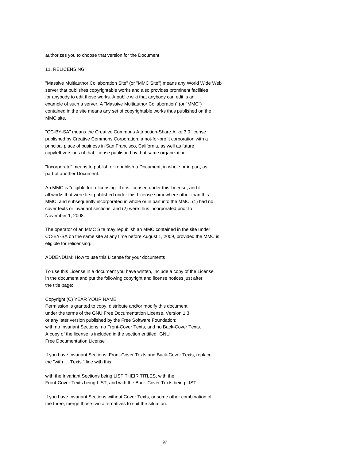authorizes you to choose that version for the Document.

## 11. RELICENSING

"Massive Multiauthor Collaboration Site" (or "MMC Site") means any World Wide Web server that publishes copyrightable works and also provides prominent facilities for anybody to edit those works. A public wiki that anybody can edit is an example of such a server. A "Massive Multiauthor Collaboration" (or "MMC") contained in the site means any set of copyrightable works thus published on the MMC site.

"CC-BY-SA" means the Creative Commons Attribution-Share Alike 3.0 license published by Creative Commons Corporation, a not-for-profit corporation with a principal place of business in San Francisco, California, as well as future copyleft versions of that license published by that same organization.

"Incorporate" means to publish or republish a Document, in whole or in part, as part of another Document.

An MMC is "eligible for relicensing" if it is licensed under this License, and if all works that were first published under this License somewhere other than this MMC, and subsequently incorporated in whole or in part into the MMC, (1) had no cover texts or invariant sections, and (2) were thus incorporated prior to November 1, 2008.

The operator of an MMC Site may republish an MMC contained in the site under CC-BY-SA on the same site at any time before August 1, 2009, provided the MMC is eligible for relicensing.

ADDENDUM: How to use this License for your documents

To use this License in a document you have written, include a copy of the License in the document and put the following copyright and license notices just after the title page:

#### Copyright (C) YEAR YOUR NAME.

Permission is granted to copy, distribute and/or modify this document under the terms of the GNU Free Documentation License, Version 1.3 or any later version published by the Free Software Foundation; with no Invariant Sections, no Front-Cover Texts, and no Back-Cover Texts. A copy of the license is included in the section entitled "GNU Free Documentation License".

If you have Invariant Sections, Front-Cover Texts and Back-Cover Texts, replace the "with … Texts." line with this:

with the Invariant Sections being LIST THEIR TITLES, with the Front-Cover Texts being LIST, and with the Back-Cover Texts being LIST.

If you have Invariant Sections without Cover Texts, or some other combination of the three, merge those two alternatives to suit the situation.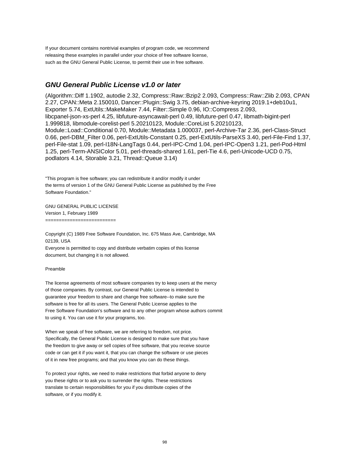If your document contains nontrivial examples of program code, we recommend releasing these examples in parallel under your choice of free software license, such as the GNU General Public License, to permit their use in free software.

# **GNU General Public License v1.0 or later**

(Algorithm::Diff 1.1902, autodie 2.32, Compress::Raw::Bzip2 2.093, Compress::Raw::Zlib 2.093, CPAN 2.27, CPAN::Meta 2.150010, Dancer::Plugin::Swig 3.75, debian-archive-keyring 2019.1+deb10u1, Exporter 5.74, ExtUtils::MakeMaker 7.44, Filter::Simple 0.96, IO::Compress 2.093, libcpanel-json-xs-perl 4.25, libfuture-asyncawait-perl 0.49, libfuture-perl 0.47, libmath-bigint-perl 1.999818, libmodule-corelist-perl 5.20210123, Module::CoreList 5.20210123, Module::Load::Conditional 0.70, Module::Metadata 1.000037, perl-Archive-Tar 2.36, perl-Class-Struct 0.66, perl-DBM\_Filter 0.06, perl-ExtUtils-Constant 0.25, perl-ExtUtils-ParseXS 3.40, perl-File-Find 1.37, perl-File-stat 1.09, perl-I18N-LangTags 0.44, perl-IPC-Cmd 1.04, perl-IPC-Open3 1.21, perl-Pod-Html 1.25, perl-Term-ANSIColor 5.01, perl-threads-shared 1.61, perl-Tie 4.6, perl-Unicode-UCD 0.75, podlators 4.14, Storable 3.21, Thread::Queue 3.14)

"This program is free software; you can redistribute it and/or modify it under the terms of version 1 of the GNU General Public License as published by the Free Software Foundation."

GNU GENERAL PUBLIC LICENSE Version 1, February 1989 ==========================

Copyright (C) 1989 Free Software Foundation, Inc. 675 Mass Ave, Cambridge, MA 02139, USA Everyone is permitted to copy and distribute verbatim copies of this license document, but changing it is not allowed.

## Preamble

The license agreements of most software companies try to keep users at the mercy of those companies. By contrast, our General Public License is intended to guarantee your freedom to share and change free software--to make sure the software is free for all its users. The General Public License applies to the Free Software Foundation's software and to any other program whose authors commit to using it. You can use it for your programs, too.

When we speak of free software, we are referring to freedom, not price. Specifically, the General Public License is designed to make sure that you have the freedom to give away or sell copies of free software, that you receive source code or can get it if you want it, that you can change the software or use pieces of it in new free programs; and that you know you can do these things.

To protect your rights, we need to make restrictions that forbid anyone to deny you these rights or to ask you to surrender the rights. These restrictions translate to certain responsibilities for you if you distribute copies of the software, or if you modify it.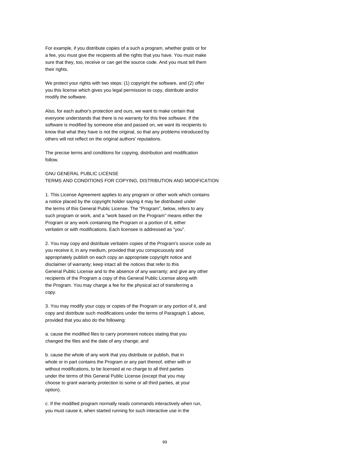For example, if you distribute copies of a such a program, whether gratis or for a fee, you must give the recipients all the rights that you have. You must make sure that they, too, receive or can get the source code. And you must tell them their rights.

We protect your rights with two steps: (1) copyright the software, and (2) offer you this license which gives you legal permission to copy, distribute and/or modify the software.

Also, for each author's protection and ours, we want to make certain that everyone understands that there is no warranty for this free software. If the software is modified by someone else and passed on, we want its recipients to know that what they have is not the original, so that any problems introduced by others will not reflect on the original authors' reputations.

The precise terms and conditions for copying, distribution and modification follow.

## GNU GENERAL PUBLIC LICENSE TERMS AND CONDITIONS FOR COPYING, DISTRIBUTION AND MODIFICATION

1. This License Agreement applies to any program or other work which contains a notice placed by the copyright holder saying it may be distributed under the terms of this General Public License. The "Program", below, refers to any such program or work, and a "work based on the Program" means either the Program or any work containing the Program or a portion of it, either verbatim or with modifications. Each licensee is addressed as "you".

2. You may copy and distribute verbatim copies of the Program's source code as you receive it, in any medium, provided that you conspicuously and appropriately publish on each copy an appropriate copyright notice and disclaimer of warranty; keep intact all the notices that refer to this General Public License and to the absence of any warranty; and give any other recipients of the Program a copy of this General Public License along with the Program. You may charge a fee for the physical act of transferring a copy.

3. You may modify your copy or copies of the Program or any portion of it, and copy and distribute such modifications under the terms of Paragraph 1 above, provided that you also do the following:

a. cause the modified files to carry prominent notices stating that you changed the files and the date of any change; and

b. cause the whole of any work that you distribute or publish, that in whole or in part contains the Program or any part thereof, either with or without modifications, to be licensed at no charge to all third parties under the terms of this General Public License (except that you may choose to grant warranty protection to some or all third parties, at your option).

c. If the modified program normally reads commands interactively when run, you must cause it, when started running for such interactive use in the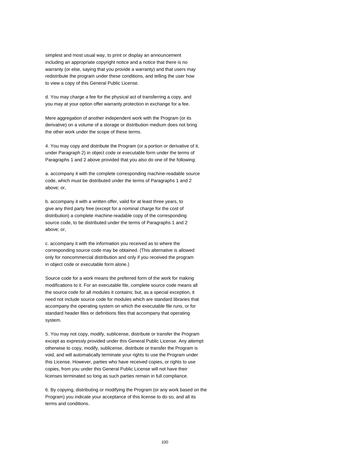simplest and most usual way, to print or display an announcement including an appropriate copyright notice and a notice that there is no warranty (or else, saying that you provide a warranty) and that users may redistribute the program under these conditions, and telling the user how to view a copy of this General Public License.

d. You may charge a fee for the physical act of transferring a copy, and you may at your option offer warranty protection in exchange for a fee.

Mere aggregation of another independent work with the Program (or its derivative) on a volume of a storage or distribution medium does not bring the other work under the scope of these terms.

4. You may copy and distribute the Program (or a portion or derivative of it, under Paragraph 2) in object code or executable form under the terms of Paragraphs 1 and 2 above provided that you also do one of the following:

a. accompany it with the complete corresponding machine-readable source code, which must be distributed under the terms of Paragraphs 1 and 2 above; or,

b. accompany it with a written offer, valid for at least three years, to give any third party free (except for a nominal charge for the cost of distribution) a complete machine-readable copy of the corresponding source code, to be distributed under the terms of Paragraphs 1 and 2 above; or,

c. accompany it with the information you received as to where the corresponding source code may be obtained. (This alternative is allowed only for noncommercial distribution and only if you received the program in object code or executable form alone.)

Source code for a work means the preferred form of the work for making modifications to it. For an executable file, complete source code means all the source code for all modules it contains; but, as a special exception, it need not include source code for modules which are standard libraries that accompany the operating system on which the executable file runs, or for standard header files or definitions files that accompany that operating system.

5. You may not copy, modify, sublicense, distribute or transfer the Program except as expressly provided under this General Public License. Any attempt otherwise to copy, modify, sublicense, distribute or transfer the Program is void, and will automatically terminate your rights to use the Program under this License. However, parties who have received copies, or rights to use copies, from you under this General Public License will not have their licenses terminated so long as such parties remain in full compliance.

6. By copying, distributing or modifying the Program (or any work based on the Program) you indicate your acceptance of this license to do so, and all its terms and conditions.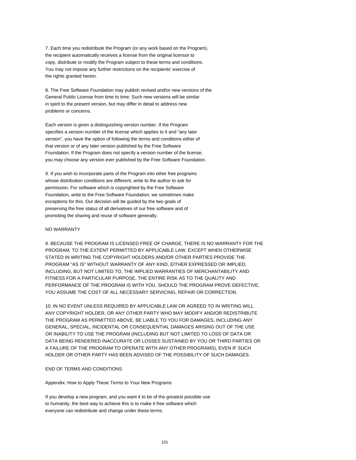7. Each time you redistribute the Program (or any work based on the Program), the recipient automatically receives a license from the original licensor to copy, distribute or modify the Program subject to these terms and conditions. You may not impose any further restrictions on the recipients' exercise of the rights granted herein.

8. The Free Software Foundation may publish revised and/or new versions of the General Public License from time to time. Such new versions will be similar in spirit to the present version, but may differ in detail to address new problems or concerns.

Each version is given a distinguishing version number. If the Program specifies a version number of the license which applies to it and "any later version", you have the option of following the terms and conditions either of that version or of any later version published by the Free Software Foundation. If the Program does not specify a version number of the license, you may choose any version ever published by the Free Software Foundation.

9. If you wish to incorporate parts of the Program into other free programs whose distribution conditions are different, write to the author to ask for permission. For software which is copyrighted by the Free Software Foundation, write to the Free Software Foundation; we sometimes make exceptions for this. Our decision will be guided by the two goals of preserving the free status of all derivatives of our free software and of promoting the sharing and reuse of software generally.

## NO WARRANTY

9. BECAUSE THE PROGRAM IS LICENSED FREE OF CHARGE, THERE IS NO WARRANTY FOR THE PROGRAM, TO THE EXTENT PERMITTED BY APPLICABLE LAW. EXCEPT WHEN OTHERWISE STATED IN WRITING THE COPYRIGHT HOLDERS AND/OR OTHER PARTIES PROVIDE THE PROGRAM "AS IS" WITHOUT WARRANTY OF ANY KIND, EITHER EXPRESSED OR IMPLIED, INCLUDING, BUT NOT LIMITED TO, THE IMPLIED WARRANTIES OF MERCHANTABILITY AND FITNESS FOR A PARTICULAR PURPOSE. THE ENTIRE RISK AS TO THE QUALITY AND PERFORMANCE OF THE PROGRAM IS WITH YOU. SHOULD THE PROGRAM PROVE DEFECTIVE, YOU ASSUME THE COST OF ALL NECESSARY SERVICING, REPAIR OR CORRECTION.

10. IN NO EVENT UNLESS REQUIRED BY APPLICABLE LAW OR AGREED TO IN WRITING WILL ANY COPYRIGHT HOLDER, OR ANY OTHER PARTY WHO MAY MODIFY AND/OR REDISTRIBUTE THE PROGRAM AS PERMITTED ABOVE, BE LIABLE TO YOU FOR DAMAGES, INCLUDING ANY GENERAL, SPECIAL, INCIDENTAL OR CONSEQUENTIAL DAMAGES ARISING OUT OF THE USE OR INABILITY TO USE THE PROGRAM (INCLUDING BUT NOT LIMITED TO LOSS OF DATA OR DATA BEING RENDERED INACCURATE OR LOSSES SUSTAINED BY YOU OR THIRD PARTIES OR A FAILURE OF THE PROGRAM TO OPERATE WITH ANY OTHER PROGRAMS), EVEN IF SUCH HOLDER OR OTHER PARTY HAS BEEN ADVISED OF THE POSSIBILITY OF SUCH DAMAGES.

## END OF TERMS AND CONDITIONS

Appendix: How to Apply These Terms to Your New Programs

If you develop a new program, and you want it to be of the greatest possible use to humanity, the best way to achieve this is to make it free software which everyone can redistribute and change under these terms.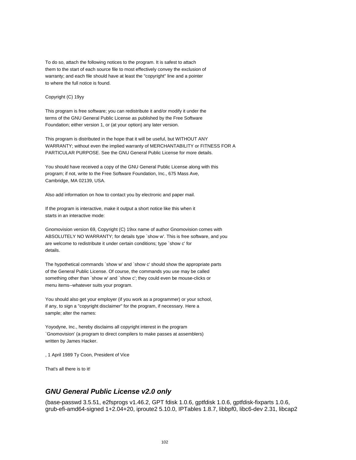To do so, attach the following notices to the program. It is safest to attach them to the start of each source file to most effectively convey the exclusion of warranty; and each file should have at least the "copyright" line and a pointer to where the full notice is found.

## Copyright (C) 19yy

This program is free software; you can redistribute it and/or modify it under the terms of the GNU General Public License as published by the Free Software Foundation; either version 1, or (at your option) any later version.

This program is distributed in the hope that it will be useful, but WITHOUT ANY WARRANTY; without even the implied warranty of MERCHANTABILITY or FITNESS FOR A PARTICULAR PURPOSE. See the GNU General Public License for more details.

You should have received a copy of the GNU General Public License along with this program; if not, write to the Free Software Foundation, Inc., 675 Mass Ave, Cambridge, MA 02139, USA.

Also add information on how to contact you by electronic and paper mail.

If the program is interactive, make it output a short notice like this when it starts in an interactive mode:

Gnomovision version 69, Copyright (C) 19xx name of author Gnomovision comes with ABSOLUTELY NO WARRANTY; for details type `show w'. This is free software, and you are welcome to redistribute it under certain conditions; type `show c' for details.

The hypothetical commands `show w' and `show c' should show the appropriate parts of the General Public License. Of course, the commands you use may be called something other than `show w' and `show c'; they could even be mouse-clicks or menu items--whatever suits your program.

You should also get your employer (if you work as a programmer) or your school, if any, to sign a "copyright disclaimer" for the program, if necessary. Here a sample; alter the names:

Yoyodyne, Inc., hereby disclaims all copyright interest in the program `Gnomovision' (a program to direct compilers to make passes at assemblers) written by James Hacker.

, 1 April 1989 Ty Coon, President of Vice

That's all there is to it!

# **GNU General Public License v2.0 only**

(base-passwd 3.5.51, e2fsprogs v1.46.2, GPT fdisk 1.0.6, gptfdisk 1.0.6, gptfdisk-fixparts 1.0.6, grub-efi-amd64-signed 1+2.04+20, iproute2 5.10.0, IPTables 1.8.7, libbpf0, libc6-dev 2.31, libcap2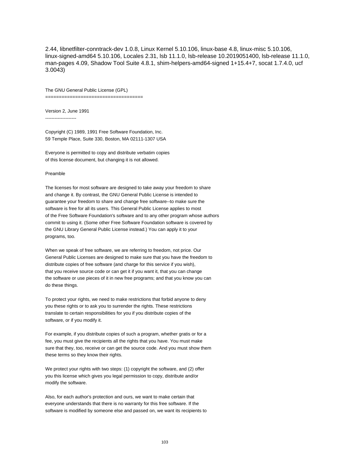2.44, libnetfilter-conntrack-dev 1.0.8, Linux Kernel 5.10.106, linux-base 4.8, linux-misc 5.10.106, linux-signed-amd64 5.10.106, Locales 2.31, lsb 11.1.0, lsb-release 10.2019051400, lsb-release 11.1.0, man-pages 4.09, Shadow Tool Suite 4.8.1, shim-helpers-amd64-signed 1+15.4+7, socat 1.7.4.0, ucf 3.0043)

The GNU General Public License (GPL) ====================================

Version 2, June 1991 --------------------

Copyright (C) 1989, 1991 Free Software Foundation, Inc. 59 Temple Place, Suite 330, Boston, MA 02111-1307 USA

Everyone is permitted to copy and distribute verbatim copies of this license document, but changing it is not allowed.

#### Preamble

The licenses for most software are designed to take away your freedom to share and change it. By contrast, the GNU General Public License is intended to guarantee your freedom to share and change free software--to make sure the software is free for all its users. This General Public License applies to most of the Free Software Foundation's software and to any other program whose authors commit to using it. (Some other Free Software Foundation software is covered by the GNU Library General Public License instead.) You can apply it to your programs, too.

When we speak of free software, we are referring to freedom, not price. Our General Public Licenses are designed to make sure that you have the freedom to distribute copies of free software (and charge for this service if you wish), that you receive source code or can get it if you want it, that you can change the software or use pieces of it in new free programs; and that you know you can do these things.

To protect your rights, we need to make restrictions that forbid anyone to deny you these rights or to ask you to surrender the rights. These restrictions translate to certain responsibilities for you if you distribute copies of the software, or if you modify it.

For example, if you distribute copies of such a program, whether gratis or for a fee, you must give the recipients all the rights that you have. You must make sure that they, too, receive or can get the source code. And you must show them these terms so they know their rights.

We protect your rights with two steps: (1) copyright the software, and (2) offer you this license which gives you legal permission to copy, distribute and/or modify the software.

Also, for each author's protection and ours, we want to make certain that everyone understands that there is no warranty for this free software. If the software is modified by someone else and passed on, we want its recipients to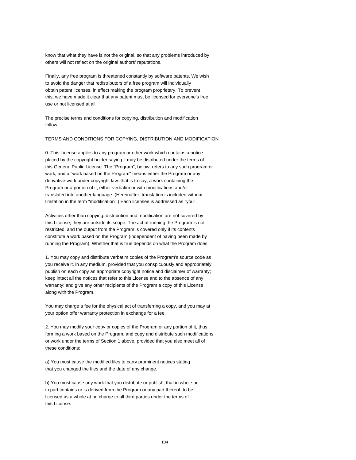know that what they have is not the original, so that any problems introduced by others will not reflect on the original authors' reputations.

Finally, any free program is threatened constantly by software patents. We wish to avoid the danger that redistributors of a free program will individually obtain patent licenses, in effect making the program proprietary. To prevent this, we have made it clear that any patent must be licensed for everyone's free use or not licensed at all.

The precise terms and conditions for copying, distribution and modification follow.

#### TERMS AND CONDITIONS FOR COPYING, DISTRIBUTION AND MODIFICATION

0. This License applies to any program or other work which contains a notice placed by the copyright holder saying it may be distributed under the terms of this General Public License. The "Program", below, refers to any such program or work, and a "work based on the Program" means either the Program or any derivative work under copyright law: that is to say, a work containing the Program or a portion of it, either verbatim or with modifications and/or translated into another language. (Hereinafter, translation is included without limitation in the term "modification".) Each licensee is addressed as "you".

Activities other than copying, distribution and modification are not covered by this License; they are outside its scope. The act of running the Program is not restricted, and the output from the Program is covered only if its contents constitute a work based on the Program (independent of having been made by running the Program). Whether that is true depends on what the Program does.

1. You may copy and distribute verbatim copies of the Program's source code as you receive it, in any medium, provided that you conspicuously and appropriately publish on each copy an appropriate copyright notice and disclaimer of warranty; keep intact all the notices that refer to this License and to the absence of any warranty; and give any other recipients of the Program a copy of this License along with the Program.

You may charge a fee for the physical act of transferring a copy, and you may at your option offer warranty protection in exchange for a fee.

2. You may modify your copy or copies of the Program or any portion of it, thus forming a work based on the Program, and copy and distribute such modifications or work under the terms of Section 1 above, provided that you also meet all of these conditions:

a) You must cause the modified files to carry prominent notices stating that you changed the files and the date of any change.

b) You must cause any work that you distribute or publish, that in whole or in part contains or is derived from the Program or any part thereof, to be licensed as a whole at no charge to all third parties under the terms of this License.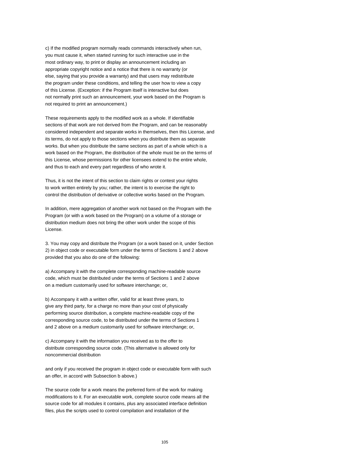c) If the modified program normally reads commands interactively when run, you must cause it, when started running for such interactive use in the most ordinary way, to print or display an announcement including an appropriate copyright notice and a notice that there is no warranty (or else, saying that you provide a warranty) and that users may redistribute the program under these conditions, and telling the user how to view a copy of this License. (Exception: if the Program itself is interactive but does not normally print such an announcement, your work based on the Program is not required to print an announcement.)

These requirements apply to the modified work as a whole. If identifiable sections of that work are not derived from the Program, and can be reasonably considered independent and separate works in themselves, then this License, and its terms, do not apply to those sections when you distribute them as separate works. But when you distribute the same sections as part of a whole which is a work based on the Program, the distribution of the whole must be on the terms of this License, whose permissions for other licensees extend to the entire whole, and thus to each and every part regardless of who wrote it.

Thus, it is not the intent of this section to claim rights or contest your rights to work written entirely by you; rather, the intent is to exercise the right to control the distribution of derivative or collective works based on the Program.

In addition, mere aggregation of another work not based on the Program with the Program (or with a work based on the Program) on a volume of a storage or distribution medium does not bring the other work under the scope of this License.

3. You may copy and distribute the Program (or a work based on it, under Section 2) in object code or executable form under the terms of Sections 1 and 2 above provided that you also do one of the following:

a) Accompany it with the complete corresponding machine-readable source code, which must be distributed under the terms of Sections 1 and 2 above on a medium customarily used for software interchange; or,

b) Accompany it with a written offer, valid for at least three years, to give any third party, for a charge no more than your cost of physically performing source distribution, a complete machine-readable copy of the corresponding source code, to be distributed under the terms of Sections 1 and 2 above on a medium customarily used for software interchange; or,

c) Accompany it with the information you received as to the offer to distribute corresponding source code. (This alternative is allowed only for noncommercial distribution

and only if you received the program in object code or executable form with such an offer, in accord with Subsection b above.)

The source code for a work means the preferred form of the work for making modifications to it. For an executable work, complete source code means all the source code for all modules it contains, plus any associated interface definition files, plus the scripts used to control compilation and installation of the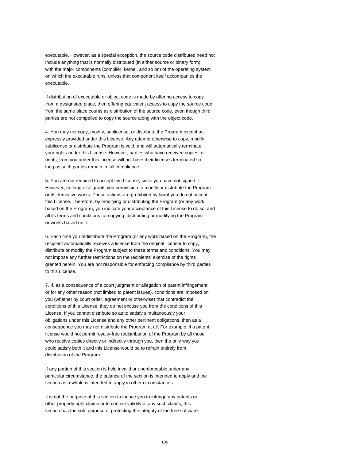executable. However, as a special exception, the source code distributed need not include anything that is normally distributed (in either source or binary form) with the major components (compiler, kernel, and so on) of the operating system on which the executable runs, unless that component itself accompanies the executable.

If distribution of executable or object code is made by offering access to copy from a designated place, then offering equivalent access to copy the source code from the same place counts as distribution of the source code, even though third parties are not compelled to copy the source along with the object code.

4. You may not copy, modify, sublicense, or distribute the Program except as expressly provided under this License. Any attempt otherwise to copy, modify, sublicense or distribute the Program is void, and will automatically terminate your rights under this License. However, parties who have received copies, or rights, from you under this License will not have their licenses terminated so long as such parties remain in full compliance.

5. You are not required to accept this License, since you have not signed it. However, nothing else grants you permission to modify or distribute the Program or its derivative works. These actions are prohibited by law if you do not accept this License. Therefore, by modifying or distributing the Program (or any work based on the Program), you indicate your acceptance of this License to do so, and all its terms and conditions for copying, distributing or modifying the Program or works based on it.

6. Each time you redistribute the Program (or any work based on the Program), the recipient automatically receives a license from the original licensor to copy, distribute or modify the Program subject to these terms and conditions. You may not impose any further restrictions on the recipients' exercise of the rights granted herein. You are not responsible for enforcing compliance by third parties to this License.

7. If, as a consequence of a court judgment or allegation of patent infringement or for any other reason (not limited to patent issues), conditions are imposed on you (whether by court order, agreement or otherwise) that contradict the conditions of this License, they do not excuse you from the conditions of this License. If you cannot distribute so as to satisfy simultaneously your obligations under this License and any other pertinent obligations, then as a consequence you may not distribute the Program at all. For example, if a patent license would not permit royalty-free redistribution of the Program by all those who receive copies directly or indirectly through you, then the only way you could satisfy both it and this License would be to refrain entirely from distribution of the Program.

If any portion of this section is held invalid or unenforceable under any particular circumstance, the balance of the section is intended to apply and the section as a whole is intended to apply in other circumstances.

It is not the purpose of this section to induce you to infringe any patents or other property right claims or to contest validity of any such claims; this section has the sole purpose of protecting the integrity of the free software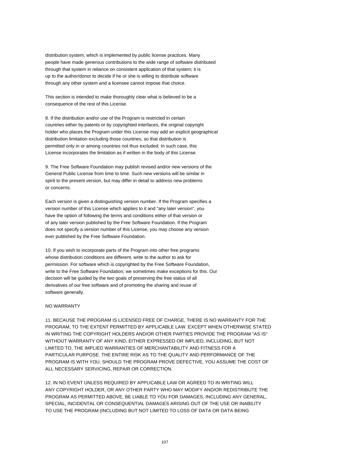distribution system, which is implemented by public license practices. Many people have made generous contributions to the wide range of software distributed through that system in reliance on consistent application of that system; it is up to the author/donor to decide if he or she is willing to distribute software through any other system and a licensee cannot impose that choice.

This section is intended to make thoroughly clear what is believed to be a consequence of the rest of this License.

8. If the distribution and/or use of the Program is restricted in certain countries either by patents or by copyrighted interfaces, the original copyright holder who places the Program under this License may add an explicit geographical distribution limitation excluding those countries, so that distribution is permitted only in or among countries not thus excluded. In such case, this License incorporates the limitation as if written in the body of this License.

9. The Free Software Foundation may publish revised and/or new versions of the General Public License from time to time. Such new versions will be similar in spirit to the present version, but may differ in detail to address new problems or concerns.

Each version is given a distinguishing version number. If the Program specifies a version number of this License which applies to it and "any later version", you have the option of following the terms and conditions either of that version or of any later version published by the Free Software Foundation. If the Program does not specify a version number of this License, you may choose any version ever published by the Free Software Foundation.

10. If you wish to incorporate parts of the Program into other free programs whose distribution conditions are different, write to the author to ask for permission. For software which is copyrighted by the Free Software Foundation, write to the Free Software Foundation; we sometimes make exceptions for this. Our decision will be guided by the two goals of preserving the free status of all derivatives of our free software and of promoting the sharing and reuse of software generally.

## NO WARRANTY

11. BECAUSE THE PROGRAM IS LICENSED FREE OF CHARGE, THERE IS NO WARRANTY FOR THE PROGRAM, TO THE EXTENT PERMITTED BY APPLICABLE LAW. EXCEPT WHEN OTHERWISE STATED IN WRITING THE COPYRIGHT HOLDERS AND/OR OTHER PARTIES PROVIDE THE PROGRAM "AS IS" WITHOUT WARRANTY OF ANY KIND, EITHER EXPRESSED OR IMPLIED, INCLUDING, BUT NOT LIMITED TO, THE IMPLIED WARRANTIES OF MERCHANTABILITY AND FITNESS FOR A PARTICULAR PURPOSE. THE ENTIRE RISK AS TO THE QUALITY AND PERFORMANCE OF THE PROGRAM IS WITH YOU. SHOULD THE PROGRAM PROVE DEFECTIVE, YOU ASSUME THE COST OF ALL NECESSARY SERVICING, REPAIR OR CORRECTION.

12. IN NO EVENT UNLESS REQUIRED BY APPLICABLE LAW OR AGREED TO IN WRITING WILL ANY COPYRIGHT HOLDER, OR ANY OTHER PARTY WHO MAY MODIFY AND/OR REDISTRIBUTE THE PROGRAM AS PERMITTED ABOVE, BE LIABLE TO YOU FOR DAMAGES, INCLUDING ANY GENERAL, SPECIAL, INCIDENTAL OR CONSEQUENTIAL DAMAGES ARISING OUT OF THE USE OR INABILITY TO USE THE PROGRAM (INCLUDING BUT NOT LIMITED TO LOSS OF DATA OR DATA BEING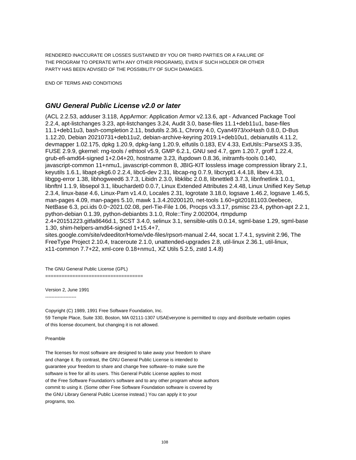RENDERED INACCURATE OR LOSSES SUSTAINED BY YOU OR THIRD PARTIES OR A FAILURE OF THE PROGRAM TO OPERATE WITH ANY OTHER PROGRAMS), EVEN IF SUCH HOLDER OR OTHER PARTY HAS BEEN ADVISED OF THE POSSIBILITY OF SUCH DAMAGES.

END OF TERMS AND CONDITIONS

# **GNU General Public License v2.0 or later**

(ACL 2.2.53, adduser 3.118, AppArmor: Application Armor v2.13.6, apt - Advanced Package Tool 2.2.4, apt-listchanges 3.23, apt-listchanges 3.24, Audit 3.0, base-files 11.1+deb11u1, base-files 11.1+deb11u3, bash-completion 2.11, bsdutils 2.36.1, Chrony 4.0, Cyan4973/xxHash 0.8.0, D-Bus 1.12.20, Debian 20210731+deb11u2, debian-archive-keyring 2019.1+deb10u1, debianutils 4.11.2, devmapper 1.02.175, dpkg 1.20.9, dpkg-lang 1.20.9, elfutils 0.183, EV 4.33, ExtUtils::ParseXS 3.35, FUSE 2.9.9, gkernel: rng-tools / ethtool v5.9, GMP 6.2.1, GNU sed 4.7, gpm 1.20.7, groff 1.22.4, grub-efi-amd64-signed 1+2.04+20, hostname 3.23, ifupdown 0.8.36, initramfs-tools 0.140, javascript-common 11+nmu1, javascript-common 8, JBIG-KIT lossless image compression library 2.1, keyutils 1.6.1, libapt-pkg6.0 2.2.4, libc6-dev 2.31, libcap-ng 0.7.9, libcrypt1 4.4.18, libev 4.33, libgpg-error 1.38, libhogweed6 3.7.3, Libidn 2.3.0, libklibc 2.0.8, libnettle8 3.7.3, libnfnetlink 1.0.1, libnftnl 1.1.9, libsepol 3.1, libuchardet0 0.0.7, Linux Extended Attributes 2.4.48, Linux Unified Key Setup 2.3.4, linux-base 4.6, Linux-Pam v1.4.0, Locales 2.31, logrotate 3.18.0, logsave 1.46.2, logsave 1.46.5, man-pages 4.09, man-pages 5.10, mawk 1.3.4.20200120, net-tools 1.60+git20181103.0eebece, NetBase 6.3, pci.ids 0.0~2021.02.08, perl-Tie-File 1.06, Procps v3.3.17, psmisc 23.4, python-apt 2.2.1, python-debian 0.1.39, python-debianbts 3.1.0, Role::Tiny 2.002004, rtmpdump 2.4+20151223.gitfa8646d.1, SCST 3.4.0, selinux 3.1, sensible-utils 0.0.14, sgml-base 1.29, sgml-base 1.30, shim-helpers-amd64-signed 1+15.4+7,

sites.google.com/site/vdeeditor/Home/vde-files/rpsort-manual 2.44, socat 1.7.4.1, sysvinit 2.96, The FreeType Project 2.10.4, traceroute 2.1.0, unattended-upgrades 2.8, util-linux 2.36.1, util-linux, x11-common 7.7+22, xml-core 0.18+nmu1, XZ Utils 5.2.5, zstd 1.4.8)

The GNU General Public License (GPL)

====================================

Version 2, June 1991 --------------------

Copyright (C) 1989, 1991 Free Software Foundation, Inc. 59 Temple Place, Suite 330, Boston, MA 02111-1307 USAEveryone is permitted to copy and distribute verbatim copies of this license document, but changing it is not allowed.

Preamble

The licenses for most software are designed to take away your freedom to share and change it. By contrast, the GNU General Public License is intended to guarantee your freedom to share and change free software--to make sure the software is free for all its users. This General Public License applies to most of the Free Software Foundation's software and to any other program whose authors commit to using it. (Some other Free Software Foundation software is covered by the GNU Library General Public License instead.) You can apply it to your programs, too.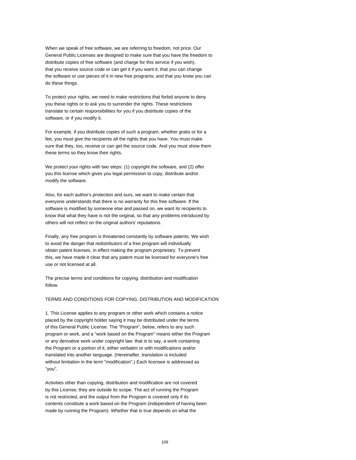When we speak of free software, we are referring to freedom, not price. Our General Public Licenses are designed to make sure that you have the freedom to distribute copies of free software (and charge for this service if you wish), that you receive source code or can get it if you want it, that you can change the software or use pieces of it in new free programs; and that you know you can do these things.

To protect your rights, we need to make restrictions that forbid anyone to deny you these rights or to ask you to surrender the rights. These restrictions translate to certain responsibilities for you if you distribute copies of the software, or if you modify it.

For example, if you distribute copies of such a program, whether gratis or for a fee, you must give the recipients all the rights that you have. You must make sure that they, too, receive or can get the source code. And you must show them these terms so they know their rights.

We protect your rights with two steps: (1) copyright the software, and (2) offer you this license which gives you legal permission to copy, distribute and/or modify the software.

Also, for each author's protection and ours, we want to make certain that everyone understands that there is no warranty for this free software. If the software is modified by someone else and passed on, we want its recipients to know that what they have is not the original, so that any problems introduced by others will not reflect on the original authors' reputations.

Finally, any free program is threatened constantly by software patents. We wish to avoid the danger that redistributors of a free program will individually obtain patent licenses, in effect making the program proprietary. To prevent this, we have made it clear that any patent must be licensed for everyone's free use or not licensed at all.

The precise terms and conditions for copying, distribution and modification follow.

## TERMS AND CONDITIONS FOR COPYING, DISTRIBUTION AND MODIFICATION

1. This License applies to any program or other work which contains a notice placed by the copyright holder saying it may be distributed under the terms of this General Public License. The "Program", below, refers to any such program or work, and a "work based on the Program" means either the Program or any derivative work under copyright law: that is to say, a work containing the Program or a portion of it, either verbatim or with modifications and/or translated into another language. (Hereinafter, translation is included without limitation in the term "modification".) Each licensee is addressed as "you".

Activities other than copying, distribution and modification are not covered by this License; they are outside its scope. The act of running the Program is not restricted, and the output from the Program is covered only if its contents constitute a work based on the Program (independent of having been made by running the Program). Whether that is true depends on what the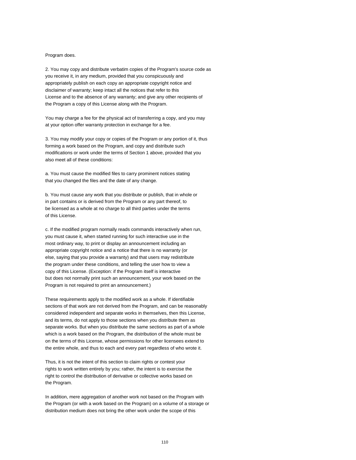### Program does.

2. You may copy and distribute verbatim copies of the Program's source code as you receive it, in any medium, provided that you conspicuously and appropriately publish on each copy an appropriate copyright notice and disclaimer of warranty; keep intact all the notices that refer to this License and to the absence of any warranty; and give any other recipients of the Program a copy of this License along with the Program.

You may charge a fee for the physical act of transferring a copy, and you may at your option offer warranty protection in exchange for a fee.

3. You may modify your copy or copies of the Program or any portion of it, thus forming a work based on the Program, and copy and distribute such modifications or work under the terms of Section 1 above, provided that you also meet all of these conditions:

a. You must cause the modified files to carry prominent notices stating that you changed the files and the date of any change.

b. You must cause any work that you distribute or publish, that in whole or in part contains or is derived from the Program or any part thereof, to be licensed as a whole at no charge to all third parties under the terms of this License.

c. If the modified program normally reads commands interactively when run, you must cause it, when started running for such interactive use in the most ordinary way, to print or display an announcement including an appropriate copyright notice and a notice that there is no warranty (or else, saying that you provide a warranty) and that users may redistribute the program under these conditions, and telling the user how to view a copy of this License. (Exception: if the Program itself is interactive but does not normally print such an announcement, your work based on the Program is not required to print an announcement.)

These requirements apply to the modified work as a whole. If identifiable sections of that work are not derived from the Program, and can be reasonably considered independent and separate works in themselves, then this License, and its terms, do not apply to those sections when you distribute them as separate works. But when you distribute the same sections as part of a whole which is a work based on the Program, the distribution of the whole must be on the terms of this License, whose permissions for other licensees extend to the entire whole, and thus to each and every part regardless of who wrote it.

Thus, it is not the intent of this section to claim rights or contest your rights to work written entirely by you; rather, the intent is to exercise the right to control the distribution of derivative or collective works based on the Program.

In addition, mere aggregation of another work not based on the Program with the Program (or with a work based on the Program) on a volume of a storage or distribution medium does not bring the other work under the scope of this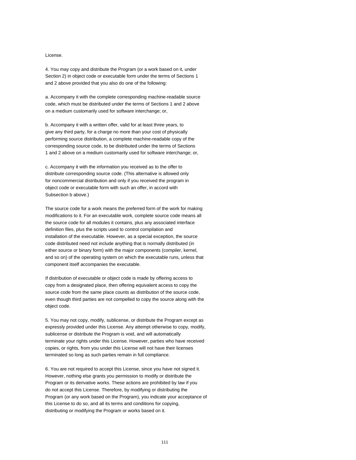#### License.

4. You may copy and distribute the Program (or a work based on it, under Section 2) in object code or executable form under the terms of Sections 1 and 2 above provided that you also do one of the following:

a. Accompany it with the complete corresponding machine-readable source code, which must be distributed under the terms of Sections 1 and 2 above on a medium customarily used for software interchange; or,

b. Accompany it with a written offer, valid for at least three years, to give any third party, for a charge no more than your cost of physically performing source distribution, a complete machine-readable copy of the corresponding source code, to be distributed under the terms of Sections 1 and 2 above on a medium customarily used for software interchange; or,

c. Accompany it with the information you received as to the offer to distribute corresponding source code. (This alternative is allowed only for noncommercial distribution and only if you received the program in object code or executable form with such an offer, in accord with Subsection b above.)

The source code for a work means the preferred form of the work for making modifications to it. For an executable work, complete source code means all the source code for all modules it contains, plus any associated interface definition files, plus the scripts used to control compilation and installation of the executable. However, as a special exception, the source code distributed need not include anything that is normally distributed (in either source or binary form) with the major components (compiler, kernel, and so on) of the operating system on which the executable runs, unless that component itself accompanies the executable.

If distribution of executable or object code is made by offering access to copy from a designated place, then offering equivalent access to copy the source code from the same place counts as distribution of the source code, even though third parties are not compelled to copy the source along with the object code.

5. You may not copy, modify, sublicense, or distribute the Program except as expressly provided under this License. Any attempt otherwise to copy, modify, sublicense or distribute the Program is void, and will automatically terminate your rights under this License. However, parties who have received copies, or rights, from you under this License will not have their licenses terminated so long as such parties remain in full compliance.

6. You are not required to accept this License, since you have not signed it. However, nothing else grants you permission to modify or distribute the Program or its derivative works. These actions are prohibited by law if you do not accept this License. Therefore, by modifying or distributing the Program (or any work based on the Program), you indicate your acceptance of this License to do so, and all its terms and conditions for copying, distributing or modifying the Program or works based on it.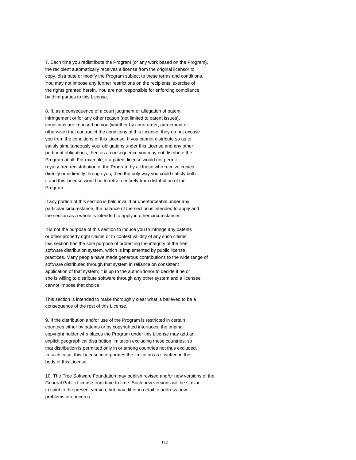7. Each time you redistribute the Program (or any work based on the Program), the recipient automatically receives a license from the original licensor to copy, distribute or modify the Program subject to these terms and conditions. You may not impose any further restrictions on the recipients' exercise of the rights granted herein. You are not responsible for enforcing compliance by third parties to this License.

8. If, as a consequence of a court judgment or allegation of patent infringement or for any other reason (not limited to patent issues), conditions are imposed on you (whether by court order, agreement or otherwise) that contradict the conditions of this License, they do not excuse you from the conditions of this License. If you cannot distribute so as to satisfy simultaneously your obligations under this License and any other pertinent obligations, then as a consequence you may not distribute the Program at all. For example, if a patent license would not permit royalty-free redistribution of the Program by all those who receive copies directly or indirectly through you, then the only way you could satisfy both it and this License would be to refrain entirely from distribution of the Program.

If any portion of this section is held invalid or unenforceable under any particular circumstance, the balance of the section is intended to apply and the section as a whole is intended to apply in other circumstances.

It is not the purpose of this section to induce you to infringe any patents or other property right claims or to contest validity of any such claims; this section has the sole purpose of protecting the integrity of the free software distribution system, which is implemented by public license practices. Many people have made generous contributions to the wide range of software distributed through that system in reliance on consistent application of that system; it is up to the author/donor to decide if he or she is willing to distribute software through any other system and a licensee cannot impose that choice.

This section is intended to make thoroughly clear what is believed to be a consequence of the rest of this License.

9. If the distribution and/or use of the Program is restricted in certain countries either by patents or by copyrighted interfaces, the original copyright holder who places the Program under this License may add an explicit geographical distribution limitation excluding those countries, so that distribution is permitted only in or among countries not thus excluded. In such case, this License incorporates the limitation as if written in the body of this License.

10. The Free Software Foundation may publish revised and/or new versions of the General Public License from time to time. Such new versions will be similar in spirit to the present version, but may differ in detail to address new problems or concerns.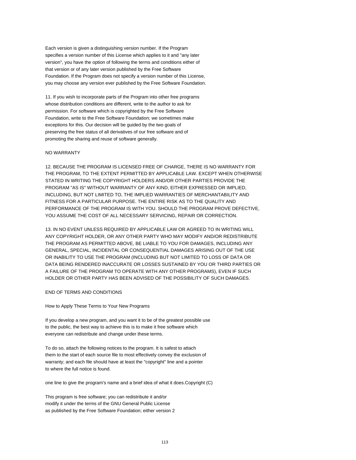Each version is given a distinguishing version number. If the Program specifies a version number of this License which applies to it and "any later version", you have the option of following the terms and conditions either of that version or of any later version published by the Free Software Foundation. If the Program does not specify a version number of this License, you may choose any version ever published by the Free Software Foundation.

11. If you wish to incorporate parts of the Program into other free programs whose distribution conditions are different, write to the author to ask for permission. For software which is copyrighted by the Free Software Foundation, write to the Free Software Foundation; we sometimes make exceptions for this. Our decision will be guided by the two goals of preserving the free status of all derivatives of our free software and of promoting the sharing and reuse of software generally.

## NO WARRANTY

12. BECAUSE THE PROGRAM IS LICENSED FREE OF CHARGE, THERE IS NO WARRANTY FOR THE PROGRAM, TO THE EXTENT PERMITTED BY APPLICABLE LAW. EXCEPT WHEN OTHERWISE STATED IN WRITING THE COPYRIGHT HOLDERS AND/OR OTHER PARTIES PROVIDE THE PROGRAM "AS IS" WITHOUT WARRANTY OF ANY KIND, EITHER EXPRESSED OR IMPLIED, INCLUDING, BUT NOT LIMITED TO, THE IMPLIED WARRANTIES OF MERCHANTABILITY AND FITNESS FOR A PARTICULAR PURPOSE. THE ENTIRE RISK AS TO THE QUALITY AND PERFORMANCE OF THE PROGRAM IS WITH YOU. SHOULD THE PROGRAM PROVE DEFECTIVE, YOU ASSUME THE COST OF ALL NECESSARY SERVICING, REPAIR OR CORRECTION.

13. IN NO EVENT UNLESS REQUIRED BY APPLICABLE LAW OR AGREED TO IN WRITING WILL ANY COPYRIGHT HOLDER, OR ANY OTHER PARTY WHO MAY MODIFY AND/OR REDISTRIBUTE THE PROGRAM AS PERMITTED ABOVE, BE LIABLE TO YOU FOR DAMAGES, INCLUDING ANY GENERAL, SPECIAL, INCIDENTAL OR CONSEQUENTIAL DAMAGES ARISING OUT OF THE USE OR INABILITY TO USE THE PROGRAM (INCLUDING BUT NOT LIMITED TO LOSS OF DATA OR DATA BEING RENDERED INACCURATE OR LOSSES SUSTAINED BY YOU OR THIRD PARTIES OR A FAILURE OF THE PROGRAM TO OPERATE WITH ANY OTHER PROGRAMS), EVEN IF SUCH HOLDER OR OTHER PARTY HAS BEEN ADVISED OF THE POSSIBILITY OF SUCH DAMAGES.

## END OF TERMS AND CONDITIONS

How to Apply These Terms to Your New Programs

If you develop a new program, and you want it to be of the greatest possible use to the public, the best way to achieve this is to make it free software which everyone can redistribute and change under these terms.

To do so, attach the following notices to the program. It is safest to attach them to the start of each source file to most effectively convey the exclusion of warranty; and each file should have at least the "copyright" line and a pointer to where the full notice is found.

one line to give the program's name and a brief idea of what it does.Copyright (C)

This program is free software; you can redistribute it and/or modify it under the terms of the GNU General Public License as published by the Free Software Foundation; either version 2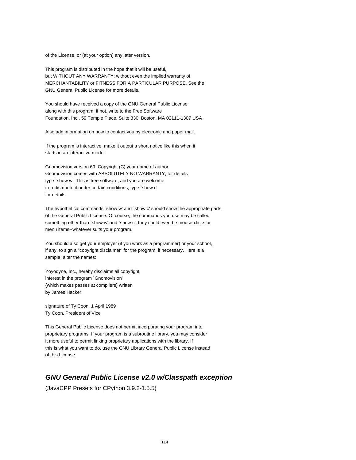of the License, or (at your option) any later version.

This program is distributed in the hope that it will be useful, but WITHOUT ANY WARRANTY; without even the implied warranty of MERCHANTABILITY or FITNESS FOR A PARTICULAR PURPOSE. See the GNU General Public License for more details.

You should have received a copy of the GNU General Public License along with this program; if not, write to the Free Software Foundation, Inc., 59 Temple Place, Suite 330, Boston, MA 02111-1307 USA

Also add information on how to contact you by electronic and paper mail.

If the program is interactive, make it output a short notice like this when it starts in an interactive mode:

Gnomovision version 69, Copyright (C) year name of author Gnomovision comes with ABSOLUTELY NO WARRANTY; for details type `show w'. This is free software, and you are welcome to redistribute it under certain conditions; type `show c' for details.

The hypothetical commands `show w' and `show c' should show the appropriate parts of the General Public License. Of course, the commands you use may be called something other than `show w' and `show c'; they could even be mouse-clicks or menu items--whatever suits your program.

You should also get your employer (if you work as a programmer) or your school, if any, to sign a "copyright disclaimer" for the program, if necessary. Here is a sample; alter the names:

Yoyodyne, Inc., hereby disclaims all copyright interest in the program `Gnomovision' (which makes passes at compilers) written by James Hacker.

signature of Ty Coon, 1 April 1989 Ty Coon, President of Vice

This General Public License does not permit incorporating your program into proprietary programs. If your program is a subroutine library, you may consider it more useful to permit linking proprietary applications with the library. If this is what you want to do, use the GNU Library General Public License instead of this License.

# **GNU General Public License v2.0 w/Classpath exception**

(JavaCPP Presets for CPython 3.9.2-1.5.5)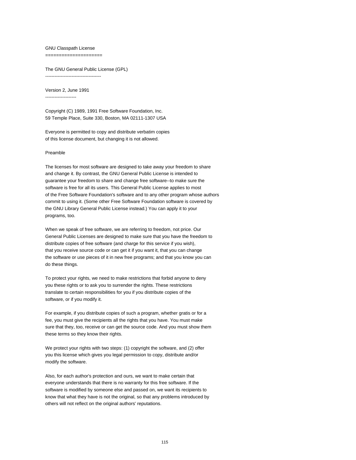### GNU Classpath License

=====================

The GNU General Public License (GPL) ------------------------------------

Version 2, June 1991 --------------------

Copyright (C) 1989, 1991 Free Software Foundation, Inc. 59 Temple Place, Suite 330, Boston, MA 02111-1307 USA

Everyone is permitted to copy and distribute verbatim copies of this license document, but changing it is not allowed.

#### Preamble

The licenses for most software are designed to take away your freedom to share and change it. By contrast, the GNU General Public License is intended to guarantee your freedom to share and change free software--to make sure the software is free for all its users. This General Public License applies to most of the Free Software Foundation's software and to any other program whose authors commit to using it. (Some other Free Software Foundation software is covered by the GNU Library General Public License instead.) You can apply it to your programs, too.

When we speak of free software, we are referring to freedom, not price. Our General Public Licenses are designed to make sure that you have the freedom to distribute copies of free software (and charge for this service if you wish), that you receive source code or can get it if you want it, that you can change the software or use pieces of it in new free programs; and that you know you can do these things.

To protect your rights, we need to make restrictions that forbid anyone to deny you these rights or to ask you to surrender the rights. These restrictions translate to certain responsibilities for you if you distribute copies of the software, or if you modify it.

For example, if you distribute copies of such a program, whether gratis or for a fee, you must give the recipients all the rights that you have. You must make sure that they, too, receive or can get the source code. And you must show them these terms so they know their rights.

We protect your rights with two steps: (1) copyright the software, and (2) offer you this license which gives you legal permission to copy, distribute and/or modify the software.

Also, for each author's protection and ours, we want to make certain that everyone understands that there is no warranty for this free software. If the software is modified by someone else and passed on, we want its recipients to know that what they have is not the original, so that any problems introduced by others will not reflect on the original authors' reputations.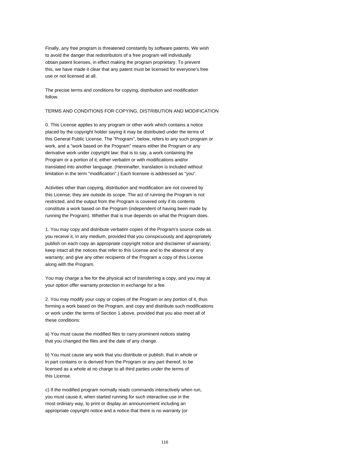Finally, any free program is threatened constantly by software patents. We wish to avoid the danger that redistributors of a free program will individually obtain patent licenses, in effect making the program proprietary. To prevent this, we have made it clear that any patent must be licensed for everyone's free use or not licensed at all.

The precise terms and conditions for copying, distribution and modification follow.

## TERMS AND CONDITIONS FOR COPYING, DISTRIBUTION AND MODIFICATION

0. This License applies to any program or other work which contains a notice placed by the copyright holder saying it may be distributed under the terms of this General Public License. The "Program", below, refers to any such program or work, and a "work based on the Program" means either the Program or any derivative work under copyright law: that is to say, a work containing the Program or a portion of it, either verbatim or with modifications and/or translated into another language. (Hereinafter, translation is included without limitation in the term "modification".) Each licensee is addressed as "you".

Activities other than copying, distribution and modification are not covered by this License; they are outside its scope. The act of running the Program is not restricted, and the output from the Program is covered only if its contents constitute a work based on the Program (independent of having been made by running the Program). Whether that is true depends on what the Program does.

1. You may copy and distribute verbatim copies of the Program's source code as you receive it, in any medium, provided that you conspicuously and appropriately publish on each copy an appropriate copyright notice and disclaimer of warranty; keep intact all the notices that refer to this License and to the absence of any warranty; and give any other recipients of the Program a copy of this License along with the Program.

You may charge a fee for the physical act of transferring a copy, and you may at your option offer warranty protection in exchange for a fee.

2. You may modify your copy or copies of the Program or any portion of it, thus forming a work based on the Program, and copy and distribute such modifications or work under the terms of Section 1 above, provided that you also meet all of these conditions:

a) You must cause the modified files to carry prominent notices stating that you changed the files and the date of any change.

b) You must cause any work that you distribute or publish, that in whole or in part contains or is derived from the Program or any part thereof, to be licensed as a whole at no charge to all third parties under the terms of this License.

c) If the modified program normally reads commands interactively when run, you must cause it, when started running for such interactive use in the most ordinary way, to print or display an announcement including an appropriate copyright notice and a notice that there is no warranty (or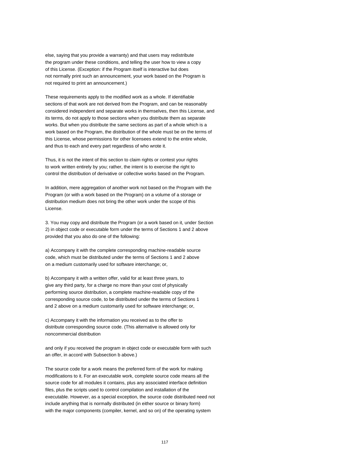else, saying that you provide a warranty) and that users may redistribute the program under these conditions, and telling the user how to view a copy of this License. (Exception: if the Program itself is interactive but does not normally print such an announcement, your work based on the Program is not required to print an announcement.)

These requirements apply to the modified work as a whole. If identifiable sections of that work are not derived from the Program, and can be reasonably considered independent and separate works in themselves, then this License, and its terms, do not apply to those sections when you distribute them as separate works. But when you distribute the same sections as part of a whole which is a work based on the Program, the distribution of the whole must be on the terms of this License, whose permissions for other licensees extend to the entire whole, and thus to each and every part regardless of who wrote it.

Thus, it is not the intent of this section to claim rights or contest your rights to work written entirely by you; rather, the intent is to exercise the right to control the distribution of derivative or collective works based on the Program.

In addition, mere aggregation of another work not based on the Program with the Program (or with a work based on the Program) on a volume of a storage or distribution medium does not bring the other work under the scope of this License.

3. You may copy and distribute the Program (or a work based on it, under Section 2) in object code or executable form under the terms of Sections 1 and 2 above provided that you also do one of the following:

a) Accompany it with the complete corresponding machine-readable source code, which must be distributed under the terms of Sections 1 and 2 above on a medium customarily used for software interchange; or,

b) Accompany it with a written offer, valid for at least three years, to give any third party, for a charge no more than your cost of physically performing source distribution, a complete machine-readable copy of the corresponding source code, to be distributed under the terms of Sections 1 and 2 above on a medium customarily used for software interchange; or,

c) Accompany it with the information you received as to the offer to distribute corresponding source code. (This alternative is allowed only for noncommercial distribution

and only if you received the program in object code or executable form with such an offer, in accord with Subsection b above.)

The source code for a work means the preferred form of the work for making modifications to it. For an executable work, complete source code means all the source code for all modules it contains, plus any associated interface definition files, plus the scripts used to control compilation and installation of the executable. However, as a special exception, the source code distributed need not include anything that is normally distributed (in either source or binary form) with the major components (compiler, kernel, and so on) of the operating system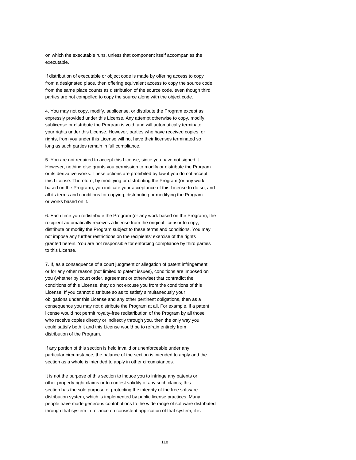on which the executable runs, unless that component itself accompanies the executable.

If distribution of executable or object code is made by offering access to copy from a designated place, then offering equivalent access to copy the source code from the same place counts as distribution of the source code, even though third parties are not compelled to copy the source along with the object code.

4. You may not copy, modify, sublicense, or distribute the Program except as expressly provided under this License. Any attempt otherwise to copy, modify, sublicense or distribute the Program is void, and will automatically terminate your rights under this License. However, parties who have received copies, or rights, from you under this License will not have their licenses terminated so long as such parties remain in full compliance.

5. You are not required to accept this License, since you have not signed it. However, nothing else grants you permission to modify or distribute the Program or its derivative works. These actions are prohibited by law if you do not accept this License. Therefore, by modifying or distributing the Program (or any work based on the Program), you indicate your acceptance of this License to do so, and all its terms and conditions for copying, distributing or modifying the Program or works based on it.

6. Each time you redistribute the Program (or any work based on the Program), the recipient automatically receives a license from the original licensor to copy, distribute or modify the Program subject to these terms and conditions. You may not impose any further restrictions on the recipients' exercise of the rights granted herein. You are not responsible for enforcing compliance by third parties to this License.

7. If, as a consequence of a court judgment or allegation of patent infringement or for any other reason (not limited to patent issues), conditions are imposed on you (whether by court order, agreement or otherwise) that contradict the conditions of this License, they do not excuse you from the conditions of this License. If you cannot distribute so as to satisfy simultaneously your obligations under this License and any other pertinent obligations, then as a consequence you may not distribute the Program at all. For example, if a patent license would not permit royalty-free redistribution of the Program by all those who receive copies directly or indirectly through you, then the only way you could satisfy both it and this License would be to refrain entirely from distribution of the Program.

If any portion of this section is held invalid or unenforceable under any particular circumstance, the balance of the section is intended to apply and the section as a whole is intended to apply in other circumstances.

It is not the purpose of this section to induce you to infringe any patents or other property right claims or to contest validity of any such claims; this section has the sole purpose of protecting the integrity of the free software distribution system, which is implemented by public license practices. Many people have made generous contributions to the wide range of software distributed through that system in reliance on consistent application of that system; it is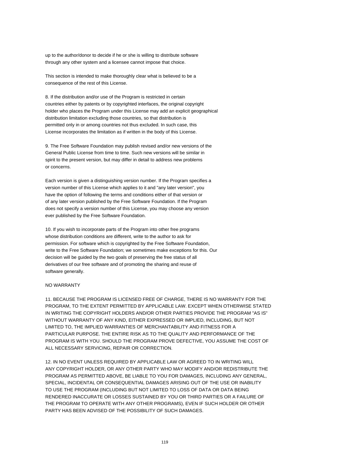up to the author/donor to decide if he or she is willing to distribute software through any other system and a licensee cannot impose that choice.

This section is intended to make thoroughly clear what is believed to be a consequence of the rest of this License.

8. If the distribution and/or use of the Program is restricted in certain countries either by patents or by copyrighted interfaces, the original copyright holder who places the Program under this License may add an explicit geographical distribution limitation excluding those countries, so that distribution is permitted only in or among countries not thus excluded. In such case, this License incorporates the limitation as if written in the body of this License.

9. The Free Software Foundation may publish revised and/or new versions of the General Public License from time to time. Such new versions will be similar in spirit to the present version, but may differ in detail to address new problems or concerns.

Each version is given a distinguishing version number. If the Program specifies a version number of this License which applies to it and "any later version", you have the option of following the terms and conditions either of that version or of any later version published by the Free Software Foundation. If the Program does not specify a version number of this License, you may choose any version ever published by the Free Software Foundation.

10. If you wish to incorporate parts of the Program into other free programs whose distribution conditions are different, write to the author to ask for permission. For software which is copyrighted by the Free Software Foundation, write to the Free Software Foundation; we sometimes make exceptions for this. Our decision will be guided by the two goals of preserving the free status of all derivatives of our free software and of promoting the sharing and reuse of software generally.

# NO WARRANTY

11. BECAUSE THE PROGRAM IS LICENSED FREE OF CHARGE, THERE IS NO WARRANTY FOR THE PROGRAM, TO THE EXTENT PERMITTED BY APPLICABLE LAW. EXCEPT WHEN OTHERWISE STATED IN WRITING THE COPYRIGHT HOLDERS AND/OR OTHER PARTIES PROVIDE THE PROGRAM "AS IS" WITHOUT WARRANTY OF ANY KIND, EITHER EXPRESSED OR IMPLIED, INCLUDING, BUT NOT LIMITED TO, THE IMPLIED WARRANTIES OF MERCHANTABILITY AND FITNESS FOR A PARTICULAR PURPOSE. THE ENTIRE RISK AS TO THE QUALITY AND PERFORMANCE OF THE PROGRAM IS WITH YOU. SHOULD THE PROGRAM PROVE DEFECTIVE, YOU ASSUME THE COST OF ALL NECESSARY SERVICING, REPAIR OR CORRECTION.

12. IN NO EVENT UNLESS REQUIRED BY APPLICABLE LAW OR AGREED TO IN WRITING WILL ANY COPYRIGHT HOLDER, OR ANY OTHER PARTY WHO MAY MODIFY AND/OR REDISTRIBUTE THE PROGRAM AS PERMITTED ABOVE, BE LIABLE TO YOU FOR DAMAGES, INCLUDING ANY GENERAL, SPECIAL, INCIDENTAL OR CONSEQUENTIAL DAMAGES ARISING OUT OF THE USE OR INABILITY TO USE THE PROGRAM (INCLUDING BUT NOT LIMITED TO LOSS OF DATA OR DATA BEING RENDERED INACCURATE OR LOSSES SUSTAINED BY YOU OR THIRD PARTIES OR A FAILURE OF THE PROGRAM TO OPERATE WITH ANY OTHER PROGRAMS), EVEN IF SUCH HOLDER OR OTHER PARTY HAS BEEN ADVISED OF THE POSSIBILITY OF SUCH DAMAGES.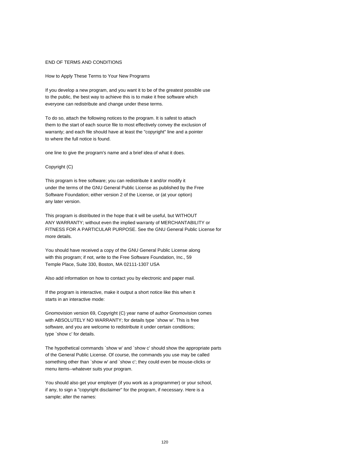## END OF TERMS AND CONDITIONS

How to Apply These Terms to Your New Programs

If you develop a new program, and you want it to be of the greatest possible use to the public, the best way to achieve this is to make it free software which everyone can redistribute and change under these terms.

To do so, attach the following notices to the program. It is safest to attach them to the start of each source file to most effectively convey the exclusion of warranty; and each file should have at least the "copyright" line and a pointer to where the full notice is found.

one line to give the program's name and a brief idea of what it does.

## Copyright (C)

This program is free software; you can redistribute it and/or modify it under the terms of the GNU General Public License as published by the Free Software Foundation; either version 2 of the License, or (at your option) any later version.

This program is distributed in the hope that it will be useful, but WITHOUT ANY WARRANTY; without even the implied warranty of MERCHANTABILITY or FITNESS FOR A PARTICULAR PURPOSE. See the GNU General Public License for more details.

You should have received a copy of the GNU General Public License along with this program; if not, write to the Free Software Foundation, Inc., 59 Temple Place, Suite 330, Boston, MA 02111-1307 USA

Also add information on how to contact you by electronic and paper mail.

If the program is interactive, make it output a short notice like this when it starts in an interactive mode:

Gnomovision version 69, Copyright (C) year name of author Gnomovision comes with ABSOLUTELY NO WARRANTY; for details type `show w'. This is free software, and you are welcome to redistribute it under certain conditions; type `show c' for details.

The hypothetical commands `show w' and `show c' should show the appropriate parts of the General Public License. Of course, the commands you use may be called something other than `show w' and `show c'; they could even be mouse-clicks or menu items--whatever suits your program.

You should also get your employer (if you work as a programmer) or your school, if any, to sign a "copyright disclaimer" for the program, if necessary. Here is a sample; alter the names: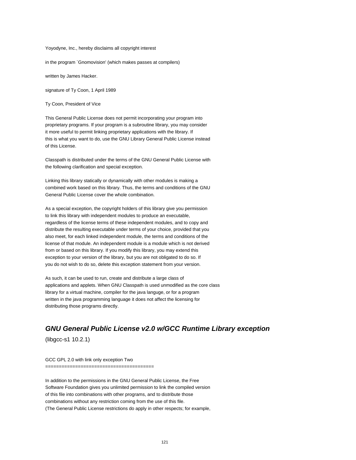Yoyodyne, Inc., hereby disclaims all copyright interest

in the program `Gnomovision' (which makes passes at compilers)

written by James Hacker.

signature of Ty Coon, 1 April 1989

Ty Coon, President of Vice

This General Public License does not permit incorporating your program into proprietary programs. If your program is a subroutine library, you may consider it more useful to permit linking proprietary applications with the library. If this is what you want to do, use the GNU Library General Public License instead of this License.

Classpath is distributed under the terms of the GNU General Public License with the following clarification and special exception.

Linking this library statically or dynamically with other modules is making a combined work based on this library. Thus, the terms and conditions of the GNU General Public License cover the whole combination.

As a special exception, the copyright holders of this library give you permission to link this library with independent modules to produce an executable, regardless of the license terms of these independent modules, and to copy and distribute the resulting executable under terms of your choice, provided that you also meet, for each linked independent module, the terms and conditions of the license of that module. An independent module is a module which is not derived from or based on this library. If you modify this library, you may extend this exception to your version of the library, but you are not obligated to do so. If you do not wish to do so, delete this exception statement from your version.

As such, it can be used to run, create and distribute a large class of applications and applets. When GNU Classpath is used unmodified as the core class library for a virtual machine, compiler for the java languge, or for a program written in the java programming language it does not affect the licensing for distributing those programs directly.

# **GNU General Public License v2.0 w/GCC Runtime Library exception**

(libgcc-s1 10.2.1)

GCC GPL 2.0 with link only exception Two ========================================

In addition to the permissions in the GNU General Public License, the Free Software Foundation gives you unlimited permission to link the compiled version of this file into combinations with other programs, and to distribute those combinations without any restriction coming from the use of this file. (The General Public License restrictions do apply in other respects; for example,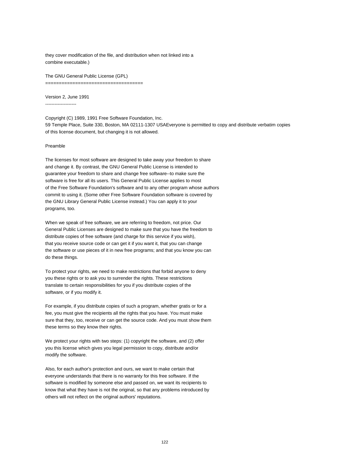they cover modification of the file, and distribution when not linked into a combine executable.)

The GNU General Public License (GPL) ====================================

Version 2, June 1991 --------------------

Copyright (C) 1989, 1991 Free Software Foundation, Inc. 59 Temple Place, Suite 330, Boston, MA 02111-1307 USAEveryone is permitted to copy and distribute verbatim copies of this license document, but changing it is not allowed.

### Preamble

The licenses for most software are designed to take away your freedom to share and change it. By contrast, the GNU General Public License is intended to guarantee your freedom to share and change free software--to make sure the software is free for all its users. This General Public License applies to most of the Free Software Foundation's software and to any other program whose authors commit to using it. (Some other Free Software Foundation software is covered by the GNU Library General Public License instead.) You can apply it to your programs, too.

When we speak of free software, we are referring to freedom, not price. Our General Public Licenses are designed to make sure that you have the freedom to distribute copies of free software (and charge for this service if you wish), that you receive source code or can get it if you want it, that you can change the software or use pieces of it in new free programs; and that you know you can do these things.

To protect your rights, we need to make restrictions that forbid anyone to deny you these rights or to ask you to surrender the rights. These restrictions translate to certain responsibilities for you if you distribute copies of the software, or if you modify it.

For example, if you distribute copies of such a program, whether gratis or for a fee, you must give the recipients all the rights that you have. You must make sure that they, too, receive or can get the source code. And you must show them these terms so they know their rights.

We protect your rights with two steps: (1) copyright the software, and (2) offer you this license which gives you legal permission to copy, distribute and/or modify the software.

Also, for each author's protection and ours, we want to make certain that everyone understands that there is no warranty for this free software. If the software is modified by someone else and passed on, we want its recipients to know that what they have is not the original, so that any problems introduced by others will not reflect on the original authors' reputations.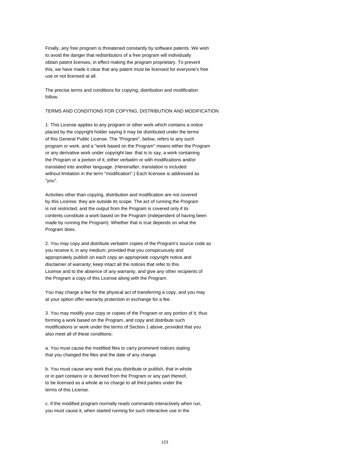Finally, any free program is threatened constantly by software patents. We wish to avoid the danger that redistributors of a free program will individually obtain patent licenses, in effect making the program proprietary. To prevent this, we have made it clear that any patent must be licensed for everyone's free use or not licensed at all.

The precise terms and conditions for copying, distribution and modification follow.

## TERMS AND CONDITIONS FOR COPYING, DISTRIBUTION AND MODIFICATION

1. This License applies to any program or other work which contains a notice placed by the copyright holder saying it may be distributed under the terms of this General Public License. The "Program", below, refers to any such program or work, and a "work based on the Program" means either the Program or any derivative work under copyright law: that is to say, a work containing the Program or a portion of it, either verbatim or with modifications and/or translated into another language. (Hereinafter, translation is included without limitation in the term "modification".) Each licensee is addressed as "you".

Activities other than copying, distribution and modification are not covered by this License; they are outside its scope. The act of running the Program is not restricted, and the output from the Program is covered only if its contents constitute a work based on the Program (independent of having been made by running the Program). Whether that is true depends on what the Program does.

2. You may copy and distribute verbatim copies of the Program's source code as you receive it, in any medium, provided that you conspicuously and appropriately publish on each copy an appropriate copyright notice and disclaimer of warranty; keep intact all the notices that refer to this License and to the absence of any warranty; and give any other recipients of the Program a copy of this License along with the Program.

You may charge a fee for the physical act of transferring a copy, and you may at your option offer warranty protection in exchange for a fee.

3. You may modify your copy or copies of the Program or any portion of it, thus forming a work based on the Program, and copy and distribute such modifications or work under the terms of Section 1 above, provided that you also meet all of these conditions:

a. You must cause the modified files to carry prominent notices stating that you changed the files and the date of any change.

b. You must cause any work that you distribute or publish, that in whole or in part contains or is derived from the Program or any part thereof, to be licensed as a whole at no charge to all third parties under the terms of this License.

c. If the modified program normally reads commands interactively when run, you must cause it, when started running for such interactive use in the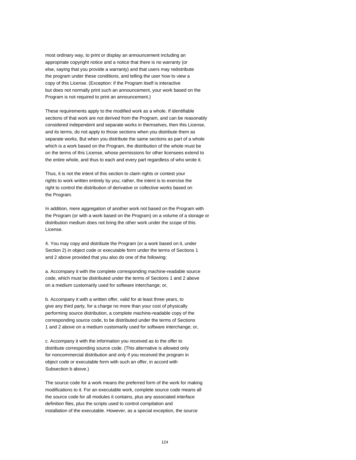most ordinary way, to print or display an announcement including an appropriate copyright notice and a notice that there is no warranty (or else, saying that you provide a warranty) and that users may redistribute the program under these conditions, and telling the user how to view a copy of this License. (Exception: if the Program itself is interactive but does not normally print such an announcement, your work based on the Program is not required to print an announcement.)

These requirements apply to the modified work as a whole. If identifiable sections of that work are not derived from the Program, and can be reasonably considered independent and separate works in themselves, then this License, and its terms, do not apply to those sections when you distribute them as separate works. But when you distribute the same sections as part of a whole which is a work based on the Program, the distribution of the whole must be on the terms of this License, whose permissions for other licensees extend to the entire whole, and thus to each and every part regardless of who wrote it.

Thus, it is not the intent of this section to claim rights or contest your rights to work written entirely by you; rather, the intent is to exercise the right to control the distribution of derivative or collective works based on the Program.

In addition, mere aggregation of another work not based on the Program with the Program (or with a work based on the Program) on a volume of a storage or distribution medium does not bring the other work under the scope of this License.

4. You may copy and distribute the Program (or a work based on it, under Section 2) in object code or executable form under the terms of Sections 1 and 2 above provided that you also do one of the following:

a. Accompany it with the complete corresponding machine-readable source code, which must be distributed under the terms of Sections 1 and 2 above on a medium customarily used for software interchange; or,

b. Accompany it with a written offer, valid for at least three years, to give any third party, for a charge no more than your cost of physically performing source distribution, a complete machine-readable copy of the corresponding source code, to be distributed under the terms of Sections 1 and 2 above on a medium customarily used for software interchange; or,

c. Accompany it with the information you received as to the offer to distribute corresponding source code. (This alternative is allowed only for noncommercial distribution and only if you received the program in object code or executable form with such an offer, in accord with Subsection b above.)

The source code for a work means the preferred form of the work for making modifications to it. For an executable work, complete source code means all the source code for all modules it contains, plus any associated interface definition files, plus the scripts used to control compilation and installation of the executable. However, as a special exception, the source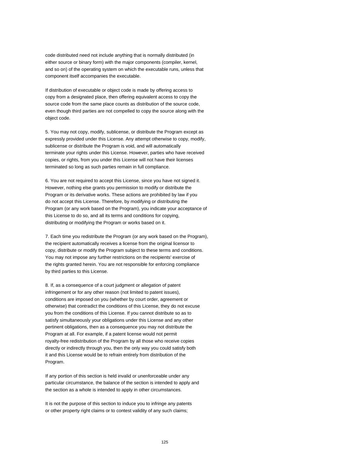code distributed need not include anything that is normally distributed (in either source or binary form) with the major components (compiler, kernel, and so on) of the operating system on which the executable runs, unless that component itself accompanies the executable.

If distribution of executable or object code is made by offering access to copy from a designated place, then offering equivalent access to copy the source code from the same place counts as distribution of the source code, even though third parties are not compelled to copy the source along with the object code.

5. You may not copy, modify, sublicense, or distribute the Program except as expressly provided under this License. Any attempt otherwise to copy, modify, sublicense or distribute the Program is void, and will automatically terminate your rights under this License. However, parties who have received copies, or rights, from you under this License will not have their licenses terminated so long as such parties remain in full compliance.

6. You are not required to accept this License, since you have not signed it. However, nothing else grants you permission to modify or distribute the Program or its derivative works. These actions are prohibited by law if you do not accept this License. Therefore, by modifying or distributing the Program (or any work based on the Program), you indicate your acceptance of this License to do so, and all its terms and conditions for copying, distributing or modifying the Program or works based on it.

7. Each time you redistribute the Program (or any work based on the Program), the recipient automatically receives a license from the original licensor to copy, distribute or modify the Program subject to these terms and conditions. You may not impose any further restrictions on the recipients' exercise of the rights granted herein. You are not responsible for enforcing compliance by third parties to this License.

8. If, as a consequence of a court judgment or allegation of patent infringement or for any other reason (not limited to patent issues), conditions are imposed on you (whether by court order, agreement or otherwise) that contradict the conditions of this License, they do not excuse you from the conditions of this License. If you cannot distribute so as to satisfy simultaneously your obligations under this License and any other pertinent obligations, then as a consequence you may not distribute the Program at all. For example, if a patent license would not permit royalty-free redistribution of the Program by all those who receive copies directly or indirectly through you, then the only way you could satisfy both it and this License would be to refrain entirely from distribution of the Program.

If any portion of this section is held invalid or unenforceable under any particular circumstance, the balance of the section is intended to apply and the section as a whole is intended to apply in other circumstances.

It is not the purpose of this section to induce you to infringe any patents or other property right claims or to contest validity of any such claims;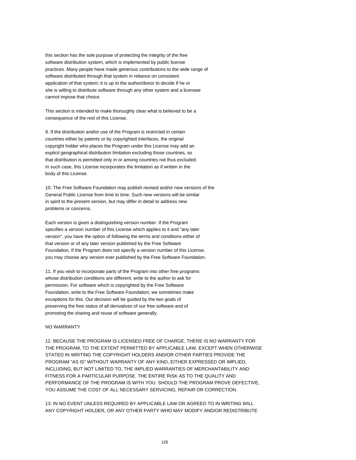this section has the sole purpose of protecting the integrity of the free software distribution system, which is implemented by public license practices. Many people have made generous contributions to the wide range of software distributed through that system in reliance on consistent application of that system; it is up to the author/donor to decide if he or she is willing to distribute software through any other system and a licensee cannot impose that choice.

This section is intended to make thoroughly clear what is believed to be a consequence of the rest of this License.

9. If the distribution and/or use of the Program is restricted in certain countries either by patents or by copyrighted interfaces, the original copyright holder who places the Program under this License may add an explicit geographical distribution limitation excluding those countries, so that distribution is permitted only in or among countries not thus excluded. In such case, this License incorporates the limitation as if written in the body of this License.

10. The Free Software Foundation may publish revised and/or new versions of the General Public License from time to time. Such new versions will be similar in spirit to the present version, but may differ in detail to address new problems or concerns.

Each version is given a distinguishing version number. If the Program specifies a version number of this License which applies to it and "any later version", you have the option of following the terms and conditions either of that version or of any later version published by the Free Software Foundation. If the Program does not specify a version number of this License, you may choose any version ever published by the Free Software Foundation.

11. If you wish to incorporate parts of the Program into other free programs whose distribution conditions are different, write to the author to ask for permission. For software which is copyrighted by the Free Software Foundation, write to the Free Software Foundation; we sometimes make exceptions for this. Our decision will be guided by the two goals of preserving the free status of all derivatives of our free software and of promoting the sharing and reuse of software generally.

## NO WARRANTY

12. BECAUSE THE PROGRAM IS LICENSED FREE OF CHARGE, THERE IS NO WARRANTY FOR THE PROGRAM, TO THE EXTENT PERMITTED BY APPLICABLE LAW. EXCEPT WHEN OTHERWISE STATED IN WRITING THE COPYRIGHT HOLDERS AND/OR OTHER PARTIES PROVIDE THE PROGRAM "AS IS" WITHOUT WARRANTY OF ANY KIND, EITHER EXPRESSED OR IMPLIED, INCLUDING, BUT NOT LIMITED TO, THE IMPLIED WARRANTIES OF MERCHANTABILITY AND FITNESS FOR A PARTICULAR PURPOSE. THE ENTIRE RISK AS TO THE QUALITY AND PERFORMANCE OF THE PROGRAM IS WITH YOU. SHOULD THE PROGRAM PROVE DEFECTIVE, YOU ASSUME THE COST OF ALL NECESSARY SERVICING, REPAIR OR CORRECTION.

13. IN NO EVENT UNLESS REQUIRED BY APPLICABLE LAW OR AGREED TO IN WRITING WILL ANY COPYRIGHT HOLDER, OR ANY OTHER PARTY WHO MAY MODIFY AND/OR REDISTRIBUTE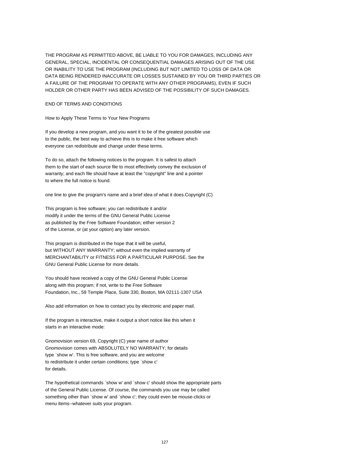THE PROGRAM AS PERMITTED ABOVE, BE LIABLE TO YOU FOR DAMAGES, INCLUDING ANY GENERAL, SPECIAL, INCIDENTAL OR CONSEQUENTIAL DAMAGES ARISING OUT OF THE USE OR INABILITY TO USE THE PROGRAM (INCLUDING BUT NOT LIMITED TO LOSS OF DATA OR DATA BEING RENDERED INACCURATE OR LOSSES SUSTAINED BY YOU OR THIRD PARTIES OR A FAILURE OF THE PROGRAM TO OPERATE WITH ANY OTHER PROGRAMS), EVEN IF SUCH HOLDER OR OTHER PARTY HAS BEEN ADVISED OF THE POSSIBILITY OF SUCH DAMAGES.

## END OF TERMS AND CONDITIONS

How to Apply These Terms to Your New Programs

If you develop a new program, and you want it to be of the greatest possible use to the public, the best way to achieve this is to make it free software which everyone can redistribute and change under these terms.

To do so, attach the following notices to the program. It is safest to attach them to the start of each source file to most effectively convey the exclusion of warranty; and each file should have at least the "copyright" line and a pointer to where the full notice is found.

one line to give the program's name and a brief idea of what it does.Copyright (C)

This program is free software; you can redistribute it and/or modify it under the terms of the GNU General Public License as published by the Free Software Foundation; either version 2 of the License, or (at your option) any later version.

This program is distributed in the hope that it will be useful, but WITHOUT ANY WARRANTY; without even the implied warranty of MERCHANTABILITY or FITNESS FOR A PARTICULAR PURPOSE. See the GNU General Public License for more details.

You should have received a copy of the GNU General Public License along with this program; if not, write to the Free Software Foundation, Inc., 59 Temple Place, Suite 330, Boston, MA 02111-1307 USA

Also add information on how to contact you by electronic and paper mail.

If the program is interactive, make it output a short notice like this when it starts in an interactive mode:

Gnomovision version 69, Copyright (C) year name of author Gnomovision comes with ABSOLUTELY NO WARRANTY; for details type `show w'. This is free software, and you are welcome to redistribute it under certain conditions; type `show c' for details.

The hypothetical commands `show w' and `show c' should show the appropriate parts of the General Public License. Of course, the commands you use may be called something other than `show w' and `show c'; they could even be mouse-clicks or menu items--whatever suits your program.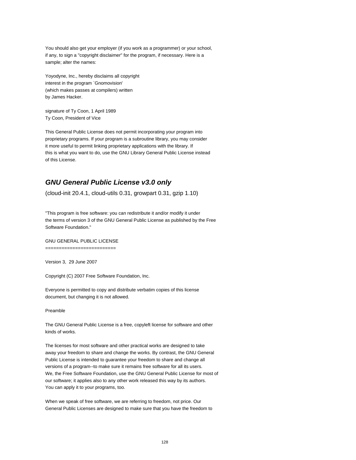You should also get your employer (if you work as a programmer) or your school, if any, to sign a "copyright disclaimer" for the program, if necessary. Here is a sample; alter the names:

Yoyodyne, Inc., hereby disclaims all copyright interest in the program `Gnomovision' (which makes passes at compilers) written by James Hacker.

signature of Ty Coon, 1 April 1989 Ty Coon, President of Vice

This General Public License does not permit incorporating your program into proprietary programs. If your program is a subroutine library, you may consider it more useful to permit linking proprietary applications with the library. If this is what you want to do, use the GNU Library General Public License instead of this License.

# **GNU General Public License v3.0 only**

(cloud-init 20.4.1, cloud-utils 0.31, growpart 0.31, gzip 1.10)

"This program is free software: you can redistribute it and/or modify it under the terms of version 3 of the GNU General Public License as published by the Free Software Foundation."

GNU GENERAL PUBLIC LICENSE ==========================

Version 3, 29 June 2007

Copyright (C) 2007 Free Software Foundation, Inc.

Everyone is permitted to copy and distribute verbatim copies of this license document, but changing it is not allowed.

## Preamble

The GNU General Public License is a free, copyleft license for software and other kinds of works.

The licenses for most software and other practical works are designed to take away your freedom to share and change the works. By contrast, the GNU General Public License is intended to guarantee your freedom to share and change all versions of a program--to make sure it remains free software for all its users. We, the Free Software Foundation, use the GNU General Public License for most of our software; it applies also to any other work released this way by its authors. You can apply it to your programs, too.

When we speak of free software, we are referring to freedom, not price. Our General Public Licenses are designed to make sure that you have the freedom to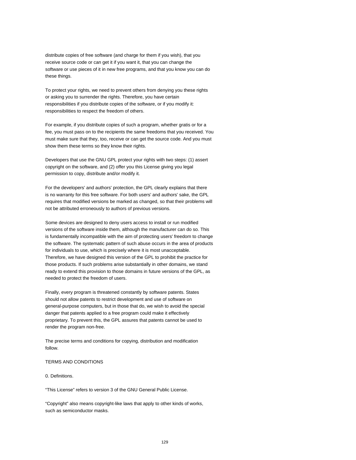distribute copies of free software (and charge for them if you wish), that you receive source code or can get it if you want it, that you can change the software or use pieces of it in new free programs, and that you know you can do these things.

To protect your rights, we need to prevent others from denying you these rights or asking you to surrender the rights. Therefore, you have certain responsibilities if you distribute copies of the software, or if you modify it: responsibilities to respect the freedom of others.

For example, if you distribute copies of such a program, whether gratis or for a fee, you must pass on to the recipients the same freedoms that you received. You must make sure that they, too, receive or can get the source code. And you must show them these terms so they know their rights.

Developers that use the GNU GPL protect your rights with two steps: (1) assert copyright on the software, and (2) offer you this License giving you legal permission to copy, distribute and/or modify it.

For the developers' and authors' protection, the GPL clearly explains that there is no warranty for this free software. For both users' and authors' sake, the GPL requires that modified versions be marked as changed, so that their problems will not be attributed erroneously to authors of previous versions.

Some devices are designed to deny users access to install or run modified versions of the software inside them, although the manufacturer can do so. This is fundamentally incompatible with the aim of protecting users' freedom to change the software. The systematic pattern of such abuse occurs in the area of products for individuals to use, which is precisely where it is most unacceptable. Therefore, we have designed this version of the GPL to prohibit the practice for those products. If such problems arise substantially in other domains, we stand ready to extend this provision to those domains in future versions of the GPL, as needed to protect the freedom of users.

Finally, every program is threatened constantly by software patents. States should not allow patents to restrict development and use of software on general-purpose computers, but in those that do, we wish to avoid the special danger that patents applied to a free program could make it effectively proprietary. To prevent this, the GPL assures that patents cannot be used to render the program non-free.

The precise terms and conditions for copying, distribution and modification follow.

## TERMS AND CONDITIONS

0. Definitions.

"This License" refers to version 3 of the GNU General Public License.

"Copyright" also means copyright-like laws that apply to other kinds of works, such as semiconductor masks.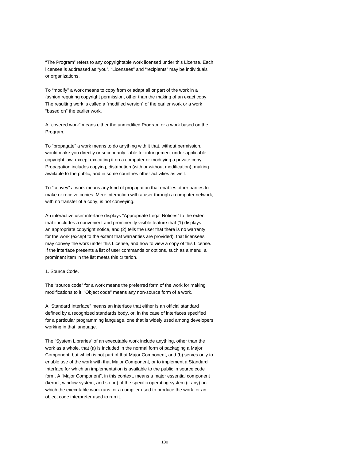"The Program" refers to any copyrightable work licensed under this License. Each licensee is addressed as "you". "Licensees" and "recipients" may be individuals or organizations.

To "modify" a work means to copy from or adapt all or part of the work in a fashion requiring copyright permission, other than the making of an exact copy. The resulting work is called a "modified version" of the earlier work or a work "based on" the earlier work.

A "covered work" means either the unmodified Program or a work based on the Program.

To "propagate" a work means to do anything with it that, without permission, would make you directly or secondarily liable for infringement under applicable copyright law, except executing it on a computer or modifying a private copy. Propagation includes copying, distribution (with or without modification), making available to the public, and in some countries other activities as well.

To "convey" a work means any kind of propagation that enables other parties to make or receive copies. Mere interaction with a user through a computer network, with no transfer of a copy, is not conveying.

An interactive user interface displays "Appropriate Legal Notices" to the extent that it includes a convenient and prominently visible feature that (1) displays an appropriate copyright notice, and (2) tells the user that there is no warranty for the work (except to the extent that warranties are provided), that licensees may convey the work under this License, and how to view a copy of this License. If the interface presents a list of user commands or options, such as a menu, a prominent item in the list meets this criterion.

# 1. Source Code.

The "source code" for a work means the preferred form of the work for making modifications to it. "Object code" means any non-source form of a work.

A "Standard Interface" means an interface that either is an official standard defined by a recognized standards body, or, in the case of interfaces specified for a particular programming language, one that is widely used among developers working in that language.

The "System Libraries" of an executable work include anything, other than the work as a whole, that (a) is included in the normal form of packaging a Major Component, but which is not part of that Major Component, and (b) serves only to enable use of the work with that Major Component, or to implement a Standard Interface for which an implementation is available to the public in source code form. A "Major Component", in this context, means a major essential component (kernel, window system, and so on) of the specific operating system (if any) on which the executable work runs, or a compiler used to produce the work, or an object code interpreter used to run it.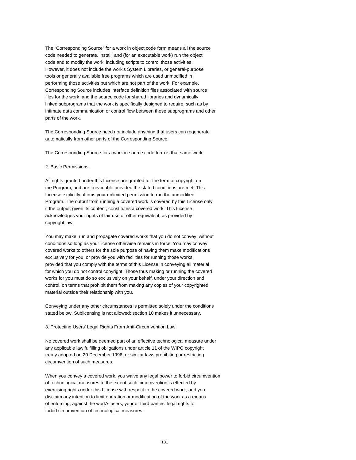The "Corresponding Source" for a work in object code form means all the source code needed to generate, install, and (for an executable work) run the object code and to modify the work, including scripts to control those activities. However, it does not include the work's System Libraries, or general-purpose tools or generally available free programs which are used unmodified in performing those activities but which are not part of the work. For example, Corresponding Source includes interface definition files associated with source files for the work, and the source code for shared libraries and dynamically linked subprograms that the work is specifically designed to require, such as by intimate data communication or control flow between those subprograms and other parts of the work.

The Corresponding Source need not include anything that users can regenerate automatically from other parts of the Corresponding Source.

The Corresponding Source for a work in source code form is that same work.

### 2. Basic Permissions.

All rights granted under this License are granted for the term of copyright on the Program, and are irrevocable provided the stated conditions are met. This License explicitly affirms your unlimited permission to run the unmodified Program. The output from running a covered work is covered by this License only if the output, given its content, constitutes a covered work. This License acknowledges your rights of fair use or other equivalent, as provided by copyright law.

You may make, run and propagate covered works that you do not convey, without conditions so long as your license otherwise remains in force. You may convey covered works to others for the sole purpose of having them make modifications exclusively for you, or provide you with facilities for running those works, provided that you comply with the terms of this License in conveying all material for which you do not control copyright. Those thus making or running the covered works for you must do so exclusively on your behalf, under your direction and control, on terms that prohibit them from making any copies of your copyrighted material outside their relationship with you.

Conveying under any other circumstances is permitted solely under the conditions stated below. Sublicensing is not allowed; section 10 makes it unnecessary.

3. Protecting Users' Legal Rights From Anti-Circumvention Law.

No covered work shall be deemed part of an effective technological measure under any applicable law fulfilling obligations under article 11 of the WIPO copyright treaty adopted on 20 December 1996, or similar laws prohibiting or restricting circumvention of such measures.

When you convey a covered work, you waive any legal power to forbid circumvention of technological measures to the extent such circumvention is effected by exercising rights under this License with respect to the covered work, and you disclaim any intention to limit operation or modification of the work as a means of enforcing, against the work's users, your or third parties' legal rights to forbid circumvention of technological measures.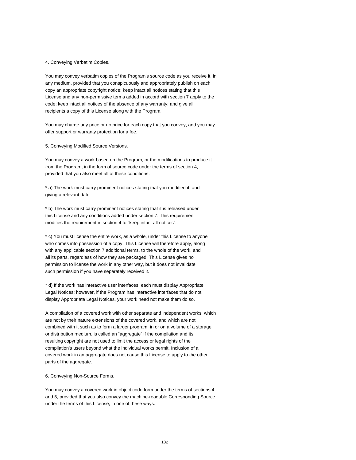### 4. Conveying Verbatim Copies.

You may convey verbatim copies of the Program's source code as you receive it, in any medium, provided that you conspicuously and appropriately publish on each copy an appropriate copyright notice; keep intact all notices stating that this License and any non-permissive terms added in accord with section 7 apply to the code; keep intact all notices of the absence of any warranty; and give all recipients a copy of this License along with the Program.

You may charge any price or no price for each copy that you convey, and you may offer support or warranty protection for a fee.

5. Conveying Modified Source Versions.

You may convey a work based on the Program, or the modifications to produce it from the Program, in the form of source code under the terms of section 4, provided that you also meet all of these conditions:

\* a) The work must carry prominent notices stating that you modified it, and giving a relevant date.

\* b) The work must carry prominent notices stating that it is released under this License and any conditions added under section 7. This requirement modifies the requirement in section 4 to "keep intact all notices".

\* c) You must license the entire work, as a whole, under this License to anyone who comes into possession of a copy. This License will therefore apply, along with any applicable section 7 additional terms, to the whole of the work, and all its parts, regardless of how they are packaged. This License gives no permission to license the work in any other way, but it does not invalidate such permission if you have separately received it.

\* d) If the work has interactive user interfaces, each must display Appropriate Legal Notices; however, if the Program has interactive interfaces that do not display Appropriate Legal Notices, your work need not make them do so.

A compilation of a covered work with other separate and independent works, which are not by their nature extensions of the covered work, and which are not combined with it such as to form a larger program, in or on a volume of a storage or distribution medium, is called an "aggregate" if the compilation and its resulting copyright are not used to limit the access or legal rights of the compilation's users beyond what the individual works permit. Inclusion of a covered work in an aggregate does not cause this License to apply to the other parts of the aggregate.

6. Conveying Non-Source Forms.

You may convey a covered work in object code form under the terms of sections 4 and 5, provided that you also convey the machine-readable Corresponding Source under the terms of this License, in one of these ways: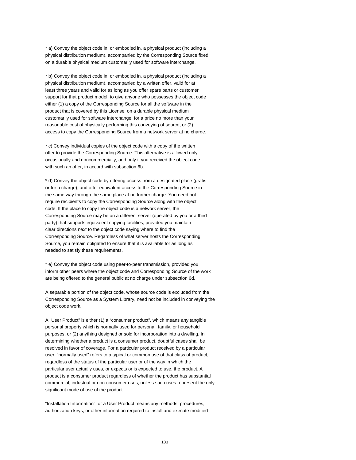\* a) Convey the object code in, or embodied in, a physical product (including a physical distribution medium), accompanied by the Corresponding Source fixed on a durable physical medium customarily used for software interchange.

\* b) Convey the object code in, or embodied in, a physical product (including a physical distribution medium), accompanied by a written offer, valid for at least three years and valid for as long as you offer spare parts or customer support for that product model, to give anyone who possesses the object code either (1) a copy of the Corresponding Source for all the software in the product that is covered by this License, on a durable physical medium customarily used for software interchange, for a price no more than your reasonable cost of physically performing this conveying of source, or (2) access to copy the Corresponding Source from a network server at no charge.

\* c) Convey individual copies of the object code with a copy of the written offer to provide the Corresponding Source. This alternative is allowed only occasionally and noncommercially, and only if you received the object code with such an offer, in accord with subsection 6b.

\* d) Convey the object code by offering access from a designated place (gratis or for a charge), and offer equivalent access to the Corresponding Source in the same way through the same place at no further charge. You need not require recipients to copy the Corresponding Source along with the object code. If the place to copy the object code is a network server, the Corresponding Source may be on a different server (operated by you or a third party) that supports equivalent copying facilities, provided you maintain clear directions next to the object code saying where to find the Corresponding Source. Regardless of what server hosts the Corresponding Source, you remain obligated to ensure that it is available for as long as needed to satisfy these requirements.

\* e) Convey the object code using peer-to-peer transmission, provided you inform other peers where the object code and Corresponding Source of the work are being offered to the general public at no charge under subsection 6d.

A separable portion of the object code, whose source code is excluded from the Corresponding Source as a System Library, need not be included in conveying the object code work.

A "User Product" is either (1) a "consumer product", which means any tangible personal property which is normally used for personal, family, or household purposes, or (2) anything designed or sold for incorporation into a dwelling. In determining whether a product is a consumer product, doubtful cases shall be resolved in favor of coverage. For a particular product received by a particular user, "normally used" refers to a typical or common use of that class of product, regardless of the status of the particular user or of the way in which the particular user actually uses, or expects or is expected to use, the product. A product is a consumer product regardless of whether the product has substantial commercial, industrial or non-consumer uses, unless such uses represent the only significant mode of use of the product.

"Installation Information" for a User Product means any methods, procedures, authorization keys, or other information required to install and execute modified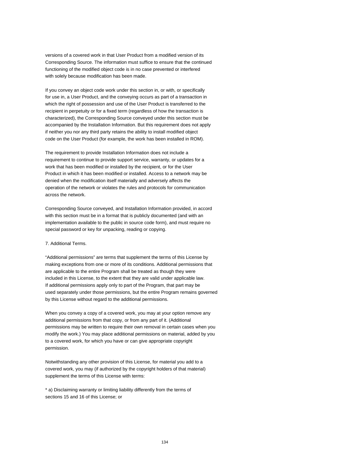versions of a covered work in that User Product from a modified version of its Corresponding Source. The information must suffice to ensure that the continued functioning of the modified object code is in no case prevented or interfered with solely because modification has been made.

If you convey an object code work under this section in, or with, or specifically for use in, a User Product, and the conveying occurs as part of a transaction in which the right of possession and use of the User Product is transferred to the recipient in perpetuity or for a fixed term (regardless of how the transaction is characterized), the Corresponding Source conveyed under this section must be accompanied by the Installation Information. But this requirement does not apply if neither you nor any third party retains the ability to install modified object code on the User Product (for example, the work has been installed in ROM).

The requirement to provide Installation Information does not include a requirement to continue to provide support service, warranty, or updates for a work that has been modified or installed by the recipient, or for the User Product in which it has been modified or installed. Access to a network may be denied when the modification itself materially and adversely affects the operation of the network or violates the rules and protocols for communication across the network.

Corresponding Source conveyed, and Installation Information provided, in accord with this section must be in a format that is publicly documented (and with an implementation available to the public in source code form), and must require no special password or key for unpacking, reading or copying.

7. Additional Terms.

"Additional permissions" are terms that supplement the terms of this License by making exceptions from one or more of its conditions. Additional permissions that are applicable to the entire Program shall be treated as though they were included in this License, to the extent that they are valid under applicable law. If additional permissions apply only to part of the Program, that part may be used separately under those permissions, but the entire Program remains governed by this License without regard to the additional permissions.

When you convey a copy of a covered work, you may at your option remove any additional permissions from that copy, or from any part of it. (Additional permissions may be written to require their own removal in certain cases when you modify the work.) You may place additional permissions on material, added by you to a covered work, for which you have or can give appropriate copyright permission.

Notwithstanding any other provision of this License, for material you add to a covered work, you may (if authorized by the copyright holders of that material) supplement the terms of this License with terms:

\* a) Disclaiming warranty or limiting liability differently from the terms of sections 15 and 16 of this License; or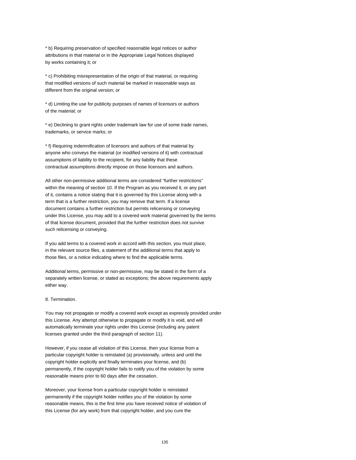\* b) Requiring preservation of specified reasonable legal notices or author attributions in that material or in the Appropriate Legal Notices displayed by works containing it; or

\* c) Prohibiting misrepresentation of the origin of that material, or requiring that modified versions of such material be marked in reasonable ways as different from the original version; or

\* d) Limiting the use for publicity purposes of names of licensors or authors of the material; or

\* e) Declining to grant rights under trademark law for use of some trade names, trademarks, or service marks; or

\* f) Requiring indemnification of licensors and authors of that material by anyone who conveys the material (or modified versions of it) with contractual assumptions of liability to the recipient, for any liability that these contractual assumptions directly impose on those licensors and authors.

All other non-permissive additional terms are considered "further restrictions" within the meaning of section 10. If the Program as you received it, or any part of it, contains a notice stating that it is governed by this License along with a term that is a further restriction, you may remove that term. If a license document contains a further restriction but permits relicensing or conveying under this License, you may add to a covered work material governed by the terms of that license document, provided that the further restriction does not survive such relicensing or conveying.

If you add terms to a covered work in accord with this section, you must place, in the relevant source files, a statement of the additional terms that apply to those files, or a notice indicating where to find the applicable terms.

Additional terms, permissive or non-permissive, may be stated in the form of a separately written license, or stated as exceptions; the above requirements apply either way.

8. Termination.

You may not propagate or modify a covered work except as expressly provided under this License. Any attempt otherwise to propagate or modify it is void, and will automatically terminate your rights under this License (including any patent licenses granted under the third paragraph of section 11).

However, if you cease all violation of this License, then your license from a particular copyright holder is reinstated (a) provisionally, unless and until the copyright holder explicitly and finally terminates your license, and (b) permanently, if the copyright holder fails to notify you of the violation by some reasonable means prior to 60 days after the cessation.

Moreover, your license from a particular copyright holder is reinstated permanently if the copyright holder notifies you of the violation by some reasonable means, this is the first time you have received notice of violation of this License (for any work) from that copyright holder, and you cure the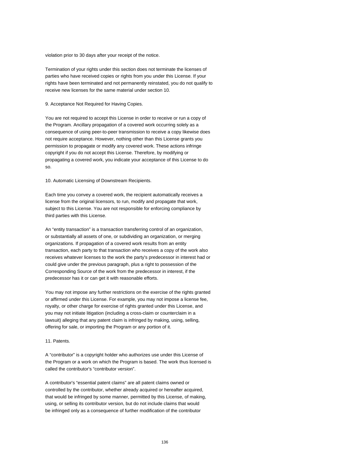violation prior to 30 days after your receipt of the notice.

Termination of your rights under this section does not terminate the licenses of parties who have received copies or rights from you under this License. If your rights have been terminated and not permanently reinstated, you do not qualify to receive new licenses for the same material under section 10.

9. Acceptance Not Required for Having Copies.

You are not required to accept this License in order to receive or run a copy of the Program. Ancillary propagation of a covered work occurring solely as a consequence of using peer-to-peer transmission to receive a copy likewise does not require acceptance. However, nothing other than this License grants you permission to propagate or modify any covered work. These actions infringe copyright if you do not accept this License. Therefore, by modifying or propagating a covered work, you indicate your acceptance of this License to do so.

10. Automatic Licensing of Downstream Recipients.

Each time you convey a covered work, the recipient automatically receives a license from the original licensors, to run, modify and propagate that work, subject to this License. You are not responsible for enforcing compliance by third parties with this License.

An "entity transaction" is a transaction transferring control of an organization, or substantially all assets of one, or subdividing an organization, or merging organizations. If propagation of a covered work results from an entity transaction, each party to that transaction who receives a copy of the work also receives whatever licenses to the work the party's predecessor in interest had or could give under the previous paragraph, plus a right to possession of the Corresponding Source of the work from the predecessor in interest, if the predecessor has it or can get it with reasonable efforts.

You may not impose any further restrictions on the exercise of the rights granted or affirmed under this License. For example, you may not impose a license fee, royalty, or other charge for exercise of rights granted under this License, and you may not initiate litigation (including a cross-claim or counterclaim in a lawsuit) alleging that any patent claim is infringed by making, using, selling, offering for sale, or importing the Program or any portion of it.

# 11. Patents.

A "contributor" is a copyright holder who authorizes use under this License of the Program or a work on which the Program is based. The work thus licensed is called the contributor's "contributor version".

A contributor's "essential patent claims" are all patent claims owned or controlled by the contributor, whether already acquired or hereafter acquired, that would be infringed by some manner, permitted by this License, of making, using, or selling its contributor version, but do not include claims that would be infringed only as a consequence of further modification of the contributor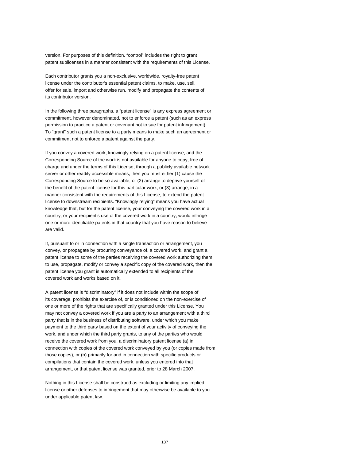version. For purposes of this definition, "control" includes the right to grant patent sublicenses in a manner consistent with the requirements of this License.

Each contributor grants you a non-exclusive, worldwide, royalty-free patent license under the contributor's essential patent claims, to make, use, sell, offer for sale, import and otherwise run, modify and propagate the contents of its contributor version.

In the following three paragraphs, a "patent license" is any express agreement or commitment, however denominated, not to enforce a patent (such as an express permission to practice a patent or covenant not to sue for patent infringement). To "grant" such a patent license to a party means to make such an agreement or commitment not to enforce a patent against the party.

If you convey a covered work, knowingly relying on a patent license, and the Corresponding Source of the work is not available for anyone to copy, free of charge and under the terms of this License, through a publicly available network server or other readily accessible means, then you must either (1) cause the Corresponding Source to be so available, or (2) arrange to deprive yourself of the benefit of the patent license for this particular work, or (3) arrange, in a manner consistent with the requirements of this License, to extend the patent license to downstream recipients. "Knowingly relying" means you have actual knowledge that, but for the patent license, your conveying the covered work in a country, or your recipient's use of the covered work in a country, would infringe one or more identifiable patents in that country that you have reason to believe are valid.

If, pursuant to or in connection with a single transaction or arrangement, you convey, or propagate by procuring conveyance of, a covered work, and grant a patent license to some of the parties receiving the covered work authorizing them to use, propagate, modify or convey a specific copy of the covered work, then the patent license you grant is automatically extended to all recipients of the covered work and works based on it.

A patent license is "discriminatory" if it does not include within the scope of its coverage, prohibits the exercise of, or is conditioned on the non-exercise of one or more of the rights that are specifically granted under this License. You may not convey a covered work if you are a party to an arrangement with a third party that is in the business of distributing software, under which you make payment to the third party based on the extent of your activity of conveying the work, and under which the third party grants, to any of the parties who would receive the covered work from you, a discriminatory patent license (a) in connection with copies of the covered work conveyed by you (or copies made from those copies), or (b) primarily for and in connection with specific products or compilations that contain the covered work, unless you entered into that arrangement, or that patent license was granted, prior to 28 March 2007.

Nothing in this License shall be construed as excluding or limiting any implied license or other defenses to infringement that may otherwise be available to you under applicable patent law.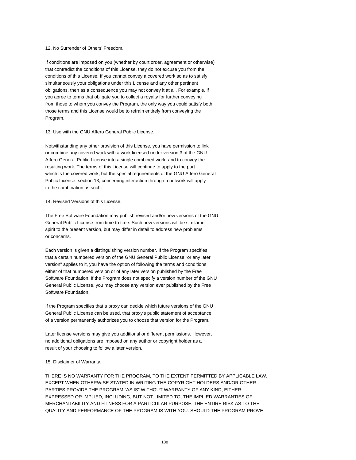## 12. No Surrender of Others' Freedom.

If conditions are imposed on you (whether by court order, agreement or otherwise) that contradict the conditions of this License, they do not excuse you from the conditions of this License. If you cannot convey a covered work so as to satisfy simultaneously your obligations under this License and any other pertinent obligations, then as a consequence you may not convey it at all. For example, if you agree to terms that obligate you to collect a royalty for further conveying from those to whom you convey the Program, the only way you could satisfy both those terms and this License would be to refrain entirely from conveying the Program.

13. Use with the GNU Affero General Public License.

Notwithstanding any other provision of this License, you have permission to link or combine any covered work with a work licensed under version 3 of the GNU Affero General Public License into a single combined work, and to convey the resulting work. The terms of this License will continue to apply to the part which is the covered work, but the special requirements of the GNU Affero General Public License, section 13, concerning interaction through a network will apply to the combination as such.

## 14. Revised Versions of this License.

The Free Software Foundation may publish revised and/or new versions of the GNU General Public License from time to time. Such new versions will be similar in spirit to the present version, but may differ in detail to address new problems or concerns.

Each version is given a distinguishing version number. If the Program specifies that a certain numbered version of the GNU General Public License "or any later version" applies to it, you have the option of following the terms and conditions either of that numbered version or of any later version published by the Free Software Foundation. If the Program does not specify a version number of the GNU General Public License, you may choose any version ever published by the Free Software Foundation.

If the Program specifies that a proxy can decide which future versions of the GNU General Public License can be used, that proxy's public statement of acceptance of a version permanently authorizes you to choose that version for the Program.

Later license versions may give you additional or different permissions. However, no additional obligations are imposed on any author or copyright holder as a result of your choosing to follow a later version.

### 15. Disclaimer of Warranty.

THERE IS NO WARRANTY FOR THE PROGRAM, TO THE EXTENT PERMITTED BY APPLICABLE LAW. EXCEPT WHEN OTHERWISE STATED IN WRITING THE COPYRIGHT HOLDERS AND/OR OTHER PARTIES PROVIDE THE PROGRAM "AS IS" WITHOUT WARRANTY OF ANY KIND, EITHER EXPRESSED OR IMPLIED, INCLUDING, BUT NOT LIMITED TO, THE IMPLIED WARRANTIES OF MERCHANTABILITY AND FITNESS FOR A PARTICULAR PURPOSE. THE ENTIRE RISK AS TO THE QUALITY AND PERFORMANCE OF THE PROGRAM IS WITH YOU. SHOULD THE PROGRAM PROVE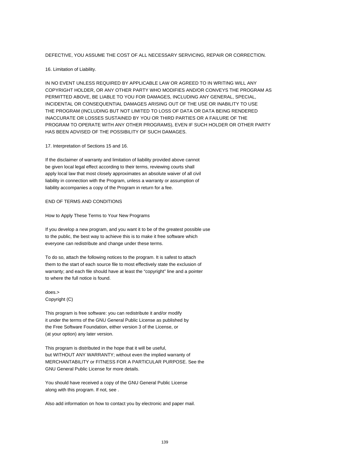DEFECTIVE, YOU ASSUME THE COST OF ALL NECESSARY SERVICING, REPAIR OR CORRECTION.

16. Limitation of Liability.

IN NO EVENT UNLESS REQUIRED BY APPLICABLE LAW OR AGREED TO IN WRITING WILL ANY COPYRIGHT HOLDER, OR ANY OTHER PARTY WHO MODIFIES AND/OR CONVEYS THE PROGRAM AS PERMITTED ABOVE, BE LIABLE TO YOU FOR DAMAGES, INCLUDING ANY GENERAL, SPECIAL, INCIDENTAL OR CONSEQUENTIAL DAMAGES ARISING OUT OF THE USE OR INABILITY TO USE THE PROGRAM (INCLUDING BUT NOT LIMITED TO LOSS OF DATA OR DATA BEING RENDERED INACCURATE OR LOSSES SUSTAINED BY YOU OR THIRD PARTIES OR A FAILURE OF THE PROGRAM TO OPERATE WITH ANY OTHER PROGRAMS), EVEN IF SUCH HOLDER OR OTHER PARTY HAS BEEN ADVISED OF THE POSSIBILITY OF SUCH DAMAGES.

17. Interpretation of Sections 15 and 16.

If the disclaimer of warranty and limitation of liability provided above cannot be given local legal effect according to their terms, reviewing courts shall apply local law that most closely approximates an absolute waiver of all civil liability in connection with the Program, unless a warranty or assumption of liability accompanies a copy of the Program in return for a fee.

# END OF TERMS AND CONDITIONS

How to Apply These Terms to Your New Programs

If you develop a new program, and you want it to be of the greatest possible use to the public, the best way to achieve this is to make it free software which everyone can redistribute and change under these terms.

To do so, attach the following notices to the program. It is safest to attach them to the start of each source file to most effectively state the exclusion of warranty; and each file should have at least the "copyright" line and a pointer to where the full notice is found.

does.> Copyright (C)

This program is free software: you can redistribute it and/or modify it under the terms of the GNU General Public License as published by the Free Software Foundation, either version 3 of the License, or (at your option) any later version.

This program is distributed in the hope that it will be useful, but WITHOUT ANY WARRANTY; without even the implied warranty of MERCHANTABILITY or FITNESS FOR A PARTICULAR PURPOSE. See the GNU General Public License for more details.

You should have received a copy of the GNU General Public License along with this program. If not, see .

Also add information on how to contact you by electronic and paper mail.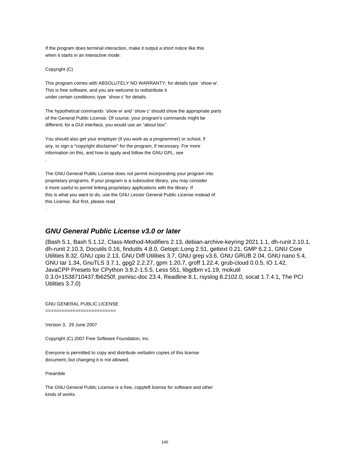If the program does terminal interaction, make it output a short notice like this when it starts in an interactive mode:

Copyright (C)

.

.

This program comes with ABSOLUTELY NO WARRANTY; for details type `show w'. This is free software, and you are welcome to redistribute it under certain conditions; type `show c' for details.

The hypothetical commands `show w' and `show c' should show the appropriate parts of the General Public License. Of course, your program's commands might be different; for a GUI interface, you would use an "about box".

You should also get your employer (if you work as a programmer) or school, if any, to sign a "copyright disclaimer" for the program, if necessary. For more information on this, and how to apply and follow the GNU GPL, see

The GNU General Public License does not permit incorporating your program into proprietary programs. If your program is a subroutine library, you may consider it more useful to permit linking proprietary applications with the library. If this is what you want to do, use the GNU Lesser General Public License instead of this License. But first, please read

**GNU General Public License v3.0 or later**

(Bash 5.1, Bash 5.1.12, Class-Method-Modifiers 2.13, debian-archive-keyring 2021.1.1, dh-runit 2.10.1, dh-runit 2.10.3, Docutils 0.16, findutils 4.8.0, Getopt::Long 2.51, gettext 0.21, GMP 6.2.1, GNU Core Utilities 8.32, GNU cpio 2.13, GNU Diff Utilities 3.7, GNU grep v3.6, GNU GRUB 2.04, GNU nano 5.4, GNU tar 1.34, GnuTLS 3.7.1, gpg2 2.2.27, gpm 1.20.7, groff 1.22.4, grub-cloud 0.0.5, IO 1.42, JavaCPP Presets for CPython 3.9.2-1.5.5, Less 551, libgdbm v1.19, mokutil 0.3.0+1538710437.fb6250f, psmisc-doc 23.4, Readline 8.1, rsyslog 8.2102.0, socat 1.7.4.1, The PCI Utilities 3.7.0)

GNU GENERAL PUBLIC LICENSE

==========================

Version 3, 29 June 2007

Copyright (C) 2007 Free Software Foundation, Inc.

Everyone is permitted to copy and distribute verbatim copies of this license document, but changing it is not allowed.

Preamble

The GNU General Public License is a free, copyleft license for software and other kinds of works.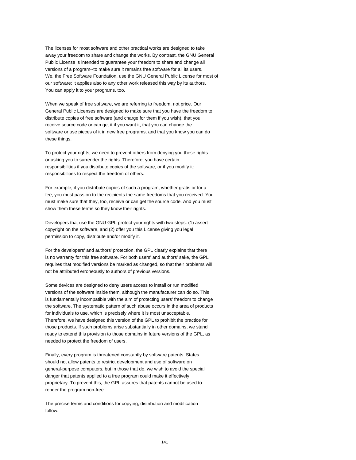The licenses for most software and other practical works are designed to take away your freedom to share and change the works. By contrast, the GNU General Public License is intended to guarantee your freedom to share and change all versions of a program--to make sure it remains free software for all its users. We, the Free Software Foundation, use the GNU General Public License for most of our software; it applies also to any other work released this way by its authors. You can apply it to your programs, too.

When we speak of free software, we are referring to freedom, not price. Our General Public Licenses are designed to make sure that you have the freedom to distribute copies of free software (and charge for them if you wish), that you receive source code or can get it if you want it, that you can change the software or use pieces of it in new free programs, and that you know you can do these things.

To protect your rights, we need to prevent others from denying you these rights or asking you to surrender the rights. Therefore, you have certain responsibilities if you distribute copies of the software, or if you modify it: responsibilities to respect the freedom of others.

For example, if you distribute copies of such a program, whether gratis or for a fee, you must pass on to the recipients the same freedoms that you received. You must make sure that they, too, receive or can get the source code. And you must show them these terms so they know their rights.

Developers that use the GNU GPL protect your rights with two steps: (1) assert copyright on the software, and (2) offer you this License giving you legal permission to copy, distribute and/or modify it.

For the developers' and authors' protection, the GPL clearly explains that there is no warranty for this free software. For both users' and authors' sake, the GPL requires that modified versions be marked as changed, so that their problems will not be attributed erroneously to authors of previous versions.

Some devices are designed to deny users access to install or run modified versions of the software inside them, although the manufacturer can do so. This is fundamentally incompatible with the aim of protecting users' freedom to change the software. The systematic pattern of such abuse occurs in the area of products for individuals to use, which is precisely where it is most unacceptable. Therefore, we have designed this version of the GPL to prohibit the practice for those products. If such problems arise substantially in other domains, we stand ready to extend this provision to those domains in future versions of the GPL, as needed to protect the freedom of users.

Finally, every program is threatened constantly by software patents. States should not allow patents to restrict development and use of software on general-purpose computers, but in those that do, we wish to avoid the special danger that patents applied to a free program could make it effectively proprietary. To prevent this, the GPL assures that patents cannot be used to render the program non-free.

The precise terms and conditions for copying, distribution and modification follow.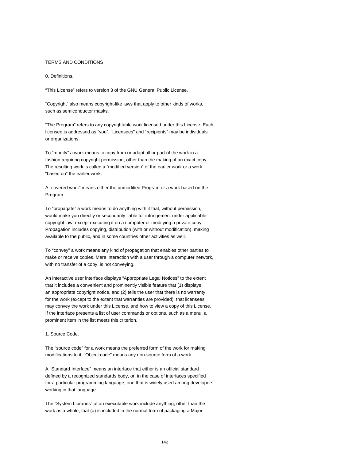## TERMS AND CONDITIONS

## 0. Definitions.

"This License" refers to version 3 of the GNU General Public License.

"Copyright" also means copyright-like laws that apply to other kinds of works, such as semiconductor masks.

"The Program" refers to any copyrightable work licensed under this License. Each licensee is addressed as "you". "Licensees" and "recipients" may be individuals or organizations.

To "modify" a work means to copy from or adapt all or part of the work in a fashion requiring copyright permission, other than the making of an exact copy. The resulting work is called a "modified version" of the earlier work or a work "based on" the earlier work.

A "covered work" means either the unmodified Program or a work based on the Program.

To "propagate" a work means to do anything with it that, without permission, would make you directly or secondarily liable for infringement under applicable copyright law, except executing it on a computer or modifying a private copy. Propagation includes copying, distribution (with or without modification), making available to the public, and in some countries other activities as well.

To "convey" a work means any kind of propagation that enables other parties to make or receive copies. Mere interaction with a user through a computer network, with no transfer of a copy, is not conveying.

An interactive user interface displays "Appropriate Legal Notices" to the extent that it includes a convenient and prominently visible feature that (1) displays an appropriate copyright notice, and (2) tells the user that there is no warranty for the work (except to the extent that warranties are provided), that licensees may convey the work under this License, and how to view a copy of this License. If the interface presents a list of user commands or options, such as a menu, a prominent item in the list meets this criterion.

## 1. Source Code.

The "source code" for a work means the preferred form of the work for making modifications to it. "Object code" means any non-source form of a work.

A "Standard Interface" means an interface that either is an official standard defined by a recognized standards body, or, in the case of interfaces specified for a particular programming language, one that is widely used among developers working in that language.

The "System Libraries" of an executable work include anything, other than the work as a whole, that (a) is included in the normal form of packaging a Major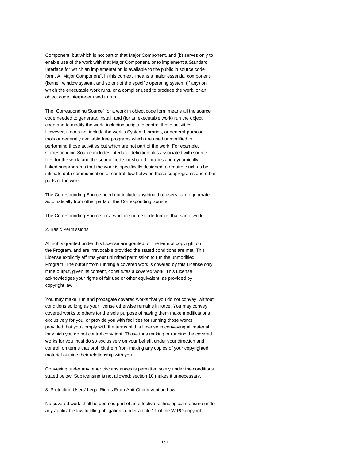Component, but which is not part of that Major Component, and (b) serves only to enable use of the work with that Major Component, or to implement a Standard Interface for which an implementation is available to the public in source code form. A "Major Component", in this context, means a major essential component (kernel, window system, and so on) of the specific operating system (if any) on which the executable work runs, or a compiler used to produce the work, or an object code interpreter used to run it.

The "Corresponding Source" for a work in object code form means all the source code needed to generate, install, and (for an executable work) run the object code and to modify the work, including scripts to control those activities. However, it does not include the work's System Libraries, or general-purpose tools or generally available free programs which are used unmodified in performing those activities but which are not part of the work. For example, Corresponding Source includes interface definition files associated with source files for the work, and the source code for shared libraries and dynamically linked subprograms that the work is specifically designed to require, such as by intimate data communication or control flow between those subprograms and other parts of the work.

The Corresponding Source need not include anything that users can regenerate automatically from other parts of the Corresponding Source.

The Corresponding Source for a work in source code form is that same work.

#### 2. Basic Permissions.

All rights granted under this License are granted for the term of copyright on the Program, and are irrevocable provided the stated conditions are met. This License explicitly affirms your unlimited permission to run the unmodified Program. The output from running a covered work is covered by this License only if the output, given its content, constitutes a covered work. This License acknowledges your rights of fair use or other equivalent, as provided by copyright law.

You may make, run and propagate covered works that you do not convey, without conditions so long as your license otherwise remains in force. You may convey covered works to others for the sole purpose of having them make modifications exclusively for you, or provide you with facilities for running those works, provided that you comply with the terms of this License in conveying all material for which you do not control copyright. Those thus making or running the covered works for you must do so exclusively on your behalf, under your direction and control, on terms that prohibit them from making any copies of your copyrighted material outside their relationship with you.

Conveying under any other circumstances is permitted solely under the conditions stated below. Sublicensing is not allowed; section 10 makes it unnecessary.

3. Protecting Users' Legal Rights From Anti-Circumvention Law.

No covered work shall be deemed part of an effective technological measure under any applicable law fulfilling obligations under article 11 of the WIPO copyright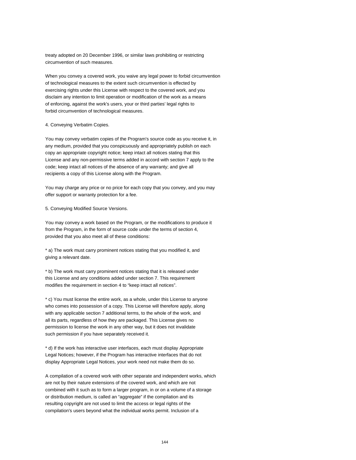treaty adopted on 20 December 1996, or similar laws prohibiting or restricting circumvention of such measures.

When you convey a covered work, you waive any legal power to forbid circumvention of technological measures to the extent such circumvention is effected by exercising rights under this License with respect to the covered work, and you disclaim any intention to limit operation or modification of the work as a means of enforcing, against the work's users, your or third parties' legal rights to forbid circumvention of technological measures.

### 4. Conveying Verbatim Copies.

You may convey verbatim copies of the Program's source code as you receive it, in any medium, provided that you conspicuously and appropriately publish on each copy an appropriate copyright notice; keep intact all notices stating that this License and any non-permissive terms added in accord with section 7 apply to the code; keep intact all notices of the absence of any warranty; and give all recipients a copy of this License along with the Program.

You may charge any price or no price for each copy that you convey, and you may offer support or warranty protection for a fee.

5. Conveying Modified Source Versions.

You may convey a work based on the Program, or the modifications to produce it from the Program, in the form of source code under the terms of section 4, provided that you also meet all of these conditions:

\* a) The work must carry prominent notices stating that you modified it, and giving a relevant date.

\* b) The work must carry prominent notices stating that it is released under this License and any conditions added under section 7. This requirement modifies the requirement in section 4 to "keep intact all notices".

\* c) You must license the entire work, as a whole, under this License to anyone who comes into possession of a copy. This License will therefore apply, along with any applicable section 7 additional terms, to the whole of the work, and all its parts, regardless of how they are packaged. This License gives no permission to license the work in any other way, but it does not invalidate such permission if you have separately received it.

\* d) If the work has interactive user interfaces, each must display Appropriate Legal Notices; however, if the Program has interactive interfaces that do not display Appropriate Legal Notices, your work need not make them do so.

A compilation of a covered work with other separate and independent works, which are not by their nature extensions of the covered work, and which are not combined with it such as to form a larger program, in or on a volume of a storage or distribution medium, is called an "aggregate" if the compilation and its resulting copyright are not used to limit the access or legal rights of the compilation's users beyond what the individual works permit. Inclusion of a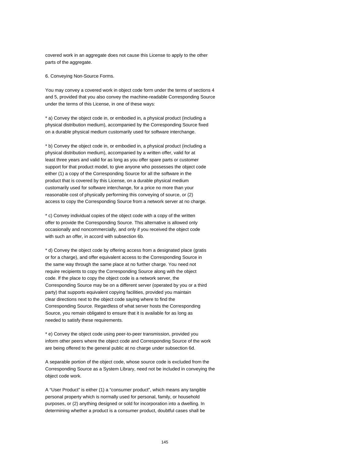covered work in an aggregate does not cause this License to apply to the other parts of the aggregate.

6. Conveying Non-Source Forms.

You may convey a covered work in object code form under the terms of sections 4 and 5, provided that you also convey the machine-readable Corresponding Source under the terms of this License, in one of these ways:

\* a) Convey the object code in, or embodied in, a physical product (including a physical distribution medium), accompanied by the Corresponding Source fixed on a durable physical medium customarily used for software interchange.

\* b) Convey the object code in, or embodied in, a physical product (including a physical distribution medium), accompanied by a written offer, valid for at least three years and valid for as long as you offer spare parts or customer support for that product model, to give anyone who possesses the object code either (1) a copy of the Corresponding Source for all the software in the product that is covered by this License, on a durable physical medium customarily used for software interchange, for a price no more than your reasonable cost of physically performing this conveying of source, or (2) access to copy the Corresponding Source from a network server at no charge.

\* c) Convey individual copies of the object code with a copy of the written offer to provide the Corresponding Source. This alternative is allowed only occasionally and noncommercially, and only if you received the object code with such an offer, in accord with subsection 6b.

\* d) Convey the object code by offering access from a designated place (gratis or for a charge), and offer equivalent access to the Corresponding Source in the same way through the same place at no further charge. You need not require recipients to copy the Corresponding Source along with the object code. If the place to copy the object code is a network server, the Corresponding Source may be on a different server (operated by you or a third party) that supports equivalent copying facilities, provided you maintain clear directions next to the object code saying where to find the Corresponding Source. Regardless of what server hosts the Corresponding Source, you remain obligated to ensure that it is available for as long as needed to satisfy these requirements.

\* e) Convey the object code using peer-to-peer transmission, provided you inform other peers where the object code and Corresponding Source of the work are being offered to the general public at no charge under subsection 6d.

A separable portion of the object code, whose source code is excluded from the Corresponding Source as a System Library, need not be included in conveying the object code work.

A "User Product" is either (1) a "consumer product", which means any tangible personal property which is normally used for personal, family, or household purposes, or (2) anything designed or sold for incorporation into a dwelling. In determining whether a product is a consumer product, doubtful cases shall be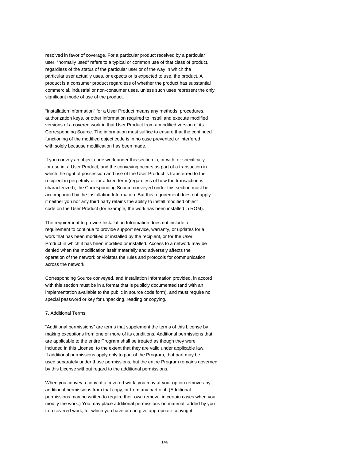resolved in favor of coverage. For a particular product received by a particular user, "normally used" refers to a typical or common use of that class of product, regardless of the status of the particular user or of the way in which the particular user actually uses, or expects or is expected to use, the product. A product is a consumer product regardless of whether the product has substantial commercial, industrial or non-consumer uses, unless such uses represent the only significant mode of use of the product.

"Installation Information" for a User Product means any methods, procedures, authorization keys, or other information required to install and execute modified versions of a covered work in that User Product from a modified version of its Corresponding Source. The information must suffice to ensure that the continued functioning of the modified object code is in no case prevented or interfered with solely because modification has been made.

If you convey an object code work under this section in, or with, or specifically for use in, a User Product, and the conveying occurs as part of a transaction in which the right of possession and use of the User Product is transferred to the recipient in perpetuity or for a fixed term (regardless of how the transaction is characterized), the Corresponding Source conveyed under this section must be accompanied by the Installation Information. But this requirement does not apply if neither you nor any third party retains the ability to install modified object code on the User Product (for example, the work has been installed in ROM).

The requirement to provide Installation Information does not include a requirement to continue to provide support service, warranty, or updates for a work that has been modified or installed by the recipient, or for the User Product in which it has been modified or installed. Access to a network may be denied when the modification itself materially and adversely affects the operation of the network or violates the rules and protocols for communication across the network.

Corresponding Source conveyed, and Installation Information provided, in accord with this section must be in a format that is publicly documented (and with an implementation available to the public in source code form), and must require no special password or key for unpacking, reading or copying.

## 7. Additional Terms.

"Additional permissions" are terms that supplement the terms of this License by making exceptions from one or more of its conditions. Additional permissions that are applicable to the entire Program shall be treated as though they were included in this License, to the extent that they are valid under applicable law. If additional permissions apply only to part of the Program, that part may be used separately under those permissions, but the entire Program remains governed by this License without regard to the additional permissions.

When you convey a copy of a covered work, you may at your option remove any additional permissions from that copy, or from any part of it. (Additional permissions may be written to require their own removal in certain cases when you modify the work.) You may place additional permissions on material, added by you to a covered work, for which you have or can give appropriate copyright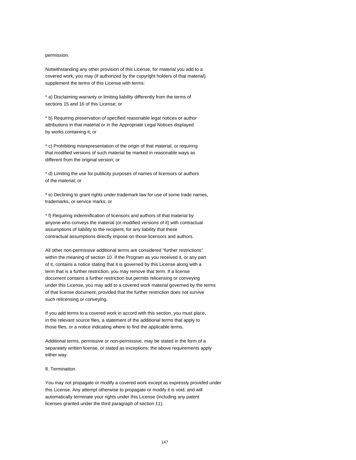#### permission.

Notwithstanding any other provision of this License, for material you add to a covered work, you may (if authorized by the copyright holders of that material) supplement the terms of this License with terms:

\* a) Disclaiming warranty or limiting liability differently from the terms of sections 15 and 16 of this License; or

\* b) Requiring preservation of specified reasonable legal notices or author attributions in that material or in the Appropriate Legal Notices displayed by works containing it; or

\* c) Prohibiting misrepresentation of the origin of that material, or requiring that modified versions of such material be marked in reasonable ways as different from the original version; or

\* d) Limiting the use for publicity purposes of names of licensors or authors of the material; or

\* e) Declining to grant rights under trademark law for use of some trade names, trademarks, or service marks; or

\* f) Requiring indemnification of licensors and authors of that material by anyone who conveys the material (or modified versions of it) with contractual assumptions of liability to the recipient, for any liability that these contractual assumptions directly impose on those licensors and authors.

All other non-permissive additional terms are considered "further restrictions" within the meaning of section 10. If the Program as you received it, or any part of it, contains a notice stating that it is governed by this License along with a term that is a further restriction, you may remove that term. If a license document contains a further restriction but permits relicensing or conveying under this License, you may add to a covered work material governed by the terms of that license document, provided that the further restriction does not survive such relicensing or conveying.

If you add terms to a covered work in accord with this section, you must place, in the relevant source files, a statement of the additional terms that apply to those files, or a notice indicating where to find the applicable terms.

Additional terms, permissive or non-permissive, may be stated in the form of a separately written license, or stated as exceptions; the above requirements apply either way.

8. Termination.

You may not propagate or modify a covered work except as expressly provided under this License. Any attempt otherwise to propagate or modify it is void, and will automatically terminate your rights under this License (including any patent licenses granted under the third paragraph of section 11).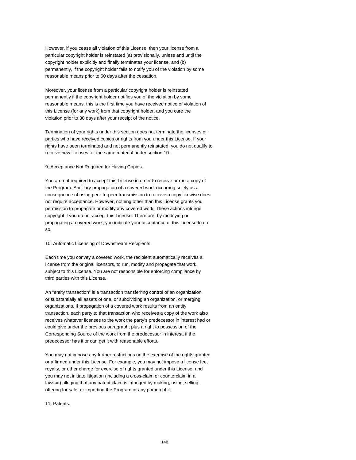However, if you cease all violation of this License, then your license from a particular copyright holder is reinstated (a) provisionally, unless and until the copyright holder explicitly and finally terminates your license, and (b) permanently, if the copyright holder fails to notify you of the violation by some reasonable means prior to 60 days after the cessation.

Moreover, your license from a particular copyright holder is reinstated permanently if the copyright holder notifies you of the violation by some reasonable means, this is the first time you have received notice of violation of this License (for any work) from that copyright holder, and you cure the violation prior to 30 days after your receipt of the notice.

Termination of your rights under this section does not terminate the licenses of parties who have received copies or rights from you under this License. If your rights have been terminated and not permanently reinstated, you do not qualify to receive new licenses for the same material under section 10.

9. Acceptance Not Required for Having Copies.

You are not required to accept this License in order to receive or run a copy of the Program. Ancillary propagation of a covered work occurring solely as a consequence of using peer-to-peer transmission to receive a copy likewise does not require acceptance. However, nothing other than this License grants you permission to propagate or modify any covered work. These actions infringe copyright if you do not accept this License. Therefore, by modifying or propagating a covered work, you indicate your acceptance of this License to do so.

10. Automatic Licensing of Downstream Recipients.

Each time you convey a covered work, the recipient automatically receives a license from the original licensors, to run, modify and propagate that work, subject to this License. You are not responsible for enforcing compliance by third parties with this License.

An "entity transaction" is a transaction transferring control of an organization, or substantially all assets of one, or subdividing an organization, or merging organizations. If propagation of a covered work results from an entity transaction, each party to that transaction who receives a copy of the work also receives whatever licenses to the work the party's predecessor in interest had or could give under the previous paragraph, plus a right to possession of the Corresponding Source of the work from the predecessor in interest, if the predecessor has it or can get it with reasonable efforts.

You may not impose any further restrictions on the exercise of the rights granted or affirmed under this License. For example, you may not impose a license fee, royalty, or other charge for exercise of rights granted under this License, and you may not initiate litigation (including a cross-claim or counterclaim in a lawsuit) alleging that any patent claim is infringed by making, using, selling, offering for sale, or importing the Program or any portion of it.

11. Patents.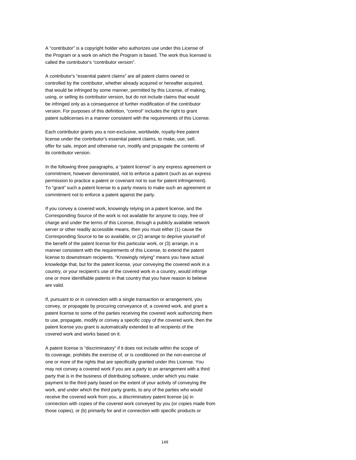A "contributor" is a copyright holder who authorizes use under this License of the Program or a work on which the Program is based. The work thus licensed is called the contributor's "contributor version".

A contributor's "essential patent claims" are all patent claims owned or controlled by the contributor, whether already acquired or hereafter acquired, that would be infringed by some manner, permitted by this License, of making, using, or selling its contributor version, but do not include claims that would be infringed only as a consequence of further modification of the contributor version. For purposes of this definition, "control" includes the right to grant patent sublicenses in a manner consistent with the requirements of this License.

Each contributor grants you a non-exclusive, worldwide, royalty-free patent license under the contributor's essential patent claims, to make, use, sell, offer for sale, import and otherwise run, modify and propagate the contents of its contributor version.

In the following three paragraphs, a "patent license" is any express agreement or commitment, however denominated, not to enforce a patent (such as an express permission to practice a patent or covenant not to sue for patent infringement). To "grant" such a patent license to a party means to make such an agreement or commitment not to enforce a patent against the party.

If you convey a covered work, knowingly relying on a patent license, and the Corresponding Source of the work is not available for anyone to copy, free of charge and under the terms of this License, through a publicly available network server or other readily accessible means, then you must either (1) cause the Corresponding Source to be so available, or (2) arrange to deprive yourself of the benefit of the patent license for this particular work, or (3) arrange, in a manner consistent with the requirements of this License, to extend the patent license to downstream recipients. "Knowingly relying" means you have actual knowledge that, but for the patent license, your conveying the covered work in a country, or your recipient's use of the covered work in a country, would infringe one or more identifiable patents in that country that you have reason to believe are valid.

If, pursuant to or in connection with a single transaction or arrangement, you convey, or propagate by procuring conveyance of, a covered work, and grant a patent license to some of the parties receiving the covered work authorizing them to use, propagate, modify or convey a specific copy of the covered work, then the patent license you grant is automatically extended to all recipients of the covered work and works based on it.

A patent license is "discriminatory" if it does not include within the scope of its coverage, prohibits the exercise of, or is conditioned on the non-exercise of one or more of the rights that are specifically granted under this License. You may not convey a covered work if you are a party to an arrangement with a third party that is in the business of distributing software, under which you make payment to the third party based on the extent of your activity of conveying the work, and under which the third party grants, to any of the parties who would receive the covered work from you, a discriminatory patent license (a) in connection with copies of the covered work conveyed by you (or copies made from those copies), or (b) primarily for and in connection with specific products or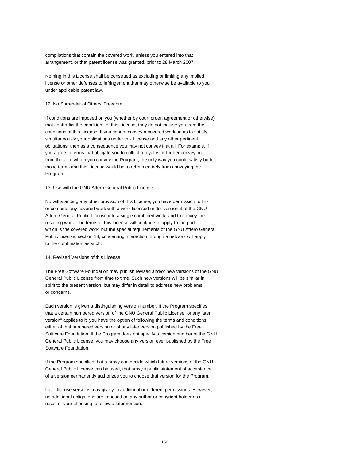compilations that contain the covered work, unless you entered into that arrangement, or that patent license was granted, prior to 28 March 2007.

Nothing in this License shall be construed as excluding or limiting any implied license or other defenses to infringement that may otherwise be available to you under applicable patent law.

#### 12. No Surrender of Others' Freedom.

If conditions are imposed on you (whether by court order, agreement or otherwise) that contradict the conditions of this License, they do not excuse you from the conditions of this License. If you cannot convey a covered work so as to satisfy simultaneously your obligations under this License and any other pertinent obligations, then as a consequence you may not convey it at all. For example, if you agree to terms that obligate you to collect a royalty for further conveying from those to whom you convey the Program, the only way you could satisfy both those terms and this License would be to refrain entirely from conveying the Program.

13. Use with the GNU Affero General Public License.

Notwithstanding any other provision of this License, you have permission to link or combine any covered work with a work licensed under version 3 of the GNU Affero General Public License into a single combined work, and to convey the resulting work. The terms of this License will continue to apply to the part which is the covered work, but the special requirements of the GNU Affero General Public License, section 13, concerning interaction through a network will apply to the combination as such.

14. Revised Versions of this License.

The Free Software Foundation may publish revised and/or new versions of the GNU General Public License from time to time. Such new versions will be similar in spirit to the present version, but may differ in detail to address new problems or concerns.

Each version is given a distinguishing version number. If the Program specifies that a certain numbered version of the GNU General Public License "or any later version" applies to it, you have the option of following the terms and conditions either of that numbered version or of any later version published by the Free Software Foundation. If the Program does not specify a version number of the GNU General Public License, you may choose any version ever published by the Free Software Foundation.

If the Program specifies that a proxy can decide which future versions of the GNU General Public License can be used, that proxy's public statement of acceptance of a version permanently authorizes you to choose that version for the Program.

Later license versions may give you additional or different permissions. However, no additional obligations are imposed on any author or copyright holder as a result of your choosing to follow a later version.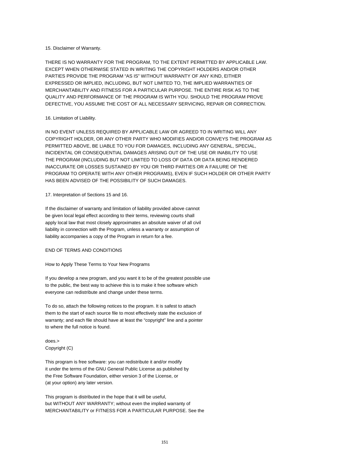### 15. Disclaimer of Warranty.

THERE IS NO WARRANTY FOR THE PROGRAM, TO THE EXTENT PERMITTED BY APPLICABLE LAW. EXCEPT WHEN OTHERWISE STATED IN WRITING THE COPYRIGHT HOLDERS AND/OR OTHER PARTIES PROVIDE THE PROGRAM "AS IS" WITHOUT WARRANTY OF ANY KIND, EITHER EXPRESSED OR IMPLIED, INCLUDING, BUT NOT LIMITED TO, THE IMPLIED WARRANTIES OF MERCHANTABILITY AND FITNESS FOR A PARTICULAR PURPOSE. THE ENTIRE RISK AS TO THE QUALITY AND PERFORMANCE OF THE PROGRAM IS WITH YOU. SHOULD THE PROGRAM PROVE DEFECTIVE, YOU ASSUME THE COST OF ALL NECESSARY SERVICING, REPAIR OR CORRECTION.

## 16. Limitation of Liability.

IN NO EVENT UNLESS REQUIRED BY APPLICABLE LAW OR AGREED TO IN WRITING WILL ANY COPYRIGHT HOLDER, OR ANY OTHER PARTY WHO MODIFIES AND/OR CONVEYS THE PROGRAM AS PERMITTED ABOVE, BE LIABLE TO YOU FOR DAMAGES, INCLUDING ANY GENERAL, SPECIAL, INCIDENTAL OR CONSEQUENTIAL DAMAGES ARISING OUT OF THE USE OR INABILITY TO USE THE PROGRAM (INCLUDING BUT NOT LIMITED TO LOSS OF DATA OR DATA BEING RENDERED INACCURATE OR LOSSES SUSTAINED BY YOU OR THIRD PARTIES OR A FAILURE OF THE PROGRAM TO OPERATE WITH ANY OTHER PROGRAMS), EVEN IF SUCH HOLDER OR OTHER PARTY HAS BEEN ADVISED OF THE POSSIBILITY OF SUCH DAMAGES.

## 17. Interpretation of Sections 15 and 16.

If the disclaimer of warranty and limitation of liability provided above cannot be given local legal effect according to their terms, reviewing courts shall apply local law that most closely approximates an absolute waiver of all civil liability in connection with the Program, unless a warranty or assumption of liability accompanies a copy of the Program in return for a fee.

## END OF TERMS AND CONDITIONS

How to Apply These Terms to Your New Programs

If you develop a new program, and you want it to be of the greatest possible use to the public, the best way to achieve this is to make it free software which everyone can redistribute and change under these terms.

To do so, attach the following notices to the program. It is safest to attach them to the start of each source file to most effectively state the exclusion of warranty; and each file should have at least the "copyright" line and a pointer to where the full notice is found.

does.> Copyright (C)

This program is free software: you can redistribute it and/or modify it under the terms of the GNU General Public License as published by the Free Software Foundation, either version 3 of the License, or (at your option) any later version.

This program is distributed in the hope that it will be useful, but WITHOUT ANY WARRANTY; without even the implied warranty of MERCHANTABILITY or FITNESS FOR A PARTICULAR PURPOSE. See the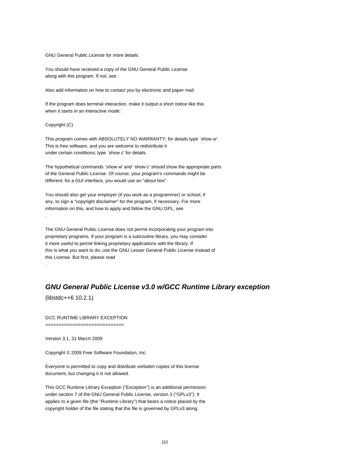GNU General Public License for more details.

You should have received a copy of the GNU General Public License along with this program. If not, see .

Also add information on how to contact you by electronic and paper mail.

If the program does terminal interaction, make it output a short notice like this when it starts in an interactive mode:

#### Copyright (C)

.

.

This program comes with ABSOLUTELY NO WARRANTY; for details type `show w'. This is free software, and you are welcome to redistribute it under certain conditions; type `show c' for details.

The hypothetical commands `show w' and `show c' should show the appropriate parts of the General Public License. Of course, your program's commands might be different; for a GUI interface, you would use an "about box".

You should also get your employer (if you work as a programmer) or school, if any, to sign a "copyright disclaimer" for the program, if necessary. For more information on this, and how to apply and follow the GNU GPL, see

The GNU General Public License does not permit incorporating your program into proprietary programs. If your program is a subroutine library, you may consider it more useful to permit linking proprietary applications with the library. If this is what you want to do, use the GNU Lesser General Public License instead of this License. But first, please read

# **GNU General Public License v3.0 w/GCC Runtime Library exception**

(libstdc++6 10.2.1)

## GCC RUNTIME LIBRARY EXCEPTION

=============================

Version 3.1, 31 March 2009

Copyright © 2009 Free Software Foundation, Inc.

Everyone is permitted to copy and distribute verbatim copies of this license document, but changing it is not allowed.

This GCC Runtime Library Exception ("Exception") is an additional permission under section 7 of the GNU General Public License, version 3 ("GPLv3"). It applies to a given file (the "Runtime Library") that bears a notice placed by the copyright holder of the file stating that the file is governed by GPLv3 along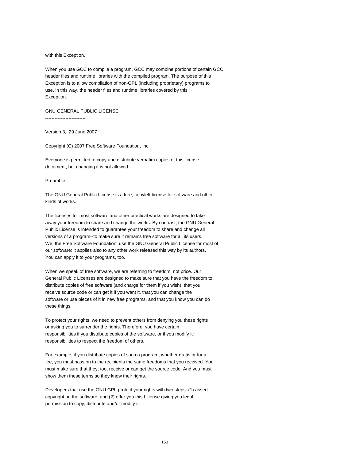with this Exception.

When you use GCC to compile a program, GCC may combine portions of certain GCC header files and runtime libraries with the compiled program. The purpose of this Exception is to allow compilation of non-GPL (including proprietary) programs to use, in this way, the header files and runtime libraries covered by this Exception.

GNU GENERAL PUBLIC LICENSE

--------------------------

Version 3, 29 June 2007

Copyright (C) 2007 Free Software Foundation, Inc.

Everyone is permitted to copy and distribute verbatim copies of this license document, but changing it is not allowed.

#### Preamble

The GNU General Public License is a free, copyleft license for software and other kinds of works.

The licenses for most software and other practical works are designed to take away your freedom to share and change the works. By contrast, the GNU General Public License is intended to guarantee your freedom to share and change all versions of a program--to make sure it remains free software for all its users. We, the Free Software Foundation, use the GNU General Public License for most of our software; it applies also to any other work released this way by its authors. You can apply it to your programs, too.

When we speak of free software, we are referring to freedom, not price. Our General Public Licenses are designed to make sure that you have the freedom to distribute copies of free software (and charge for them if you wish), that you receive source code or can get it if you want it, that you can change the software or use pieces of it in new free programs, and that you know you can do these things.

To protect your rights, we need to prevent others from denying you these rights or asking you to surrender the rights. Therefore, you have certain responsibilities if you distribute copies of the software, or if you modify it: responsibilities to respect the freedom of others.

For example, if you distribute copies of such a program, whether gratis or for a fee, you must pass on to the recipients the same freedoms that you received. You must make sure that they, too, receive or can get the source code. And you must show them these terms so they know their rights.

Developers that use the GNU GPL protect your rights with two steps: (1) assert copyright on the software, and (2) offer you this License giving you legal permission to copy, distribute and/or modify it.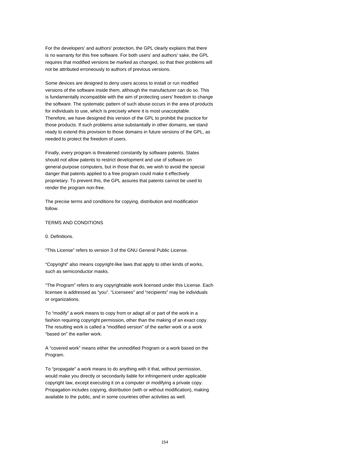For the developers' and authors' protection, the GPL clearly explains that there is no warranty for this free software. For both users' and authors' sake, the GPL requires that modified versions be marked as changed, so that their problems will not be attributed erroneously to authors of previous versions.

Some devices are designed to deny users access to install or run modified versions of the software inside them, although the manufacturer can do so. This is fundamentally incompatible with the aim of protecting users' freedom to change the software. The systematic pattern of such abuse occurs in the area of products for individuals to use, which is precisely where it is most unacceptable. Therefore, we have designed this version of the GPL to prohibit the practice for those products. If such problems arise substantially in other domains, we stand ready to extend this provision to those domains in future versions of the GPL, as needed to protect the freedom of users.

Finally, every program is threatened constantly by software patents. States should not allow patents to restrict development and use of software on general-purpose computers, but in those that do, we wish to avoid the special danger that patents applied to a free program could make it effectively proprietary. To prevent this, the GPL assures that patents cannot be used to render the program non-free.

The precise terms and conditions for copying, distribution and modification follow.

## TERMS AND CONDITIONS

### 0. Definitions.

"This License" refers to version 3 of the GNU General Public License.

"Copyright" also means copyright-like laws that apply to other kinds of works, such as semiconductor masks.

"The Program" refers to any copyrightable work licensed under this License. Each licensee is addressed as "you". "Licensees" and "recipients" may be individuals or organizations.

To "modify" a work means to copy from or adapt all or part of the work in a fashion requiring copyright permission, other than the making of an exact copy. The resulting work is called a "modified version" of the earlier work or a work "based on" the earlier work.

A "covered work" means either the unmodified Program or a work based on the Program.

To "propagate" a work means to do anything with it that, without permission, would make you directly or secondarily liable for infringement under applicable copyright law, except executing it on a computer or modifying a private copy. Propagation includes copying, distribution (with or without modification), making available to the public, and in some countries other activities as well.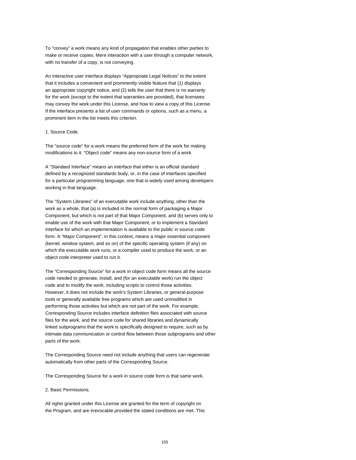To "convey" a work means any kind of propagation that enables other parties to make or receive copies. Mere interaction with a user through a computer network, with no transfer of a copy, is not conveying.

An interactive user interface displays "Appropriate Legal Notices" to the extent that it includes a convenient and prominently visible feature that (1) displays an appropriate copyright notice, and (2) tells the user that there is no warranty for the work (except to the extent that warranties are provided), that licensees may convey the work under this License, and how to view a copy of this License. If the interface presents a list of user commands or options, such as a menu, a prominent item in the list meets this criterion.

#### 1. Source Code.

The "source code" for a work means the preferred form of the work for making modifications to it. "Object code" means any non-source form of a work.

A "Standard Interface" means an interface that either is an official standard defined by a recognized standards body, or, in the case of interfaces specified for a particular programming language, one that is widely used among developers working in that language.

The "System Libraries" of an executable work include anything, other than the work as a whole, that (a) is included in the normal form of packaging a Major Component, but which is not part of that Major Component, and (b) serves only to enable use of the work with that Major Component, or to implement a Standard Interface for which an implementation is available to the public in source code form. A "Major Component", in this context, means a major essential component (kernel, window system, and so on) of the specific operating system (if any) on which the executable work runs, or a compiler used to produce the work, or an object code interpreter used to run it.

The "Corresponding Source" for a work in object code form means all the source code needed to generate, install, and (for an executable work) run the object code and to modify the work, including scripts to control those activities. However, it does not include the work's System Libraries, or general-purpose tools or generally available free programs which are used unmodified in performing those activities but which are not part of the work. For example, Corresponding Source includes interface definition files associated with source files for the work, and the source code for shared libraries and dynamically linked subprograms that the work is specifically designed to require, such as by intimate data communication or control flow between those subprograms and other parts of the work.

The Corresponding Source need not include anything that users can regenerate automatically from other parts of the Corresponding Source.

The Corresponding Source for a work in source code form is that same work.

## 2. Basic Permissions.

All rights granted under this License are granted for the term of copyright on the Program, and are irrevocable provided the stated conditions are met. This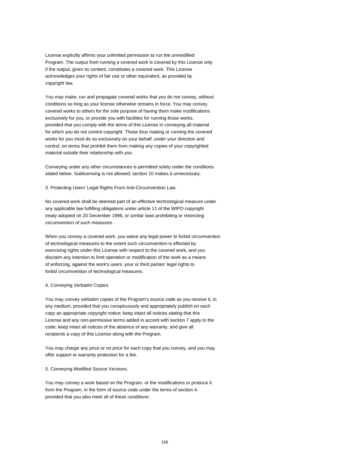License explicitly affirms your unlimited permission to run the unmodified Program. The output from running a covered work is covered by this License only if the output, given its content, constitutes a covered work. This License acknowledges your rights of fair use or other equivalent, as provided by copyright law.

You may make, run and propagate covered works that you do not convey, without conditions so long as your license otherwise remains in force. You may convey covered works to others for the sole purpose of having them make modifications exclusively for you, or provide you with facilities for running those works, provided that you comply with the terms of this License in conveying all material for which you do not control copyright. Those thus making or running the covered works for you must do so exclusively on your behalf, under your direction and control, on terms that prohibit them from making any copies of your copyrighted material outside their relationship with you.

Conveying under any other circumstances is permitted solely under the conditions stated below. Sublicensing is not allowed; section 10 makes it unnecessary.

3. Protecting Users' Legal Rights From Anti-Circumvention Law.

No covered work shall be deemed part of an effective technological measure under any applicable law fulfilling obligations under article 11 of the WIPO copyright treaty adopted on 20 December 1996, or similar laws prohibiting or restricting circumvention of such measures.

When you convey a covered work, you waive any legal power to forbid circumvention of technological measures to the extent such circumvention is effected by exercising rights under this License with respect to the covered work, and you disclaim any intention to limit operation or modification of the work as a means of enforcing, against the work's users, your or third parties' legal rights to forbid circumvention of technological measures.

#### 4. Conveying Verbatim Copies.

You may convey verbatim copies of the Program's source code as you receive it, in any medium, provided that you conspicuously and appropriately publish on each copy an appropriate copyright notice; keep intact all notices stating that this License and any non-permissive terms added in accord with section 7 apply to the code; keep intact all notices of the absence of any warranty; and give all recipients a copy of this License along with the Program.

You may charge any price or no price for each copy that you convey, and you may offer support or warranty protection for a fee.

5. Conveying Modified Source Versions.

You may convey a work based on the Program, or the modifications to produce it from the Program, in the form of source code under the terms of section 4, provided that you also meet all of these conditions: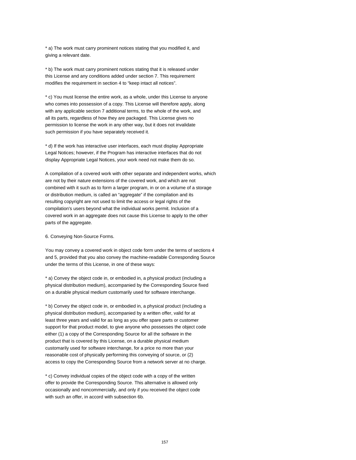\* a) The work must carry prominent notices stating that you modified it, and giving a relevant date.

\* b) The work must carry prominent notices stating that it is released under this License and any conditions added under section 7. This requirement modifies the requirement in section 4 to "keep intact all notices".

\* c) You must license the entire work, as a whole, under this License to anyone who comes into possession of a copy. This License will therefore apply, along with any applicable section 7 additional terms, to the whole of the work, and all its parts, regardless of how they are packaged. This License gives no permission to license the work in any other way, but it does not invalidate such permission if you have separately received it.

\* d) If the work has interactive user interfaces, each must display Appropriate Legal Notices; however, if the Program has interactive interfaces that do not display Appropriate Legal Notices, your work need not make them do so.

A compilation of a covered work with other separate and independent works, which are not by their nature extensions of the covered work, and which are not combined with it such as to form a larger program, in or on a volume of a storage or distribution medium, is called an "aggregate" if the compilation and its resulting copyright are not used to limit the access or legal rights of the compilation's users beyond what the individual works permit. Inclusion of a covered work in an aggregate does not cause this License to apply to the other parts of the aggregate.

6. Conveying Non-Source Forms.

You may convey a covered work in object code form under the terms of sections 4 and 5, provided that you also convey the machine-readable Corresponding Source under the terms of this License, in one of these ways:

\* a) Convey the object code in, or embodied in, a physical product (including a physical distribution medium), accompanied by the Corresponding Source fixed on a durable physical medium customarily used for software interchange.

\* b) Convey the object code in, or embodied in, a physical product (including a physical distribution medium), accompanied by a written offer, valid for at least three years and valid for as long as you offer spare parts or customer support for that product model, to give anyone who possesses the object code either (1) a copy of the Corresponding Source for all the software in the product that is covered by this License, on a durable physical medium customarily used for software interchange, for a price no more than your reasonable cost of physically performing this conveying of source, or (2) access to copy the Corresponding Source from a network server at no charge.

\* c) Convey individual copies of the object code with a copy of the written offer to provide the Corresponding Source. This alternative is allowed only occasionally and noncommercially, and only if you received the object code with such an offer, in accord with subsection 6b.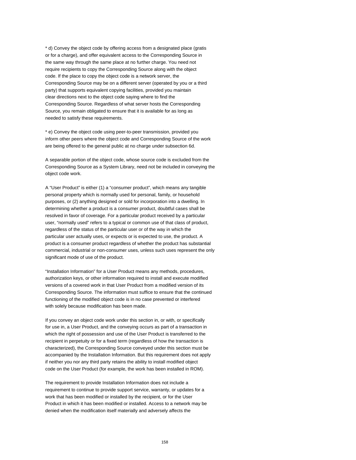\* d) Convey the object code by offering access from a designated place (gratis or for a charge), and offer equivalent access to the Corresponding Source in the same way through the same place at no further charge. You need not require recipients to copy the Corresponding Source along with the object code. If the place to copy the object code is a network server, the Corresponding Source may be on a different server (operated by you or a third party) that supports equivalent copying facilities, provided you maintain clear directions next to the object code saying where to find the Corresponding Source. Regardless of what server hosts the Corresponding Source, you remain obligated to ensure that it is available for as long as needed to satisfy these requirements.

\* e) Convey the object code using peer-to-peer transmission, provided you inform other peers where the object code and Corresponding Source of the work are being offered to the general public at no charge under subsection 6d.

A separable portion of the object code, whose source code is excluded from the Corresponding Source as a System Library, need not be included in conveying the object code work.

A "User Product" is either (1) a "consumer product", which means any tangible personal property which is normally used for personal, family, or household purposes, or (2) anything designed or sold for incorporation into a dwelling. In determining whether a product is a consumer product, doubtful cases shall be resolved in favor of coverage. For a particular product received by a particular user, "normally used" refers to a typical or common use of that class of product, regardless of the status of the particular user or of the way in which the particular user actually uses, or expects or is expected to use, the product. A product is a consumer product regardless of whether the product has substantial commercial, industrial or non-consumer uses, unless such uses represent the only significant mode of use of the product.

"Installation Information" for a User Product means any methods, procedures, authorization keys, or other information required to install and execute modified versions of a covered work in that User Product from a modified version of its Corresponding Source. The information must suffice to ensure that the continued functioning of the modified object code is in no case prevented or interfered with solely because modification has been made.

If you convey an object code work under this section in, or with, or specifically for use in, a User Product, and the conveying occurs as part of a transaction in which the right of possession and use of the User Product is transferred to the recipient in perpetuity or for a fixed term (regardless of how the transaction is characterized), the Corresponding Source conveyed under this section must be accompanied by the Installation Information. But this requirement does not apply if neither you nor any third party retains the ability to install modified object code on the User Product (for example, the work has been installed in ROM).

The requirement to provide Installation Information does not include a requirement to continue to provide support service, warranty, or updates for a work that has been modified or installed by the recipient, or for the User Product in which it has been modified or installed. Access to a network may be denied when the modification itself materially and adversely affects the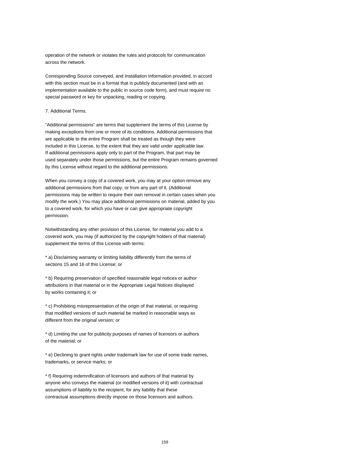operation of the network or violates the rules and protocols for communication across the network.

Corresponding Source conveyed, and Installation Information provided, in accord with this section must be in a format that is publicly documented (and with an implementation available to the public in source code form), and must require no special password or key for unpacking, reading or copying.

## 7. Additional Terms.

"Additional permissions" are terms that supplement the terms of this License by making exceptions from one or more of its conditions. Additional permissions that are applicable to the entire Program shall be treated as though they were included in this License, to the extent that they are valid under applicable law. If additional permissions apply only to part of the Program, that part may be used separately under those permissions, but the entire Program remains governed by this License without regard to the additional permissions.

When you convey a copy of a covered work, you may at your option remove any additional permissions from that copy, or from any part of it. (Additional permissions may be written to require their own removal in certain cases when you modify the work.) You may place additional permissions on material, added by you to a covered work, for which you have or can give appropriate copyright permission.

Notwithstanding any other provision of this License, for material you add to a covered work, you may (if authorized by the copyright holders of that material) supplement the terms of this License with terms:

\* a) Disclaiming warranty or limiting liability differently from the terms of sections 15 and 16 of this License; or

\* b) Requiring preservation of specified reasonable legal notices or author attributions in that material or in the Appropriate Legal Notices displayed by works containing it; or

\* c) Prohibiting misrepresentation of the origin of that material, or requiring that modified versions of such material be marked in reasonable ways as different from the original version; or

\* d) Limiting the use for publicity purposes of names of licensors or authors of the material; or

\* e) Declining to grant rights under trademark law for use of some trade names, trademarks, or service marks; or

\* f) Requiring indemnification of licensors and authors of that material by anyone who conveys the material (or modified versions of it) with contractual assumptions of liability to the recipient, for any liability that these contractual assumptions directly impose on those licensors and authors.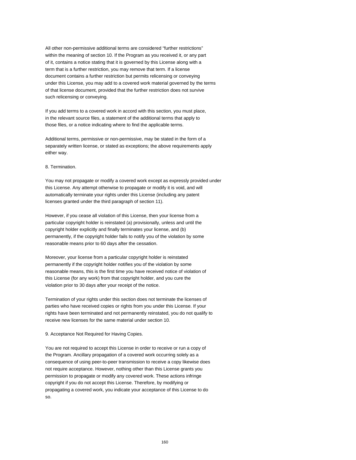All other non-permissive additional terms are considered "further restrictions" within the meaning of section 10. If the Program as you received it, or any part of it, contains a notice stating that it is governed by this License along with a term that is a further restriction, you may remove that term. If a license document contains a further restriction but permits relicensing or conveying under this License, you may add to a covered work material governed by the terms of that license document, provided that the further restriction does not survive such relicensing or conveying.

If you add terms to a covered work in accord with this section, you must place, in the relevant source files, a statement of the additional terms that apply to those files, or a notice indicating where to find the applicable terms.

Additional terms, permissive or non-permissive, may be stated in the form of a separately written license, or stated as exceptions; the above requirements apply either way.

#### 8. Termination.

You may not propagate or modify a covered work except as expressly provided under this License. Any attempt otherwise to propagate or modify it is void, and will automatically terminate your rights under this License (including any patent licenses granted under the third paragraph of section 11).

However, if you cease all violation of this License, then your license from a particular copyright holder is reinstated (a) provisionally, unless and until the copyright holder explicitly and finally terminates your license, and (b) permanently, if the copyright holder fails to notify you of the violation by some reasonable means prior to 60 days after the cessation.

Moreover, your license from a particular copyright holder is reinstated permanently if the copyright holder notifies you of the violation by some reasonable means, this is the first time you have received notice of violation of this License (for any work) from that copyright holder, and you cure the violation prior to 30 days after your receipt of the notice.

Termination of your rights under this section does not terminate the licenses of parties who have received copies or rights from you under this License. If your rights have been terminated and not permanently reinstated, you do not qualify to receive new licenses for the same material under section 10.

#### 9. Acceptance Not Required for Having Copies.

You are not required to accept this License in order to receive or run a copy of the Program. Ancillary propagation of a covered work occurring solely as a consequence of using peer-to-peer transmission to receive a copy likewise does not require acceptance. However, nothing other than this License grants you permission to propagate or modify any covered work. These actions infringe copyright if you do not accept this License. Therefore, by modifying or propagating a covered work, you indicate your acceptance of this License to do so.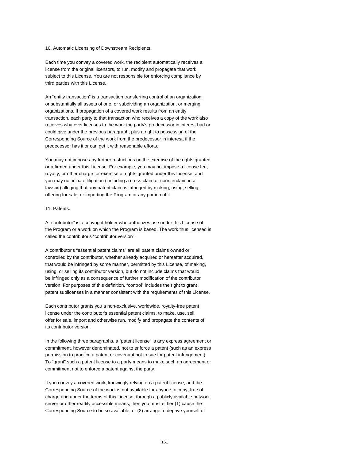#### 10. Automatic Licensing of Downstream Recipients.

Each time you convey a covered work, the recipient automatically receives a license from the original licensors, to run, modify and propagate that work, subject to this License. You are not responsible for enforcing compliance by third parties with this License.

An "entity transaction" is a transaction transferring control of an organization, or substantially all assets of one, or subdividing an organization, or merging organizations. If propagation of a covered work results from an entity transaction, each party to that transaction who receives a copy of the work also receives whatever licenses to the work the party's predecessor in interest had or could give under the previous paragraph, plus a right to possession of the Corresponding Source of the work from the predecessor in interest, if the predecessor has it or can get it with reasonable efforts.

You may not impose any further restrictions on the exercise of the rights granted or affirmed under this License. For example, you may not impose a license fee, royalty, or other charge for exercise of rights granted under this License, and you may not initiate litigation (including a cross-claim or counterclaim in a lawsuit) alleging that any patent claim is infringed by making, using, selling, offering for sale, or importing the Program or any portion of it.

#### 11. Patents.

A "contributor" is a copyright holder who authorizes use under this License of the Program or a work on which the Program is based. The work thus licensed is called the contributor's "contributor version".

A contributor's "essential patent claims" are all patent claims owned or controlled by the contributor, whether already acquired or hereafter acquired, that would be infringed by some manner, permitted by this License, of making, using, or selling its contributor version, but do not include claims that would be infringed only as a consequence of further modification of the contributor version. For purposes of this definition, "control" includes the right to grant patent sublicenses in a manner consistent with the requirements of this License.

Each contributor grants you a non-exclusive, worldwide, royalty-free patent license under the contributor's essential patent claims, to make, use, sell, offer for sale, import and otherwise run, modify and propagate the contents of its contributor version.

In the following three paragraphs, a "patent license" is any express agreement or commitment, however denominated, not to enforce a patent (such as an express permission to practice a patent or covenant not to sue for patent infringement). To "grant" such a patent license to a party means to make such an agreement or commitment not to enforce a patent against the party.

If you convey a covered work, knowingly relying on a patent license, and the Corresponding Source of the work is not available for anyone to copy, free of charge and under the terms of this License, through a publicly available network server or other readily accessible means, then you must either (1) cause the Corresponding Source to be so available, or (2) arrange to deprive yourself of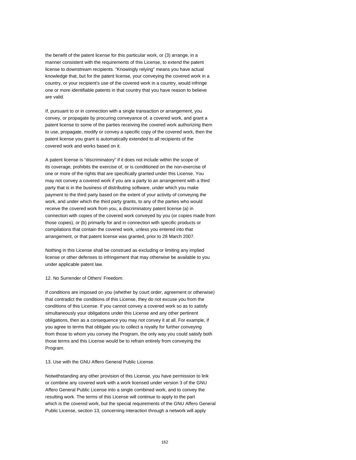the benefit of the patent license for this particular work, or (3) arrange, in a manner consistent with the requirements of this License, to extend the patent license to downstream recipients. "Knowingly relying" means you have actual knowledge that, but for the patent license, your conveying the covered work in a country, or your recipient's use of the covered work in a country, would infringe one or more identifiable patents in that country that you have reason to believe are valid.

If, pursuant to or in connection with a single transaction or arrangement, you convey, or propagate by procuring conveyance of, a covered work, and grant a patent license to some of the parties receiving the covered work authorizing them to use, propagate, modify or convey a specific copy of the covered work, then the patent license you grant is automatically extended to all recipients of the covered work and works based on it.

A patent license is "discriminatory" if it does not include within the scope of its coverage, prohibits the exercise of, or is conditioned on the non-exercise of one or more of the rights that are specifically granted under this License. You may not convey a covered work if you are a party to an arrangement with a third party that is in the business of distributing software, under which you make payment to the third party based on the extent of your activity of conveying the work, and under which the third party grants, to any of the parties who would receive the covered work from you, a discriminatory patent license (a) in connection with copies of the covered work conveyed by you (or copies made from those copies), or (b) primarily for and in connection with specific products or compilations that contain the covered work, unless you entered into that arrangement, or that patent license was granted, prior to 28 March 2007.

Nothing in this License shall be construed as excluding or limiting any implied license or other defenses to infringement that may otherwise be available to you under applicable patent law.

## 12. No Surrender of Others' Freedom.

If conditions are imposed on you (whether by court order, agreement or otherwise) that contradict the conditions of this License, they do not excuse you from the conditions of this License. If you cannot convey a covered work so as to satisfy simultaneously your obligations under this License and any other pertinent obligations, then as a consequence you may not convey it at all. For example, if you agree to terms that obligate you to collect a royalty for further conveying from those to whom you convey the Program, the only way you could satisfy both those terms and this License would be to refrain entirely from conveying the Program.

13. Use with the GNU Affero General Public License.

Notwithstanding any other provision of this License, you have permission to link or combine any covered work with a work licensed under version 3 of the GNU Affero General Public License into a single combined work, and to convey the resulting work. The terms of this License will continue to apply to the part which is the covered work, but the special requirements of the GNU Affero General Public License, section 13, concerning interaction through a network will apply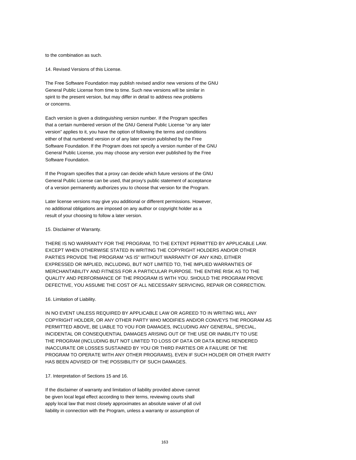to the combination as such.

14. Revised Versions of this License.

The Free Software Foundation may publish revised and/or new versions of the GNU General Public License from time to time. Such new versions will be similar in spirit to the present version, but may differ in detail to address new problems or concerns.

Each version is given a distinguishing version number. If the Program specifies that a certain numbered version of the GNU General Public License "or any later version" applies to it, you have the option of following the terms and conditions either of that numbered version or of any later version published by the Free Software Foundation. If the Program does not specify a version number of the GNU General Public License, you may choose any version ever published by the Free Software Foundation.

If the Program specifies that a proxy can decide which future versions of the GNU General Public License can be used, that proxy's public statement of acceptance of a version permanently authorizes you to choose that version for the Program.

Later license versions may give you additional or different permissions. However, no additional obligations are imposed on any author or copyright holder as a result of your choosing to follow a later version.

#### 15. Disclaimer of Warranty.

THERE IS NO WARRANTY FOR THE PROGRAM, TO THE EXTENT PERMITTED BY APPLICABLE LAW. EXCEPT WHEN OTHERWISE STATED IN WRITING THE COPYRIGHT HOLDERS AND/OR OTHER PARTIES PROVIDE THE PROGRAM "AS IS" WITHOUT WARRANTY OF ANY KIND, EITHER EXPRESSED OR IMPLIED, INCLUDING, BUT NOT LIMITED TO, THE IMPLIED WARRANTIES OF MERCHANTABILITY AND FITNESS FOR A PARTICULAR PURPOSE. THE ENTIRE RISK AS TO THE QUALITY AND PERFORMANCE OF THE PROGRAM IS WITH YOU. SHOULD THE PROGRAM PROVE DEFECTIVE, YOU ASSUME THE COST OF ALL NECESSARY SERVICING, REPAIR OR CORRECTION.

#### 16. Limitation of Liability.

IN NO EVENT UNLESS REQUIRED BY APPLICABLE LAW OR AGREED TO IN WRITING WILL ANY COPYRIGHT HOLDER, OR ANY OTHER PARTY WHO MODIFIES AND/OR CONVEYS THE PROGRAM AS PERMITTED ABOVE, BE LIABLE TO YOU FOR DAMAGES, INCLUDING ANY GENERAL, SPECIAL, INCIDENTAL OR CONSEQUENTIAL DAMAGES ARISING OUT OF THE USE OR INABILITY TO USE THE PROGRAM (INCLUDING BUT NOT LIMITED TO LOSS OF DATA OR DATA BEING RENDERED INACCURATE OR LOSSES SUSTAINED BY YOU OR THIRD PARTIES OR A FAILURE OF THE PROGRAM TO OPERATE WITH ANY OTHER PROGRAMS), EVEN IF SUCH HOLDER OR OTHER PARTY HAS BEEN ADVISED OF THE POSSIBILITY OF SUCH DAMAGES.

#### 17. Interpretation of Sections 15 and 16.

If the disclaimer of warranty and limitation of liability provided above cannot be given local legal effect according to their terms, reviewing courts shall apply local law that most closely approximates an absolute waiver of all civil liability in connection with the Program, unless a warranty or assumption of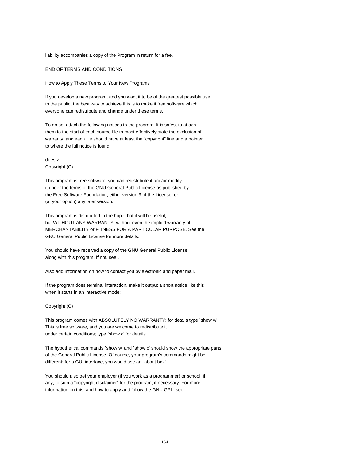liability accompanies a copy of the Program in return for a fee.

## END OF TERMS AND CONDITIONS

How to Apply These Terms to Your New Programs

If you develop a new program, and you want it to be of the greatest possible use to the public, the best way to achieve this is to make it free software which everyone can redistribute and change under these terms.

To do so, attach the following notices to the program. It is safest to attach them to the start of each source file to most effectively state the exclusion of warranty; and each file should have at least the "copyright" line and a pointer to where the full notice is found.

does.> Copyright (C)

This program is free software: you can redistribute it and/or modify it under the terms of the GNU General Public License as published by the Free Software Foundation, either version 3 of the License, or (at your option) any later version.

This program is distributed in the hope that it will be useful, but WITHOUT ANY WARRANTY; without even the implied warranty of MERCHANTABILITY or FITNESS FOR A PARTICULAR PURPOSE. See the GNU General Public License for more details.

You should have received a copy of the GNU General Public License along with this program. If not, see .

Also add information on how to contact you by electronic and paper mail.

If the program does terminal interaction, make it output a short notice like this when it starts in an interactive mode:

## Copyright (C)

.

This program comes with ABSOLUTELY NO WARRANTY; for details type `show w'. This is free software, and you are welcome to redistribute it under certain conditions; type `show c' for details.

The hypothetical commands `show w' and `show c' should show the appropriate parts of the General Public License. Of course, your program's commands might be different; for a GUI interface, you would use an "about box".

You should also get your employer (if you work as a programmer) or school, if any, to sign a "copyright disclaimer" for the program, if necessary. For more information on this, and how to apply and follow the GNU GPL, see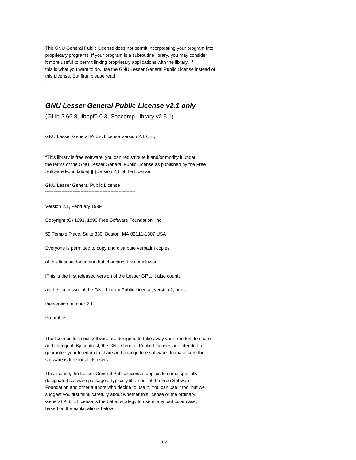The GNU General Public License does not permit incorporating your program into proprietary programs. If your program is a subroutine library, you may consider it more useful to permit linking proprietary applications with the library. If this is what you want to do, use the GNU Lesser General Public License instead of this License. But first, please read

# **GNU Lesser General Public License v2.1 only**

(GLib 2.66.8, libbpf0 0.3, Seccomp Library v2.5.1)

GNU Lesser General Public License Version 2.1 Only --------------------------------------------------

"This library is free software; you can redistribute it and/or modify it under the terms of the GNU Lesser General Public License as published by the Free Software Foundation[,][;] version 2.1 of the License."

GNU Lesser General Public License

====================================

Version 2.1, February 1999

.

Copyright (C) 1991, 1999 Free Software Foundation, Inc.

59 Temple Place, Suite 330, Boston, MA 02111-1307 USA

Everyone is permitted to copy and distribute verbatim copies

of this license document, but changing it is not allowed.

[This is the first released version of the Lesser GPL. It also counts

as the successor of the GNU Library Public License, version 2, hence

the version number 2.1.]

Preamble

--------

The licenses for most software are designed to take away your freedom to share and change it. By contrast, the GNU General Public Licenses are intended to guarantee your freedom to share and change free software--to make sure the software is free for all its users.

This license, the Lesser General Public License, applies to some specially designated software packages--typically libraries--of the Free Software Foundation and other authors who decide to use it. You can use it too, but we suggest you first think carefully about whether this license or the ordinary General Public License is the better strategy to use in any particular case, based on the explanations below.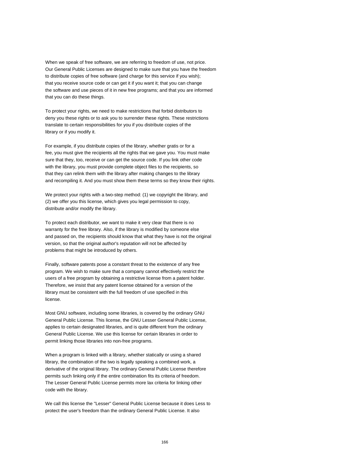When we speak of free software, we are referring to freedom of use, not price. Our General Public Licenses are designed to make sure that you have the freedom to distribute copies of free software (and charge for this service if you wish); that you receive source code or can get it if you want it; that you can change the software and use pieces of it in new free programs; and that you are informed that you can do these things.

To protect your rights, we need to make restrictions that forbid distributors to deny you these rights or to ask you to surrender these rights. These restrictions translate to certain responsibilities for you if you distribute copies of the library or if you modify it.

For example, if you distribute copies of the library, whether gratis or for a fee, you must give the recipients all the rights that we gave you. You must make sure that they, too, receive or can get the source code. If you link other code with the library, you must provide complete object files to the recipients, so that they can relink them with the library after making changes to the library and recompiling it. And you must show them these terms so they know their rights.

We protect your rights with a two-step method: (1) we copyright the library, and (2) we offer you this license, which gives you legal permission to copy, distribute and/or modify the library.

To protect each distributor, we want to make it very clear that there is no warranty for the free library. Also, if the library is modified by someone else and passed on, the recipients should know that what they have is not the original version, so that the original author's reputation will not be affected by problems that might be introduced by others.

Finally, software patents pose a constant threat to the existence of any free program. We wish to make sure that a company cannot effectively restrict the users of a free program by obtaining a restrictive license from a patent holder. Therefore, we insist that any patent license obtained for a version of the library must be consistent with the full freedom of use specified in this license.

Most GNU software, including some libraries, is covered by the ordinary GNU General Public License. This license, the GNU Lesser General Public License, applies to certain designated libraries, and is quite different from the ordinary General Public License. We use this license for certain libraries in order to permit linking those libraries into non-free programs.

When a program is linked with a library, whether statically or using a shared library, the combination of the two is legally speaking a combined work, a derivative of the original library. The ordinary General Public License therefore permits such linking only if the entire combination fits its criteria of freedom. The Lesser General Public License permits more lax criteria for linking other code with the library.

We call this license the "Lesser" General Public License because it does Less to protect the user's freedom than the ordinary General Public License. It also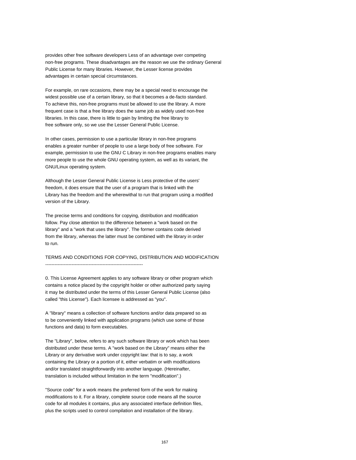provides other free software developers Less of an advantage over competing non-free programs. These disadvantages are the reason we use the ordinary General Public License for many libraries. However, the Lesser license provides advantages in certain special circumstances.

For example, on rare occasions, there may be a special need to encourage the widest possible use of a certain library, so that it becomes a de-facto standard. To achieve this, non-free programs must be allowed to use the library. A more frequent case is that a free library does the same job as widely used non-free libraries. In this case, there is little to gain by limiting the free library to free software only, so we use the Lesser General Public License.

In other cases, permission to use a particular library in non-free programs enables a greater number of people to use a large body of free software. For example, permission to use the GNU C Library in non-free programs enables many more people to use the whole GNU operating system, as well as its variant, the GNU/Linux operating system.

Although the Lesser General Public License is Less protective of the users' freedom, it does ensure that the user of a program that is linked with the Library has the freedom and the wherewithal to run that program using a modified version of the Library.

The precise terms and conditions for copying, distribution and modification follow. Pay close attention to the difference between a "work based on the library" and a "work that uses the library". The former contains code derived from the library, whereas the latter must be combined with the library in order to run.

#### TERMS AND CONDITIONS FOR COPYING, DISTRIBUTION AND MODIFICATION ---------------------------------------------------------------

0. This License Agreement applies to any software library or other program which contains a notice placed by the copyright holder or other authorized party saying it may be distributed under the terms of this Lesser General Public License (also called "this License"). Each licensee is addressed as "you".

A "library" means a collection of software functions and/or data prepared so as to be conveniently linked with application programs (which use some of those functions and data) to form executables.

The "Library", below, refers to any such software library or work which has been distributed under these terms. A "work based on the Library" means either the Library or any derivative work under copyright law: that is to say, a work containing the Library or a portion of it, either verbatim or with modifications and/or translated straightforwardly into another language. (Hereinafter, translation is included without limitation in the term "modification".)

"Source code" for a work means the preferred form of the work for making modifications to it. For a library, complete source code means all the source code for all modules it contains, plus any associated interface definition files, plus the scripts used to control compilation and installation of the library.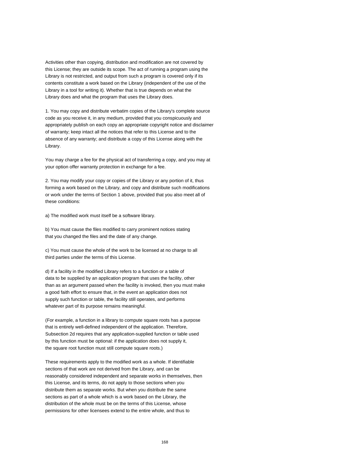Activities other than copying, distribution and modification are not covered by this License; they are outside its scope. The act of running a program using the Library is not restricted, and output from such a program is covered only if its contents constitute a work based on the Library (independent of the use of the Library in a tool for writing it). Whether that is true depends on what the Library does and what the program that uses the Library does.

1. You may copy and distribute verbatim copies of the Library's complete source code as you receive it, in any medium, provided that you conspicuously and appropriately publish on each copy an appropriate copyright notice and disclaimer of warranty; keep intact all the notices that refer to this License and to the absence of any warranty; and distribute a copy of this License along with the Library.

You may charge a fee for the physical act of transferring a copy, and you may at your option offer warranty protection in exchange for a fee.

2. You may modify your copy or copies of the Library or any portion of it, thus forming a work based on the Library, and copy and distribute such modifications or work under the terms of Section 1 above, provided that you also meet all of these conditions:

a) The modified work must itself be a software library.

b) You must cause the files modified to carry prominent notices stating that you changed the files and the date of any change.

c) You must cause the whole of the work to be licensed at no charge to all third parties under the terms of this License.

d) If a facility in the modified Library refers to a function or a table of data to be supplied by an application program that uses the facility, other than as an argument passed when the facility is invoked, then you must make a good faith effort to ensure that, in the event an application does not supply such function or table, the facility still operates, and performs whatever part of its purpose remains meaningful.

(For example, a function in a library to compute square roots has a purpose that is entirely well-defined independent of the application. Therefore, Subsection 2d requires that any application-supplied function or table used by this function must be optional: if the application does not supply it, the square root function must still compute square roots.)

These requirements apply to the modified work as a whole. If identifiable sections of that work are not derived from the Library, and can be reasonably considered independent and separate works in themselves, then this License, and its terms, do not apply to those sections when you distribute them as separate works. But when you distribute the same sections as part of a whole which is a work based on the Library, the distribution of the whole must be on the terms of this License, whose permissions for other licensees extend to the entire whole, and thus to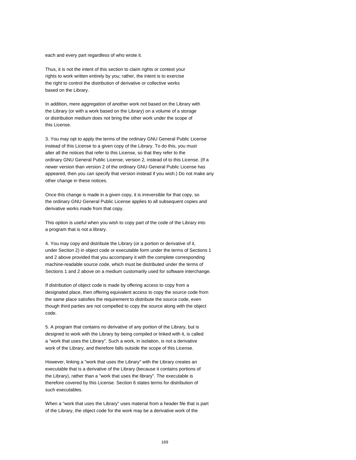each and every part regardless of who wrote it.

Thus, it is not the intent of this section to claim rights or contest your rights to work written entirely by you; rather, the intent is to exercise the right to control the distribution of derivative or collective works based on the Library.

In addition, mere aggregation of another work not based on the Library with the Library (or with a work based on the Library) on a volume of a storage or distribution medium does not bring the other work under the scope of this License.

3. You may opt to apply the terms of the ordinary GNU General Public License instead of this License to a given copy of the Library. To do this, you must alter all the notices that refer to this License, so that they refer to the ordinary GNU General Public License, version 2, instead of to this License. (If a newer version than version 2 of the ordinary GNU General Public License has appeared, then you can specify that version instead if you wish.) Do not make any other change in these notices.

Once this change is made in a given copy, it is irreversible for that copy, so the ordinary GNU General Public License applies to all subsequent copies and derivative works made from that copy.

This option is useful when you wish to copy part of the code of the Library into a program that is not a library.

4. You may copy and distribute the Library (or a portion or derivative of it, under Section 2) in object code or executable form under the terms of Sections 1 and 2 above provided that you accompany it with the complete corresponding machine-readable source code, which must be distributed under the terms of Sections 1 and 2 above on a medium customarily used for software interchange.

If distribution of object code is made by offering access to copy from a designated place, then offering equivalent access to copy the source code from the same place satisfies the requirement to distribute the source code, even though third parties are not compelled to copy the source along with the object code.

5. A program that contains no derivative of any portion of the Library, but is designed to work with the Library by being compiled or linked with it, is called a "work that uses the Library". Such a work, in isolation, is not a derivative work of the Library, and therefore falls outside the scope of this License.

However, linking a "work that uses the Library" with the Library creates an executable that is a derivative of the Library (because it contains portions of the Library), rather than a "work that uses the library". The executable is therefore covered by this License. Section 6 states terms for distribution of such executables.

When a "work that uses the Library" uses material from a header file that is part of the Library, the object code for the work may be a derivative work of the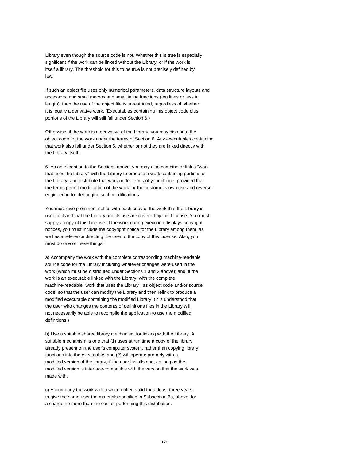Library even though the source code is not. Whether this is true is especially significant if the work can be linked without the Library, or if the work is itself a library. The threshold for this to be true is not precisely defined by law.

If such an object file uses only numerical parameters, data structure layouts and accessors, and small macros and small inline functions (ten lines or less in length), then the use of the object file is unrestricted, regardless of whether it is legally a derivative work. (Executables containing this object code plus portions of the Library will still fall under Section 6.)

Otherwise, if the work is a derivative of the Library, you may distribute the object code for the work under the terms of Section 6. Any executables containing that work also fall under Section 6, whether or not they are linked directly with the Library itself.

6. As an exception to the Sections above, you may also combine or link a "work that uses the Library" with the Library to produce a work containing portions of the Library, and distribute that work under terms of your choice, provided that the terms permit modification of the work for the customer's own use and reverse engineering for debugging such modifications.

You must give prominent notice with each copy of the work that the Library is used in it and that the Library and its use are covered by this License. You must supply a copy of this License. If the work during execution displays copyright notices, you must include the copyright notice for the Library among them, as well as a reference directing the user to the copy of this License. Also, you must do one of these things:

a) Accompany the work with the complete corresponding machine-readable source code for the Library including whatever changes were used in the work (which must be distributed under Sections 1 and 2 above); and, if the work is an executable linked with the Library, with the complete machine-readable "work that uses the Library", as object code and/or source code, so that the user can modify the Library and then relink to produce a modified executable containing the modified Library. (It is understood that the user who changes the contents of definitions files in the Library will not necessarily be able to recompile the application to use the modified definitions.)

b) Use a suitable shared library mechanism for linking with the Library. A suitable mechanism is one that (1) uses at run time a copy of the library already present on the user's computer system, rather than copying library functions into the executable, and (2) will operate properly with a modified version of the library, if the user installs one, as long as the modified version is interface-compatible with the version that the work was made with.

c) Accompany the work with a written offer, valid for at least three years, to give the same user the materials specified in Subsection 6a, above, for a charge no more than the cost of performing this distribution.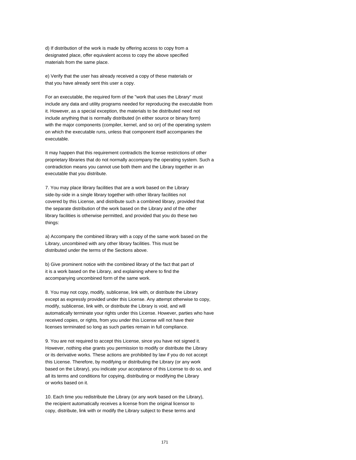d) If distribution of the work is made by offering access to copy from a designated place, offer equivalent access to copy the above specified materials from the same place.

e) Verify that the user has already received a copy of these materials or that you have already sent this user a copy.

For an executable, the required form of the "work that uses the Library" must include any data and utility programs needed for reproducing the executable from it. However, as a special exception, the materials to be distributed need not include anything that is normally distributed (in either source or binary form) with the major components (compiler, kernel, and so on) of the operating system on which the executable runs, unless that component itself accompanies the executable.

It may happen that this requirement contradicts the license restrictions of other proprietary libraries that do not normally accompany the operating system. Such a contradiction means you cannot use both them and the Library together in an executable that you distribute.

7. You may place library facilities that are a work based on the Library side-by-side in a single library together with other library facilities not covered by this License, and distribute such a combined library, provided that the separate distribution of the work based on the Library and of the other library facilities is otherwise permitted, and provided that you do these two things:

a) Accompany the combined library with a copy of the same work based on the Library, uncombined with any other library facilities. This must be distributed under the terms of the Sections above.

b) Give prominent notice with the combined library of the fact that part of it is a work based on the Library, and explaining where to find the accompanying uncombined form of the same work.

8. You may not copy, modify, sublicense, link with, or distribute the Library except as expressly provided under this License. Any attempt otherwise to copy, modify, sublicense, link with, or distribute the Library is void, and will automatically terminate your rights under this License. However, parties who have received copies, or rights, from you under this License will not have their licenses terminated so long as such parties remain in full compliance.

9. You are not required to accept this License, since you have not signed it. However, nothing else grants you permission to modify or distribute the Library or its derivative works. These actions are prohibited by law if you do not accept this License. Therefore, by modifying or distributing the Library (or any work based on the Library), you indicate your acceptance of this License to do so, and all its terms and conditions for copying, distributing or modifying the Library or works based on it.

10. Each time you redistribute the Library (or any work based on the Library), the recipient automatically receives a license from the original licensor to copy, distribute, link with or modify the Library subject to these terms and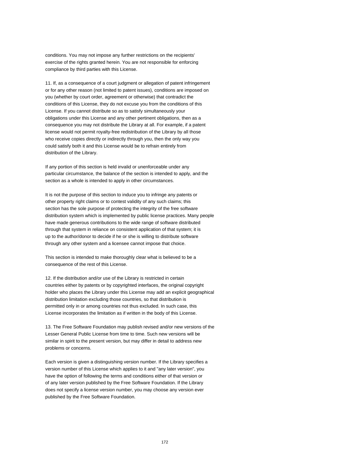conditions. You may not impose any further restrictions on the recipients' exercise of the rights granted herein. You are not responsible for enforcing compliance by third parties with this License.

11. If, as a consequence of a court judgment or allegation of patent infringement or for any other reason (not limited to patent issues), conditions are imposed on you (whether by court order, agreement or otherwise) that contradict the conditions of this License, they do not excuse you from the conditions of this License. If you cannot distribute so as to satisfy simultaneously your obligations under this License and any other pertinent obligations, then as a consequence you may not distribute the Library at all. For example, if a patent license would not permit royalty-free redistribution of the Library by all those who receive copies directly or indirectly through you, then the only way you could satisfy both it and this License would be to refrain entirely from distribution of the Library.

If any portion of this section is held invalid or unenforceable under any particular circumstance, the balance of the section is intended to apply, and the section as a whole is intended to apply in other circumstances.

It is not the purpose of this section to induce you to infringe any patents or other property right claims or to contest validity of any such claims; this section has the sole purpose of protecting the integrity of the free software distribution system which is implemented by public license practices. Many people have made generous contributions to the wide range of software distributed through that system in reliance on consistent application of that system; it is up to the author/donor to decide if he or she is willing to distribute software through any other system and a licensee cannot impose that choice.

This section is intended to make thoroughly clear what is believed to be a consequence of the rest of this License.

12. If the distribution and/or use of the Library is restricted in certain countries either by patents or by copyrighted interfaces, the original copyright holder who places the Library under this License may add an explicit geographical distribution limitation excluding those countries, so that distribution is permitted only in or among countries not thus excluded. In such case, this License incorporates the limitation as if written in the body of this License.

13. The Free Software Foundation may publish revised and/or new versions of the Lesser General Public License from time to time. Such new versions will be similar in spirit to the present version, but may differ in detail to address new problems or concerns.

Each version is given a distinguishing version number. If the Library specifies a version number of this License which applies to it and "any later version", you have the option of following the terms and conditions either of that version or of any later version published by the Free Software Foundation. If the Library does not specify a license version number, you may choose any version ever published by the Free Software Foundation.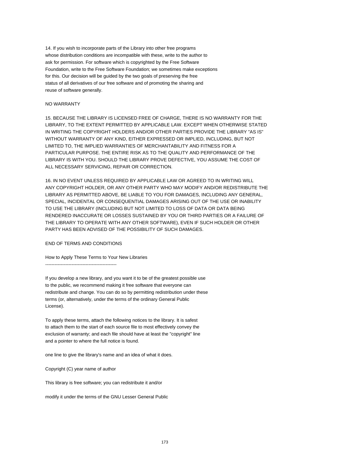14. If you wish to incorporate parts of the Library into other free programs whose distribution conditions are incompatible with these, write to the author to ask for permission. For software which is copyrighted by the Free Software Foundation, write to the Free Software Foundation; we sometimes make exceptions for this. Our decision will be guided by the two goals of preserving the free status of all derivatives of our free software and of promoting the sharing and reuse of software generally.

#### NO WARRANTY

15. BECAUSE THE LIBRARY IS LICENSED FREE OF CHARGE, THERE IS NO WARRANTY FOR THE LIBRARY, TO THE EXTENT PERMITTED BY APPLICABLE LAW. EXCEPT WHEN OTHERWISE STATED IN WRITING THE COPYRIGHT HOLDERS AND/OR OTHER PARTIES PROVIDE THE LIBRARY "AS IS" WITHOUT WARRANTY OF ANY KIND, EITHER EXPRESSED OR IMPLIED, INCLUDING, BUT NOT LIMITED TO, THE IMPLIED WARRANTIES OF MERCHANTABILITY AND FITNESS FOR A PARTICULAR PURPOSE. THE ENTIRE RISK AS TO THE QUALITY AND PERFORMANCE OF THE LIBRARY IS WITH YOU. SHOULD THE LIBRARY PROVE DEFECTIVE, YOU ASSUME THE COST OF ALL NECESSARY SERVICING, REPAIR OR CORRECTION.

16. IN NO EVENT UNLESS REQUIRED BY APPLICABLE LAW OR AGREED TO IN WRITING WILL ANY COPYRIGHT HOLDER, OR ANY OTHER PARTY WHO MAY MODIFY AND/OR REDISTRIBUTE THE LIBRARY AS PERMITTED ABOVE, BE LIABLE TO YOU FOR DAMAGES, INCLUDING ANY GENERAL, SPECIAL, INCIDENTAL OR CONSEQUENTIAL DAMAGES ARISING OUT OF THE USE OR INABILITY TO USE THE LIBRARY (INCLUDING BUT NOT LIMITED TO LOSS OF DATA OR DATA BEING RENDERED INACCURATE OR LOSSES SUSTAINED BY YOU OR THIRD PARTIES OR A FAILURE OF THE LIBRARY TO OPERATE WITH ANY OTHER SOFTWARE), EVEN IF SUCH HOLDER OR OTHER PARTY HAS BEEN ADVISED OF THE POSSIBILITY OF SUCH DAMAGES.

## END OF TERMS AND CONDITIONS

## How to Apply These Terms to Your New Libraries

----------------------------------------------

If you develop a new library, and you want it to be of the greatest possible use to the public, we recommend making it free software that everyone can redistribute and change. You can do so by permitting redistribution under these terms (or, alternatively, under the terms of the ordinary General Public License).

To apply these terms, attach the following notices to the library. It is safest to attach them to the start of each source file to most effectively convey the exclusion of warranty; and each file should have at least the "copyright" line and a pointer to where the full notice is found.

one line to give the library's name and an idea of what it does.

Copyright (C) year name of author

This library is free software; you can redistribute it and/or

modify it under the terms of the GNU Lesser General Public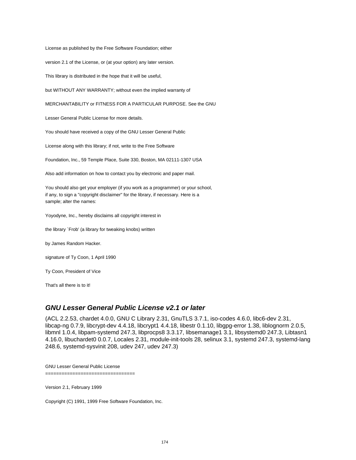License as published by the Free Software Foundation; either

version 2.1 of the License, or (at your option) any later version.

This library is distributed in the hope that it will be useful,

but WITHOUT ANY WARRANTY; without even the implied warranty of

MERCHANTABILITY or FITNESS FOR A PARTICULAR PURPOSE. See the GNU

Lesser General Public License for more details.

You should have received a copy of the GNU Lesser General Public

License along with this library; if not, write to the Free Software

Foundation, Inc., 59 Temple Place, Suite 330, Boston, MA 02111-1307 USA

Also add information on how to contact you by electronic and paper mail.

You should also get your employer (if you work as a programmer) or your school, if any, to sign a "copyright disclaimer" for the library, if necessary. Here is a sample; alter the names:

Yoyodyne, Inc., hereby disclaims all copyright interest in

the library `Frob' (a library for tweaking knobs) written

by James Random Hacker.

signature of Ty Coon, 1 April 1990

Ty Coon, President of Vice

That's all there is to it!

## **GNU Lesser General Public License v2.1 or later**

(ACL 2.2.53, chardet 4.0.0, GNU C Library 2.31, GnuTLS 3.7.1, iso-codes 4.6.0, libc6-dev 2.31, libcap-ng 0.7.9, libcrypt-dev 4.4.18, libcrypt1 4.4.18, libestr 0.1.10, libgpg-error 1.38, liblognorm 2.0.5, libmnl 1.0.4, libpam-systemd 247.3, libprocps8 3.3.17, libsemanage1 3.1, libsystemd0 247.3, Libtasn1 4.16.0, libuchardet0 0.0.7, Locales 2.31, module-init-tools 28, selinux 3.1, systemd 247.3, systemd-lang 248.6, systemd-sysvinit 208, udev 247, udev 247.3)

GNU Lesser General Public License

====================================

Version 2.1, February 1999

Copyright (C) 1991, 1999 Free Software Foundation, Inc.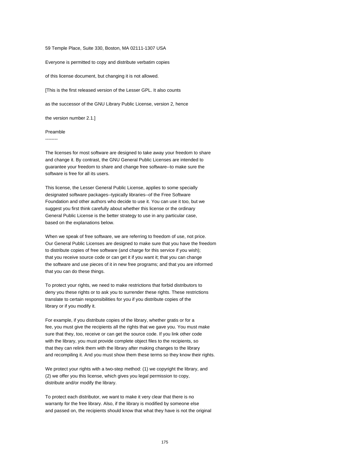59 Temple Place, Suite 330, Boston, MA 02111-1307 USA

Everyone is permitted to copy and distribute verbatim copies

of this license document, but changing it is not allowed.

[This is the first released version of the Lesser GPL. It also counts

as the successor of the GNU Library Public License, version 2, hence

the version number 2.1.]

#### Preamble

--------

The licenses for most software are designed to take away your freedom to share and change it. By contrast, the GNU General Public Licenses are intended to guarantee your freedom to share and change free software--to make sure the software is free for all its users.

This license, the Lesser General Public License, applies to some specially designated software packages--typically libraries--of the Free Software Foundation and other authors who decide to use it. You can use it too, but we suggest you first think carefully about whether this license or the ordinary General Public License is the better strategy to use in any particular case, based on the explanations below.

When we speak of free software, we are referring to freedom of use, not price. Our General Public Licenses are designed to make sure that you have the freedom to distribute copies of free software (and charge for this service if you wish); that you receive source code or can get it if you want it; that you can change the software and use pieces of it in new free programs; and that you are informed that you can do these things.

To protect your rights, we need to make restrictions that forbid distributors to deny you these rights or to ask you to surrender these rights. These restrictions translate to certain responsibilities for you if you distribute copies of the library or if you modify it.

For example, if you distribute copies of the library, whether gratis or for a fee, you must give the recipients all the rights that we gave you. You must make sure that they, too, receive or can get the source code. If you link other code with the library, you must provide complete object files to the recipients, so that they can relink them with the library after making changes to the library and recompiling it. And you must show them these terms so they know their rights.

We protect your rights with a two-step method: (1) we copyright the library, and (2) we offer you this license, which gives you legal permission to copy, distribute and/or modify the library.

To protect each distributor, we want to make it very clear that there is no warranty for the free library. Also, if the library is modified by someone else and passed on, the recipients should know that what they have is not the original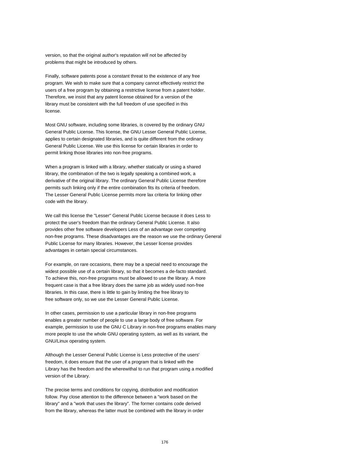version, so that the original author's reputation will not be affected by problems that might be introduced by others.

Finally, software patents pose a constant threat to the existence of any free program. We wish to make sure that a company cannot effectively restrict the users of a free program by obtaining a restrictive license from a patent holder. Therefore, we insist that any patent license obtained for a version of the library must be consistent with the full freedom of use specified in this license.

Most GNU software, including some libraries, is covered by the ordinary GNU General Public License. This license, the GNU Lesser General Public License, applies to certain designated libraries, and is quite different from the ordinary General Public License. We use this license for certain libraries in order to permit linking those libraries into non-free programs.

When a program is linked with a library, whether statically or using a shared library, the combination of the two is legally speaking a combined work, a derivative of the original library. The ordinary General Public License therefore permits such linking only if the entire combination fits its criteria of freedom. The Lesser General Public License permits more lax criteria for linking other code with the library.

We call this license the "Lesser" General Public License because it does Less to protect the user's freedom than the ordinary General Public License. It also provides other free software developers Less of an advantage over competing non-free programs. These disadvantages are the reason we use the ordinary General Public License for many libraries. However, the Lesser license provides advantages in certain special circumstances.

For example, on rare occasions, there may be a special need to encourage the widest possible use of a certain library, so that it becomes a de-facto standard. To achieve this, non-free programs must be allowed to use the library. A more frequent case is that a free library does the same job as widely used non-free libraries. In this case, there is little to gain by limiting the free library to free software only, so we use the Lesser General Public License.

In other cases, permission to use a particular library in non-free programs enables a greater number of people to use a large body of free software. For example, permission to use the GNU C Library in non-free programs enables many more people to use the whole GNU operating system, as well as its variant, the GNU/Linux operating system.

Although the Lesser General Public License is Less protective of the users' freedom, it does ensure that the user of a program that is linked with the Library has the freedom and the wherewithal to run that program using a modified version of the Library.

The precise terms and conditions for copying, distribution and modification follow. Pay close attention to the difference between a "work based on the library" and a "work that uses the library". The former contains code derived from the library, whereas the latter must be combined with the library in order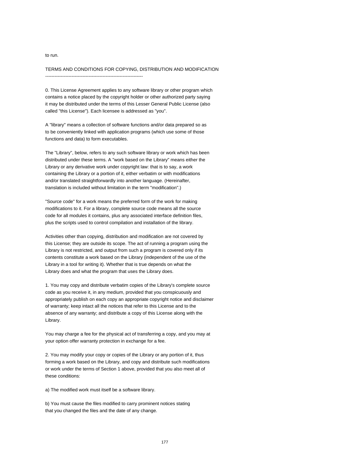to run.

TERMS AND CONDITIONS FOR COPYING, DISTRIBUTION AND MODIFICATION ---------------------------------------------------------------

0. This License Agreement applies to any software library or other program which contains a notice placed by the copyright holder or other authorized party saying it may be distributed under the terms of this Lesser General Public License (also called "this License"). Each licensee is addressed as "you".

A "library" means a collection of software functions and/or data prepared so as to be conveniently linked with application programs (which use some of those functions and data) to form executables.

The "Library", below, refers to any such software library or work which has been distributed under these terms. A "work based on the Library" means either the Library or any derivative work under copyright law: that is to say, a work containing the Library or a portion of it, either verbatim or with modifications and/or translated straightforwardly into another language. (Hereinafter, translation is included without limitation in the term "modification".)

"Source code" for a work means the preferred form of the work for making modifications to it. For a library, complete source code means all the source code for all modules it contains, plus any associated interface definition files, plus the scripts used to control compilation and installation of the library.

Activities other than copying, distribution and modification are not covered by this License; they are outside its scope. The act of running a program using the Library is not restricted, and output from such a program is covered only if its contents constitute a work based on the Library (independent of the use of the Library in a tool for writing it). Whether that is true depends on what the Library does and what the program that uses the Library does.

1. You may copy and distribute verbatim copies of the Library's complete source code as you receive it, in any medium, provided that you conspicuously and appropriately publish on each copy an appropriate copyright notice and disclaimer of warranty; keep intact all the notices that refer to this License and to the absence of any warranty; and distribute a copy of this License along with the Library.

You may charge a fee for the physical act of transferring a copy, and you may at your option offer warranty protection in exchange for a fee.

2. You may modify your copy or copies of the Library or any portion of it, thus forming a work based on the Library, and copy and distribute such modifications or work under the terms of Section 1 above, provided that you also meet all of these conditions:

a) The modified work must itself be a software library.

b) You must cause the files modified to carry prominent notices stating that you changed the files and the date of any change.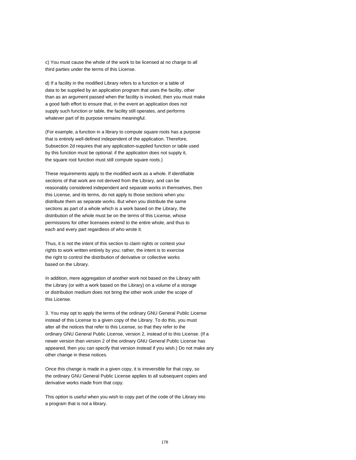c) You must cause the whole of the work to be licensed at no charge to all third parties under the terms of this License.

d) If a facility in the modified Library refers to a function or a table of data to be supplied by an application program that uses the facility, other than as an argument passed when the facility is invoked, then you must make a good faith effort to ensure that, in the event an application does not supply such function or table, the facility still operates, and performs whatever part of its purpose remains meaningful.

(For example, a function in a library to compute square roots has a purpose that is entirely well-defined independent of the application. Therefore, Subsection 2d requires that any application-supplied function or table used by this function must be optional: if the application does not supply it, the square root function must still compute square roots.)

These requirements apply to the modified work as a whole. If identifiable sections of that work are not derived from the Library, and can be reasonably considered independent and separate works in themselves, then this License, and its terms, do not apply to those sections when you distribute them as separate works. But when you distribute the same sections as part of a whole which is a work based on the Library, the distribution of the whole must be on the terms of this License, whose permissions for other licensees extend to the entire whole, and thus to each and every part regardless of who wrote it.

Thus, it is not the intent of this section to claim rights or contest your rights to work written entirely by you; rather, the intent is to exercise the right to control the distribution of derivative or collective works based on the Library.

In addition, mere aggregation of another work not based on the Library with the Library (or with a work based on the Library) on a volume of a storage or distribution medium does not bring the other work under the scope of this License.

3. You may opt to apply the terms of the ordinary GNU General Public License instead of this License to a given copy of the Library. To do this, you must alter all the notices that refer to this License, so that they refer to the ordinary GNU General Public License, version 2, instead of to this License. (If a newer version than version 2 of the ordinary GNU General Public License has appeared, then you can specify that version instead if you wish.) Do not make any other change in these notices.

Once this change is made in a given copy, it is irreversible for that copy, so the ordinary GNU General Public License applies to all subsequent copies and derivative works made from that copy.

This option is useful when you wish to copy part of the code of the Library into a program that is not a library.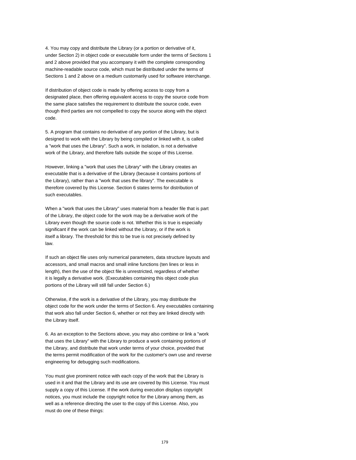4. You may copy and distribute the Library (or a portion or derivative of it, under Section 2) in object code or executable form under the terms of Sections 1 and 2 above provided that you accompany it with the complete corresponding machine-readable source code, which must be distributed under the terms of Sections 1 and 2 above on a medium customarily used for software interchange.

If distribution of object code is made by offering access to copy from a designated place, then offering equivalent access to copy the source code from the same place satisfies the requirement to distribute the source code, even though third parties are not compelled to copy the source along with the object code.

5. A program that contains no derivative of any portion of the Library, but is designed to work with the Library by being compiled or linked with it, is called a "work that uses the Library". Such a work, in isolation, is not a derivative work of the Library, and therefore falls outside the scope of this License.

However, linking a "work that uses the Library" with the Library creates an executable that is a derivative of the Library (because it contains portions of the Library), rather than a "work that uses the library". The executable is therefore covered by this License. Section 6 states terms for distribution of such executables.

When a "work that uses the Library" uses material from a header file that is part of the Library, the object code for the work may be a derivative work of the Library even though the source code is not. Whether this is true is especially significant if the work can be linked without the Library, or if the work is itself a library. The threshold for this to be true is not precisely defined by law.

If such an object file uses only numerical parameters, data structure layouts and accessors, and small macros and small inline functions (ten lines or less in length), then the use of the object file is unrestricted, regardless of whether it is legally a derivative work. (Executables containing this object code plus portions of the Library will still fall under Section 6.)

Otherwise, if the work is a derivative of the Library, you may distribute the object code for the work under the terms of Section 6. Any executables containing that work also fall under Section 6, whether or not they are linked directly with the Library itself.

6. As an exception to the Sections above, you may also combine or link a "work that uses the Library" with the Library to produce a work containing portions of the Library, and distribute that work under terms of your choice, provided that the terms permit modification of the work for the customer's own use and reverse engineering for debugging such modifications.

You must give prominent notice with each copy of the work that the Library is used in it and that the Library and its use are covered by this License. You must supply a copy of this License. If the work during execution displays copyright notices, you must include the copyright notice for the Library among them, as well as a reference directing the user to the copy of this License. Also, you must do one of these things: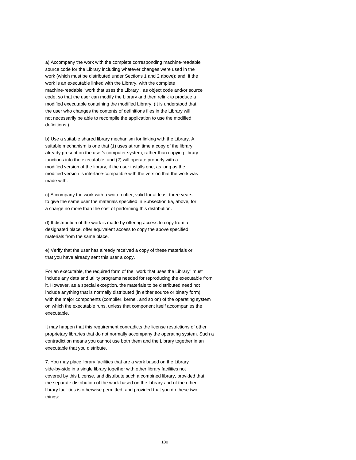a) Accompany the work with the complete corresponding machine-readable source code for the Library including whatever changes were used in the work (which must be distributed under Sections 1 and 2 above); and, if the work is an executable linked with the Library, with the complete machine-readable "work that uses the Library", as object code and/or source code, so that the user can modify the Library and then relink to produce a modified executable containing the modified Library. (It is understood that the user who changes the contents of definitions files in the Library will not necessarily be able to recompile the application to use the modified definitions.)

b) Use a suitable shared library mechanism for linking with the Library. A suitable mechanism is one that (1) uses at run time a copy of the library already present on the user's computer system, rather than copying library functions into the executable, and (2) will operate properly with a modified version of the library, if the user installs one, as long as the modified version is interface-compatible with the version that the work was made with.

c) Accompany the work with a written offer, valid for at least three years, to give the same user the materials specified in Subsection 6a, above, for a charge no more than the cost of performing this distribution.

d) If distribution of the work is made by offering access to copy from a designated place, offer equivalent access to copy the above specified materials from the same place.

e) Verify that the user has already received a copy of these materials or that you have already sent this user a copy.

For an executable, the required form of the "work that uses the Library" must include any data and utility programs needed for reproducing the executable from it. However, as a special exception, the materials to be distributed need not include anything that is normally distributed (in either source or binary form) with the major components (compiler, kernel, and so on) of the operating system on which the executable runs, unless that component itself accompanies the executable.

It may happen that this requirement contradicts the license restrictions of other proprietary libraries that do not normally accompany the operating system. Such a contradiction means you cannot use both them and the Library together in an executable that you distribute.

7. You may place library facilities that are a work based on the Library side-by-side in a single library together with other library facilities not covered by this License, and distribute such a combined library, provided that the separate distribution of the work based on the Library and of the other library facilities is otherwise permitted, and provided that you do these two things: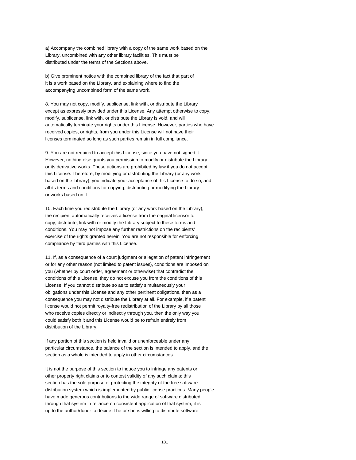a) Accompany the combined library with a copy of the same work based on the Library, uncombined with any other library facilities. This must be distributed under the terms of the Sections above.

b) Give prominent notice with the combined library of the fact that part of it is a work based on the Library, and explaining where to find the accompanying uncombined form of the same work.

8. You may not copy, modify, sublicense, link with, or distribute the Library except as expressly provided under this License. Any attempt otherwise to copy, modify, sublicense, link with, or distribute the Library is void, and will automatically terminate your rights under this License. However, parties who have received copies, or rights, from you under this License will not have their licenses terminated so long as such parties remain in full compliance.

9. You are not required to accept this License, since you have not signed it. However, nothing else grants you permission to modify or distribute the Library or its derivative works. These actions are prohibited by law if you do not accept this License. Therefore, by modifying or distributing the Library (or any work based on the Library), you indicate your acceptance of this License to do so, and all its terms and conditions for copying, distributing or modifying the Library or works based on it.

10. Each time you redistribute the Library (or any work based on the Library), the recipient automatically receives a license from the original licensor to copy, distribute, link with or modify the Library subject to these terms and conditions. You may not impose any further restrictions on the recipients' exercise of the rights granted herein. You are not responsible for enforcing compliance by third parties with this License.

11. If, as a consequence of a court judgment or allegation of patent infringement or for any other reason (not limited to patent issues), conditions are imposed on you (whether by court order, agreement or otherwise) that contradict the conditions of this License, they do not excuse you from the conditions of this License. If you cannot distribute so as to satisfy simultaneously your obligations under this License and any other pertinent obligations, then as a consequence you may not distribute the Library at all. For example, if a patent license would not permit royalty-free redistribution of the Library by all those who receive copies directly or indirectly through you, then the only way you could satisfy both it and this License would be to refrain entirely from distribution of the Library.

If any portion of this section is held invalid or unenforceable under any particular circumstance, the balance of the section is intended to apply, and the section as a whole is intended to apply in other circumstances.

It is not the purpose of this section to induce you to infringe any patents or other property right claims or to contest validity of any such claims; this section has the sole purpose of protecting the integrity of the free software distribution system which is implemented by public license practices. Many people have made generous contributions to the wide range of software distributed through that system in reliance on consistent application of that system; it is up to the author/donor to decide if he or she is willing to distribute software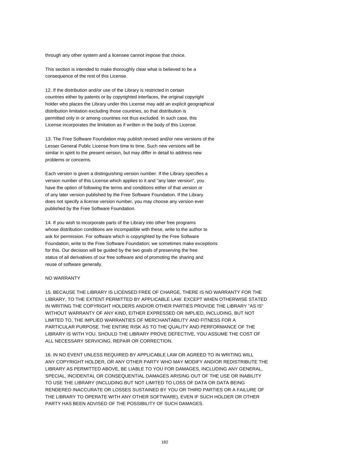through any other system and a licensee cannot impose that choice.

This section is intended to make thoroughly clear what is believed to be a consequence of the rest of this License.

12. If the distribution and/or use of the Library is restricted in certain countries either by patents or by copyrighted interfaces, the original copyright holder who places the Library under this License may add an explicit geographical distribution limitation excluding those countries, so that distribution is permitted only in or among countries not thus excluded. In such case, this License incorporates the limitation as if written in the body of this License.

13. The Free Software Foundation may publish revised and/or new versions of the Lesser General Public License from time to time. Such new versions will be similar in spirit to the present version, but may differ in detail to address new problems or concerns.

Each version is given a distinguishing version number. If the Library specifies a version number of this License which applies to it and "any later version", you have the option of following the terms and conditions either of that version or of any later version published by the Free Software Foundation. If the Library does not specify a license version number, you may choose any version ever published by the Free Software Foundation.

14. If you wish to incorporate parts of the Library into other free programs whose distribution conditions are incompatible with these, write to the author to ask for permission. For software which is copyrighted by the Free Software Foundation, write to the Free Software Foundation; we sometimes make exceptions for this. Our decision will be guided by the two goals of preserving the free status of all derivatives of our free software and of promoting the sharing and reuse of software generally.

### NO WARRANTY

15. BECAUSE THE LIBRARY IS LICENSED FREE OF CHARGE, THERE IS NO WARRANTY FOR THE LIBRARY, TO THE EXTENT PERMITTED BY APPLICABLE LAW. EXCEPT WHEN OTHERWISE STATED IN WRITING THE COPYRIGHT HOLDERS AND/OR OTHER PARTIES PROVIDE THE LIBRARY "AS IS" WITHOUT WARRANTY OF ANY KIND, EITHER EXPRESSED OR IMPLIED, INCLUDING, BUT NOT LIMITED TO, THE IMPLIED WARRANTIES OF MERCHANTABILITY AND FITNESS FOR A PARTICULAR PURPOSE. THE ENTIRE RISK AS TO THE QUALITY AND PERFORMANCE OF THE LIBRARY IS WITH YOU. SHOULD THE LIBRARY PROVE DEFECTIVE, YOU ASSUME THE COST OF ALL NECESSARY SERVICING, REPAIR OR CORRECTION.

16. IN NO EVENT UNLESS REQUIRED BY APPLICABLE LAW OR AGREED TO IN WRITING WILL ANY COPYRIGHT HOLDER, OR ANY OTHER PARTY WHO MAY MODIFY AND/OR REDISTRIBUTE THE LIBRARY AS PERMITTED ABOVE, BE LIABLE TO YOU FOR DAMAGES, INCLUDING ANY GENERAL, SPECIAL, INCIDENTAL OR CONSEQUENTIAL DAMAGES ARISING OUT OF THE USE OR INABILITY TO USE THE LIBRARY (INCLUDING BUT NOT LIMITED TO LOSS OF DATA OR DATA BEING RENDERED INACCURATE OR LOSSES SUSTAINED BY YOU OR THIRD PARTIES OR A FAILURE OF THE LIBRARY TO OPERATE WITH ANY OTHER SOFTWARE), EVEN IF SUCH HOLDER OR OTHER PARTY HAS BEEN ADVISED OF THE POSSIBILITY OF SUCH DAMAGES.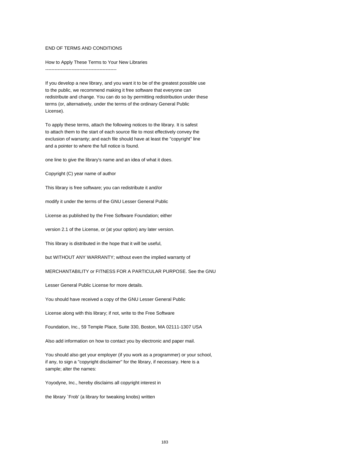# END OF TERMS AND CONDITIONS

How to Apply These Terms to Your New Libraries ----------------------------------------------

If you develop a new library, and you want it to be of the greatest possible use to the public, we recommend making it free software that everyone can redistribute and change. You can do so by permitting redistribution under these terms (or, alternatively, under the terms of the ordinary General Public License).

To apply these terms, attach the following notices to the library. It is safest to attach them to the start of each source file to most effectively convey the exclusion of warranty; and each file should have at least the "copyright" line and a pointer to where the full notice is found.

one line to give the library's name and an idea of what it does.

Copyright (C) year name of author

This library is free software; you can redistribute it and/or

modify it under the terms of the GNU Lesser General Public

License as published by the Free Software Foundation; either

version 2.1 of the License, or (at your option) any later version.

This library is distributed in the hope that it will be useful,

but WITHOUT ANY WARRANTY; without even the implied warranty of

MERCHANTABILITY or FITNESS FOR A PARTICULAR PURPOSE. See the GNU

Lesser General Public License for more details.

You should have received a copy of the GNU Lesser General Public

License along with this library; if not, write to the Free Software

Foundation, Inc., 59 Temple Place, Suite 330, Boston, MA 02111-1307 USA

Also add information on how to contact you by electronic and paper mail.

You should also get your employer (if you work as a programmer) or your school, if any, to sign a "copyright disclaimer" for the library, if necessary. Here is a sample; alter the names:

Yoyodyne, Inc., hereby disclaims all copyright interest in

the library `Frob' (a library for tweaking knobs) written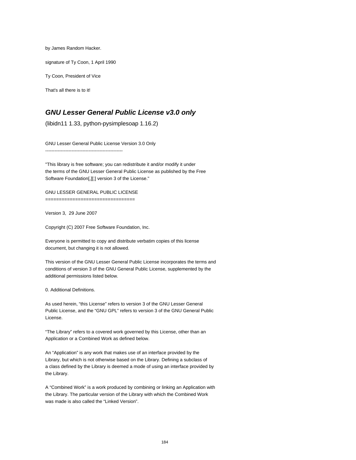by James Random Hacker.

signature of Ty Coon, 1 April 1990

Ty Coon, President of Vice

That's all there is to it!

# **GNU Lesser General Public License v3.0 only**

(libidn11 1.33, python-pysimplesoap 1.16.2)

GNU Lesser General Public License Version 3.0 Only

--------------------------------------------------

"This library is free software; you can redistribute it and/or modify it under the terms of the GNU Lesser General Public License as published by the Free Software Foundation[,][;] version 3 of the License."

GNU LESSER GENERAL PUBLIC LICENSE

====================================

Version 3, 29 June 2007

Copyright (C) 2007 Free Software Foundation, Inc.

Everyone is permitted to copy and distribute verbatim copies of this license document, but changing it is not allowed.

This version of the GNU Lesser General Public License incorporates the terms and conditions of version 3 of the GNU General Public License, supplemented by the additional permissions listed below.

0. Additional Definitions.

As used herein, "this License" refers to version 3 of the GNU Lesser General Public License, and the "GNU GPL" refers to version 3 of the GNU General Public License.

"The Library" refers to a covered work governed by this License, other than an Application or a Combined Work as defined below.

An "Application" is any work that makes use of an interface provided by the Library, but which is not otherwise based on the Library. Defining a subclass of a class defined by the Library is deemed a mode of using an interface provided by the Library.

A "Combined Work" is a work produced by combining or linking an Application with the Library. The particular version of the Library with which the Combined Work was made is also called the "Linked Version".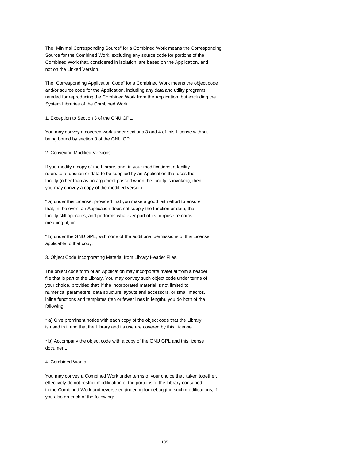The "Minimal Corresponding Source" for a Combined Work means the Corresponding Source for the Combined Work, excluding any source code for portions of the Combined Work that, considered in isolation, are based on the Application, and not on the Linked Version.

The "Corresponding Application Code" for a Combined Work means the object code and/or source code for the Application, including any data and utility programs needed for reproducing the Combined Work from the Application, but excluding the System Libraries of the Combined Work.

1. Exception to Section 3 of the GNU GPL.

You may convey a covered work under sections 3 and 4 of this License without being bound by section 3 of the GNU GPL.

2. Conveying Modified Versions.

If you modify a copy of the Library, and, in your modifications, a facility refers to a function or data to be supplied by an Application that uses the facility (other than as an argument passed when the facility is invoked), then you may convey a copy of the modified version:

\* a) under this License, provided that you make a good faith effort to ensure that, in the event an Application does not supply the function or data, the facility still operates, and performs whatever part of its purpose remains meaningful, or

\* b) under the GNU GPL, with none of the additional permissions of this License applicable to that copy.

3. Object Code Incorporating Material from Library Header Files.

The object code form of an Application may incorporate material from a header file that is part of the Library. You may convey such object code under terms of your choice, provided that, if the incorporated material is not limited to numerical parameters, data structure layouts and accessors, or small macros, inline functions and templates (ten or fewer lines in length), you do both of the following:

\* a) Give prominent notice with each copy of the object code that the Library is used in it and that the Library and its use are covered by this License.

\* b) Accompany the object code with a copy of the GNU GPL and this license document.

4. Combined Works.

You may convey a Combined Work under terms of your choice that, taken together, effectively do not restrict modification of the portions of the Library contained in the Combined Work and reverse engineering for debugging such modifications, if you also do each of the following: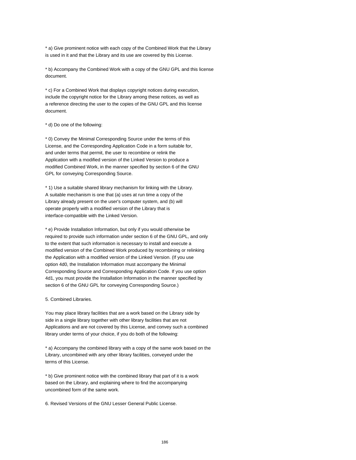\* a) Give prominent notice with each copy of the Combined Work that the Library is used in it and that the Library and its use are covered by this License.

\* b) Accompany the Combined Work with a copy of the GNU GPL and this license document.

\* c) For a Combined Work that displays copyright notices during execution, include the copyright notice for the Library among these notices, as well as a reference directing the user to the copies of the GNU GPL and this license document.

# \* d) Do one of the following:

\* 0) Convey the Minimal Corresponding Source under the terms of this License, and the Corresponding Application Code in a form suitable for, and under terms that permit, the user to recombine or relink the Application with a modified version of the Linked Version to produce a modified Combined Work, in the manner specified by section 6 of the GNU GPL for conveying Corresponding Source.

\* 1) Use a suitable shared library mechanism for linking with the Library. A suitable mechanism is one that (a) uses at run time a copy of the Library already present on the user's computer system, and (b) will operate properly with a modified version of the Library that is interface-compatible with the Linked Version.

\* e) Provide Installation Information, but only if you would otherwise be required to provide such information under section 6 of the GNU GPL, and only to the extent that such information is necessary to install and execute a modified version of the Combined Work produced by recombining or relinking the Application with a modified version of the Linked Version. (If you use option 4d0, the Installation Information must accompany the Minimal Corresponding Source and Corresponding Application Code. If you use option 4d1, you must provide the Installation Information in the manner specified by section 6 of the GNU GPL for conveying Corresponding Source.)

5. Combined Libraries.

You may place library facilities that are a work based on the Library side by side in a single library together with other library facilities that are not Applications and are not covered by this License, and convey such a combined library under terms of your choice, if you do both of the following:

\* a) Accompany the combined library with a copy of the same work based on the Library, uncombined with any other library facilities, conveyed under the terms of this License.

\* b) Give prominent notice with the combined library that part of it is a work based on the Library, and explaining where to find the accompanying uncombined form of the same work.

6. Revised Versions of the GNU Lesser General Public License.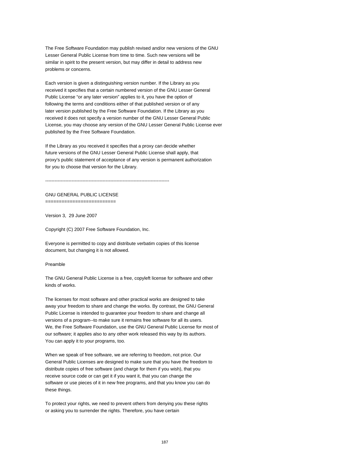The Free Software Foundation may publish revised and/or new versions of the GNU Lesser General Public License from time to time. Such new versions will be similar in spirit to the present version, but may differ in detail to address new problems or concerns.

Each version is given a distinguishing version number. If the Library as you received it specifies that a certain numbered version of the GNU Lesser General Public License "or any later version" applies to it, you have the option of following the terms and conditions either of that published version or of any later version published by the Free Software Foundation. If the Library as you received it does not specify a version number of the GNU Lesser General Public License, you may choose any version of the GNU Lesser General Public License ever published by the Free Software Foundation.

If the Library as you received it specifies that a proxy can decide whether future versions of the GNU Lesser General Public License shall apply, that proxy's public statement of acceptance of any version is permanent authorization for you to choose that version for the Library.

--------------------------------------------------------------------------------

# GNU GENERAL PUBLIC LICENSE

==========================

Version 3, 29 June 2007

Copyright (C) 2007 Free Software Foundation, Inc.

Everyone is permitted to copy and distribute verbatim copies of this license document, but changing it is not allowed.

### Preamble

The GNU General Public License is a free, copyleft license for software and other kinds of works.

The licenses for most software and other practical works are designed to take away your freedom to share and change the works. By contrast, the GNU General Public License is intended to guarantee your freedom to share and change all versions of a program--to make sure it remains free software for all its users. We, the Free Software Foundation, use the GNU General Public License for most of our software; it applies also to any other work released this way by its authors. You can apply it to your programs, too.

When we speak of free software, we are referring to freedom, not price. Our General Public Licenses are designed to make sure that you have the freedom to distribute copies of free software (and charge for them if you wish), that you receive source code or can get it if you want it, that you can change the software or use pieces of it in new free programs, and that you know you can do these things.

To protect your rights, we need to prevent others from denying you these rights or asking you to surrender the rights. Therefore, you have certain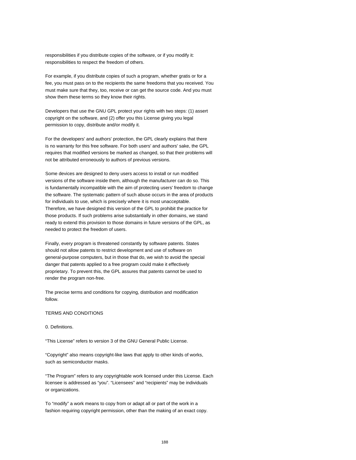responsibilities if you distribute copies of the software, or if you modify it: responsibilities to respect the freedom of others.

For example, if you distribute copies of such a program, whether gratis or for a fee, you must pass on to the recipients the same freedoms that you received. You must make sure that they, too, receive or can get the source code. And you must show them these terms so they know their rights.

Developers that use the GNU GPL protect your rights with two steps: (1) assert copyright on the software, and (2) offer you this License giving you legal permission to copy, distribute and/or modify it.

For the developers' and authors' protection, the GPL clearly explains that there is no warranty for this free software. For both users' and authors' sake, the GPL requires that modified versions be marked as changed, so that their problems will not be attributed erroneously to authors of previous versions.

Some devices are designed to deny users access to install or run modified versions of the software inside them, although the manufacturer can do so. This is fundamentally incompatible with the aim of protecting users' freedom to change the software. The systematic pattern of such abuse occurs in the area of products for individuals to use, which is precisely where it is most unacceptable. Therefore, we have designed this version of the GPL to prohibit the practice for those products. If such problems arise substantially in other domains, we stand ready to extend this provision to those domains in future versions of the GPL, as needed to protect the freedom of users.

Finally, every program is threatened constantly by software patents. States should not allow patents to restrict development and use of software on general-purpose computers, but in those that do, we wish to avoid the special danger that patents applied to a free program could make it effectively proprietary. To prevent this, the GPL assures that patents cannot be used to render the program non-free.

The precise terms and conditions for copying, distribution and modification follow.

# TERMS AND CONDITIONS

## 0. Definitions.

"This License" refers to version 3 of the GNU General Public License.

"Copyright" also means copyright-like laws that apply to other kinds of works, such as semiconductor masks.

"The Program" refers to any copyrightable work licensed under this License. Each licensee is addressed as "you". "Licensees" and "recipients" may be individuals or organizations.

To "modify" a work means to copy from or adapt all or part of the work in a fashion requiring copyright permission, other than the making of an exact copy.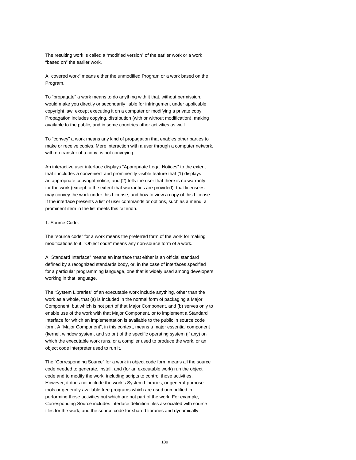The resulting work is called a "modified version" of the earlier work or a work "based on" the earlier work.

A "covered work" means either the unmodified Program or a work based on the Program.

To "propagate" a work means to do anything with it that, without permission, would make you directly or secondarily liable for infringement under applicable copyright law, except executing it on a computer or modifying a private copy. Propagation includes copying, distribution (with or without modification), making available to the public, and in some countries other activities as well.

To "convey" a work means any kind of propagation that enables other parties to make or receive copies. Mere interaction with a user through a computer network, with no transfer of a copy, is not conveying.

An interactive user interface displays "Appropriate Legal Notices" to the extent that it includes a convenient and prominently visible feature that (1) displays an appropriate copyright notice, and (2) tells the user that there is no warranty for the work (except to the extent that warranties are provided), that licensees may convey the work under this License, and how to view a copy of this License. If the interface presents a list of user commands or options, such as a menu, a prominent item in the list meets this criterion.

1. Source Code.

The "source code" for a work means the preferred form of the work for making modifications to it. "Object code" means any non-source form of a work.

A "Standard Interface" means an interface that either is an official standard defined by a recognized standards body, or, in the case of interfaces specified for a particular programming language, one that is widely used among developers working in that language.

The "System Libraries" of an executable work include anything, other than the work as a whole, that (a) is included in the normal form of packaging a Major Component, but which is not part of that Major Component, and (b) serves only to enable use of the work with that Major Component, or to implement a Standard Interface for which an implementation is available to the public in source code form. A "Major Component", in this context, means a major essential component (kernel, window system, and so on) of the specific operating system (if any) on which the executable work runs, or a compiler used to produce the work, or an object code interpreter used to run it.

The "Corresponding Source" for a work in object code form means all the source code needed to generate, install, and (for an executable work) run the object code and to modify the work, including scripts to control those activities. However, it does not include the work's System Libraries, or general-purpose tools or generally available free programs which are used unmodified in performing those activities but which are not part of the work. For example, Corresponding Source includes interface definition files associated with source files for the work, and the source code for shared libraries and dynamically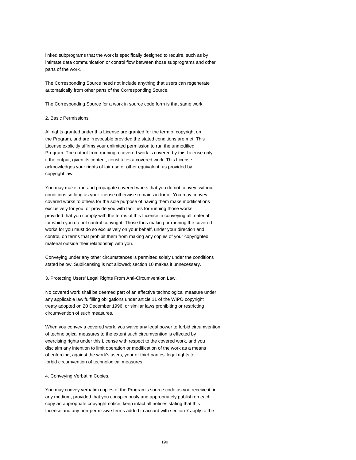linked subprograms that the work is specifically designed to require, such as by intimate data communication or control flow between those subprograms and other parts of the work.

The Corresponding Source need not include anything that users can regenerate automatically from other parts of the Corresponding Source.

The Corresponding Source for a work in source code form is that same work.

### 2. Basic Permissions.

All rights granted under this License are granted for the term of copyright on the Program, and are irrevocable provided the stated conditions are met. This License explicitly affirms your unlimited permission to run the unmodified Program. The output from running a covered work is covered by this License only if the output, given its content, constitutes a covered work. This License acknowledges your rights of fair use or other equivalent, as provided by copyright law.

You may make, run and propagate covered works that you do not convey, without conditions so long as your license otherwise remains in force. You may convey covered works to others for the sole purpose of having them make modifications exclusively for you, or provide you with facilities for running those works, provided that you comply with the terms of this License in conveying all material for which you do not control copyright. Those thus making or running the covered works for you must do so exclusively on your behalf, under your direction and control, on terms that prohibit them from making any copies of your copyrighted material outside their relationship with you.

Conveying under any other circumstances is permitted solely under the conditions stated below. Sublicensing is not allowed; section 10 makes it unnecessary.

3. Protecting Users' Legal Rights From Anti-Circumvention Law.

No covered work shall be deemed part of an effective technological measure under any applicable law fulfilling obligations under article 11 of the WIPO copyright treaty adopted on 20 December 1996, or similar laws prohibiting or restricting circumvention of such measures.

When you convey a covered work, you waive any legal power to forbid circumvention of technological measures to the extent such circumvention is effected by exercising rights under this License with respect to the covered work, and you disclaim any intention to limit operation or modification of the work as a means of enforcing, against the work's users, your or third parties' legal rights to forbid circumvention of technological measures.

## 4. Conveying Verbatim Copies.

You may convey verbatim copies of the Program's source code as you receive it, in any medium, provided that you conspicuously and appropriately publish on each copy an appropriate copyright notice; keep intact all notices stating that this License and any non-permissive terms added in accord with section 7 apply to the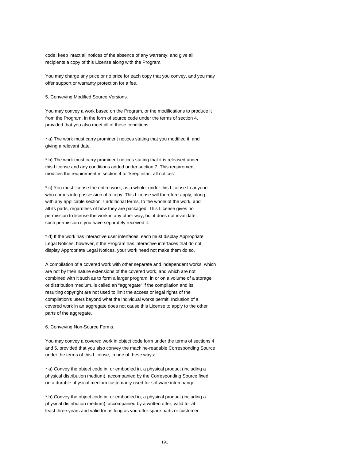code; keep intact all notices of the absence of any warranty; and give all recipients a copy of this License along with the Program.

You may charge any price or no price for each copy that you convey, and you may offer support or warranty protection for a fee.

5. Conveying Modified Source Versions.

You may convey a work based on the Program, or the modifications to produce it from the Program, in the form of source code under the terms of section 4, provided that you also meet all of these conditions:

\* a) The work must carry prominent notices stating that you modified it, and giving a relevant date.

\* b) The work must carry prominent notices stating that it is released under this License and any conditions added under section 7. This requirement modifies the requirement in section 4 to "keep intact all notices".

\* c) You must license the entire work, as a whole, under this License to anyone who comes into possession of a copy. This License will therefore apply, along with any applicable section 7 additional terms, to the whole of the work, and all its parts, regardless of how they are packaged. This License gives no permission to license the work in any other way, but it does not invalidate such permission if you have separately received it.

\* d) If the work has interactive user interfaces, each must display Appropriate Legal Notices; however, if the Program has interactive interfaces that do not display Appropriate Legal Notices, your work need not make them do so.

A compilation of a covered work with other separate and independent works, which are not by their nature extensions of the covered work, and which are not combined with it such as to form a larger program, in or on a volume of a storage or distribution medium, is called an "aggregate" if the compilation and its resulting copyright are not used to limit the access or legal rights of the compilation's users beyond what the individual works permit. Inclusion of a covered work in an aggregate does not cause this License to apply to the other parts of the aggregate.

6. Conveying Non-Source Forms.

You may convey a covered work in object code form under the terms of sections 4 and 5, provided that you also convey the machine-readable Corresponding Source under the terms of this License, in one of these ways:

\* a) Convey the object code in, or embodied in, a physical product (including a physical distribution medium), accompanied by the Corresponding Source fixed on a durable physical medium customarily used for software interchange.

\* b) Convey the object code in, or embodied in, a physical product (including a physical distribution medium), accompanied by a written offer, valid for at least three years and valid for as long as you offer spare parts or customer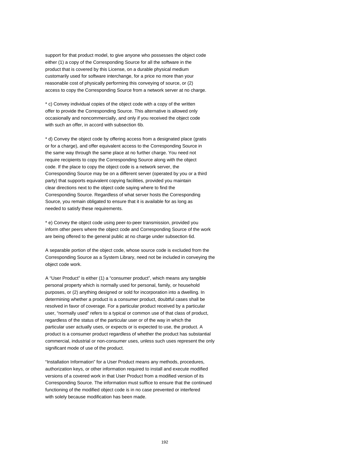support for that product model, to give anyone who possesses the object code either (1) a copy of the Corresponding Source for all the software in the product that is covered by this License, on a durable physical medium customarily used for software interchange, for a price no more than your reasonable cost of physically performing this conveying of source, or (2) access to copy the Corresponding Source from a network server at no charge.

\* c) Convey individual copies of the object code with a copy of the written offer to provide the Corresponding Source. This alternative is allowed only occasionally and noncommercially, and only if you received the object code with such an offer, in accord with subsection 6b.

\* d) Convey the object code by offering access from a designated place (gratis or for a charge), and offer equivalent access to the Corresponding Source in the same way through the same place at no further charge. You need not require recipients to copy the Corresponding Source along with the object code. If the place to copy the object code is a network server, the Corresponding Source may be on a different server (operated by you or a third party) that supports equivalent copying facilities, provided you maintain clear directions next to the object code saying where to find the Corresponding Source. Regardless of what server hosts the Corresponding Source, you remain obligated to ensure that it is available for as long as needed to satisfy these requirements.

\* e) Convey the object code using peer-to-peer transmission, provided you inform other peers where the object code and Corresponding Source of the work are being offered to the general public at no charge under subsection 6d.

A separable portion of the object code, whose source code is excluded from the Corresponding Source as a System Library, need not be included in conveying the object code work.

A "User Product" is either (1) a "consumer product", which means any tangible personal property which is normally used for personal, family, or household purposes, or (2) anything designed or sold for incorporation into a dwelling. In determining whether a product is a consumer product, doubtful cases shall be resolved in favor of coverage. For a particular product received by a particular user, "normally used" refers to a typical or common use of that class of product, regardless of the status of the particular user or of the way in which the particular user actually uses, or expects or is expected to use, the product. A product is a consumer product regardless of whether the product has substantial commercial, industrial or non-consumer uses, unless such uses represent the only significant mode of use of the product.

"Installation Information" for a User Product means any methods, procedures, authorization keys, or other information required to install and execute modified versions of a covered work in that User Product from a modified version of its Corresponding Source. The information must suffice to ensure that the continued functioning of the modified object code is in no case prevented or interfered with solely because modification has been made.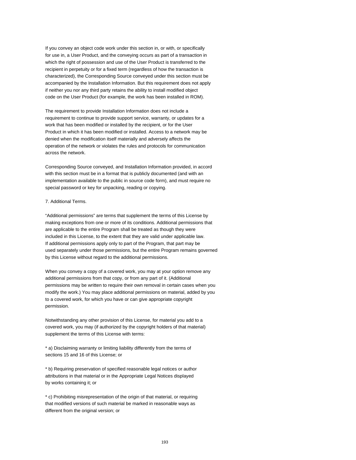If you convey an object code work under this section in, or with, or specifically for use in, a User Product, and the conveying occurs as part of a transaction in which the right of possession and use of the User Product is transferred to the recipient in perpetuity or for a fixed term (regardless of how the transaction is characterized), the Corresponding Source conveyed under this section must be accompanied by the Installation Information. But this requirement does not apply if neither you nor any third party retains the ability to install modified object code on the User Product (for example, the work has been installed in ROM).

The requirement to provide Installation Information does not include a requirement to continue to provide support service, warranty, or updates for a work that has been modified or installed by the recipient, or for the User Product in which it has been modified or installed. Access to a network may be denied when the modification itself materially and adversely affects the operation of the network or violates the rules and protocols for communication across the network.

Corresponding Source conveyed, and Installation Information provided, in accord with this section must be in a format that is publicly documented (and with an implementation available to the public in source code form), and must require no special password or key for unpacking, reading or copying.

#### 7. Additional Terms.

"Additional permissions" are terms that supplement the terms of this License by making exceptions from one or more of its conditions. Additional permissions that are applicable to the entire Program shall be treated as though they were included in this License, to the extent that they are valid under applicable law. If additional permissions apply only to part of the Program, that part may be used separately under those permissions, but the entire Program remains governed by this License without regard to the additional permissions.

When you convey a copy of a covered work, you may at your option remove any additional permissions from that copy, or from any part of it. (Additional permissions may be written to require their own removal in certain cases when you modify the work.) You may place additional permissions on material, added by you to a covered work, for which you have or can give appropriate copyright permission.

Notwithstanding any other provision of this License, for material you add to a covered work, you may (if authorized by the copyright holders of that material) supplement the terms of this License with terms:

\* a) Disclaiming warranty or limiting liability differently from the terms of sections 15 and 16 of this License; or

\* b) Requiring preservation of specified reasonable legal notices or author attributions in that material or in the Appropriate Legal Notices displayed by works containing it; or

\* c) Prohibiting misrepresentation of the origin of that material, or requiring that modified versions of such material be marked in reasonable ways as different from the original version; or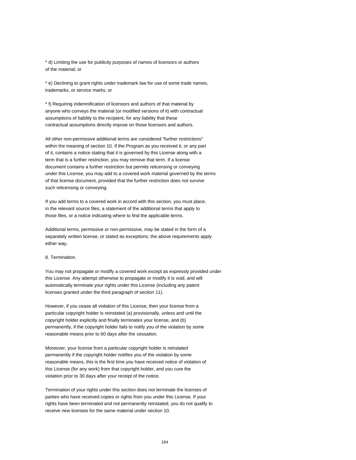\* d) Limiting the use for publicity purposes of names of licensors or authors of the material; or

\* e) Declining to grant rights under trademark law for use of some trade names, trademarks, or service marks; or

\* f) Requiring indemnification of licensors and authors of that material by anyone who conveys the material (or modified versions of it) with contractual assumptions of liability to the recipient, for any liability that these contractual assumptions directly impose on those licensors and authors.

All other non-permissive additional terms are considered "further restrictions" within the meaning of section 10. If the Program as you received it, or any part of it, contains a notice stating that it is governed by this License along with a term that is a further restriction, you may remove that term. If a license document contains a further restriction but permits relicensing or conveying under this License, you may add to a covered work material governed by the terms of that license document, provided that the further restriction does not survive such relicensing or conveying.

If you add terms to a covered work in accord with this section, you must place, in the relevant source files, a statement of the additional terms that apply to those files, or a notice indicating where to find the applicable terms.

Additional terms, permissive or non-permissive, may be stated in the form of a separately written license, or stated as exceptions; the above requirements apply either way.

#### 8. Termination.

You may not propagate or modify a covered work except as expressly provided under this License. Any attempt otherwise to propagate or modify it is void, and will automatically terminate your rights under this License (including any patent licenses granted under the third paragraph of section 11).

However, if you cease all violation of this License, then your license from a particular copyright holder is reinstated (a) provisionally, unless and until the copyright holder explicitly and finally terminates your license, and (b) permanently, if the copyright holder fails to notify you of the violation by some reasonable means prior to 60 days after the cessation.

Moreover, your license from a particular copyright holder is reinstated permanently if the copyright holder notifies you of the violation by some reasonable means, this is the first time you have received notice of violation of this License (for any work) from that copyright holder, and you cure the violation prior to 30 days after your receipt of the notice.

Termination of your rights under this section does not terminate the licenses of parties who have received copies or rights from you under this License. If your rights have been terminated and not permanently reinstated, you do not qualify to receive new licenses for the same material under section 10.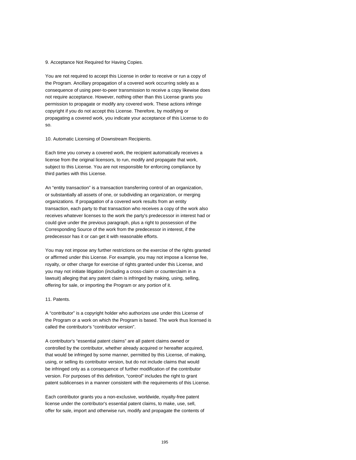9. Acceptance Not Required for Having Copies.

You are not required to accept this License in order to receive or run a copy of the Program. Ancillary propagation of a covered work occurring solely as a consequence of using peer-to-peer transmission to receive a copy likewise does not require acceptance. However, nothing other than this License grants you permission to propagate or modify any covered work. These actions infringe copyright if you do not accept this License. Therefore, by modifying or propagating a covered work, you indicate your acceptance of this License to do so.

10. Automatic Licensing of Downstream Recipients.

Each time you convey a covered work, the recipient automatically receives a license from the original licensors, to run, modify and propagate that work, subject to this License. You are not responsible for enforcing compliance by third parties with this License.

An "entity transaction" is a transaction transferring control of an organization, or substantially all assets of one, or subdividing an organization, or merging organizations. If propagation of a covered work results from an entity transaction, each party to that transaction who receives a copy of the work also receives whatever licenses to the work the party's predecessor in interest had or could give under the previous paragraph, plus a right to possession of the Corresponding Source of the work from the predecessor in interest, if the predecessor has it or can get it with reasonable efforts.

You may not impose any further restrictions on the exercise of the rights granted or affirmed under this License. For example, you may not impose a license fee, royalty, or other charge for exercise of rights granted under this License, and you may not initiate litigation (including a cross-claim or counterclaim in a lawsuit) alleging that any patent claim is infringed by making, using, selling, offering for sale, or importing the Program or any portion of it.

11. Patents.

A "contributor" is a copyright holder who authorizes use under this License of the Program or a work on which the Program is based. The work thus licensed is called the contributor's "contributor version".

A contributor's "essential patent claims" are all patent claims owned or controlled by the contributor, whether already acquired or hereafter acquired, that would be infringed by some manner, permitted by this License, of making, using, or selling its contributor version, but do not include claims that would be infringed only as a consequence of further modification of the contributor version. For purposes of this definition, "control" includes the right to grant patent sublicenses in a manner consistent with the requirements of this License.

Each contributor grants you a non-exclusive, worldwide, royalty-free patent license under the contributor's essential patent claims, to make, use, sell, offer for sale, import and otherwise run, modify and propagate the contents of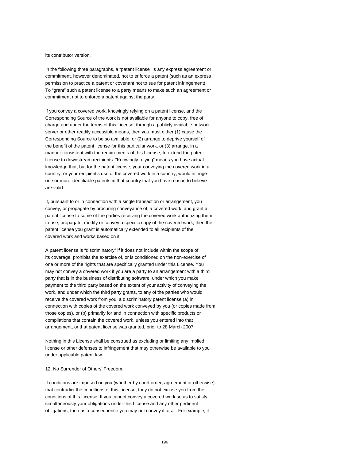#### its contributor version.

In the following three paragraphs, a "patent license" is any express agreement or commitment, however denominated, not to enforce a patent (such as an express permission to practice a patent or covenant not to sue for patent infringement). To "grant" such a patent license to a party means to make such an agreement or commitment not to enforce a patent against the party.

If you convey a covered work, knowingly relying on a patent license, and the Corresponding Source of the work is not available for anyone to copy, free of charge and under the terms of this License, through a publicly available network server or other readily accessible means, then you must either (1) cause the Corresponding Source to be so available, or (2) arrange to deprive yourself of the benefit of the patent license for this particular work, or (3) arrange, in a manner consistent with the requirements of this License, to extend the patent license to downstream recipients. "Knowingly relying" means you have actual knowledge that, but for the patent license, your conveying the covered work in a country, or your recipient's use of the covered work in a country, would infringe one or more identifiable patents in that country that you have reason to believe are valid.

If, pursuant to or in connection with a single transaction or arrangement, you convey, or propagate by procuring conveyance of, a covered work, and grant a patent license to some of the parties receiving the covered work authorizing them to use, propagate, modify or convey a specific copy of the covered work, then the patent license you grant is automatically extended to all recipients of the covered work and works based on it.

A patent license is "discriminatory" if it does not include within the scope of its coverage, prohibits the exercise of, or is conditioned on the non-exercise of one or more of the rights that are specifically granted under this License. You may not convey a covered work if you are a party to an arrangement with a third party that is in the business of distributing software, under which you make payment to the third party based on the extent of your activity of conveying the work, and under which the third party grants, to any of the parties who would receive the covered work from you, a discriminatory patent license (a) in connection with copies of the covered work conveyed by you (or copies made from those copies), or (b) primarily for and in connection with specific products or compilations that contain the covered work, unless you entered into that arrangement, or that patent license was granted, prior to 28 March 2007.

Nothing in this License shall be construed as excluding or limiting any implied license or other defenses to infringement that may otherwise be available to you under applicable patent law.

#### 12. No Surrender of Others' Freedom.

If conditions are imposed on you (whether by court order, agreement or otherwise) that contradict the conditions of this License, they do not excuse you from the conditions of this License. If you cannot convey a covered work so as to satisfy simultaneously your obligations under this License and any other pertinent obligations, then as a consequence you may not convey it at all. For example, if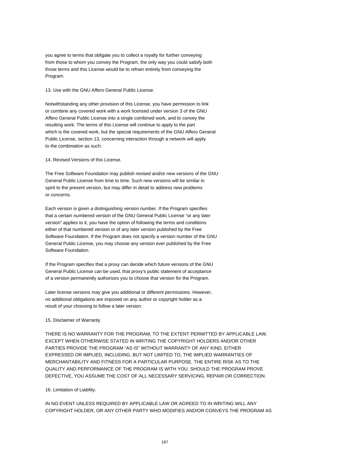you agree to terms that obligate you to collect a royalty for further conveying from those to whom you convey the Program, the only way you could satisfy both those terms and this License would be to refrain entirely from conveying the Program.

13. Use with the GNU Affero General Public License.

Notwithstanding any other provision of this License, you have permission to link or combine any covered work with a work licensed under version 3 of the GNU Affero General Public License into a single combined work, and to convey the resulting work. The terms of this License will continue to apply to the part which is the covered work, but the special requirements of the GNU Affero General Public License, section 13, concerning interaction through a network will apply to the combination as such.

14. Revised Versions of this License.

The Free Software Foundation may publish revised and/or new versions of the GNU General Public License from time to time. Such new versions will be similar in spirit to the present version, but may differ in detail to address new problems or concerns.

Each version is given a distinguishing version number. If the Program specifies that a certain numbered version of the GNU General Public License "or any later version" applies to it, you have the option of following the terms and conditions either of that numbered version or of any later version published by the Free Software Foundation. If the Program does not specify a version number of the GNU General Public License, you may choose any version ever published by the Free Software Foundation.

If the Program specifies that a proxy can decide which future versions of the GNU General Public License can be used, that proxy's public statement of acceptance of a version permanently authorizes you to choose that version for the Program.

Later license versions may give you additional or different permissions. However, no additional obligations are imposed on any author or copyright holder as a result of your choosing to follow a later version.

15. Disclaimer of Warranty.

THERE IS NO WARRANTY FOR THE PROGRAM, TO THE EXTENT PERMITTED BY APPLICABLE LAW. EXCEPT WHEN OTHERWISE STATED IN WRITING THE COPYRIGHT HOLDERS AND/OR OTHER PARTIES PROVIDE THE PROGRAM "AS IS" WITHOUT WARRANTY OF ANY KIND, EITHER EXPRESSED OR IMPLIED, INCLUDING, BUT NOT LIMITED TO, THE IMPLIED WARRANTIES OF MERCHANTABILITY AND FITNESS FOR A PARTICULAR PURPOSE. THE ENTIRE RISK AS TO THE QUALITY AND PERFORMANCE OF THE PROGRAM IS WITH YOU. SHOULD THE PROGRAM PROVE DEFECTIVE, YOU ASSUME THE COST OF ALL NECESSARY SERVICING, REPAIR OR CORRECTION.

## 16. Limitation of Liability.

IN NO EVENT UNLESS REQUIRED BY APPLICABLE LAW OR AGREED TO IN WRITING WILL ANY COPYRIGHT HOLDER, OR ANY OTHER PARTY WHO MODIFIES AND/OR CONVEYS THE PROGRAM AS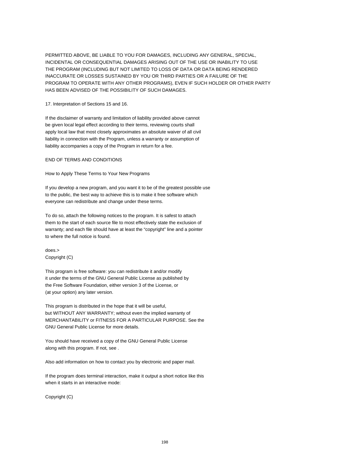PERMITTED ABOVE, BE LIABLE TO YOU FOR DAMAGES, INCLUDING ANY GENERAL, SPECIAL, INCIDENTAL OR CONSEQUENTIAL DAMAGES ARISING OUT OF THE USE OR INABILITY TO USE THE PROGRAM (INCLUDING BUT NOT LIMITED TO LOSS OF DATA OR DATA BEING RENDERED INACCURATE OR LOSSES SUSTAINED BY YOU OR THIRD PARTIES OR A FAILURE OF THE PROGRAM TO OPERATE WITH ANY OTHER PROGRAMS), EVEN IF SUCH HOLDER OR OTHER PARTY HAS BEEN ADVISED OF THE POSSIBILITY OF SUCH DAMAGES.

17. Interpretation of Sections 15 and 16.

If the disclaimer of warranty and limitation of liability provided above cannot be given local legal effect according to their terms, reviewing courts shall apply local law that most closely approximates an absolute waiver of all civil liability in connection with the Program, unless a warranty or assumption of liability accompanies a copy of the Program in return for a fee.

# END OF TERMS AND CONDITIONS

How to Apply These Terms to Your New Programs

If you develop a new program, and you want it to be of the greatest possible use to the public, the best way to achieve this is to make it free software which everyone can redistribute and change under these terms.

To do so, attach the following notices to the program. It is safest to attach them to the start of each source file to most effectively state the exclusion of warranty; and each file should have at least the "copyright" line and a pointer to where the full notice is found.

does.> Copyright (C)

This program is free software: you can redistribute it and/or modify it under the terms of the GNU General Public License as published by the Free Software Foundation, either version 3 of the License, or (at your option) any later version.

This program is distributed in the hope that it will be useful, but WITHOUT ANY WARRANTY; without even the implied warranty of MERCHANTABILITY or FITNESS FOR A PARTICULAR PURPOSE. See the GNU General Public License for more details.

You should have received a copy of the GNU General Public License along with this program. If not, see .

Also add information on how to contact you by electronic and paper mail.

If the program does terminal interaction, make it output a short notice like this when it starts in an interactive mode:

Copyright (C)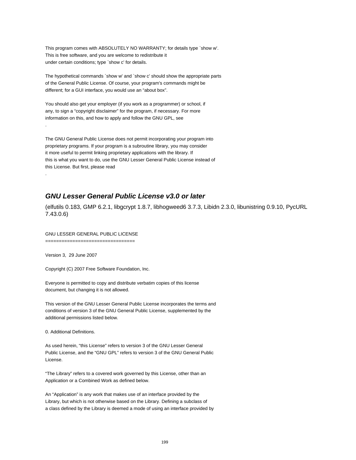This program comes with ABSOLUTELY NO WARRANTY; for details type `show w'. This is free software, and you are welcome to redistribute it under certain conditions; type `show c' for details.

The hypothetical commands `show w' and `show c' should show the appropriate parts of the General Public License. Of course, your program's commands might be different; for a GUI interface, you would use an "about box".

You should also get your employer (if you work as a programmer) or school, if any, to sign a "copyright disclaimer" for the program, if necessary. For more information on this, and how to apply and follow the GNU GPL, see

The GNU General Public License does not permit incorporating your program into proprietary programs. If your program is a subroutine library, you may consider it more useful to permit linking proprietary applications with the library. If this is what you want to do, use the GNU Lesser General Public License instead of this License. But first, please read

# **GNU Lesser General Public License v3.0 or later**

(elfutils 0.183, GMP 6.2.1, libgcrypt 1.8.7, libhogweed6 3.7.3, Libidn 2.3.0, libunistring 0.9.10, PycURL 7.43.0.6)

GNU LESSER GENERAL PUBLIC LICENSE =================================

Version 3, 29 June 2007

.

.

Copyright (C) 2007 Free Software Foundation, Inc.

Everyone is permitted to copy and distribute verbatim copies of this license document, but changing it is not allowed.

This version of the GNU Lesser General Public License incorporates the terms and conditions of version 3 of the GNU General Public License, supplemented by the additional permissions listed below.

0. Additional Definitions.

As used herein, "this License" refers to version 3 of the GNU Lesser General Public License, and the "GNU GPL" refers to version 3 of the GNU General Public License.

"The Library" refers to a covered work governed by this License, other than an Application or a Combined Work as defined below.

An "Application" is any work that makes use of an interface provided by the Library, but which is not otherwise based on the Library. Defining a subclass of a class defined by the Library is deemed a mode of using an interface provided by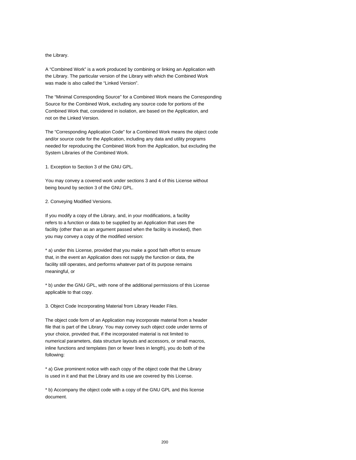#### the Library.

A "Combined Work" is a work produced by combining or linking an Application with the Library. The particular version of the Library with which the Combined Work was made is also called the "Linked Version".

The "Minimal Corresponding Source" for a Combined Work means the Corresponding Source for the Combined Work, excluding any source code for portions of the Combined Work that, considered in isolation, are based on the Application, and not on the Linked Version.

The "Corresponding Application Code" for a Combined Work means the object code and/or source code for the Application, including any data and utility programs needed for reproducing the Combined Work from the Application, but excluding the System Libraries of the Combined Work.

1. Exception to Section 3 of the GNU GPL.

You may convey a covered work under sections 3 and 4 of this License without being bound by section 3 of the GNU GPL.

2. Conveying Modified Versions.

If you modify a copy of the Library, and, in your modifications, a facility refers to a function or data to be supplied by an Application that uses the facility (other than as an argument passed when the facility is invoked), then you may convey a copy of the modified version:

\* a) under this License, provided that you make a good faith effort to ensure that, in the event an Application does not supply the function or data, the facility still operates, and performs whatever part of its purpose remains meaningful, or

\* b) under the GNU GPL, with none of the additional permissions of this License applicable to that copy.

3. Object Code Incorporating Material from Library Header Files.

The object code form of an Application may incorporate material from a header file that is part of the Library. You may convey such object code under terms of your choice, provided that, if the incorporated material is not limited to numerical parameters, data structure layouts and accessors, or small macros, inline functions and templates (ten or fewer lines in length), you do both of the following:

\* a) Give prominent notice with each copy of the object code that the Library is used in it and that the Library and its use are covered by this License.

\* b) Accompany the object code with a copy of the GNU GPL and this license document.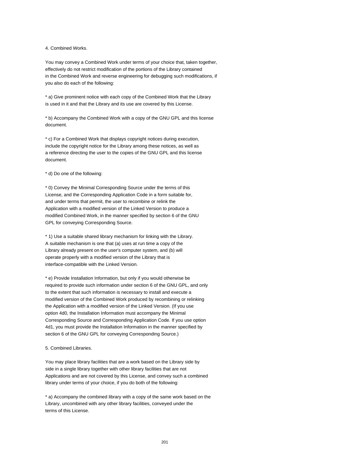## 4. Combined Works.

You may convey a Combined Work under terms of your choice that, taken together, effectively do not restrict modification of the portions of the Library contained in the Combined Work and reverse engineering for debugging such modifications, if you also do each of the following:

\* a) Give prominent notice with each copy of the Combined Work that the Library is used in it and that the Library and its use are covered by this License.

\* b) Accompany the Combined Work with a copy of the GNU GPL and this license document.

\* c) For a Combined Work that displays copyright notices during execution, include the copyright notice for the Library among these notices, as well as a reference directing the user to the copies of the GNU GPL and this license document.

\* d) Do one of the following:

\* 0) Convey the Minimal Corresponding Source under the terms of this License, and the Corresponding Application Code in a form suitable for, and under terms that permit, the user to recombine or relink the Application with a modified version of the Linked Version to produce a modified Combined Work, in the manner specified by section 6 of the GNU GPL for conveying Corresponding Source.

\* 1) Use a suitable shared library mechanism for linking with the Library. A suitable mechanism is one that (a) uses at run time a copy of the Library already present on the user's computer system, and (b) will operate properly with a modified version of the Library that is interface-compatible with the Linked Version.

\* e) Provide Installation Information, but only if you would otherwise be required to provide such information under section 6 of the GNU GPL, and only to the extent that such information is necessary to install and execute a modified version of the Combined Work produced by recombining or relinking the Application with a modified version of the Linked Version. (If you use option 4d0, the Installation Information must accompany the Minimal Corresponding Source and Corresponding Application Code. If you use option 4d1, you must provide the Installation Information in the manner specified by section 6 of the GNU GPL for conveying Corresponding Source.)

5. Combined Libraries.

You may place library facilities that are a work based on the Library side by side in a single library together with other library facilities that are not Applications and are not covered by this License, and convey such a combined library under terms of your choice, if you do both of the following:

\* a) Accompany the combined library with a copy of the same work based on the Library, uncombined with any other library facilities, conveyed under the terms of this License.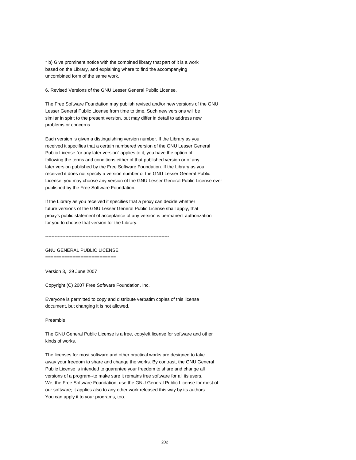\* b) Give prominent notice with the combined library that part of it is a work based on the Library, and explaining where to find the accompanying uncombined form of the same work.

6. Revised Versions of the GNU Lesser General Public License.

The Free Software Foundation may publish revised and/or new versions of the GNU Lesser General Public License from time to time. Such new versions will be similar in spirit to the present version, but may differ in detail to address new problems or concerns.

Each version is given a distinguishing version number. If the Library as you received it specifies that a certain numbered version of the GNU Lesser General Public License "or any later version" applies to it, you have the option of following the terms and conditions either of that published version or of any later version published by the Free Software Foundation. If the Library as you received it does not specify a version number of the GNU Lesser General Public License, you may choose any version of the GNU Lesser General Public License ever published by the Free Software Foundation.

If the Library as you received it specifies that a proxy can decide whether future versions of the GNU Lesser General Public License shall apply, that proxy's public statement of acceptance of any version is permanent authorization for you to choose that version for the Library.

--------------------------------------------------------------------------------

# GNU GENERAL PUBLIC LICENSE

==========================

Version 3, 29 June 2007

Copyright (C) 2007 Free Software Foundation, Inc.

Everyone is permitted to copy and distribute verbatim copies of this license document, but changing it is not allowed.

#### Preamble

The GNU General Public License is a free, copyleft license for software and other kinds of works.

The licenses for most software and other practical works are designed to take away your freedom to share and change the works. By contrast, the GNU General Public License is intended to guarantee your freedom to share and change all versions of a program--to make sure it remains free software for all its users. We, the Free Software Foundation, use the GNU General Public License for most of our software; it applies also to any other work released this way by its authors. You can apply it to your programs, too.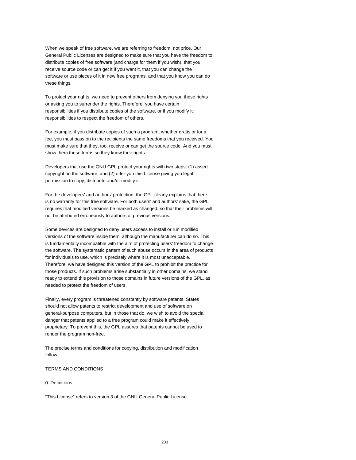When we speak of free software, we are referring to freedom, not price. Our General Public Licenses are designed to make sure that you have the freedom to distribute copies of free software (and charge for them if you wish), that you receive source code or can get it if you want it, that you can change the software or use pieces of it in new free programs, and that you know you can do these things.

To protect your rights, we need to prevent others from denying you these rights or asking you to surrender the rights. Therefore, you have certain responsibilities if you distribute copies of the software, or if you modify it: responsibilities to respect the freedom of others.

For example, if you distribute copies of such a program, whether gratis or for a fee, you must pass on to the recipients the same freedoms that you received. You must make sure that they, too, receive or can get the source code. And you must show them these terms so they know their rights.

Developers that use the GNU GPL protect your rights with two steps: (1) assert copyright on the software, and (2) offer you this License giving you legal permission to copy, distribute and/or modify it.

For the developers' and authors' protection, the GPL clearly explains that there is no warranty for this free software. For both users' and authors' sake, the GPL requires that modified versions be marked as changed, so that their problems will not be attributed erroneously to authors of previous versions.

Some devices are designed to deny users access to install or run modified versions of the software inside them, although the manufacturer can do so. This is fundamentally incompatible with the aim of protecting users' freedom to change the software. The systematic pattern of such abuse occurs in the area of products for individuals to use, which is precisely where it is most unacceptable. Therefore, we have designed this version of the GPL to prohibit the practice for those products. If such problems arise substantially in other domains, we stand ready to extend this provision to those domains in future versions of the GPL, as needed to protect the freedom of users.

Finally, every program is threatened constantly by software patents. States should not allow patents to restrict development and use of software on general-purpose computers, but in those that do, we wish to avoid the special danger that patents applied to a free program could make it effectively proprietary. To prevent this, the GPL assures that patents cannot be used to render the program non-free.

The precise terms and conditions for copying, distribution and modification follow.

## TERMS AND CONDITIONS

#### 0. Definitions.

"This License" refers to version 3 of the GNU General Public License.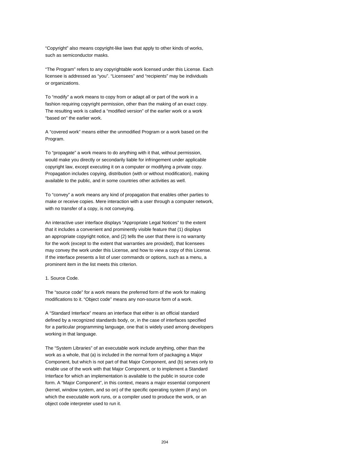"Copyright" also means copyright-like laws that apply to other kinds of works, such as semiconductor masks.

"The Program" refers to any copyrightable work licensed under this License. Each licensee is addressed as "you". "Licensees" and "recipients" may be individuals or organizations.

To "modify" a work means to copy from or adapt all or part of the work in a fashion requiring copyright permission, other than the making of an exact copy. The resulting work is called a "modified version" of the earlier work or a work "based on" the earlier work.

A "covered work" means either the unmodified Program or a work based on the Program.

To "propagate" a work means to do anything with it that, without permission, would make you directly or secondarily liable for infringement under applicable copyright law, except executing it on a computer or modifying a private copy. Propagation includes copying, distribution (with or without modification), making available to the public, and in some countries other activities as well.

To "convey" a work means any kind of propagation that enables other parties to make or receive copies. Mere interaction with a user through a computer network, with no transfer of a copy, is not conveying.

An interactive user interface displays "Appropriate Legal Notices" to the extent that it includes a convenient and prominently visible feature that (1) displays an appropriate copyright notice, and (2) tells the user that there is no warranty for the work (except to the extent that warranties are provided), that licensees may convey the work under this License, and how to view a copy of this License. If the interface presents a list of user commands or options, such as a menu, a prominent item in the list meets this criterion.

#### 1. Source Code.

The "source code" for a work means the preferred form of the work for making modifications to it. "Object code" means any non-source form of a work.

A "Standard Interface" means an interface that either is an official standard defined by a recognized standards body, or, in the case of interfaces specified for a particular programming language, one that is widely used among developers working in that language.

The "System Libraries" of an executable work include anything, other than the work as a whole, that (a) is included in the normal form of packaging a Major Component, but which is not part of that Major Component, and (b) serves only to enable use of the work with that Major Component, or to implement a Standard Interface for which an implementation is available to the public in source code form. A "Major Component", in this context, means a major essential component (kernel, window system, and so on) of the specific operating system (if any) on which the executable work runs, or a compiler used to produce the work, or an object code interpreter used to run it.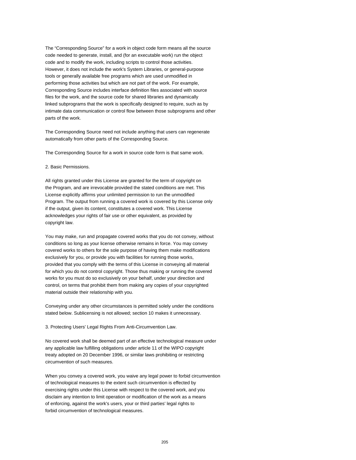The "Corresponding Source" for a work in object code form means all the source code needed to generate, install, and (for an executable work) run the object code and to modify the work, including scripts to control those activities. However, it does not include the work's System Libraries, or general-purpose tools or generally available free programs which are used unmodified in performing those activities but which are not part of the work. For example, Corresponding Source includes interface definition files associated with source files for the work, and the source code for shared libraries and dynamically linked subprograms that the work is specifically designed to require, such as by intimate data communication or control flow between those subprograms and other parts of the work.

The Corresponding Source need not include anything that users can regenerate automatically from other parts of the Corresponding Source.

The Corresponding Source for a work in source code form is that same work.

#### 2. Basic Permissions.

All rights granted under this License are granted for the term of copyright on the Program, and are irrevocable provided the stated conditions are met. This License explicitly affirms your unlimited permission to run the unmodified Program. The output from running a covered work is covered by this License only if the output, given its content, constitutes a covered work. This License acknowledges your rights of fair use or other equivalent, as provided by copyright law.

You may make, run and propagate covered works that you do not convey, without conditions so long as your license otherwise remains in force. You may convey covered works to others for the sole purpose of having them make modifications exclusively for you, or provide you with facilities for running those works, provided that you comply with the terms of this License in conveying all material for which you do not control copyright. Those thus making or running the covered works for you must do so exclusively on your behalf, under your direction and control, on terms that prohibit them from making any copies of your copyrighted material outside their relationship with you.

Conveying under any other circumstances is permitted solely under the conditions stated below. Sublicensing is not allowed; section 10 makes it unnecessary.

3. Protecting Users' Legal Rights From Anti-Circumvention Law.

No covered work shall be deemed part of an effective technological measure under any applicable law fulfilling obligations under article 11 of the WIPO copyright treaty adopted on 20 December 1996, or similar laws prohibiting or restricting circumvention of such measures.

When you convey a covered work, you waive any legal power to forbid circumvention of technological measures to the extent such circumvention is effected by exercising rights under this License with respect to the covered work, and you disclaim any intention to limit operation or modification of the work as a means of enforcing, against the work's users, your or third parties' legal rights to forbid circumvention of technological measures.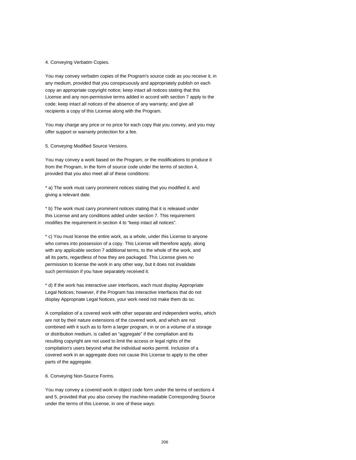#### 4. Conveying Verbatim Copies.

You may convey verbatim copies of the Program's source code as you receive it, in any medium, provided that you conspicuously and appropriately publish on each copy an appropriate copyright notice; keep intact all notices stating that this License and any non-permissive terms added in accord with section 7 apply to the code; keep intact all notices of the absence of any warranty; and give all recipients a copy of this License along with the Program.

You may charge any price or no price for each copy that you convey, and you may offer support or warranty protection for a fee.

5. Conveying Modified Source Versions.

You may convey a work based on the Program, or the modifications to produce it from the Program, in the form of source code under the terms of section 4, provided that you also meet all of these conditions:

\* a) The work must carry prominent notices stating that you modified it, and giving a relevant date.

\* b) The work must carry prominent notices stating that it is released under this License and any conditions added under section 7. This requirement modifies the requirement in section 4 to "keep intact all notices".

\* c) You must license the entire work, as a whole, under this License to anyone who comes into possession of a copy. This License will therefore apply, along with any applicable section 7 additional terms, to the whole of the work, and all its parts, regardless of how they are packaged. This License gives no permission to license the work in any other way, but it does not invalidate such permission if you have separately received it.

\* d) If the work has interactive user interfaces, each must display Appropriate Legal Notices; however, if the Program has interactive interfaces that do not display Appropriate Legal Notices, your work need not make them do so.

A compilation of a covered work with other separate and independent works, which are not by their nature extensions of the covered work, and which are not combined with it such as to form a larger program, in or on a volume of a storage or distribution medium, is called an "aggregate" if the compilation and its resulting copyright are not used to limit the access or legal rights of the compilation's users beyond what the individual works permit. Inclusion of a covered work in an aggregate does not cause this License to apply to the other parts of the aggregate.

6. Conveying Non-Source Forms.

You may convey a covered work in object code form under the terms of sections 4 and 5, provided that you also convey the machine-readable Corresponding Source under the terms of this License, in one of these ways: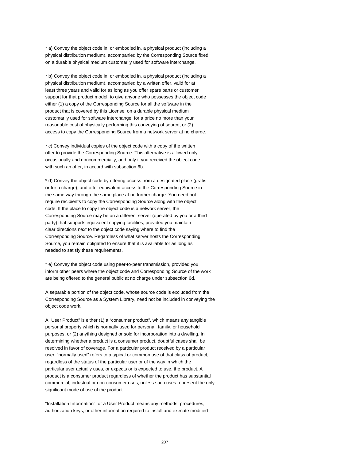\* a) Convey the object code in, or embodied in, a physical product (including a physical distribution medium), accompanied by the Corresponding Source fixed on a durable physical medium customarily used for software interchange.

\* b) Convey the object code in, or embodied in, a physical product (including a physical distribution medium), accompanied by a written offer, valid for at least three years and valid for as long as you offer spare parts or customer support for that product model, to give anyone who possesses the object code either (1) a copy of the Corresponding Source for all the software in the product that is covered by this License, on a durable physical medium customarily used for software interchange, for a price no more than your reasonable cost of physically performing this conveying of source, or (2) access to copy the Corresponding Source from a network server at no charge.

\* c) Convey individual copies of the object code with a copy of the written offer to provide the Corresponding Source. This alternative is allowed only occasionally and noncommercially, and only if you received the object code with such an offer, in accord with subsection 6b.

\* d) Convey the object code by offering access from a designated place (gratis or for a charge), and offer equivalent access to the Corresponding Source in the same way through the same place at no further charge. You need not require recipients to copy the Corresponding Source along with the object code. If the place to copy the object code is a network server, the Corresponding Source may be on a different server (operated by you or a third party) that supports equivalent copying facilities, provided you maintain clear directions next to the object code saying where to find the Corresponding Source. Regardless of what server hosts the Corresponding Source, you remain obligated to ensure that it is available for as long as needed to satisfy these requirements.

\* e) Convey the object code using peer-to-peer transmission, provided you inform other peers where the object code and Corresponding Source of the work are being offered to the general public at no charge under subsection 6d.

A separable portion of the object code, whose source code is excluded from the Corresponding Source as a System Library, need not be included in conveying the object code work.

A "User Product" is either (1) a "consumer product", which means any tangible personal property which is normally used for personal, family, or household purposes, or (2) anything designed or sold for incorporation into a dwelling. In determining whether a product is a consumer product, doubtful cases shall be resolved in favor of coverage. For a particular product received by a particular user, "normally used" refers to a typical or common use of that class of product, regardless of the status of the particular user or of the way in which the particular user actually uses, or expects or is expected to use, the product. A product is a consumer product regardless of whether the product has substantial commercial, industrial or non-consumer uses, unless such uses represent the only significant mode of use of the product.

"Installation Information" for a User Product means any methods, procedures, authorization keys, or other information required to install and execute modified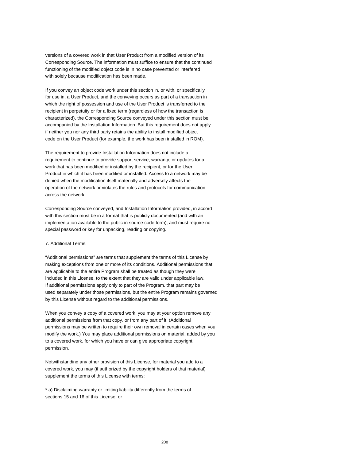versions of a covered work in that User Product from a modified version of its Corresponding Source. The information must suffice to ensure that the continued functioning of the modified object code is in no case prevented or interfered with solely because modification has been made.

If you convey an object code work under this section in, or with, or specifically for use in, a User Product, and the conveying occurs as part of a transaction in which the right of possession and use of the User Product is transferred to the recipient in perpetuity or for a fixed term (regardless of how the transaction is characterized), the Corresponding Source conveyed under this section must be accompanied by the Installation Information. But this requirement does not apply if neither you nor any third party retains the ability to install modified object code on the User Product (for example, the work has been installed in ROM).

The requirement to provide Installation Information does not include a requirement to continue to provide support service, warranty, or updates for a work that has been modified or installed by the recipient, or for the User Product in which it has been modified or installed. Access to a network may be denied when the modification itself materially and adversely affects the operation of the network or violates the rules and protocols for communication across the network.

Corresponding Source conveyed, and Installation Information provided, in accord with this section must be in a format that is publicly documented (and with an implementation available to the public in source code form), and must require no special password or key for unpacking, reading or copying.

7. Additional Terms.

"Additional permissions" are terms that supplement the terms of this License by making exceptions from one or more of its conditions. Additional permissions that are applicable to the entire Program shall be treated as though they were included in this License, to the extent that they are valid under applicable law. If additional permissions apply only to part of the Program, that part may be used separately under those permissions, but the entire Program remains governed by this License without regard to the additional permissions.

When you convey a copy of a covered work, you may at your option remove any additional permissions from that copy, or from any part of it. (Additional permissions may be written to require their own removal in certain cases when you modify the work.) You may place additional permissions on material, added by you to a covered work, for which you have or can give appropriate copyright permission.

Notwithstanding any other provision of this License, for material you add to a covered work, you may (if authorized by the copyright holders of that material) supplement the terms of this License with terms:

\* a) Disclaiming warranty or limiting liability differently from the terms of sections 15 and 16 of this License; or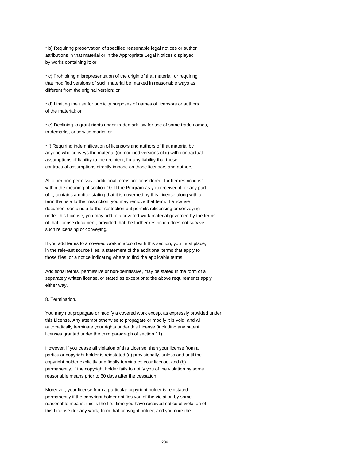\* b) Requiring preservation of specified reasonable legal notices or author attributions in that material or in the Appropriate Legal Notices displayed by works containing it; or

\* c) Prohibiting misrepresentation of the origin of that material, or requiring that modified versions of such material be marked in reasonable ways as different from the original version; or

\* d) Limiting the use for publicity purposes of names of licensors or authors of the material; or

\* e) Declining to grant rights under trademark law for use of some trade names, trademarks, or service marks; or

\* f) Requiring indemnification of licensors and authors of that material by anyone who conveys the material (or modified versions of it) with contractual assumptions of liability to the recipient, for any liability that these contractual assumptions directly impose on those licensors and authors.

All other non-permissive additional terms are considered "further restrictions" within the meaning of section 10. If the Program as you received it, or any part of it, contains a notice stating that it is governed by this License along with a term that is a further restriction, you may remove that term. If a license document contains a further restriction but permits relicensing or conveying under this License, you may add to a covered work material governed by the terms of that license document, provided that the further restriction does not survive such relicensing or conveying.

If you add terms to a covered work in accord with this section, you must place, in the relevant source files, a statement of the additional terms that apply to those files, or a notice indicating where to find the applicable terms.

Additional terms, permissive or non-permissive, may be stated in the form of a separately written license, or stated as exceptions; the above requirements apply either way.

8. Termination.

You may not propagate or modify a covered work except as expressly provided under this License. Any attempt otherwise to propagate or modify it is void, and will automatically terminate your rights under this License (including any patent licenses granted under the third paragraph of section 11).

However, if you cease all violation of this License, then your license from a particular copyright holder is reinstated (a) provisionally, unless and until the copyright holder explicitly and finally terminates your license, and (b) permanently, if the copyright holder fails to notify you of the violation by some reasonable means prior to 60 days after the cessation.

Moreover, your license from a particular copyright holder is reinstated permanently if the copyright holder notifies you of the violation by some reasonable means, this is the first time you have received notice of violation of this License (for any work) from that copyright holder, and you cure the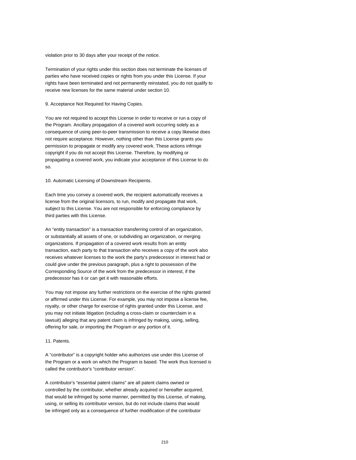violation prior to 30 days after your receipt of the notice.

Termination of your rights under this section does not terminate the licenses of parties who have received copies or rights from you under this License. If your rights have been terminated and not permanently reinstated, you do not qualify to receive new licenses for the same material under section 10.

9. Acceptance Not Required for Having Copies.

You are not required to accept this License in order to receive or run a copy of the Program. Ancillary propagation of a covered work occurring solely as a consequence of using peer-to-peer transmission to receive a copy likewise does not require acceptance. However, nothing other than this License grants you permission to propagate or modify any covered work. These actions infringe copyright if you do not accept this License. Therefore, by modifying or propagating a covered work, you indicate your acceptance of this License to do so.

10. Automatic Licensing of Downstream Recipients.

Each time you convey a covered work, the recipient automatically receives a license from the original licensors, to run, modify and propagate that work, subject to this License. You are not responsible for enforcing compliance by third parties with this License.

An "entity transaction" is a transaction transferring control of an organization, or substantially all assets of one, or subdividing an organization, or merging organizations. If propagation of a covered work results from an entity transaction, each party to that transaction who receives a copy of the work also receives whatever licenses to the work the party's predecessor in interest had or could give under the previous paragraph, plus a right to possession of the Corresponding Source of the work from the predecessor in interest, if the predecessor has it or can get it with reasonable efforts.

You may not impose any further restrictions on the exercise of the rights granted or affirmed under this License. For example, you may not impose a license fee, royalty, or other charge for exercise of rights granted under this License, and you may not initiate litigation (including a cross-claim or counterclaim in a lawsuit) alleging that any patent claim is infringed by making, using, selling, offering for sale, or importing the Program or any portion of it.

# 11. Patents.

A "contributor" is a copyright holder who authorizes use under this License of the Program or a work on which the Program is based. The work thus licensed is called the contributor's "contributor version".

A contributor's "essential patent claims" are all patent claims owned or controlled by the contributor, whether already acquired or hereafter acquired, that would be infringed by some manner, permitted by this License, of making, using, or selling its contributor version, but do not include claims that would be infringed only as a consequence of further modification of the contributor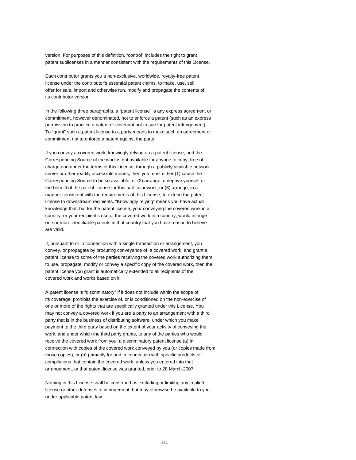version. For purposes of this definition, "control" includes the right to grant patent sublicenses in a manner consistent with the requirements of this License.

Each contributor grants you a non-exclusive, worldwide, royalty-free patent license under the contributor's essential patent claims, to make, use, sell, offer for sale, import and otherwise run, modify and propagate the contents of its contributor version.

In the following three paragraphs, a "patent license" is any express agreement or commitment, however denominated, not to enforce a patent (such as an express permission to practice a patent or covenant not to sue for patent infringement). To "grant" such a patent license to a party means to make such an agreement or commitment not to enforce a patent against the party.

If you convey a covered work, knowingly relying on a patent license, and the Corresponding Source of the work is not available for anyone to copy, free of charge and under the terms of this License, through a publicly available network server or other readily accessible means, then you must either (1) cause the Corresponding Source to be so available, or (2) arrange to deprive yourself of the benefit of the patent license for this particular work, or (3) arrange, in a manner consistent with the requirements of this License, to extend the patent license to downstream recipients. "Knowingly relying" means you have actual knowledge that, but for the patent license, your conveying the covered work in a country, or your recipient's use of the covered work in a country, would infringe one or more identifiable patents in that country that you have reason to believe are valid.

If, pursuant to or in connection with a single transaction or arrangement, you convey, or propagate by procuring conveyance of, a covered work, and grant a patent license to some of the parties receiving the covered work authorizing them to use, propagate, modify or convey a specific copy of the covered work, then the patent license you grant is automatically extended to all recipients of the covered work and works based on it.

A patent license is "discriminatory" if it does not include within the scope of its coverage, prohibits the exercise of, or is conditioned on the non-exercise of one or more of the rights that are specifically granted under this License. You may not convey a covered work if you are a party to an arrangement with a third party that is in the business of distributing software, under which you make payment to the third party based on the extent of your activity of conveying the work, and under which the third party grants, to any of the parties who would receive the covered work from you, a discriminatory patent license (a) in connection with copies of the covered work conveyed by you (or copies made from those copies), or (b) primarily for and in connection with specific products or compilations that contain the covered work, unless you entered into that arrangement, or that patent license was granted, prior to 28 March 2007.

Nothing in this License shall be construed as excluding or limiting any implied license or other defenses to infringement that may otherwise be available to you under applicable patent law.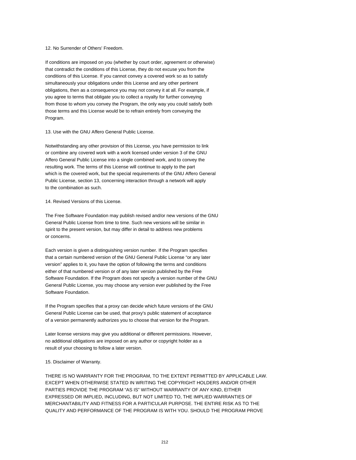## 12. No Surrender of Others' Freedom.

If conditions are imposed on you (whether by court order, agreement or otherwise) that contradict the conditions of this License, they do not excuse you from the conditions of this License. If you cannot convey a covered work so as to satisfy simultaneously your obligations under this License and any other pertinent obligations, then as a consequence you may not convey it at all. For example, if you agree to terms that obligate you to collect a royalty for further conveying from those to whom you convey the Program, the only way you could satisfy both those terms and this License would be to refrain entirely from conveying the Program.

13. Use with the GNU Affero General Public License.

Notwithstanding any other provision of this License, you have permission to link or combine any covered work with a work licensed under version 3 of the GNU Affero General Public License into a single combined work, and to convey the resulting work. The terms of this License will continue to apply to the part which is the covered work, but the special requirements of the GNU Affero General Public License, section 13, concerning interaction through a network will apply to the combination as such.

#### 14. Revised Versions of this License.

The Free Software Foundation may publish revised and/or new versions of the GNU General Public License from time to time. Such new versions will be similar in spirit to the present version, but may differ in detail to address new problems or concerns.

Each version is given a distinguishing version number. If the Program specifies that a certain numbered version of the GNU General Public License "or any later version" applies to it, you have the option of following the terms and conditions either of that numbered version or of any later version published by the Free Software Foundation. If the Program does not specify a version number of the GNU General Public License, you may choose any version ever published by the Free Software Foundation.

If the Program specifies that a proxy can decide which future versions of the GNU General Public License can be used, that proxy's public statement of acceptance of a version permanently authorizes you to choose that version for the Program.

Later license versions may give you additional or different permissions. However, no additional obligations are imposed on any author or copyright holder as a result of your choosing to follow a later version.

#### 15. Disclaimer of Warranty.

THERE IS NO WARRANTY FOR THE PROGRAM, TO THE EXTENT PERMITTED BY APPLICABLE LAW. EXCEPT WHEN OTHERWISE STATED IN WRITING THE COPYRIGHT HOLDERS AND/OR OTHER PARTIES PROVIDE THE PROGRAM "AS IS" WITHOUT WARRANTY OF ANY KIND, EITHER EXPRESSED OR IMPLIED, INCLUDING, BUT NOT LIMITED TO, THE IMPLIED WARRANTIES OF MERCHANTABILITY AND FITNESS FOR A PARTICULAR PURPOSE. THE ENTIRE RISK AS TO THE QUALITY AND PERFORMANCE OF THE PROGRAM IS WITH YOU. SHOULD THE PROGRAM PROVE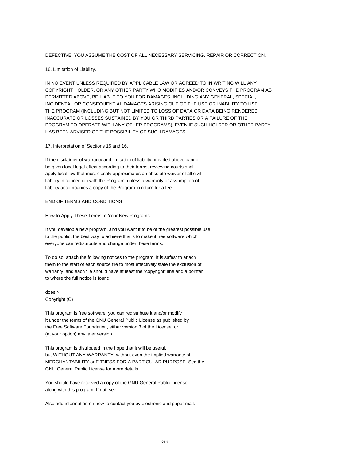DEFECTIVE, YOU ASSUME THE COST OF ALL NECESSARY SERVICING, REPAIR OR CORRECTION.

16. Limitation of Liability.

IN NO EVENT UNLESS REQUIRED BY APPLICABLE LAW OR AGREED TO IN WRITING WILL ANY COPYRIGHT HOLDER, OR ANY OTHER PARTY WHO MODIFIES AND/OR CONVEYS THE PROGRAM AS PERMITTED ABOVE, BE LIABLE TO YOU FOR DAMAGES, INCLUDING ANY GENERAL, SPECIAL, INCIDENTAL OR CONSEQUENTIAL DAMAGES ARISING OUT OF THE USE OR INABILITY TO USE THE PROGRAM (INCLUDING BUT NOT LIMITED TO LOSS OF DATA OR DATA BEING RENDERED INACCURATE OR LOSSES SUSTAINED BY YOU OR THIRD PARTIES OR A FAILURE OF THE PROGRAM TO OPERATE WITH ANY OTHER PROGRAMS), EVEN IF SUCH HOLDER OR OTHER PARTY HAS BEEN ADVISED OF THE POSSIBILITY OF SUCH DAMAGES.

17. Interpretation of Sections 15 and 16.

If the disclaimer of warranty and limitation of liability provided above cannot be given local legal effect according to their terms, reviewing courts shall apply local law that most closely approximates an absolute waiver of all civil liability in connection with the Program, unless a warranty or assumption of liability accompanies a copy of the Program in return for a fee.

# END OF TERMS AND CONDITIONS

How to Apply These Terms to Your New Programs

If you develop a new program, and you want it to be of the greatest possible use to the public, the best way to achieve this is to make it free software which everyone can redistribute and change under these terms.

To do so, attach the following notices to the program. It is safest to attach them to the start of each source file to most effectively state the exclusion of warranty; and each file should have at least the "copyright" line and a pointer to where the full notice is found.

does.> Copyright (C)

This program is free software: you can redistribute it and/or modify it under the terms of the GNU General Public License as published by the Free Software Foundation, either version 3 of the License, or (at your option) any later version.

This program is distributed in the hope that it will be useful, but WITHOUT ANY WARRANTY; without even the implied warranty of MERCHANTABILITY or FITNESS FOR A PARTICULAR PURPOSE. See the GNU General Public License for more details.

You should have received a copy of the GNU General Public License along with this program. If not, see .

Also add information on how to contact you by electronic and paper mail.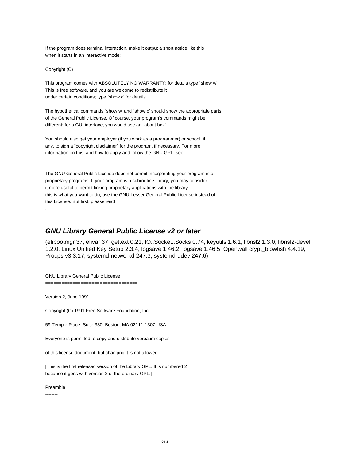If the program does terminal interaction, make it output a short notice like this when it starts in an interactive mode:

Copyright (C)

.

.

This program comes with ABSOLUTELY NO WARRANTY; for details type `show w'. This is free software, and you are welcome to redistribute it under certain conditions; type `show c' for details.

The hypothetical commands `show w' and `show c' should show the appropriate parts of the General Public License. Of course, your program's commands might be different; for a GUI interface, you would use an "about box".

You should also get your employer (if you work as a programmer) or school, if any, to sign a "copyright disclaimer" for the program, if necessary. For more information on this, and how to apply and follow the GNU GPL, see

The GNU General Public License does not permit incorporating your program into proprietary programs. If your program is a subroutine library, you may consider it more useful to permit linking proprietary applications with the library. If this is what you want to do, use the GNU Lesser General Public License instead of this License. But first, please read

# **GNU Library General Public License v2 or later**

(efibootmgr 37, efivar 37, gettext 0.21, IO::Socket::Socks 0.74, keyutils 1.6.1, libnsl2 1.3.0, libnsl2-devel 1.2.0, Linux Unified Key Setup 2.3.4, logsave 1.46.2, logsave 1.46.5, Openwall crypt\_blowfish 4.4.19, Procps v3.3.17, systemd-networkd 247.3, systemd-udev 247.6)

GNU Library General Public License

==================================

Version 2, June 1991

Copyright (C) 1991 Free Software Foundation, Inc.

59 Temple Place, Suite 330, Boston, MA 02111-1307 USA

Everyone is permitted to copy and distribute verbatim copies

of this license document, but changing it is not allowed.

[This is the first released version of the Library GPL. It is numbered 2 because it goes with version 2 of the ordinary GPL.]

Preamble

--------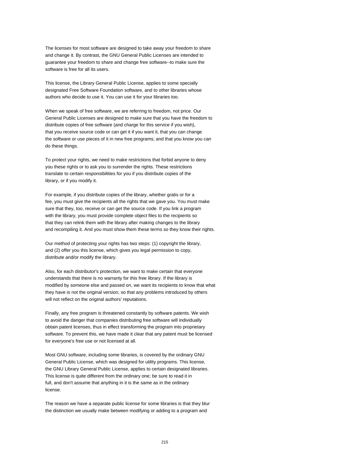The licenses for most software are designed to take away your freedom to share and change it. By contrast, the GNU General Public Licenses are intended to guarantee your freedom to share and change free software--to make sure the software is free for all its users.

This license, the Library General Public License, applies to some specially designated Free Software Foundation software, and to other libraries whose authors who decide to use it. You can use it for your libraries too.

When we speak of free software, we are referring to freedom, not price. Our General Public Licenses are designed to make sure that you have the freedom to distribute copies of free software (and charge for this service if you wish), that you receive source code or can get it if you want it, that you can change the software or use pieces of it in new free programs; and that you know you can do these things.

To protect your rights, we need to make restrictions that forbid anyone to deny you these rights or to ask you to surrender the rights. These restrictions translate to certain responsibilities for you if you distribute copies of the library, or if you modify it.

For example, if you distribute copies of the library, whether gratis or for a fee, you must give the recipients all the rights that we gave you. You must make sure that they, too, receive or can get the source code. If you link a program with the library, you must provide complete object files to the recipients so that they can relink them with the library after making changes to the library and recompiling it. And you must show them these terms so they know their rights.

Our method of protecting your rights has two steps: (1) copyright the library, and (2) offer you this license, which gives you legal permission to copy, distribute and/or modify the library.

Also, for each distributor's protection, we want to make certain that everyone understands that there is no warranty for this free library. If the library is modified by someone else and passed on, we want its recipients to know that what they have is not the original version, so that any problems introduced by others will not reflect on the original authors' reputations.

Finally, any free program is threatened constantly by software patents. We wish to avoid the danger that companies distributing free software will individually obtain patent licenses, thus in effect transforming the program into proprietary software. To prevent this, we have made it clear that any patent must be licensed for everyone's free use or not licensed at all.

Most GNU software, including some libraries, is covered by the ordinary GNU General Public License, which was designed for utility programs. This license, the GNU Library General Public License, applies to certain designated libraries. This license is quite different from the ordinary one; be sure to read it in full, and don't assume that anything in it is the same as in the ordinary license.

The reason we have a separate public license for some libraries is that they blur the distinction we usually make between modifying or adding to a program and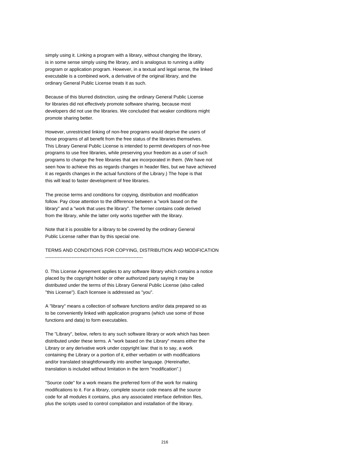simply using it. Linking a program with a library, without changing the library, is in some sense simply using the library, and is analogous to running a utility program or application program. However, in a textual and legal sense, the linked executable is a combined work, a derivative of the original library, and the ordinary General Public License treats it as such.

Because of this blurred distinction, using the ordinary General Public License for libraries did not effectively promote software sharing, because most developers did not use the libraries. We concluded that weaker conditions might promote sharing better.

However, unrestricted linking of non-free programs would deprive the users of those programs of all benefit from the free status of the libraries themselves. This Library General Public License is intended to permit developers of non-free programs to use free libraries, while preserving your freedom as a user of such programs to change the free libraries that are incorporated in them. (We have not seen how to achieve this as regards changes in header files, but we have achieved it as regards changes in the actual functions of the Library.) The hope is that this will lead to faster development of free libraries.

The precise terms and conditions for copying, distribution and modification follow. Pay close attention to the difference between a "work based on the library" and a "work that uses the library". The former contains code derived from the library, while the latter only works together with the library.

Note that it is possible for a library to be covered by the ordinary General Public License rather than by this special one.

TERMS AND CONDITIONS FOR COPYING, DISTRIBUTION AND MODIFICATION ---------------------------------------------------------------

0. This License Agreement applies to any software library which contains a notice placed by the copyright holder or other authorized party saying it may be distributed under the terms of this Library General Public License (also called "this License"). Each licensee is addressed as "you".

A "library" means a collection of software functions and/or data prepared so as to be conveniently linked with application programs (which use some of those functions and data) to form executables.

The "Library", below, refers to any such software library or work which has been distributed under these terms. A "work based on the Library" means either the Library or any derivative work under copyright law: that is to say, a work containing the Library or a portion of it, either verbatim or with modifications and/or translated straightforwardly into another language. (Hereinafter, translation is included without limitation in the term "modification".)

"Source code" for a work means the preferred form of the work for making modifications to it. For a library, complete source code means all the source code for all modules it contains, plus any associated interface definition files, plus the scripts used to control compilation and installation of the library.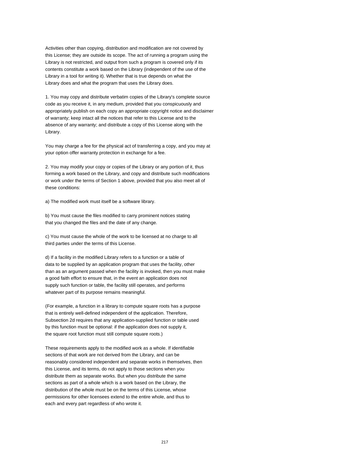Activities other than copying, distribution and modification are not covered by this License; they are outside its scope. The act of running a program using the Library is not restricted, and output from such a program is covered only if its contents constitute a work based on the Library (independent of the use of the Library in a tool for writing it). Whether that is true depends on what the Library does and what the program that uses the Library does.

1. You may copy and distribute verbatim copies of the Library's complete source code as you receive it, in any medium, provided that you conspicuously and appropriately publish on each copy an appropriate copyright notice and disclaimer of warranty; keep intact all the notices that refer to this License and to the absence of any warranty; and distribute a copy of this License along with the Library.

You may charge a fee for the physical act of transferring a copy, and you may at your option offer warranty protection in exchange for a fee.

2. You may modify your copy or copies of the Library or any portion of it, thus forming a work based on the Library, and copy and distribute such modifications or work under the terms of Section 1 above, provided that you also meet all of these conditions:

a) The modified work must itself be a software library.

b) You must cause the files modified to carry prominent notices stating that you changed the files and the date of any change.

c) You must cause the whole of the work to be licensed at no charge to all third parties under the terms of this License.

d) If a facility in the modified Library refers to a function or a table of data to be supplied by an application program that uses the facility, other than as an argument passed when the facility is invoked, then you must make a good faith effort to ensure that, in the event an application does not supply such function or table, the facility still operates, and performs whatever part of its purpose remains meaningful.

(For example, a function in a library to compute square roots has a purpose that is entirely well-defined independent of the application. Therefore, Subsection 2d requires that any application-supplied function or table used by this function must be optional: if the application does not supply it, the square root function must still compute square roots.)

These requirements apply to the modified work as a whole. If identifiable sections of that work are not derived from the Library, and can be reasonably considered independent and separate works in themselves, then this License, and its terms, do not apply to those sections when you distribute them as separate works. But when you distribute the same sections as part of a whole which is a work based on the Library, the distribution of the whole must be on the terms of this License, whose permissions for other licensees extend to the entire whole, and thus to each and every part regardless of who wrote it.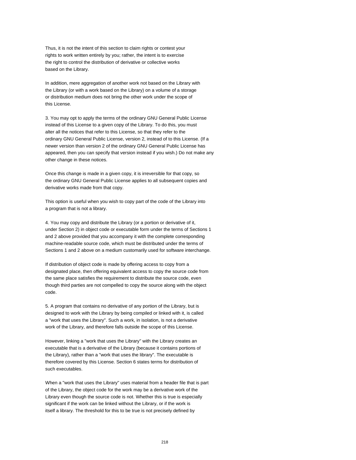Thus, it is not the intent of this section to claim rights or contest your rights to work written entirely by you; rather, the intent is to exercise the right to control the distribution of derivative or collective works based on the Library.

In addition, mere aggregation of another work not based on the Library with the Library (or with a work based on the Library) on a volume of a storage or distribution medium does not bring the other work under the scope of this License.

3. You may opt to apply the terms of the ordinary GNU General Public License instead of this License to a given copy of the Library. To do this, you must alter all the notices that refer to this License, so that they refer to the ordinary GNU General Public License, version 2, instead of to this License. (If a newer version than version 2 of the ordinary GNU General Public License has appeared, then you can specify that version instead if you wish.) Do not make any other change in these notices.

Once this change is made in a given copy, it is irreversible for that copy, so the ordinary GNU General Public License applies to all subsequent copies and derivative works made from that copy.

This option is useful when you wish to copy part of the code of the Library into a program that is not a library.

4. You may copy and distribute the Library (or a portion or derivative of it, under Section 2) in object code or executable form under the terms of Sections 1 and 2 above provided that you accompany it with the complete corresponding machine-readable source code, which must be distributed under the terms of Sections 1 and 2 above on a medium customarily used for software interchange.

If distribution of object code is made by offering access to copy from a designated place, then offering equivalent access to copy the source code from the same place satisfies the requirement to distribute the source code, even though third parties are not compelled to copy the source along with the object code.

5. A program that contains no derivative of any portion of the Library, but is designed to work with the Library by being compiled or linked with it, is called a "work that uses the Library". Such a work, in isolation, is not a derivative work of the Library, and therefore falls outside the scope of this License.

However, linking a "work that uses the Library" with the Library creates an executable that is a derivative of the Library (because it contains portions of the Library), rather than a "work that uses the library". The executable is therefore covered by this License. Section 6 states terms for distribution of such executables.

When a "work that uses the Library" uses material from a header file that is part of the Library, the object code for the work may be a derivative work of the Library even though the source code is not. Whether this is true is especially significant if the work can be linked without the Library, or if the work is itself a library. The threshold for this to be true is not precisely defined by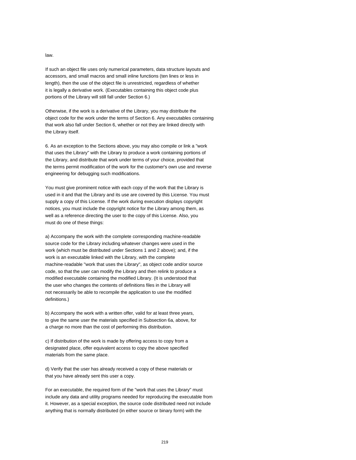#### law.

If such an object file uses only numerical parameters, data structure layouts and accessors, and small macros and small inline functions (ten lines or less in length), then the use of the object file is unrestricted, regardless of whether it is legally a derivative work. (Executables containing this object code plus portions of the Library will still fall under Section 6.)

Otherwise, if the work is a derivative of the Library, you may distribute the object code for the work under the terms of Section 6. Any executables containing that work also fall under Section 6, whether or not they are linked directly with the Library itself.

6. As an exception to the Sections above, you may also compile or link a "work that uses the Library" with the Library to produce a work containing portions of the Library, and distribute that work under terms of your choice, provided that the terms permit modification of the work for the customer's own use and reverse engineering for debugging such modifications.

You must give prominent notice with each copy of the work that the Library is used in it and that the Library and its use are covered by this License. You must supply a copy of this License. If the work during execution displays copyright notices, you must include the copyright notice for the Library among them, as well as a reference directing the user to the copy of this License. Also, you must do one of these things:

a) Accompany the work with the complete corresponding machine-readable source code for the Library including whatever changes were used in the work (which must be distributed under Sections 1 and 2 above); and, if the work is an executable linked with the Library, with the complete machine-readable "work that uses the Library", as object code and/or source code, so that the user can modify the Library and then relink to produce a modified executable containing the modified Library. (It is understood that the user who changes the contents of definitions files in the Library will not necessarily be able to recompile the application to use the modified definitions.)

b) Accompany the work with a written offer, valid for at least three years, to give the same user the materials specified in Subsection 6a, above, for a charge no more than the cost of performing this distribution.

c) If distribution of the work is made by offering access to copy from a designated place, offer equivalent access to copy the above specified materials from the same place.

d) Verify that the user has already received a copy of these materials or that you have already sent this user a copy.

For an executable, the required form of the "work that uses the Library" must include any data and utility programs needed for reproducing the executable from it. However, as a special exception, the source code distributed need not include anything that is normally distributed (in either source or binary form) with the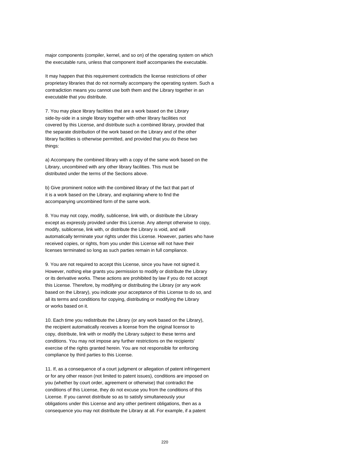major components (compiler, kernel, and so on) of the operating system on which the executable runs, unless that component itself accompanies the executable.

It may happen that this requirement contradicts the license restrictions of other proprietary libraries that do not normally accompany the operating system. Such a contradiction means you cannot use both them and the Library together in an executable that you distribute.

7. You may place library facilities that are a work based on the Library side-by-side in a single library together with other library facilities not covered by this License, and distribute such a combined library, provided that the separate distribution of the work based on the Library and of the other library facilities is otherwise permitted, and provided that you do these two things:

a) Accompany the combined library with a copy of the same work based on the Library, uncombined with any other library facilities. This must be distributed under the terms of the Sections above.

b) Give prominent notice with the combined library of the fact that part of it is a work based on the Library, and explaining where to find the accompanying uncombined form of the same work.

8. You may not copy, modify, sublicense, link with, or distribute the Library except as expressly provided under this License. Any attempt otherwise to copy, modify, sublicense, link with, or distribute the Library is void, and will automatically terminate your rights under this License. However, parties who have received copies, or rights, from you under this License will not have their licenses terminated so long as such parties remain in full compliance.

9. You are not required to accept this License, since you have not signed it. However, nothing else grants you permission to modify or distribute the Library or its derivative works. These actions are prohibited by law if you do not accept this License. Therefore, by modifying or distributing the Library (or any work based on the Library), you indicate your acceptance of this License to do so, and all its terms and conditions for copying, distributing or modifying the Library or works based on it.

10. Each time you redistribute the Library (or any work based on the Library), the recipient automatically receives a license from the original licensor to copy, distribute, link with or modify the Library subject to these terms and conditions. You may not impose any further restrictions on the recipients' exercise of the rights granted herein. You are not responsible for enforcing compliance by third parties to this License.

11. If, as a consequence of a court judgment or allegation of patent infringement or for any other reason (not limited to patent issues), conditions are imposed on you (whether by court order, agreement or otherwise) that contradict the conditions of this License, they do not excuse you from the conditions of this License. If you cannot distribute so as to satisfy simultaneously your obligations under this License and any other pertinent obligations, then as a consequence you may not distribute the Library at all. For example, if a patent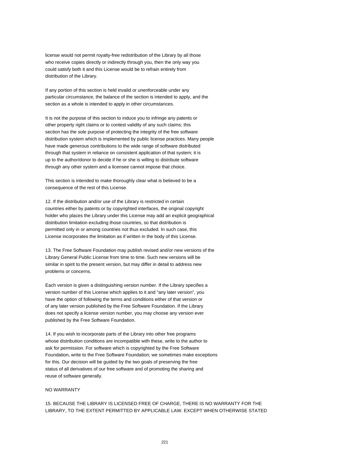license would not permit royalty-free redistribution of the Library by all those who receive copies directly or indirectly through you, then the only way you could satisfy both it and this License would be to refrain entirely from distribution of the Library.

If any portion of this section is held invalid or unenforceable under any particular circumstance, the balance of the section is intended to apply, and the section as a whole is intended to apply in other circumstances.

It is not the purpose of this section to induce you to infringe any patents or other property right claims or to contest validity of any such claims; this section has the sole purpose of protecting the integrity of the free software distribution system which is implemented by public license practices. Many people have made generous contributions to the wide range of software distributed through that system in reliance on consistent application of that system; it is up to the author/donor to decide if he or she is willing to distribute software through any other system and a licensee cannot impose that choice.

This section is intended to make thoroughly clear what is believed to be a consequence of the rest of this License.

12. If the distribution and/or use of the Library is restricted in certain countries either by patents or by copyrighted interfaces, the original copyright holder who places the Library under this License may add an explicit geographical distribution limitation excluding those countries, so that distribution is permitted only in or among countries not thus excluded. In such case, this License incorporates the limitation as if written in the body of this License.

13. The Free Software Foundation may publish revised and/or new versions of the Library General Public License from time to time. Such new versions will be similar in spirit to the present version, but may differ in detail to address new problems or concerns.

Each version is given a distinguishing version number. If the Library specifies a version number of this License which applies to it and "any later version", you have the option of following the terms and conditions either of that version or of any later version published by the Free Software Foundation. If the Library does not specify a license version number, you may choose any version ever published by the Free Software Foundation.

14. If you wish to incorporate parts of the Library into other free programs whose distribution conditions are incompatible with these, write to the author to ask for permission. For software which is copyrighted by the Free Software Foundation, write to the Free Software Foundation; we sometimes make exceptions for this. Our decision will be guided by the two goals of preserving the free status of all derivatives of our free software and of promoting the sharing and reuse of software generally.

### NO WARRANTY

15. BECAUSE THE LIBRARY IS LICENSED FREE OF CHARGE, THERE IS NO WARRANTY FOR THE LIBRARY, TO THE EXTENT PERMITTED BY APPLICABLE LAW. EXCEPT WHEN OTHERWISE STATED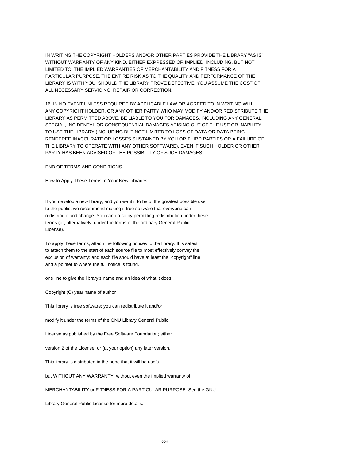IN WRITING THE COPYRIGHT HOLDERS AND/OR OTHER PARTIES PROVIDE THE LIBRARY "AS IS" WITHOUT WARRANTY OF ANY KIND, EITHER EXPRESSED OR IMPLIED, INCLUDING, BUT NOT LIMITED TO, THE IMPLIED WARRANTIES OF MERCHANTABILITY AND FITNESS FOR A PARTICULAR PURPOSE. THE ENTIRE RISK AS TO THE QUALITY AND PERFORMANCE OF THE LIBRARY IS WITH YOU. SHOULD THE LIBRARY PROVE DEFECTIVE, YOU ASSUME THE COST OF ALL NECESSARY SERVICING, REPAIR OR CORRECTION.

16. IN NO EVENT UNLESS REQUIRED BY APPLICABLE LAW OR AGREED TO IN WRITING WILL ANY COPYRIGHT HOLDER, OR ANY OTHER PARTY WHO MAY MODIFY AND/OR REDISTRIBUTE THE LIBRARY AS PERMITTED ABOVE, BE LIABLE TO YOU FOR DAMAGES, INCLUDING ANY GENERAL, SPECIAL, INCIDENTAL OR CONSEQUENTIAL DAMAGES ARISING OUT OF THE USE OR INABILITY TO USE THE LIBRARY (INCLUDING BUT NOT LIMITED TO LOSS OF DATA OR DATA BEING RENDERED INACCURATE OR LOSSES SUSTAINED BY YOU OR THIRD PARTIES OR A FAILURE OF THE LIBRARY TO OPERATE WITH ANY OTHER SOFTWARE), EVEN IF SUCH HOLDER OR OTHER PARTY HAS BEEN ADVISED OF THE POSSIBILITY OF SUCH DAMAGES.

### END OF TERMS AND CONDITIONS

How to Apply These Terms to Your New Libraries ----------------------------------------------

If you develop a new library, and you want it to be of the greatest possible use to the public, we recommend making it free software that everyone can redistribute and change. You can do so by permitting redistribution under these terms (or, alternatively, under the terms of the ordinary General Public License).

To apply these terms, attach the following notices to the library. It is safest to attach them to the start of each source file to most effectively convey the exclusion of warranty; and each file should have at least the "copyright" line and a pointer to where the full notice is found.

one line to give the library's name and an idea of what it does.

Copyright (C) year name of author

This library is free software; you can redistribute it and/or

modify it under the terms of the GNU Library General Public

License as published by the Free Software Foundation; either

version 2 of the License, or (at your option) any later version.

This library is distributed in the hope that it will be useful,

but WITHOUT ANY WARRANTY; without even the implied warranty of

MERCHANTABILITY or FITNESS FOR A PARTICULAR PURPOSE. See the GNU

Library General Public License for more details.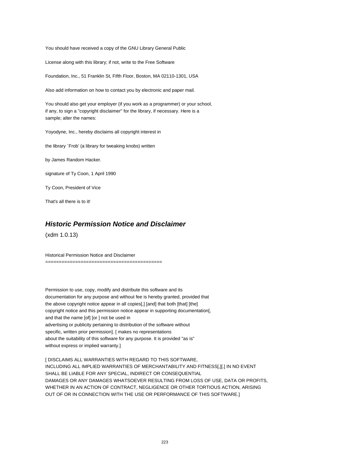You should have received a copy of the GNU Library General Public

License along with this library; if not, write to the Free Software

Foundation, Inc., 51 Franklin St, Fifth Floor, Boston, MA 02110-1301, USA

Also add information on how to contact you by electronic and paper mail.

You should also get your employer (if you work as a programmer) or your school, if any, to sign a "copyright disclaimer" for the library, if necessary. Here is a sample; alter the names:

Yoyodyne, Inc., hereby disclaims all copyright interest in

the library `Frob' (a library for tweaking knobs) written

by James Random Hacker.

signature of Ty Coon, 1 April 1990

Ty Coon, President of Vice

That's all there is to it!

# **Historic Permission Notice and Disclaimer**

(xdm 1.0.13)

Historical Permission Notice and Disclaimer ===========================================

Permission to use, copy, modify and distribute this software and its documentation for any purpose and without fee is hereby granted, provided that the above copyright notice appear in all copies[,] [and] that both [that] [the] copyright notice and this permission notice appear in supporting documentation[, and that the name [of] [or ] not be used in advertising or publicity pertaining to distribution of the software without specific, written prior permission]. [ makes no representations about the suitability of this software for any purpose. It is provided "as is" without express or implied warranty.]

[ DISCLAIMS ALL WARRANTIES WITH REGARD TO THIS SOFTWARE, INCLUDING ALL IMPLIED WARRANTIES OF MERCHANTABILITY AND FITNESS[,][.] IN NO EVENT SHALL BE LIABLE FOR ANY SPECIAL, INDIRECT OR CONSEQUENTIAL DAMAGES OR ANY DAMAGES WHATSOEVER RESULTING FROM LOSS OF USE, DATA OR PROFITS, WHETHER IN AN ACTION OF CONTRACT, NEGLIGENCE OR OTHER TORTIOUS ACTION, ARISING OUT OF OR IN CONNECTION WITH THE USE OR PERFORMANCE OF THIS SOFTWARE.]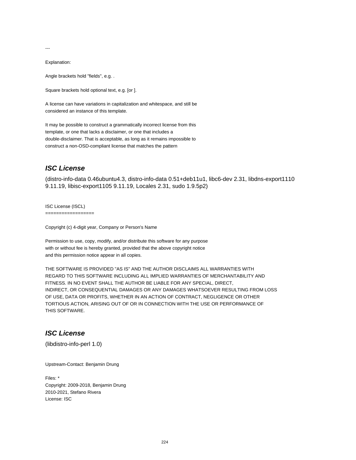---

Explanation:

Angle brackets hold "fields", e.g. .

Square brackets hold optional text, e.g. [or ].

A license can have variations in capitalization and whitespace, and still be considered an instance of this template.

It may be possible to construct a grammatically incorrect license from this template, or one that lacks a disclaimer, or one that includes a double-disclaimer. That is acceptable, as long as it remains impossible to construct a non-OSD-compliant license that matches the pattern

## **ISC License**

(distro-info-data 0.46ubuntu4.3, distro-info-data 0.51+deb11u1, libc6-dev 2.31, libdns-export1110 9.11.19, libisc-export1105 9.11.19, Locales 2.31, sudo 1.9.5p2)

ISC License (ISCL)

==================

Copyright (c) 4-digit year, Company or Person's Name

Permission to use, copy, modify, and/or distribute this software for any purpose with or without fee is hereby granted, provided that the above copyright notice and this permission notice appear in all copies.

THE SOFTWARE IS PROVIDED "AS IS" AND THE AUTHOR DISCLAIMS ALL WARRANTIES WITH REGARD TO THIS SOFTWARE INCLUDING ALL IMPLIED WARRANTIES OF MERCHANTABILITY AND FITNESS. IN NO EVENT SHALL THE AUTHOR BE LIABLE FOR ANY SPECIAL, DIRECT, INDIRECT, OR CONSEQUENTIAL DAMAGES OR ANY DAMAGES WHATSOEVER RESULTING FROM LOSS OF USE, DATA OR PROFITS, WHETHER IN AN ACTION OF CONTRACT, NEGLIGENCE OR OTHER TORTIOUS ACTION, ARISING OUT OF OR IN CONNECTION WITH THE USE OR PERFORMANCE OF THIS SOFTWARE.

# **ISC License**

(libdistro-info-perl 1.0)

Upstream-Contact: Benjamin Drung

Files: \* Copyright: 2009-2018, Benjamin Drung 2010-2021, Stefano Rivera License: ISC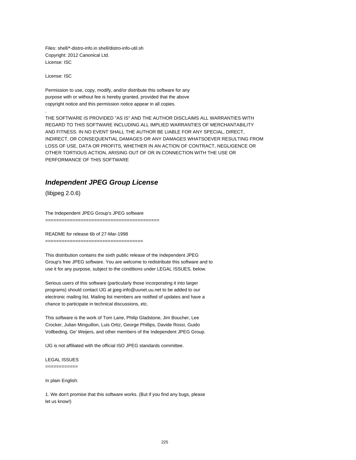Files: shell/\*-distro-info.in shell/distro-info-util.sh Copyright: 2012 Canonical Ltd. License: ISC

License: ISC

.

Permission to use, copy, modify, and/or distribute this software for any purpose with or without fee is hereby granted, provided that the above copyright notice and this permission notice appear in all copies.

THE SOFTWARE IS PROVIDED "AS IS" AND THE AUTHOR DISCLAIMS ALL WARRANTIES WITH REGARD TO THIS SOFTWARE INCLUDING ALL IMPLIED WARRANTIES OF MERCHANTABILITY AND FITNESS. IN NO EVENT SHALL THE AUTHOR BE LIABLE FOR ANY SPECIAL, DIRECT, INDIRECT, OR CONSEQUENTIAL DAMAGES OR ANY DAMAGES WHATSOEVER RESULTING FROM LOSS OF USE, DATA OR PROFITS, WHETHER IN AN ACTION OF CONTRACT, NEGLIGENCE OR OTHER TORTIOUS ACTION, ARISING OUT OF OR IN CONNECTION WITH THE USE OR PERFORMANCE OF THIS SOFTWARE

# **Independent JPEG Group License**

(libjpeg 2.0.6)

The Independent JPEG Group's JPEG software ==========================================

README for release 6b of 27-Mar-1998

====================================

This distribution contains the sixth public release of the Independent JPEG Group's free JPEG software. You are welcome to redistribute this software and to use it for any purpose, subject to the conditions under LEGAL ISSUES, below.

Serious users of this software (particularly those incorporating it into larger programs) should contact IJG at jpeg-info@uunet.uu.net to be added to our electronic mailing list. Mailing list members are notified of updates and have a chance to participate in technical discussions, etc.

This software is the work of Tom Lane, Philip Gladstone, Jim Boucher, Lee Crocker, Julian Minguillon, Luis Ortiz, George Phillips, Davide Rossi, Guido Vollbeding, Ge' Weijers, and other members of the Independent JPEG Group.

IJG is not affiliated with the official ISO JPEG standards committee.

LEGAL ISSUES ============

In plain English:

1. We don't promise that this software works. (But if you find any bugs, please let us know!)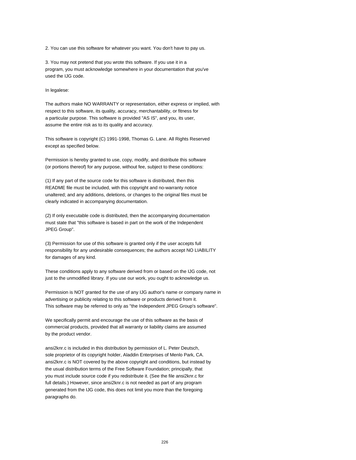2. You can use this software for whatever you want. You don't have to pay us.

3. You may not pretend that you wrote this software. If you use it in a program, you must acknowledge somewhere in your documentation that you've used the IJG code.

In legalese:

The authors make NO WARRANTY or representation, either express or implied, with respect to this software, its quality, accuracy, merchantability, or fitness for a particular purpose. This software is provided "AS IS", and you, its user, assume the entire risk as to its quality and accuracy.

This software is copyright (C) 1991-1998, Thomas G. Lane. All Rights Reserved except as specified below.

Permission is hereby granted to use, copy, modify, and distribute this software (or portions thereof) for any purpose, without fee, subject to these conditions:

(1) If any part of the source code for this software is distributed, then this README file must be included, with this copyright and no-warranty notice unaltered; and any additions, deletions, or changes to the original files must be clearly indicated in accompanying documentation.

(2) If only executable code is distributed, then the accompanying documentation must state that "this software is based in part on the work of the Independent JPEG Group".

(3) Permission for use of this software is granted only if the user accepts full responsibility for any undesirable consequences; the authors accept NO LIABILITY for damages of any kind.

These conditions apply to any software derived from or based on the IJG code, not just to the unmodified library. If you use our work, you ought to acknowledge us.

Permission is NOT granted for the use of any IJG author's name or company name in advertising or publicity relating to this software or products derived from it. This software may be referred to only as "the Independent JPEG Group's software".

We specifically permit and encourage the use of this software as the basis of commercial products, provided that all warranty or liability claims are assumed by the product vendor.

ansi2knr.c is included in this distribution by permission of L. Peter Deutsch, sole proprietor of its copyright holder, Aladdin Enterprises of Menlo Park, CA. ansi2knr.c is NOT covered by the above copyright and conditions, but instead by the usual distribution terms of the Free Software Foundation; principally, that you must include source code if you redistribute it. (See the file ansi2knr.c for full details.) However, since ansi2knr.c is not needed as part of any program generated from the IJG code, this does not limit you more than the foregoing paragraphs do.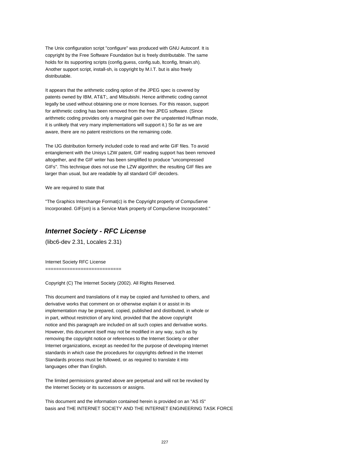The Unix configuration script "configure" was produced with GNU Autoconf. It is copyright by the Free Software Foundation but is freely distributable. The same holds for its supporting scripts (config.guess, config.sub, ltconfig, ltmain.sh). Another support script, install-sh, is copyright by M.I.T. but is also freely distributable.

It appears that the arithmetic coding option of the JPEG spec is covered by patents owned by IBM, AT&T;, and Mitsubishi. Hence arithmetic coding cannot legally be used without obtaining one or more licenses. For this reason, support for arithmetic coding has been removed from the free JPEG software. (Since arithmetic coding provides only a marginal gain over the unpatented Huffman mode, it is unlikely that very many implementations will support it.) So far as we are aware, there are no patent restrictions on the remaining code.

The IJG distribution formerly included code to read and write GIF files. To avoid entanglement with the Unisys LZW patent, GIF reading support has been removed altogether, and the GIF writer has been simplified to produce "uncompressed GIFs". This technique does not use the LZW algorithm; the resulting GIF files are larger than usual, but are readable by all standard GIF decoders.

We are required to state that

"The Graphics Interchange Format(c) is the Copyright property of CompuServe Incorporated. GIF(sm) is a Service Mark property of CompuServe Incorporated."

# **Internet Society - RFC License**

(libc6-dev 2.31, Locales 2.31)

Internet Society RFC License

============================

Copyright (C) The Internet Society (2002). All Rights Reserved.

This document and translations of it may be copied and furnished to others, and derivative works that comment on or otherwise explain it or assist in its implementation may be prepared, copied, published and distributed, in whole or in part, without restriction of any kind, provided that the above copyright notice and this paragraph are included on all such copies and derivative works. However, this document itself may not be modified in any way, such as by removing the copyright notice or references to the Internet Society or other Internet organizations, except as needed for the purpose of developing Internet standards in which case the procedures for copyrights defined in the Internet Standards process must be followed, or as required to translate it into languages other than English.

The limited permissions granted above are perpetual and will not be revoked by the Internet Society or its successors or assigns.

This document and the information contained herein is provided on an "AS IS" basis and THE INTERNET SOCIETY AND THE INTERNET ENGINEERING TASK FORCE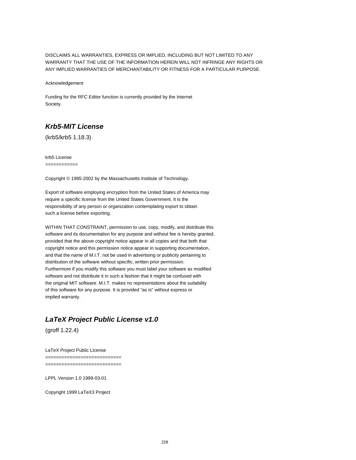DISCLAIMS ALL WARRANTIES, EXPRESS OR IMPLIED, INCLUDING BUT NOT LIMITED TO ANY WARRANTY THAT THE USE OF THE INFORMATION HEREIN WILL NOT INFRINGE ANY RIGHTS OR ANY IMPLIED WARRANTIES OF MERCHANTABILITY OR FITNESS FOR A PARTICULAR PURPOSE.

Acknowledgement

Funding for the RFC Editor function is currently provided by the Internet Society.

# **Krb5-MIT License**

(krb5/krb5 1.18.3)

krb5 License

============

Copyright © 1985-2002 by the Massachusetts Institute of Technology.

Export of software employing encryption from the United States of America may require a specific license from the United States Government. It is the responsibility of any person or organization contemplating export to obtain such a license before exporting.

WITHIN THAT CONSTRAINT, permission to use, copy, modify, and distribute this software and its documentation for any purpose and without fee is hereby granted, provided that the above copyright notice appear in all copies and that both that copyright notice and this permission notice appear in supporting documentation, and that the name of M.I.T. not be used in advertising or publicity pertaining to distribution of the software without specific, written prior permission. Furthermore if you modify this software you must label your software as modified software and not distribute it in such a fashion that it might be confused with the original MIT software. M.I.T. makes no representations about the suitability of this software for any purpose. It is provided "as is" without express or implied warranty.

# **LaTeX Project Public License v1.0**

(groff 1.22.4)

LaTeX Project Public License ============================ ============================

LPPL Version 1.0 1999-03-01

Copyright 1999 LaTeX3 Project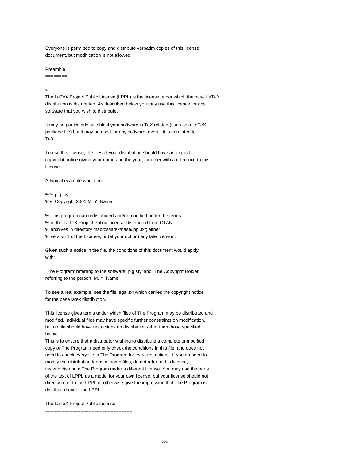Everyone is permitted to copy and distribute verbatim copies of this license document, but modification is not allowed.

Preamble

========

>

The LaTeX Project Public License (LPPL) is the license under which the base LaTeX distribution is distributed. As described below you may use this licence for any software that you wish to distribute.

It may be particularly suitable if your software is TeX related (such as a LaTeX package file) but it may be used for any software, even if it is unrelated to TeX.

To use this license, the files of your distribution should have an explicit copyright notice giving your name and the year, together with a reference to this license.

A typical example would be

%% pig.sty %% Copyright 2001 M. Y. Name

% This program can redistributed and/or modified under the terms % of the LaTeX Project Public License Distributed from CTAN % archives in directory macros/latex/base/lppl.txt; either % version 1 of the License, or (at your option) any later version.

Given such a notice in the file, the conditions of this document would apply, with:

`The Program' referring to the software `pig.sty' and `The Copyright Holder' referring to the person `M. Y. Name'.

To see a real example, see the file legal.txt which carries the copyright notice for the base latex distribution.

This license gives terms under which files of The Program may be distributed and modified. Individual files may have specific further constraints on modification, but no file should have restrictions on distribution other than those specified below.

This is to ensure that a distributor wishing to distribute a complete unmodified copy of The Program need only check the conditions in this file, and does not need to check every file in The Program for extra restrictions. If you do need to modify the distribution terms of some files, do not refer to this license, instead distribute The Program under a different license. You may use the parts of the text of LPPL as a model for your own license, but your license should not directly refer to the LPPL or otherwise give the impression that The Program is distributed under the LPPL.

The LaTeX Project Public License ==================================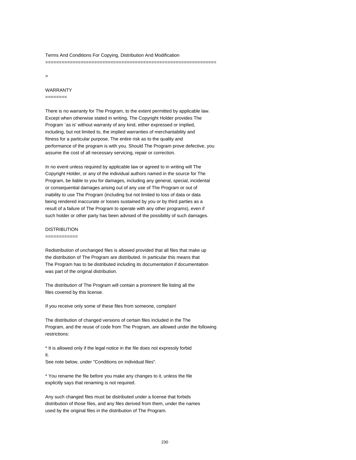Terms And Conditions For Copying, Distribution And Modification

===============================================================

>

#### WARRANTY

========

There is no warranty for The Program, to the extent permitted by applicable law. Except when otherwise stated in writing, The Copyright Holder provides The Program `as is' without warranty of any kind, either expressed or implied, including, but not limited to, the implied warranties of merchantability and fitness for a particular purpose. The entire risk as to the quality and performance of the program is with you. Should The Program prove defective, you assume the cost of all necessary servicing, repair or correction.

In no event unless required by applicable law or agreed to in writing will The Copyright Holder, or any of the individual authors named in the source for The Program, be liable to you for damages, including any general, special, incidental or consequential damages arising out of any use of The Program or out of inability to use The Program (including but not limited to loss of data or data being rendered inaccurate or losses sustained by you or by third parties as a result of a failure of The Program to operate with any other programs), even if such holder or other party has been advised of the possibility of such damages.

#### DISTRIBUTION

#### ============

Redistribution of unchanged files is allowed provided that all files that make up the distribution of The Program are distributed. In particular this means that The Program has to be distributed including its documentation if documentation was part of the original distribution.

The distribution of The Program will contain a prominent file listing all the files covered by this license.

If you receive only some of these files from someone, complain!

The distribution of changed versions of certain files included in the The Program, and the reuse of code from The Program, are allowed under the following restrictions:

\* It is allowed only if the legal notice in the file does not expressly forbid it. See note below, under "Conditions on individual files".

\* You rename the file before you make any changes to it, unless the file explicitly says that renaming is not required.

Any such changed files must be distributed under a license that forbids distribution of those files, and any files derived from them, under the names used by the original files in the distribution of The Program.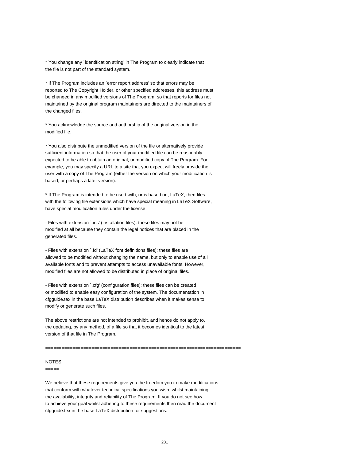\* You change any `identification string' in The Program to clearly indicate that the file is not part of the standard system.

\* If The Program includes an `error report address' so that errors may be reported to The Copyright Holder, or other specified addresses, this address must be changed in any modified versions of The Program, so that reports for files not maintained by the original program maintainers are directed to the maintainers of the changed files.

\* You acknowledge the source and authorship of the original version in the modified file.

\* You also distribute the unmodified version of the file or alternatively provide sufficient information so that the user of your modified file can be reasonably expected to be able to obtain an original, unmodified copy of The Program. For example, you may specify a URL to a site that you expect will freely provide the user with a copy of The Program (either the version on which your modification is based, or perhaps a later version).

\* If The Program is intended to be used with, or is based on, LaTeX, then files with the following file extensions which have special meaning in LaTeX Software, have special modification rules under the license:

- Files with extension `.ins' (installation files): these files may not be modified at all because they contain the legal notices that are placed in the generated files.

- Files with extension `.fd' (LaTeX font definitions files): these files are allowed to be modified without changing the name, but only to enable use of all available fonts and to prevent attempts to access unavailable fonts. However, modified files are not allowed to be distributed in place of original files.

- Files with extension `.cfg' (configuration files): these files can be created or modified to enable easy configuration of the system. The documentation in cfgguide.tex in the base LaTeX distribution describes when it makes sense to modify or generate such files.

The above restrictions are not intended to prohibit, and hence do not apply to, the updating, by any method, of a file so that it becomes identical to the latest version of that file in The Program.

### NOTES

#### $=$

We believe that these requirements give you the freedom you to make modifications that conform with whatever technical specifications you wish, whilst maintaining the availability, integrity and reliability of The Program. If you do not see how to achieve your goal whilst adhering to these requirements then read the document cfgguide.tex in the base LaTeX distribution for suggestions.

========================================================================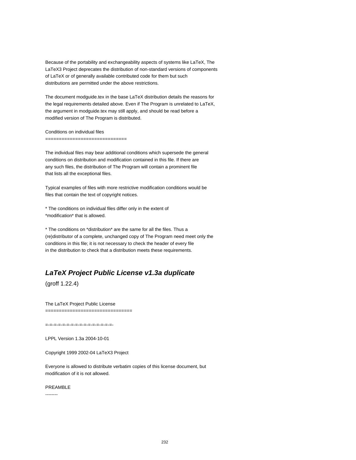Because of the portability and exchangeability aspects of systems like LaTeX, The LaTeX3 Project deprecates the distribution of non-standard versions of components of LaTeX or of generally available contributed code for them but such distributions are permitted under the above restrictions.

The document modguide.tex in the base LaTeX distribution details the reasons for the legal requirements detailed above. Even if The Program is unrelated to LaTeX, the argument in modguide.tex may still apply, and should be read before a modified version of The Program is distributed.

Conditions on individual files

==============================

The individual files may bear additional conditions which supersede the general conditions on distribution and modification contained in this file. If there are any such files, the distribution of The Program will contain a prominent file that lists all the exceptional files.

Typical examples of files with more restrictive modification conditions would be files that contain the text of copyright notices.

\* The conditions on individual files differ only in the extent of \*modification\* that is allowed.

\* The conditions on \*distribution\* are the same for all the files. Thus a (re)distributor of a complete, unchanged copy of The Program need meet only the conditions in this file; it is not necessary to check the header of every file in the distribution to check that a distribution meets these requirements.

# **LaTeX Project Public License v1.3a duplicate**

(groff 1.22.4)

The LaTeX Project Public License

================================

=-=-=-=-=-=-=-=-=-=-=-=-=-=-=-=-

LPPL Version 1.3a 2004-10-01

Copyright 1999 2002-04 LaTeX3 Project

Everyone is allowed to distribute verbatim copies of this license document, but modification of it is not allowed.

### PREAMBLE

--------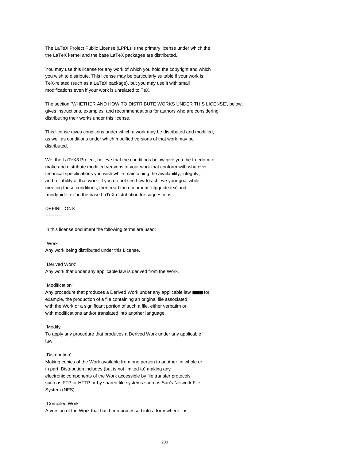The LaTeX Project Public License (LPPL) is the primary license under which the the LaTeX kernel and the base LaTeX packages are distributed.

You may use this license for any work of which you hold the copyright and which you wish to distribute. This license may be particularly suitable if your work is TeX-related (such as a LaTeX package), but you may use it with small modifications even if your work is unrelated to TeX.

The section `WHETHER AND HOW TO DISTRIBUTE WORKS UNDER THIS LICENSE', below, gives instructions, examples, and recommendations for authors who are considering distributing their works under this license.

This license gives conditions under which a work may be distributed and modified, as well as conditions under which modified versions of that work may be distributed.

We, the LaTeX3 Project, believe that the conditions below give you the freedom to make and distribute modified versions of your work that conform with whatever technical specifications you wish while maintaining the availability, integrity, and reliability of that work. If you do not see how to achieve your goal while meeting these conditions, then read the document `cfgguide.tex' and `modguide.tex' in the base LaTeX distribution for suggestions.

### DEFINITIONS

-----------

In this license document the following terms are used:

`Work' Any work being distributed under this License.

`Derived Work' Any work that under any applicable law is derived from the Work.

### `Modification'

Any procedure that produces a Derived Work under any applicable law ■■■ for example, the production of a file containing an original file associated with the Work or a significant portion of such a file, either verbatim or with modifications and/or translated into another language.

`Modify'

To apply any procedure that produces a Derived Work under any applicable law.

### `Distribution'

Making copies of the Work available from one person to another, in whole or in part. Distribution includes (but is not limited to) making any electronic components of the Work accessible by file transfer protocols such as FTP or HTTP or by shared file systems such as Sun's Network File System (NFS).

### `Compiled Work'

A version of the Work that has been processed into a form where it is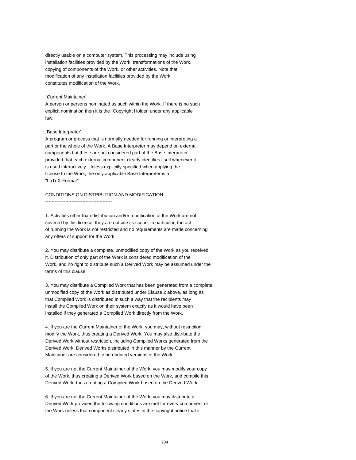directly usable on a computer system. This processing may include using installation facilities provided by the Work, transformations of the Work, copying of components of the Work, or other activities. Note that modification of any installation facilities provided by the Work constitutes modification of the Work.

### `Current Maintainer'

A person or persons nominated as such within the Work. If there is no such explicit nomination then it is the `Copyright Holder' under any applicable law.

#### `Base Interpreter'

A program or process that is normally needed for running or interpreting a part or the whole of the Work. A Base Interpreter may depend on external components but these are not considered part of the Base Interpreter provided that each external component clearly identifies itself whenever it is used interactively. Unless explicitly specified when applying the license to the Work, the only applicable Base Interpreter is a "LaTeX-Format".

### CONDITIONS ON DISTRIBUTION AND MODIFICATION

-------------------------------------------

1. Activities other than distribution and/or modification of the Work are not covered by this license; they are outside its scope. In particular, the act of running the Work is not restricted and no requirements are made concerning any offers of support for the Work.

2. You may distribute a complete, unmodified copy of the Work as you received it. Distribution of only part of the Work is considered modification of the Work, and no right to distribute such a Derived Work may be assumed under the terms of this clause.

3. You may distribute a Compiled Work that has been generated from a complete, unmodified copy of the Work as distributed under Clause 2 above, as long as that Compiled Work is distributed in such a way that the recipients may install the Compiled Work on their system exactly as it would have been installed if they generated a Compiled Work directly from the Work.

4. If you are the Current Maintainer of the Work, you may, without restriction, modify the Work, thus creating a Derived Work. You may also distribute the Derived Work without restriction, including Compiled Works generated from the Derived Work. Derived Works distributed in this manner by the Current Maintainer are considered to be updated versions of the Work.

5. If you are not the Current Maintainer of the Work, you may modify your copy of the Work, thus creating a Derived Work based on the Work, and compile this Derived Work, thus creating a Compiled Work based on the Derived Work.

6. If you are not the Current Maintainer of the Work, you may distribute a Derived Work provided the following conditions are met for every component of the Work unless that component clearly states in the copyright notice that it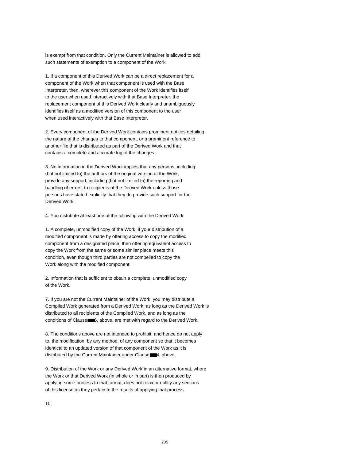is exempt from that condition. Only the Current Maintainer is allowed to add such statements of exemption to a component of the Work.

1. If a component of this Derived Work can be a direct replacement for a component of the Work when that component is used with the Base Interpreter, then, wherever this component of the Work identifies itself to the user when used interactively with that Base Interpreter, the replacement component of this Derived Work clearly and unambiguously identifies itself as a modified version of this component to the user when used interactively with that Base Interpreter.

2. Every component of the Derived Work contains prominent notices detailing the nature of the changes to that component, or a prominent reference to another file that is distributed as part of the Derived Work and that contains a complete and accurate log of the changes.

3. No information in the Derived Work implies that any persons, including (but not limited to) the authors of the original version of the Work, provide any support, including (but not limited to) the reporting and handling of errors, to recipients of the Derived Work unless those persons have stated explicitly that they do provide such support for the Derived Work.

4. You distribute at least one of the following with the Derived Work:

1. A complete, unmodified copy of the Work; if your distribution of a modified component is made by offering access to copy the modified component from a designated place, then offering equivalent access to copy the Work from the same or some similar place meets this condition, even though third parties are not compelled to copy the Work along with the modified component;

2. Information that is sufficient to obtain a complete, unmodified copy of the Work.

7. If you are not the Current Maintainer of the Work, you may distribute a Compiled Work generated from a Derived Work, as long as the Derived Work is distributed to all recipients of the Compiled Work, and as long as the conditions of Clause■■6, above, are met with regard to the Derived Work.

8. The conditions above are not intended to prohibit, and hence do not apply to, the modification, by any method, of any component so that it becomes identical to an updated version of that component of the Work as it is distributed by the Current Maintainer under Clause■■4, above.

9. Distribution of the Work or any Derived Work in an alternative format, where the Work or that Derived Work (in whole or in part) is then produced by applying some process to that format, does not relax or nullify any sections of this license as they pertain to the results of applying that process.

10.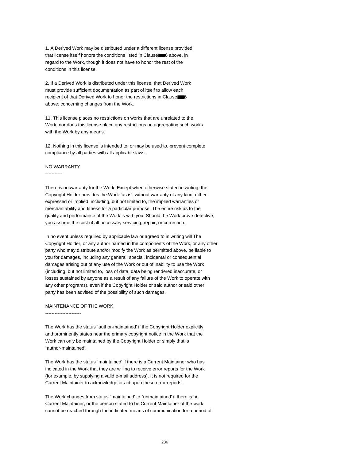1. A Derived Work may be distributed under a different license provided that license itself honors the conditions listed in Clause■■6 above, in regard to the Work, though it does not have to honor the rest of the conditions in this license.

2. If a Derived Work is distributed under this license, that Derived Work must provide sufficient documentation as part of itself to allow each recipient of that Derived Work to honor the restrictions in Clause■■6 above, concerning changes from the Work.

11. This license places no restrictions on works that are unrelated to the Work, nor does this license place any restrictions on aggregating such works with the Work by any means.

12. Nothing in this license is intended to, or may be used to, prevent complete compliance by all parties with all applicable laws.

### NO WARRANTY

-----------

There is no warranty for the Work. Except when otherwise stated in writing, the Copyright Holder provides the Work `as is', without warranty of any kind, either expressed or implied, including, but not limited to, the implied warranties of merchantability and fitness for a particular purpose. The entire risk as to the quality and performance of the Work is with you. Should the Work prove defective, you assume the cost of all necessary servicing, repair, or correction.

In no event unless required by applicable law or agreed to in writing will The Copyright Holder, or any author named in the components of the Work, or any other party who may distribute and/or modify the Work as permitted above, be liable to you for damages, including any general, special, incidental or consequential damages arising out of any use of the Work or out of inability to use the Work (including, but not limited to, loss of data, data being rendered inaccurate, or losses sustained by anyone as a result of any failure of the Work to operate with any other programs), even if the Copyright Holder or said author or said other party has been advised of the possibility of such damages.

### MAINTENANCE OF THE WORK

-----------------------

The Work has the status `author-maintained' if the Copyright Holder explicitly and prominently states near the primary copyright notice in the Work that the Work can only be maintained by the Copyright Holder or simply that is `author-maintained'.

The Work has the status `maintained' if there is a Current Maintainer who has indicated in the Work that they are willing to receive error reports for the Work (for example, by supplying a valid e-mail address). It is not required for the Current Maintainer to acknowledge or act upon these error reports.

The Work changes from status `maintained' to `unmaintained' if there is no Current Maintainer, or the person stated to be Current Maintainer of the work cannot be reached through the indicated means of communication for a period of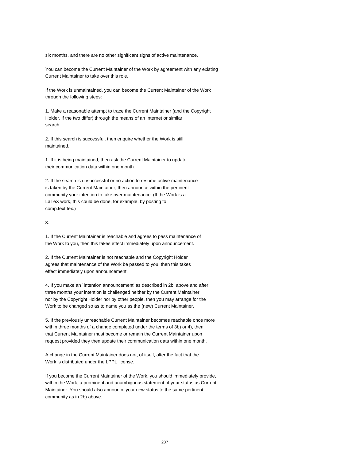six months, and there are no other significant signs of active maintenance.

You can become the Current Maintainer of the Work by agreement with any existing Current Maintainer to take over this role.

If the Work is unmaintained, you can become the Current Maintainer of the Work through the following steps:

1. Make a reasonable attempt to trace the Current Maintainer (and the Copyright Holder, if the two differ) through the means of an Internet or similar search.

2. If this search is successful, then enquire whether the Work is still maintained.

1. If it is being maintained, then ask the Current Maintainer to update their communication data within one month.

2. If the search is unsuccessful or no action to resume active maintenance is taken by the Current Maintainer, then announce within the pertinent community your intention to take over maintenance. (If the Work is a LaTeX work, this could be done, for example, by posting to comp.text.tex.)

3.

1. If the Current Maintainer is reachable and agrees to pass maintenance of the Work to you, then this takes effect immediately upon announcement.

2. If the Current Maintainer is not reachable and the Copyright Holder agrees that maintenance of the Work be passed to you, then this takes effect immediately upon announcement.

4. If you make an `intention announcement' as described in 2b. above and after three months your intention is challenged neither by the Current Maintainer nor by the Copyright Holder nor by other people, then you may arrange for the Work to be changed so as to name you as the (new) Current Maintainer.

5. If the previously unreachable Current Maintainer becomes reachable once more within three months of a change completed under the terms of 3b) or 4), then that Current Maintainer must become or remain the Current Maintainer upon request provided they then update their communication data within one month.

A change in the Current Maintainer does not, of itself, alter the fact that the Work is distributed under the LPPL license.

If you become the Current Maintainer of the Work, you should immediately provide, within the Work, a prominent and unambiguous statement of your status as Current Maintainer. You should also announce your new status to the same pertinent community as in 2b) above.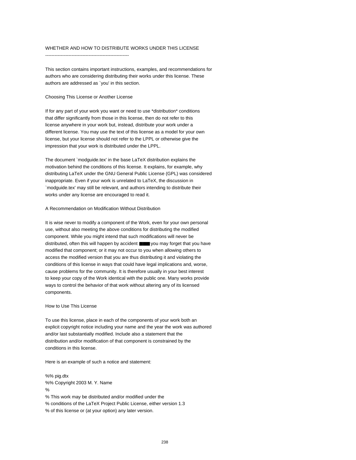### WHETHER AND HOW TO DISTRIBUTE WORKS UNDER THIS LICENSE

------------------------------------------------------

This section contains important instructions, examples, and recommendations for authors who are considering distributing their works under this license. These authors are addressed as `you' in this section.

### Choosing This License or Another License

If for any part of your work you want or need to use \*distribution\* conditions that differ significantly from those in this license, then do not refer to this license anywhere in your work but, instead, distribute your work under a different license. You may use the text of this license as a model for your own license, but your license should not refer to the LPPL or otherwise give the impression that your work is distributed under the LPPL.

The document `modguide.tex' in the base LaTeX distribution explains the motivation behind the conditions of this license. It explains, for example, why distributing LaTeX under the GNU General Public License (GPL) was considered inappropriate. Even if your work is unrelated to LaTeX, the discussion in `modguide.tex' may still be relevant, and authors intending to distribute their works under any license are encouraged to read it.

### A Recommendation on Modification Without Distribution

It is wise never to modify a component of the Work, even for your own personal use, without also meeting the above conditions for distributing the modified component. While you might intend that such modifications will never be distributed, often this will happen by accident ■■■ you may forget that you have modified that component; or it may not occur to you when allowing others to access the modified version that you are thus distributing it and violating the conditions of this license in ways that could have legal implications and, worse, cause problems for the community. It is therefore usually in your best interest to keep your copy of the Work identical with the public one. Many works provide ways to control the behavior of that work without altering any of its licensed components.

### How to Use This License

To use this license, place in each of the components of your work both an explicit copyright notice including your name and the year the work was authored and/or last substantially modified. Include also a statement that the distribution and/or modification of that component is constrained by the conditions in this license.

Here is an example of such a notice and statement:

%% pig.dtx %% Copyright 2003 M. Y. Name % % This work may be distributed and/or modified under the % conditions of the LaTeX Project Public License, either version 1.3 % of this license or (at your option) any later version.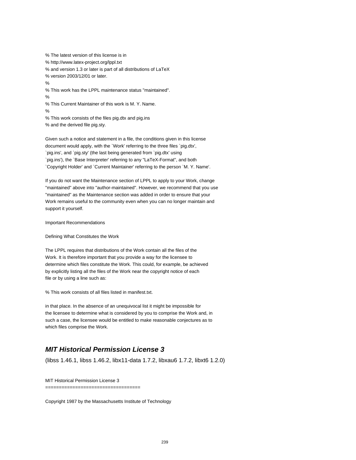% The latest version of this license is in % http://www.latex-project.org/lppl.txt % and version 1.3 or later is part of all distributions of LaTeX % version 2003/12/01 or later.  $\frac{0}{6}$ % This work has the LPPL maintenance status "maintained". % % This Current Maintainer of this work is M. Y. Name.  $\frac{0}{6}$ % This work consists of the files pig.dtx and pig.ins

% and the derived file pig.sty.

Given such a notice and statement in a file, the conditions given in this license document would apply, with the `Work' referring to the three files `pig.dtx', `pig.ins', and `pig.sty' (the last being generated from `pig.dtx' using `pig.ins'), the `Base Interpreter' referring to any "LaTeX-Format", and both `Copyright Holder' and `Current Maintainer' referring to the person `M. Y. Name'.

If you do not want the Maintenance section of LPPL to apply to your Work, change "maintained" above into "author-maintained". However, we recommend that you use "maintained" as the Maintenance section was added in order to ensure that your Work remains useful to the community even when you can no longer maintain and support it yourself.

Important Recommendations

Defining What Constitutes the Work

The LPPL requires that distributions of the Work contain all the files of the Work. It is therefore important that you provide a way for the licensee to determine which files constitute the Work. This could, for example, be achieved by explicitly listing all the files of the Work near the copyright notice of each file or by using a line such as:

% This work consists of all files listed in manifest.txt.

in that place. In the absence of an unequivocal list it might be impossible for the licensee to determine what is considered by you to comprise the Work and, in such a case, the licensee would be entitled to make reasonable conjectures as to which files comprise the Work.

# **MIT Historical Permission License 3**

(libss 1.46.1, libss 1.46.2, libx11-data 1.7.2, libxau6 1.7.2, libxt6 1.2.0)

MIT Historical Permission License 3

======================================

Copyright 1987 by the Massachusetts Institute of Technology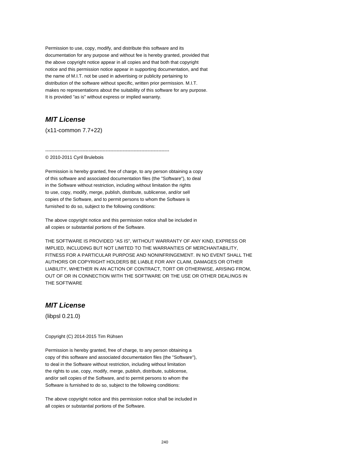Permission to use, copy, modify, and distribute this software and its documentation for any purpose and without fee is hereby granted, provided that the above copyright notice appear in all copies and that both that copyright notice and this permission notice appear in supporting documentation, and that the name of M.I.T. not be used in advertising or publicity pertaining to distribution of the software without specific, written prior permission. M.I.T. makes no representations about the suitability of this software for any purpose. It is provided "as is" without express or implied warranty.

# **MIT License**

(x11-common 7.7+22)

--------------------------------------------------------------------------------

© 2010-2011 Cyril Brulebois

Permission is hereby granted, free of charge, to any person obtaining a copy of this software and associated documentation files (the "Software"), to deal in the Software without restriction, including without limitation the rights to use, copy, modify, merge, publish, distribute, sublicense, and/or sell copies of the Software, and to permit persons to whom the Software is furnished to do so, subject to the following conditions:

The above copyright notice and this permission notice shall be included in all copies or substantial portions of the Software.

THE SOFTWARE IS PROVIDED "AS IS", WITHOUT WARRANTY OF ANY KIND, EXPRESS OR IMPLIED, INCLUDING BUT NOT LIMITED TO THE WARRANTIES OF MERCHANTABILITY, FITNESS FOR A PARTICULAR PURPOSE AND NONINFRINGEMENT. IN NO EVENT SHALL THE AUTHORS OR COPYRIGHT HOLDERS BE LIABLE FOR ANY CLAIM, DAMAGES OR OTHER LIABILITY, WHETHER IN AN ACTION OF CONTRACT, TORT OR OTHERWISE, ARISING FROM, OUT OF OR IN CONNECTION WITH THE SOFTWARE OR THE USE OR OTHER DEALINGS IN THE SOFTWARE

### **MIT License**

(libpsl 0.21.0)

Copyright (C) 2014-2015 Tim Rühsen

Permission is hereby granted, free of charge, to any person obtaining a copy of this software and associated documentation files (the "Software"), to deal in the Software without restriction, including without limitation the rights to use, copy, modify, merge, publish, distribute, sublicense, and/or sell copies of the Software, and to permit persons to whom the Software is furnished to do so, subject to the following conditions:

The above copyright notice and this permission notice shall be included in all copies or substantial portions of the Software.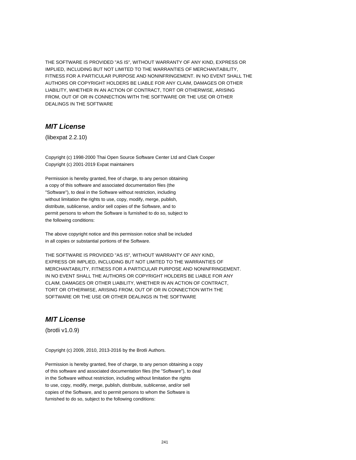THE SOFTWARE IS PROVIDED "AS IS", WITHOUT WARRANTY OF ANY KIND, EXPRESS OR IMPLIED, INCLUDING BUT NOT LIMITED TO THE WARRANTIES OF MERCHANTABILITY, FITNESS FOR A PARTICULAR PURPOSE AND NONINFRINGEMENT. IN NO EVENT SHALL THE AUTHORS OR COPYRIGHT HOLDERS BE LIABLE FOR ANY CLAIM, DAMAGES OR OTHER LIABILITY, WHETHER IN AN ACTION OF CONTRACT, TORT OR OTHERWISE, ARISING FROM, OUT OF OR IN CONNECTION WITH THE SOFTWARE OR THE USE OR OTHER DEALINGS IN THE SOFTWARE

## **MIT License**

(libexpat 2.2.10)

Copyright (c) 1998-2000 Thai Open Source Software Center Ltd and Clark Cooper Copyright (c) 2001-2019 Expat maintainers

Permission is hereby granted, free of charge, to any person obtaining a copy of this software and associated documentation files (the "Software"), to deal in the Software without restriction, including without limitation the rights to use, copy, modify, merge, publish, distribute, sublicense, and/or sell copies of the Software, and to permit persons to whom the Software is furnished to do so, subject to the following conditions:

The above copyright notice and this permission notice shall be included in all copies or substantial portions of the Software.

THE SOFTWARE IS PROVIDED "AS IS", WITHOUT WARRANTY OF ANY KIND, EXPRESS OR IMPLIED, INCLUDING BUT NOT LIMITED TO THE WARRANTIES OF MERCHANTABILITY, FITNESS FOR A PARTICULAR PURPOSE AND NONINFRINGEMENT. IN NO EVENT SHALL THE AUTHORS OR COPYRIGHT HOLDERS BE LIABLE FOR ANY CLAIM, DAMAGES OR OTHER LIABILITY, WHETHER IN AN ACTION OF CONTRACT, TORT OR OTHERWISE, ARISING FROM, OUT OF OR IN CONNECTION WITH THE SOFTWARE OR THE USE OR OTHER DEALINGS IN THE SOFTWARE

## **MIT License**

(brotli v1.0.9)

Copyright (c) 2009, 2010, 2013-2016 by the Brotli Authors.

Permission is hereby granted, free of charge, to any person obtaining a copy of this software and associated documentation files (the "Software"), to deal in the Software without restriction, including without limitation the rights to use, copy, modify, merge, publish, distribute, sublicense, and/or sell copies of the Software, and to permit persons to whom the Software is furnished to do so, subject to the following conditions: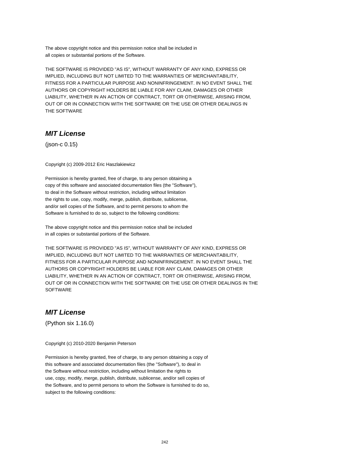The above copyright notice and this permission notice shall be included in all copies or substantial portions of the Software.

THE SOFTWARE IS PROVIDED "AS IS", WITHOUT WARRANTY OF ANY KIND, EXPRESS OR IMPLIED, INCLUDING BUT NOT LIMITED TO THE WARRANTIES OF MERCHANTABILITY, FITNESS FOR A PARTICULAR PURPOSE AND NONINFRINGEMENT. IN NO EVENT SHALL THE AUTHORS OR COPYRIGHT HOLDERS BE LIABLE FOR ANY CLAIM, DAMAGES OR OTHER LIABILITY, WHETHER IN AN ACTION OF CONTRACT, TORT OR OTHERWISE, ARISING FROM, OUT OF OR IN CONNECTION WITH THE SOFTWARE OR THE USE OR OTHER DEALINGS IN THE SOFTWARE

# **MIT License**

(json-c 0.15)

Copyright (c) 2009-2012 Eric Haszlakiewicz

Permission is hereby granted, free of charge, to any person obtaining a copy of this software and associated documentation files (the "Software"), to deal in the Software without restriction, including without limitation the rights to use, copy, modify, merge, publish, distribute, sublicense, and/or sell copies of the Software, and to permit persons to whom the Software is furnished to do so, subject to the following conditions:

The above copyright notice and this permission notice shall be included in all copies or substantial portions of the Software.

THE SOFTWARE IS PROVIDED "AS IS", WITHOUT WARRANTY OF ANY KIND, EXPRESS OR IMPLIED, INCLUDING BUT NOT LIMITED TO THE WARRANTIES OF MERCHANTABILITY, FITNESS FOR A PARTICULAR PURPOSE AND NONINFRINGEMENT. IN NO EVENT SHALL THE AUTHORS OR COPYRIGHT HOLDERS BE LIABLE FOR ANY CLAIM, DAMAGES OR OTHER LIABILITY, WHETHER IN AN ACTION OF CONTRACT, TORT OR OTHERWISE, ARISING FROM, OUT OF OR IN CONNECTION WITH THE SOFTWARE OR THE USE OR OTHER DEALINGS IN THE **SOFTWARE** 

# **MIT License**

(Python six 1.16.0)

Copyright (c) 2010-2020 Benjamin Peterson

Permission is hereby granted, free of charge, to any person obtaining a copy of this software and associated documentation files (the "Software"), to deal in the Software without restriction, including without limitation the rights to use, copy, modify, merge, publish, distribute, sublicense, and/or sell copies of the Software, and to permit persons to whom the Software is furnished to do so, subject to the following conditions: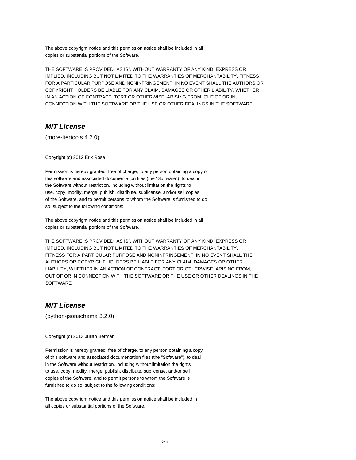The above copyright notice and this permission notice shall be included in all copies or substantial portions of the Software.

THE SOFTWARE IS PROVIDED "AS IS", WITHOUT WARRANTY OF ANY KIND, EXPRESS OR IMPLIED, INCLUDING BUT NOT LIMITED TO THE WARRANTIES OF MERCHANTABILITY, FITNESS FOR A PARTICULAR PURPOSE AND NONINFRINGEMENT. IN NO EVENT SHALL THE AUTHORS OR COPYRIGHT HOLDERS BE LIABLE FOR ANY CLAIM, DAMAGES OR OTHER LIABILITY, WHETHER IN AN ACTION OF CONTRACT, TORT OR OTHERWISE, ARISING FROM, OUT OF OR IN CONNECTION WITH THE SOFTWARE OR THE USE OR OTHER DEALINGS IN THE SOFTWARE

## **MIT License**

(more-itertools 4.2.0)

Copyright (c) 2012 Erik Rose

Permission is hereby granted, free of charge, to any person obtaining a copy of this software and associated documentation files (the "Software"), to deal in the Software without restriction, including without limitation the rights to use, copy, modify, merge, publish, distribute, sublicense, and/or sell copies of the Software, and to permit persons to whom the Software is furnished to do so, subject to the following conditions:

The above copyright notice and this permission notice shall be included in all copies or substantial portions of the Software.

THE SOFTWARE IS PROVIDED "AS IS", WITHOUT WARRANTY OF ANY KIND, EXPRESS OR IMPLIED, INCLUDING BUT NOT LIMITED TO THE WARRANTIES OF MERCHANTABILITY, FITNESS FOR A PARTICULAR PURPOSE AND NONINFRINGEMENT. IN NO EVENT SHALL THE AUTHORS OR COPYRIGHT HOLDERS BE LIABLE FOR ANY CLAIM, DAMAGES OR OTHER LIABILITY, WHETHER IN AN ACTION OF CONTRACT, TORT OR OTHERWISE, ARISING FROM, OUT OF OR IN CONNECTION WITH THE SOFTWARE OR THE USE OR OTHER DEALINGS IN THE **SOFTWARE** 

### **MIT License**

(python-jsonschema 3.2.0)

Copyright (c) 2013 Julian Berman

Permission is hereby granted, free of charge, to any person obtaining a copy of this software and associated documentation files (the "Software"), to deal in the Software without restriction, including without limitation the rights to use, copy, modify, merge, publish, distribute, sublicense, and/or sell copies of the Software, and to permit persons to whom the Software is furnished to do so, subject to the following conditions:

The above copyright notice and this permission notice shall be included in all copies or substantial portions of the Software.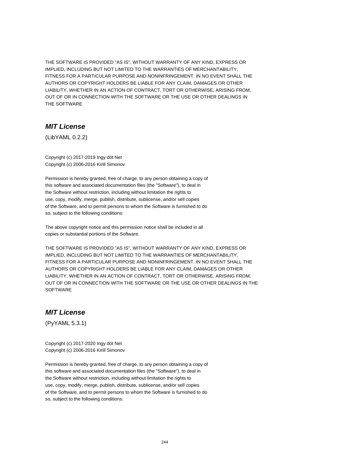THE SOFTWARE IS PROVIDED "AS IS", WITHOUT WARRANTY OF ANY KIND, EXPRESS OR IMPLIED, INCLUDING BUT NOT LIMITED TO THE WARRANTIES OF MERCHANTABILITY, FITNESS FOR A PARTICULAR PURPOSE AND NONINFRINGEMENT. IN NO EVENT SHALL THE AUTHORS OR COPYRIGHT HOLDERS BE LIABLE FOR ANY CLAIM, DAMAGES OR OTHER LIABILITY, WHETHER IN AN ACTION OF CONTRACT, TORT OR OTHERWISE, ARISING FROM, OUT OF OR IN CONNECTION WITH THE SOFTWARE OR THE USE OR OTHER DEALINGS IN THE SOFTWARE

## **MIT License**

(LibYAML 0.2.2)

Copyright (c) 2017-2019 Ingy döt Net Copyright (c) 2006-2016 Kirill Simonov

Permission is hereby granted, free of charge, to any person obtaining a copy of this software and associated documentation files (the "Software"), to deal in the Software without restriction, including without limitation the rights to use, copy, modify, merge, publish, distribute, sublicense, and/or sell copies of the Software, and to permit persons to whom the Software is furnished to do so, subject to the following conditions:

The above copyright notice and this permission notice shall be included in all copies or substantial portions of the Software.

THE SOFTWARE IS PROVIDED "AS IS", WITHOUT WARRANTY OF ANY KIND, EXPRESS OR IMPLIED, INCLUDING BUT NOT LIMITED TO THE WARRANTIES OF MERCHANTABILITY, FITNESS FOR A PARTICULAR PURPOSE AND NONINFRINGEMENT. IN NO EVENT SHALL THE AUTHORS OR COPYRIGHT HOLDERS BE LIABLE FOR ANY CLAIM, DAMAGES OR OTHER LIABILITY, WHETHER IN AN ACTION OF CONTRACT, TORT OR OTHERWISE, ARISING FROM, OUT OF OR IN CONNECTION WITH THE SOFTWARE OR THE USE OR OTHER DEALINGS IN THE **SOFTWARE** 

# **MIT License**

(PyYAML 5.3.1)

Copyright (c) 2017-2020 Ingy döt Net Copyright (c) 2006-2016 Kirill Simonov

Permission is hereby granted, free of charge, to any person obtaining a copy of this software and associated documentation files (the "Software"), to deal in the Software without restriction, including without limitation the rights to use, copy, modify, merge, publish, distribute, sublicense, and/or sell copies of the Software, and to permit persons to whom the Software is furnished to do so, subject to the following conditions: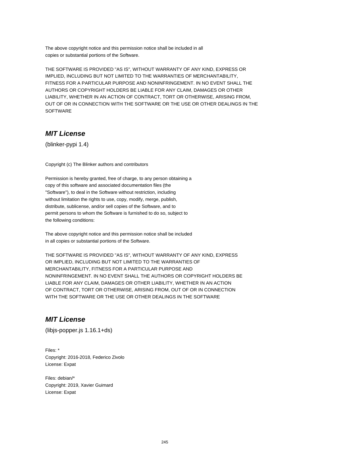The above copyright notice and this permission notice shall be included in all copies or substantial portions of the Software.

THE SOFTWARE IS PROVIDED "AS IS", WITHOUT WARRANTY OF ANY KIND, EXPRESS OR IMPLIED, INCLUDING BUT NOT LIMITED TO THE WARRANTIES OF MERCHANTABILITY, FITNESS FOR A PARTICULAR PURPOSE AND NONINFRINGEMENT. IN NO EVENT SHALL THE AUTHORS OR COPYRIGHT HOLDERS BE LIABLE FOR ANY CLAIM, DAMAGES OR OTHER LIABILITY, WHETHER IN AN ACTION OF CONTRACT, TORT OR OTHERWISE, ARISING FROM, OUT OF OR IN CONNECTION WITH THE SOFTWARE OR THE USE OR OTHER DEALINGS IN THE SOFTWARE

# **MIT License**

(blinker-pypi 1.4)

Copyright (c) The Blinker authors and contributors

Permission is hereby granted, free of charge, to any person obtaining a copy of this software and associated documentation files (the "Software"), to deal in the Software without restriction, including without limitation the rights to use, copy, modify, merge, publish, distribute, sublicense, and/or sell copies of the Software, and to permit persons to whom the Software is furnished to do so, subject to the following conditions:

The above copyright notice and this permission notice shall be included in all copies or substantial portions of the Software.

THE SOFTWARE IS PROVIDED "AS IS", WITHOUT WARRANTY OF ANY KIND, EXPRESS OR IMPLIED, INCLUDING BUT NOT LIMITED TO THE WARRANTIES OF MERCHANTABILITY, FITNESS FOR A PARTICULAR PURPOSE AND NONINFRINGEMENT. IN NO EVENT SHALL THE AUTHORS OR COPYRIGHT HOLDERS BE LIABLE FOR ANY CLAIM, DAMAGES OR OTHER LIABILITY, WHETHER IN AN ACTION OF CONTRACT, TORT OR OTHERWISE, ARISING FROM, OUT OF OR IN CONNECTION WITH THE SOFTWARE OR THE USE OR OTHER DEALINGS IN THE SOFTWARE

# **MIT License**

(libjs-popper.js 1.16.1+ds)

Files: \* Copyright: 2016-2018, Federico Zivolo License: Expat

Files: debian/\* Copyright: 2019, Xavier Guimard License: Expat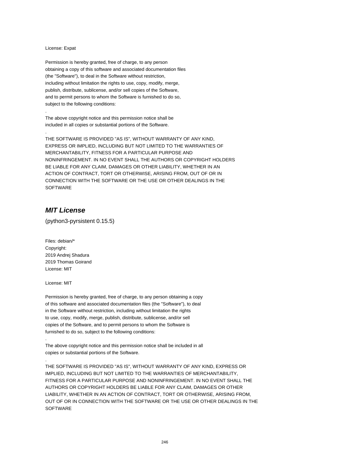### License: Expat

.

.

Permission is hereby granted, free of charge, to any person obtaining a copy of this software and associated documentation files (the "Software"), to deal in the Software without restriction, including without limitation the rights to use, copy, modify, merge, publish, distribute, sublicense, and/or sell copies of the Software, and to permit persons to whom the Software is furnished to do so, subject to the following conditions:

The above copyright notice and this permission notice shall be included in all copies or substantial portions of the Software.

THE SOFTWARE IS PROVIDED "AS IS", WITHOUT WARRANTY OF ANY KIND, EXPRESS OR IMPLIED, INCLUDING BUT NOT LIMITED TO THE WARRANTIES OF MERCHANTABILITY, FITNESS FOR A PARTICULAR PURPOSE AND NONINFRINGEMENT. IN NO EVENT SHALL THE AUTHORS OR COPYRIGHT HOLDERS BE LIABLE FOR ANY CLAIM, DAMAGES OR OTHER LIABILITY, WHETHER IN AN ACTION OF CONTRACT, TORT OR OTHERWISE, ARISING FROM, OUT OF OR IN CONNECTION WITH THE SOFTWARE OR THE USE OR OTHER DEALINGS IN THE **SOFTWARE** 

## **MIT License**

(python3-pyrsistent 0.15.5)

Files: debian/\* Copyright: 2019 Andrej Shadura 2019 Thomas Goirand License: MIT

License: MIT

.

.

Permission is hereby granted, free of charge, to any person obtaining a copy of this software and associated documentation files (the "Software"), to deal in the Software without restriction, including without limitation the rights to use, copy, modify, merge, publish, distribute, sublicense, and/or sell copies of the Software, and to permit persons to whom the Software is furnished to do so, subject to the following conditions:

The above copyright notice and this permission notice shall be included in all copies or substantial portions of the Software.

THE SOFTWARE IS PROVIDED "AS IS", WITHOUT WARRANTY OF ANY KIND, EXPRESS OR IMPLIED, INCLUDING BUT NOT LIMITED TO THE WARRANTIES OF MERCHANTABILITY, FITNESS FOR A PARTICULAR PURPOSE AND NONINFRINGEMENT. IN NO EVENT SHALL THE AUTHORS OR COPYRIGHT HOLDERS BE LIABLE FOR ANY CLAIM, DAMAGES OR OTHER LIABILITY, WHETHER IN AN ACTION OF CONTRACT, TORT OR OTHERWISE, ARISING FROM, OUT OF OR IN CONNECTION WITH THE SOFTWARE OR THE USE OR OTHER DEALINGS IN THE **SOFTWARE**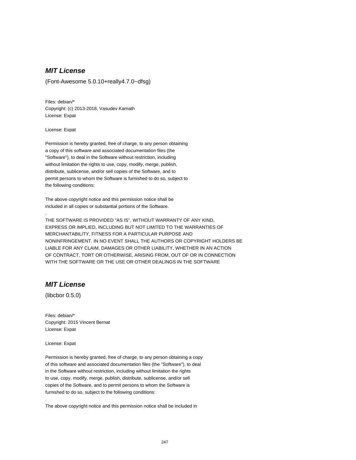# **MIT License**

(Font-Awesome 5.0.10+really4.7.0~dfsg)

Files: debian/\* Copyright: (c) 2013-2018, Vasudev Kamath License: Expat

License: Expat

.

.

Permission is hereby granted, free of charge, to any person obtaining a copy of this software and associated documentation files (the "Software"), to deal in the Software without restriction, including without limitation the rights to use, copy, modify, merge, publish, distribute, sublicense, and/or sell copies of the Software, and to permit persons to whom the Software is furnished to do so, subject to the following conditions:

The above copyright notice and this permission notice shall be included in all copies or substantial portions of the Software.

THE SOFTWARE IS PROVIDED "AS IS", WITHOUT WARRANTY OF ANY KIND, EXPRESS OR IMPLIED, INCLUDING BUT NOT LIMITED TO THE WARRANTIES OF MERCHANTABILITY, FITNESS FOR A PARTICULAR PURPOSE AND NONINFRINGEMENT. IN NO EVENT SHALL THE AUTHORS OR COPYRIGHT HOLDERS BE LIABLE FOR ANY CLAIM, DAMAGES OR OTHER LIABILITY, WHETHER IN AN ACTION OF CONTRACT, TORT OR OTHERWISE, ARISING FROM, OUT OF OR IN CONNECTION WITH THE SOFTWARE OR THE USE OR OTHER DEALINGS IN THE SOFTWARE

### **MIT License**

(libcbor 0.5.0)

Files: debian/\* Copyright: 2015 Vincent Bernat License: Expat

License: Expat

.

Permission is hereby granted, free of charge, to any person obtaining a copy of this software and associated documentation files (the "Software"), to deal in the Software without restriction, including without limitation the rights to use, copy, modify, merge, publish, distribute, sublicense, and/or sell copies of the Software, and to permit persons to whom the Software is furnished to do so, subject to the following conditions:

The above copyright notice and this permission notice shall be included in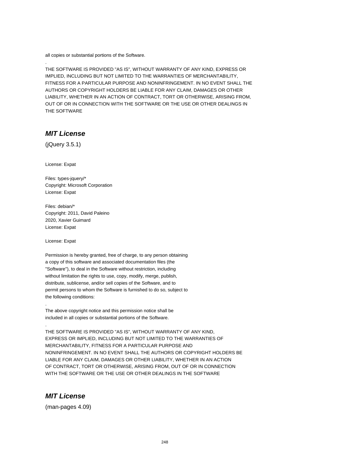all copies or substantial portions of the Software.

THE SOFTWARE IS PROVIDED "AS IS", WITHOUT WARRANTY OF ANY KIND, EXPRESS OR IMPLIED, INCLUDING BUT NOT LIMITED TO THE WARRANTIES OF MERCHANTABILITY, FITNESS FOR A PARTICULAR PURPOSE AND NONINFRINGEMENT. IN NO EVENT SHALL THE AUTHORS OR COPYRIGHT HOLDERS BE LIABLE FOR ANY CLAIM, DAMAGES OR OTHER LIABILITY, WHETHER IN AN ACTION OF CONTRACT, TORT OR OTHERWISE, ARISING FROM, OUT OF OR IN CONNECTION WITH THE SOFTWARE OR THE USE OR OTHER DEALINGS IN THE SOFTWARE

# **MIT License**

(jQuery 3.5.1)

.

License: Expat

Files: types-jquery/\* Copyright: Microsoft Corporation License: Expat

Files: debian/\* Copyright: 2011, David Paleino 2020, Xavier Guimard License: Expat

License: Expat

.

.

Permission is hereby granted, free of charge, to any person obtaining a copy of this software and associated documentation files (the "Software"), to deal in the Software without restriction, including without limitation the rights to use, copy, modify, merge, publish, distribute, sublicense, and/or sell copies of the Software, and to permit persons to whom the Software is furnished to do so, subject to the following conditions:

The above copyright notice and this permission notice shall be included in all copies or substantial portions of the Software.

THE SOFTWARE IS PROVIDED "AS IS", WITHOUT WARRANTY OF ANY KIND, EXPRESS OR IMPLIED, INCLUDING BUT NOT LIMITED TO THE WARRANTIES OF MERCHANTABILITY, FITNESS FOR A PARTICULAR PURPOSE AND NONINFRINGEMENT. IN NO EVENT SHALL THE AUTHORS OR COPYRIGHT HOLDERS BE LIABLE FOR ANY CLAIM, DAMAGES OR OTHER LIABILITY, WHETHER IN AN ACTION OF CONTRACT, TORT OR OTHERWISE, ARISING FROM, OUT OF OR IN CONNECTION WITH THE SOFTWARE OR THE USE OR OTHER DEALINGS IN THE SOFTWARE

### **MIT License**

(man-pages 4.09)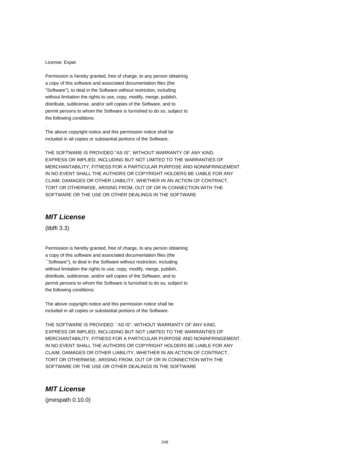### License: Expat

.

.

Permission is hereby granted, free of charge, to any person obtaining a copy of this software and associated documentation files (the "Software"), to deal in the Software without restriction, including without limitation the rights to use, copy, modify, merge, publish, distribute, sublicense, and/or sell copies of the Software, and to permit persons to whom the Software is furnished to do so, subject to the following conditions:

The above copyright notice and this permission notice shall be included in all copies or substantial portions of the Software.

THE SOFTWARE IS PROVIDED "AS IS", WITHOUT WARRANTY OF ANY KIND, EXPRESS OR IMPLIED, INCLUDING BUT NOT LIMITED TO THE WARRANTIES OF MERCHANTABILITY, FITNESS FOR A PARTICULAR PURPOSE AND NONINFRINGEMENT. IN NO EVENT SHALL THE AUTHORS OR COPYRIGHT HOLDERS BE LIABLE FOR ANY CLAIM, DAMAGES OR OTHER LIABILITY, WHETHER IN AN ACTION OF CONTRACT, TORT OR OTHERWISE, ARISING FROM, OUT OF OR IN CONNECTION WITH THE SOFTWARE OR THE USE OR OTHER DEALINGS IN THE SOFTWARE

## **MIT License**

(libffi 3.3)

Permission is hereby granted, free of charge, to any person obtaining a copy of this software and associated documentation files (the ``Software''), to deal in the Software without restriction, including without limitation the rights to use, copy, modify, merge, publish, distribute, sublicense, and/or sell copies of the Software, and to permit persons to whom the Software is furnished to do so, subject to the following conditions:

The above copyright notice and this permission notice shall be included in all copies or substantial portions of the Software.

THE SOFTWARE IS PROVIDED ``AS IS'', WITHOUT WARRANTY OF ANY KIND, EXPRESS OR IMPLIED, INCLUDING BUT NOT LIMITED TO THE WARRANTIES OF MERCHANTABILITY, FITNESS FOR A PARTICULAR PURPOSE AND NONINFRINGEMENT. IN NO EVENT SHALL THE AUTHORS OR COPYRIGHT HOLDERS BE LIABLE FOR ANY CLAIM, DAMAGES OR OTHER LIABILITY, WHETHER IN AN ACTION OF CONTRACT, TORT OR OTHERWISE, ARISING FROM, OUT OF OR IN CONNECTION WITH THE SOFTWARE OR THE USE OR OTHER DEALINGS IN THE SOFTWARE

## **MIT License**

(jmespath 0.10.0)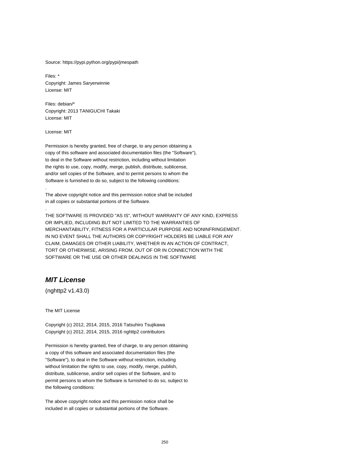Source: https://pypi.python.org/pypi/jmespath

Files: \* Copyright: James Saryerwinnie License: MIT

Files: debian/\* Copyright: 2013 TANIGUCHI Takaki License: MIT

License: MIT

.

.

Permission is hereby granted, free of charge, to any person obtaining a copy of this software and associated documentation files (the "Software"), to deal in the Software without restriction, including without limitation the rights to use, copy, modify, merge, publish, distribute, sublicense, and/or sell copies of the Software, and to permit persons to whom the Software is furnished to do so, subject to the following conditions:

The above copyright notice and this permission notice shall be included in all copies or substantial portions of the Software.

THE SOFTWARE IS PROVIDED "AS IS", WITHOUT WARRANTY OF ANY KIND, EXPRESS OR IMPLIED, INCLUDING BUT NOT LIMITED TO THE WARRANTIES OF MERCHANTABILITY, FITNESS FOR A PARTICULAR PURPOSE AND NONINFRINGEMENT. IN NO EVENT SHALL THE AUTHORS OR COPYRIGHT HOLDERS BE LIABLE FOR ANY CLAIM, DAMAGES OR OTHER LIABILITY, WHETHER IN AN ACTION OF CONTRACT, TORT OR OTHERWISE, ARISING FROM, OUT OF OR IN CONNECTION WITH THE SOFTWARE OR THE USE OR OTHER DEALINGS IN THE SOFTWARE

### **MIT License**

(nghttp2 v1.43.0)

The MIT License

Copyright (c) 2012, 2014, 2015, 2016 Tatsuhiro Tsujikawa Copyright (c) 2012, 2014, 2015, 2016 nghttp2 contributors

Permission is hereby granted, free of charge, to any person obtaining a copy of this software and associated documentation files (the "Software"), to deal in the Software without restriction, including without limitation the rights to use, copy, modify, merge, publish, distribute, sublicense, and/or sell copies of the Software, and to permit persons to whom the Software is furnished to do so, subject to the following conditions:

The above copyright notice and this permission notice shall be included in all copies or substantial portions of the Software.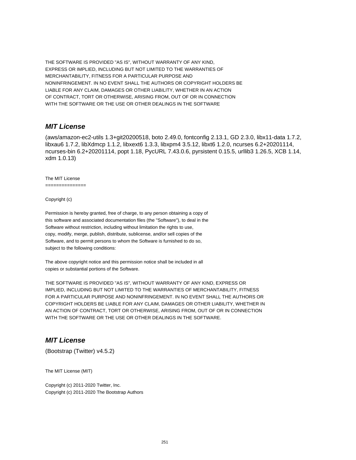THE SOFTWARE IS PROVIDED "AS IS", WITHOUT WARRANTY OF ANY KIND, EXPRESS OR IMPLIED, INCLUDING BUT NOT LIMITED TO THE WARRANTIES OF MERCHANTABILITY, FITNESS FOR A PARTICULAR PURPOSE AND NONINFRINGEMENT. IN NO EVENT SHALL THE AUTHORS OR COPYRIGHT HOLDERS BE LIABLE FOR ANY CLAIM, DAMAGES OR OTHER LIABILITY, WHETHER IN AN ACTION OF CONTRACT, TORT OR OTHERWISE, ARISING FROM, OUT OF OR IN CONNECTION WITH THE SOFTWARE OR THE USE OR OTHER DEALINGS IN THE SOFTWARE

### **MIT License**

(aws/amazon-ec2-utils 1.3+git20200518, boto 2.49.0, fontconfig 2.13.1, GD 2.3.0, libx11-data 1.7.2, libxau6 1.7.2, libXdmcp 1.1.2, libxext6 1.3.3, libxpm4 3.5.12, libxt6 1.2.0, ncurses 6.2+20201114, ncurses-bin 6.2+20201114, popt 1.18, PycURL 7.43.0.6, pyrsistent 0.15.5, urllib3 1.26.5, XCB 1.14, xdm 1.0.13)

The MIT License

===============

Copyright (c)

Permission is hereby granted, free of charge, to any person obtaining a copy of this software and associated documentation files (the "Software"), to deal in the Software without restriction, including without limitation the rights to use, copy, modify, merge, publish, distribute, sublicense, and/or sell copies of the Software, and to permit persons to whom the Software is furnished to do so, subject to the following conditions:

The above copyright notice and this permission notice shall be included in all copies or substantial portions of the Software.

THE SOFTWARE IS PROVIDED "AS IS", WITHOUT WARRANTY OF ANY KIND, EXPRESS OR IMPLIED, INCLUDING BUT NOT LIMITED TO THE WARRANTIES OF MERCHANTABILITY, FITNESS FOR A PARTICULAR PURPOSE AND NONINFRINGEMENT. IN NO EVENT SHALL THE AUTHORS OR COPYRIGHT HOLDERS BE LIABLE FOR ANY CLAIM, DAMAGES OR OTHER LIABILITY, WHETHER IN AN ACTION OF CONTRACT, TORT OR OTHERWISE, ARISING FROM, OUT OF OR IN CONNECTION WITH THE SOFTWARE OR THE USE OR OTHER DEALINGS IN THE SOFTWARE.

## **MIT License**

(Bootstrap (Twitter) v4.5.2)

The MIT License (MIT)

Copyright (c) 2011-2020 Twitter, Inc. Copyright (c) 2011-2020 The Bootstrap Authors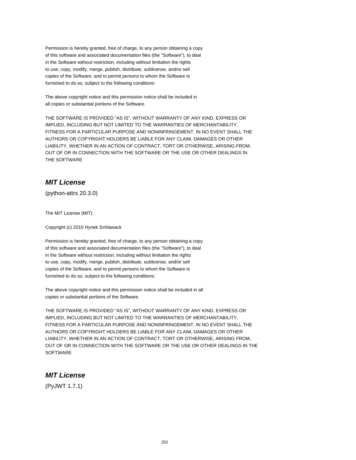Permission is hereby granted, free of charge, to any person obtaining a copy of this software and associated documentation files (the "Software"), to deal in the Software without restriction, including without limitation the rights to use, copy, modify, merge, publish, distribute, sublicense, and/or sell copies of the Software, and to permit persons to whom the Software is furnished to do so, subject to the following conditions:

The above copyright notice and this permission notice shall be included in all copies or substantial portions of the Software.

THE SOFTWARE IS PROVIDED "AS IS", WITHOUT WARRANTY OF ANY KIND, EXPRESS OR IMPLIED, INCLUDING BUT NOT LIMITED TO THE WARRANTIES OF MERCHANTABILITY, FITNESS FOR A PARTICULAR PURPOSE AND NONINFRINGEMENT. IN NO EVENT SHALL THE AUTHORS OR COPYRIGHT HOLDERS BE LIABLE FOR ANY CLAIM, DAMAGES OR OTHER LIABILITY, WHETHER IN AN ACTION OF CONTRACT, TORT OR OTHERWISE, ARISING FROM, OUT OF OR IN CONNECTION WITH THE SOFTWARE OR THE USE OR OTHER DEALINGS IN THE SOFTWARE

# **MIT License**

(python-attrs 20.3.0)

The MIT License (MIT)

Copyright (c) 2015 Hynek Schlawack

Permission is hereby granted, free of charge, to any person obtaining a copy of this software and associated documentation files (the "Software"), to deal in the Software without restriction, including without limitation the rights to use, copy, modify, merge, publish, distribute, sublicense, and/or sell copies of the Software, and to permit persons to whom the Software is furnished to do so, subject to the following conditions:

The above copyright notice and this permission notice shall be included in all copies or substantial portions of the Software.

THE SOFTWARE IS PROVIDED "AS IS", WITHOUT WARRANTY OF ANY KIND, EXPRESS OR IMPLIED, INCLUDING BUT NOT LIMITED TO THE WARRANTIES OF MERCHANTABILITY, FITNESS FOR A PARTICULAR PURPOSE AND NONINFRINGEMENT. IN NO EVENT SHALL THE AUTHORS OR COPYRIGHT HOLDERS BE LIABLE FOR ANY CLAIM, DAMAGES OR OTHER LIABILITY, WHETHER IN AN ACTION OF CONTRACT, TORT OR OTHERWISE, ARISING FROM, OUT OF OR IN CONNECTION WITH THE SOFTWARE OR THE USE OR OTHER DEALINGS IN THE **SOFTWARE** 

# **MIT License**

(PyJWT 1.7.1)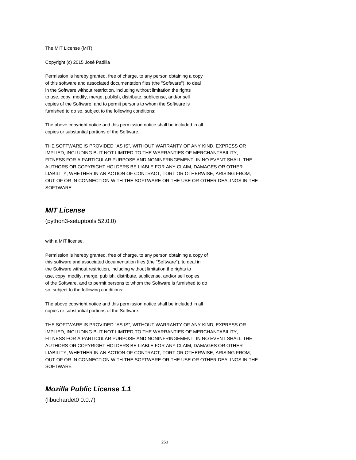The MIT License (MIT)

Copyright (c) 2015 José Padilla

Permission is hereby granted, free of charge, to any person obtaining a copy of this software and associated documentation files (the "Software"), to deal in the Software without restriction, including without limitation the rights to use, copy, modify, merge, publish, distribute, sublicense, and/or sell copies of the Software, and to permit persons to whom the Software is furnished to do so, subject to the following conditions:

The above copyright notice and this permission notice shall be included in all copies or substantial portions of the Software.

THE SOFTWARE IS PROVIDED "AS IS", WITHOUT WARRANTY OF ANY KIND, EXPRESS OR IMPLIED, INCLUDING BUT NOT LIMITED TO THE WARRANTIES OF MERCHANTABILITY, FITNESS FOR A PARTICULAR PURPOSE AND NONINFRINGEMENT. IN NO EVENT SHALL THE AUTHORS OR COPYRIGHT HOLDERS BE LIABLE FOR ANY CLAIM, DAMAGES OR OTHER LIABILITY, WHETHER IN AN ACTION OF CONTRACT, TORT OR OTHERWISE, ARISING FROM, OUT OF OR IN CONNECTION WITH THE SOFTWARE OR THE USE OR OTHER DEALINGS IN THE **SOFTWARE** 

## **MIT License**

(python3-setuptools 52.0.0)

with a MIT license.

Permission is hereby granted, free of charge, to any person obtaining a copy of this software and associated documentation files (the "Software"), to deal in the Software without restriction, including without limitation the rights to use, copy, modify, merge, publish, distribute, sublicense, and/or sell copies of the Software, and to permit persons to whom the Software is furnished to do so, subject to the following conditions:

The above copyright notice and this permission notice shall be included in all copies or substantial portions of the Software.

THE SOFTWARE IS PROVIDED "AS IS", WITHOUT WARRANTY OF ANY KIND, EXPRESS OR IMPLIED, INCLUDING BUT NOT LIMITED TO THE WARRANTIES OF MERCHANTABILITY, FITNESS FOR A PARTICULAR PURPOSE AND NONINFRINGEMENT. IN NO EVENT SHALL THE AUTHORS OR COPYRIGHT HOLDERS BE LIABLE FOR ANY CLAIM, DAMAGES OR OTHER LIABILITY, WHETHER IN AN ACTION OF CONTRACT, TORT OR OTHERWISE, ARISING FROM, OUT OF OR IN CONNECTION WITH THE SOFTWARE OR THE USE OR OTHER DEALINGS IN THE **SOFTWARE** 

## **Mozilla Public License 1.1**

(libuchardet0 0.0.7)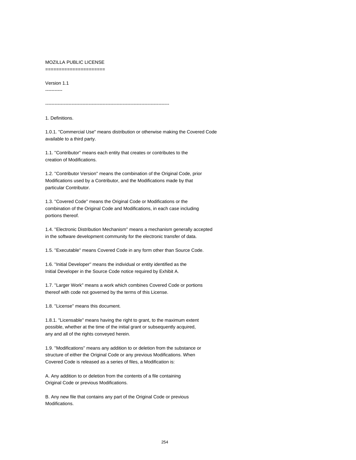## MOZILLA PUBLIC LICENSE

======================

Version 1.1 -----------

--------------------------------------------------------------------------------

1. Definitions.

1.0.1. "Commercial Use" means distribution or otherwise making the Covered Code available to a third party.

1.1. ''Contributor'' means each entity that creates or contributes to the creation of Modifications.

1.2. ''Contributor Version'' means the combination of the Original Code, prior Modifications used by a Contributor, and the Modifications made by that particular Contributor.

1.3. ''Covered Code'' means the Original Code or Modifications or the combination of the Original Code and Modifications, in each case including portions thereof.

1.4. ''Electronic Distribution Mechanism'' means a mechanism generally accepted in the software development community for the electronic transfer of data.

1.5. ''Executable'' means Covered Code in any form other than Source Code.

1.6. ''Initial Developer'' means the individual or entity identified as the Initial Developer in the Source Code notice required by Exhibit A.

1.7. ''Larger Work'' means a work which combines Covered Code or portions thereof with code not governed by the terms of this License.

1.8. ''License'' means this document.

1.8.1. "Licensable" means having the right to grant, to the maximum extent possible, whether at the time of the initial grant or subsequently acquired, any and all of the rights conveyed herein.

1.9. ''Modifications'' means any addition to or deletion from the substance or structure of either the Original Code or any previous Modifications. When Covered Code is released as a series of files, a Modification is:

A. Any addition to or deletion from the contents of a file containing Original Code or previous Modifications.

B. Any new file that contains any part of the Original Code or previous Modifications.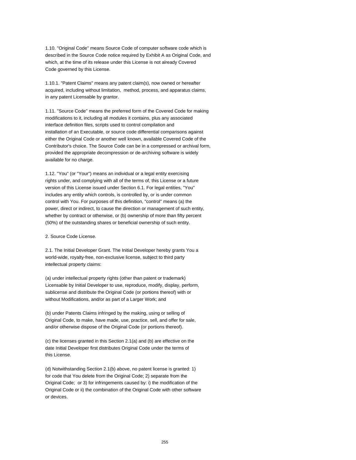1.10. ''Original Code'' means Source Code of computer software code which is described in the Source Code notice required by Exhibit A as Original Code, and which, at the time of its release under this License is not already Covered Code governed by this License.

1.10.1. "Patent Claims" means any patent claim(s), now owned or hereafter acquired, including without limitation, method, process, and apparatus claims, in any patent Licensable by grantor.

1.11. ''Source Code'' means the preferred form of the Covered Code for making modifications to it, including all modules it contains, plus any associated interface definition files, scripts used to control compilation and installation of an Executable, or source code differential comparisons against either the Original Code or another well known, available Covered Code of the Contributor's choice. The Source Code can be in a compressed or archival form, provided the appropriate decompression or de-archiving software is widely available for no charge.

1.12. "You'' (or "Your") means an individual or a legal entity exercising rights under, and complying with all of the terms of, this License or a future version of this License issued under Section 6.1. For legal entities, "You'' includes any entity which controls, is controlled by, or is under common control with You. For purposes of this definition, "control'' means (a) the power, direct or indirect, to cause the direction or management of such entity, whether by contract or otherwise, or (b) ownership of more than fifty percent (50%) of the outstanding shares or beneficial ownership of such entity.

2. Source Code License.

2.1. The Initial Developer Grant. The Initial Developer hereby grants You a world-wide, royalty-free, non-exclusive license, subject to third party intellectual property claims:

(a) under intellectual property rights (other than patent or trademark) Licensable by Initial Developer to use, reproduce, modify, display, perform, sublicense and distribute the Original Code (or portions thereof) with or without Modifications, and/or as part of a Larger Work; and

(b) under Patents Claims infringed by the making, using or selling of Original Code, to make, have made, use, practice, sell, and offer for sale, and/or otherwise dispose of the Original Code (or portions thereof).

(c) the licenses granted in this Section 2.1(a) and (b) are effective on the date Initial Developer first distributes Original Code under the terms of this License.

(d) Notwithstanding Section 2.1(b) above, no patent license is granted: 1) for code that You delete from the Original Code; 2) separate from the Original Code; or 3) for infringements caused by: i) the modification of the Original Code or ii) the combination of the Original Code with other software or devices.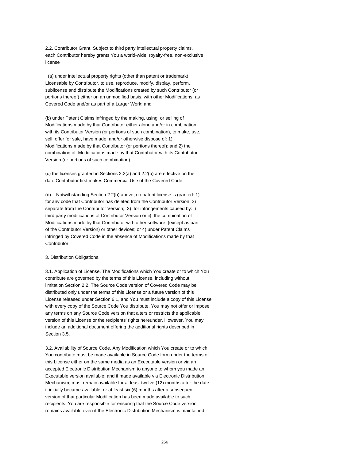2.2. Contributor Grant. Subject to third party intellectual property claims, each Contributor hereby grants You a world-wide, royalty-free, non-exclusive license

 (a) under intellectual property rights (other than patent or trademark) Licensable by Contributor, to use, reproduce, modify, display, perform, sublicense and distribute the Modifications created by such Contributor (or portions thereof) either on an unmodified basis, with other Modifications, as Covered Code and/or as part of a Larger Work; and

(b) under Patent Claims infringed by the making, using, or selling of Modifications made by that Contributor either alone and/or in combination with its Contributor Version (or portions of such combination), to make, use, sell, offer for sale, have made, and/or otherwise dispose of: 1) Modifications made by that Contributor (or portions thereof); and 2) the combination of Modifications made by that Contributor with its Contributor Version (or portions of such combination).

(c) the licenses granted in Sections 2.2(a) and 2.2(b) are effective on the date Contributor first makes Commercial Use of the Covered Code.

(d) Notwithstanding Section 2.2(b) above, no patent license is granted: 1) for any code that Contributor has deleted from the Contributor Version; 2) separate from the Contributor Version; 3) for infringements caused by: i) third party modifications of Contributor Version or ii) the combination of Modifications made by that Contributor with other software (except as part of the Contributor Version) or other devices; or 4) under Patent Claims infringed by Covered Code in the absence of Modifications made by that Contributor.

3. Distribution Obligations.

3.1. Application of License. The Modifications which You create or to which You contribute are governed by the terms of this License, including without limitation Section 2.2. The Source Code version of Covered Code may be distributed only under the terms of this License or a future version of this License released under Section 6.1, and You must include a copy of this License with every copy of the Source Code You distribute. You may not offer or impose any terms on any Source Code version that alters or restricts the applicable version of this License or the recipients' rights hereunder. However, You may include an additional document offering the additional rights described in Section 3.5.

3.2. Availability of Source Code. Any Modification which You create or to which You contribute must be made available in Source Code form under the terms of this License either on the same media as an Executable version or via an accepted Electronic Distribution Mechanism to anyone to whom you made an Executable version available; and if made available via Electronic Distribution Mechanism, must remain available for at least twelve (12) months after the date it initially became available, or at least six (6) months after a subsequent version of that particular Modification has been made available to such recipients. You are responsible for ensuring that the Source Code version remains available even if the Electronic Distribution Mechanism is maintained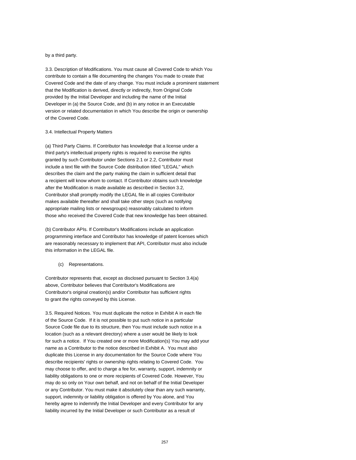### by a third party.

3.3. Description of Modifications. You must cause all Covered Code to which You contribute to contain a file documenting the changes You made to create that Covered Code and the date of any change. You must include a prominent statement that the Modification is derived, directly or indirectly, from Original Code provided by the Initial Developer and including the name of the Initial Developer in (a) the Source Code, and (b) in any notice in an Executable version or related documentation in which You describe the origin or ownership of the Covered Code.

#### 3.4. Intellectual Property Matters

(a) Third Party Claims. If Contributor has knowledge that a license under a third party's intellectual property rights is required to exercise the rights granted by such Contributor under Sections 2.1 or 2.2, Contributor must include a text file with the Source Code distribution titled "LEGAL'' which describes the claim and the party making the claim in sufficient detail that a recipient will know whom to contact. If Contributor obtains such knowledge after the Modification is made available as described in Section 3.2, Contributor shall promptly modify the LEGAL file in all copies Contributor makes available thereafter and shall take other steps (such as notifying appropriate mailing lists or newsgroups) reasonably calculated to inform those who received the Covered Code that new knowledge has been obtained.

(b) Contributor APIs. If Contributor's Modifications include an application programming interface and Contributor has knowledge of patent licenses which are reasonably necessary to implement that API, Contributor must also include this information in the LEGAL file.

### (c) Representations.

Contributor represents that, except as disclosed pursuant to Section 3.4(a) above, Contributor believes that Contributor's Modifications are Contributor's original creation(s) and/or Contributor has sufficient rights to grant the rights conveyed by this License.

3.5. Required Notices. You must duplicate the notice in Exhibit A in each file of the Source Code. If it is not possible to put such notice in a particular Source Code file due to its structure, then You must include such notice in a location (such as a relevant directory) where a user would be likely to look for such a notice. If You created one or more Modification(s) You may add your name as a Contributor to the notice described in Exhibit A. You must also duplicate this License in any documentation for the Source Code where You describe recipients' rights or ownership rights relating to Covered Code. You may choose to offer, and to charge a fee for, warranty, support, indemnity or liability obligations to one or more recipients of Covered Code. However, You may do so only on Your own behalf, and not on behalf of the Initial Developer or any Contributor. You must make it absolutely clear than any such warranty, support, indemnity or liability obligation is offered by You alone, and You hereby agree to indemnify the Initial Developer and every Contributor for any liability incurred by the Initial Developer or such Contributor as a result of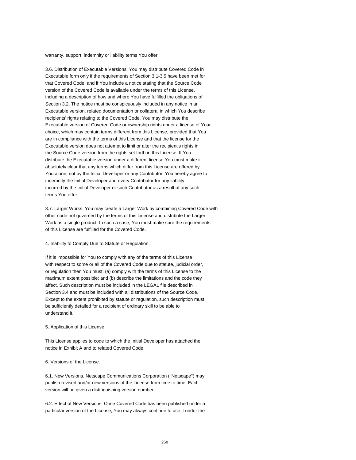warranty, support, indemnity or liability terms You offer.

3.6. Distribution of Executable Versions. You may distribute Covered Code in Executable form only if the requirements of Section 3.1-3.5 have been met for that Covered Code, and if You include a notice stating that the Source Code version of the Covered Code is available under the terms of this License, including a description of how and where You have fulfilled the obligations of Section 3.2. The notice must be conspicuously included in any notice in an Executable version, related documentation or collateral in which You describe recipients' rights relating to the Covered Code. You may distribute the Executable version of Covered Code or ownership rights under a license of Your choice, which may contain terms different from this License, provided that You are in compliance with the terms of this License and that the license for the Executable version does not attempt to limit or alter the recipient's rights in the Source Code version from the rights set forth in this License. If You distribute the Executable version under a different license You must make it absolutely clear that any terms which differ from this License are offered by You alone, not by the Initial Developer or any Contributor. You hereby agree to indemnify the Initial Developer and every Contributor for any liability incurred by the Initial Developer or such Contributor as a result of any such terms You offer.

3.7. Larger Works. You may create a Larger Work by combining Covered Code with other code not governed by the terms of this License and distribute the Larger Work as a single product. In such a case, You must make sure the requirements of this License are fulfilled for the Covered Code.

4. Inability to Comply Due to Statute or Regulation.

If it is impossible for You to comply with any of the terms of this License with respect to some or all of the Covered Code due to statute, judicial order, or regulation then You must: (a) comply with the terms of this License to the maximum extent possible; and (b) describe the limitations and the code they affect. Such description must be included in the LEGAL file described in Section 3.4 and must be included with all distributions of the Source Code. Except to the extent prohibited by statute or regulation, such description must be sufficiently detailed for a recipient of ordinary skill to be able to understand it.

5. Application of this License.

This License applies to code to which the Initial Developer has attached the notice in Exhibit A and to related Covered Code.

#### 6. Versions of the License.

6.1. New Versions. Netscape Communications Corporation (''Netscape'') may publish revised and/or new versions of the License from time to time. Each version will be given a distinguishing version number.

6.2. Effect of New Versions. Once Covered Code has been published under a particular version of the License, You may always continue to use it under the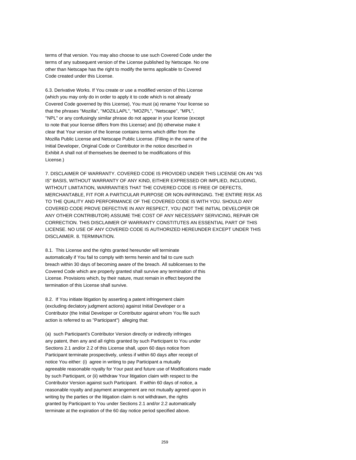terms of that version. You may also choose to use such Covered Code under the terms of any subsequent version of the License published by Netscape. No one other than Netscape has the right to modify the terms applicable to Covered Code created under this License.

6.3. Derivative Works. If You create or use a modified version of this License (which you may only do in order to apply it to code which is not already Covered Code governed by this License), You must (a) rename Your license so that the phrases ''Mozilla'', ''MOZILLAPL'', ''MOZPL'', ''Netscape'', "MPL", ''NPL'' or any confusingly similar phrase do not appear in your license (except to note that your license differs from this License) and (b) otherwise make it clear that Your version of the license contains terms which differ from the Mozilla Public License and Netscape Public License. (Filling in the name of the Initial Developer, Original Code or Contributor in the notice described in Exhibit A shall not of themselves be deemed to be modifications of this License.)

7. DISCLAIMER OF WARRANTY. COVERED CODE IS PROVIDED UNDER THIS LICENSE ON AN "AS IS'' BASIS, WITHOUT WARRANTY OF ANY KIND, EITHER EXPRESSED OR IMPLIED, INCLUDING, WITHOUT LIMITATION, WARRANTIES THAT THE COVERED CODE IS FREE OF DEFECTS, MERCHANTABLE, FIT FOR A PARTICULAR PURPOSE OR NON-INFRINGING. THE ENTIRE RISK AS TO THE QUALITY AND PERFORMANCE OF THE COVERED CODE IS WITH YOU. SHOULD ANY COVERED CODE PROVE DEFECTIVE IN ANY RESPECT, YOU (NOT THE INITIAL DEVELOPER OR ANY OTHER CONTRIBUTOR) ASSUME THE COST OF ANY NECESSARY SERVICING, REPAIR OR CORRECTION. THIS DISCLAIMER OF WARRANTY CONSTITUTES AN ESSENTIAL PART OF THIS LICENSE. NO USE OF ANY COVERED CODE IS AUTHORIZED HEREUNDER EXCEPT UNDER THIS DISCLAIMER. 8. TERMINATION.

8.1. This License and the rights granted hereunder will terminate automatically if You fail to comply with terms herein and fail to cure such breach within 30 days of becoming aware of the breach. All sublicenses to the Covered Code which are properly granted shall survive any termination of this License. Provisions which, by their nature, must remain in effect beyond the termination of this License shall survive.

8.2. If You initiate litigation by asserting a patent infringement claim (excluding declatory judgment actions) against Initial Developer or a Contributor (the Initial Developer or Contributor against whom You file such action is referred to as "Participant") alleging that:

(a) such Participant's Contributor Version directly or indirectly infringes any patent, then any and all rights granted by such Participant to You under Sections 2.1 and/or 2.2 of this License shall, upon 60 days notice from Participant terminate prospectively, unless if within 60 days after receipt of notice You either: (i) agree in writing to pay Participant a mutually agreeable reasonable royalty for Your past and future use of Modifications made by such Participant, or (ii) withdraw Your litigation claim with respect to the Contributor Version against such Participant. If within 60 days of notice, a reasonable royalty and payment arrangement are not mutually agreed upon in writing by the parties or the litigation claim is not withdrawn, the rights granted by Participant to You under Sections 2.1 and/or 2.2 automatically terminate at the expiration of the 60 day notice period specified above.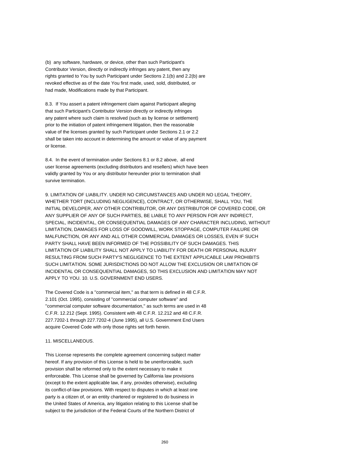(b) any software, hardware, or device, other than such Participant's Contributor Version, directly or indirectly infringes any patent, then any rights granted to You by such Participant under Sections 2.1(b) and 2.2(b) are revoked effective as of the date You first made, used, sold, distributed, or had made, Modifications made by that Participant.

8.3. If You assert a patent infringement claim against Participant alleging that such Participant's Contributor Version directly or indirectly infringes any patent where such claim is resolved (such as by license or settlement) prior to the initiation of patent infringement litigation, then the reasonable value of the licenses granted by such Participant under Sections 2.1 or 2.2 shall be taken into account in determining the amount or value of any payment or license.

8.4. In the event of termination under Sections 8.1 or 8.2 above, all end user license agreements (excluding distributors and resellers) which have been validly granted by You or any distributor hereunder prior to termination shall survive termination.

9. LIMITATION OF LIABILITY. UNDER NO CIRCUMSTANCES AND UNDER NO LEGAL THEORY, WHETHER TORT (INCLUDING NEGLIGENCE), CONTRACT, OR OTHERWISE, SHALL YOU, THE INITIAL DEVELOPER, ANY OTHER CONTRIBUTOR, OR ANY DISTRIBUTOR OF COVERED CODE, OR ANY SUPPLIER OF ANY OF SUCH PARTIES, BE LIABLE TO ANY PERSON FOR ANY INDIRECT, SPECIAL, INCIDENTAL, OR CONSEQUENTIAL DAMAGES OF ANY CHARACTER INCLUDING, WITHOUT LIMITATION, DAMAGES FOR LOSS OF GOODWILL, WORK STOPPAGE, COMPUTER FAILURE OR MALFUNCTION, OR ANY AND ALL OTHER COMMERCIAL DAMAGES OR LOSSES, EVEN IF SUCH PARTY SHALL HAVE BEEN INFORMED OF THE POSSIBILITY OF SUCH DAMAGES. THIS LIMITATION OF LIABILITY SHALL NOT APPLY TO LIABILITY FOR DEATH OR PERSONAL INJURY RESULTING FROM SUCH PARTY'S NEGLIGENCE TO THE EXTENT APPLICABLE LAW PROHIBITS SUCH LIMITATION. SOME JURISDICTIONS DO NOT ALLOW THE EXCLUSION OR LIMITATION OF INCIDENTAL OR CONSEQUENTIAL DAMAGES, SO THIS EXCLUSION AND LIMITATION MAY NOT APPLY TO YOU. 10. U.S. GOVERNMENT END USERS.

The Covered Code is a ''commercial item,'' as that term is defined in 48 C.F.R. 2.101 (Oct. 1995), consisting of ''commercial computer software'' and "commercial computer software documentation," as such terms are used in 48 C.F.R. 12.212 (Sept. 1995). Consistent with 48 C.F.R. 12.212 and 48 C.F.R. 227.7202-1 through 227.7202-4 (June 1995), all U.S. Government End Users acquire Covered Code with only those rights set forth herein.

## 11. MISCELLANEOUS.

This License represents the complete agreement concerning subject matter hereof. If any provision of this License is held to be unenforceable, such provision shall be reformed only to the extent necessary to make it enforceable. This License shall be governed by California law provisions (except to the extent applicable law, if any, provides otherwise), excluding its conflict-of-law provisions. With respect to disputes in which at least one party is a citizen of, or an entity chartered or registered to do business in the United States of America, any litigation relating to this License shall be subject to the jurisdiction of the Federal Courts of the Northern District of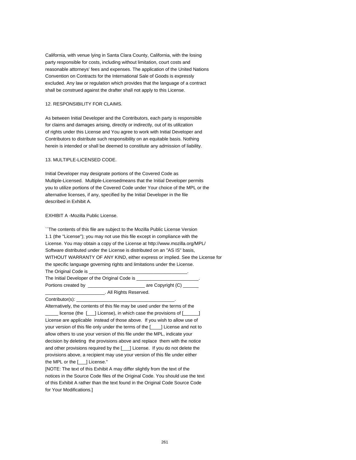California, with venue lying in Santa Clara County, California, with the losing party responsible for costs, including without limitation, court costs and reasonable attorneys' fees and expenses. The application of the United Nations Convention on Contracts for the International Sale of Goods is expressly excluded. Any law or regulation which provides that the language of a contract shall be construed against the drafter shall not apply to this License.

### 12. RESPONSIBILITY FOR CLAIMS.

As between Initial Developer and the Contributors, each party is responsible for claims and damages arising, directly or indirectly, out of its utilization of rights under this License and You agree to work with Initial Developer and Contributors to distribute such responsibility on an equitable basis. Nothing herein is intended or shall be deemed to constitute any admission of liability.

## 13. MULTIPLE-LICENSED CODE.

Initial Developer may designate portions of the Covered Code as Multiple-Licensed. Multiple-Licensedmeans that the Initial Developer permits you to utilize portions of the Covered Code under Your choice of the MPL or the alternative licenses, if any, specified by the Initial Developer in the file described in Exhibit A.

### EXHIBIT A -Mozilla Public License.

``The contents of this file are subject to the Mozilla Public License Version 1.1 (the "License"); you may not use this file except in compliance with the License. You may obtain a copy of the License at http://www.mozilla.org/MPL/ Software distributed under the License is distributed on an "AS IS" basis, WITHOUT WARRANTY OF ANY KIND, either express or implied. See the License for the specific language governing rights and limitations under the License. The Original Code is

The Initial Developer of the Original Code is \_

Portions created by \_\_\_\_\_\_\_\_\_\_\_\_\_\_\_\_\_\_\_\_\_\_\_\_\_\_\_\_\_\_\_\_ are Copyright (C) \_

\_\_\_\_\_\_\_\_\_\_\_\_\_\_\_\_\_\_\_\_\_\_\_. All Rights Reserved.

### Contributor(s):  $\_$

Alternatively, the contents of this file may be used under the terms of the

license (the [\_\_\_] License), in which case the provisions of [\_\_\_\_\_] License are applicable instead of those above. If you wish to allow use of your version of this file only under the terms of the [\_\_\_\_] License and not to allow others to use your version of this file under the MPL, indicate your decision by deleting the provisions above and replace them with the notice and other provisions required by the [\_\_\_] License. If you do not delete the provisions above, a recipient may use your version of this file under either the MPL or the [\_\_\_] License."

[NOTE: The text of this Exhibit A may differ slightly from the text of the notices in the Source Code files of the Original Code. You should use the text of this Exhibit A rather than the text found in the Original Code Source Code for Your Modifications.]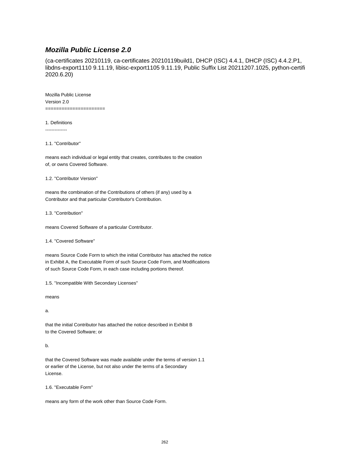## **Mozilla Public License 2.0**

(ca-certificates 20210119, ca-certificates 20210119build1, DHCP (ISC) 4.4.1, DHCP (ISC) 4.4.2.P1, libdns-export1110 9.11.19, libisc-export1105 9.11.19, Public Suffix List 20211207.1025, python-certifi 2020.6.20)

Mozilla Public License Version 2.0 ======================

1. Definitions --------------

1.1. "Contributor"

means each individual or legal entity that creates, contributes to the creation of, or owns Covered Software.

1.2. "Contributor Version"

means the combination of the Contributions of others (if any) used by a Contributor and that particular Contributor's Contribution.

1.3. "Contribution"

means Covered Software of a particular Contributor.

1.4. "Covered Software"

means Source Code Form to which the initial Contributor has attached the notice in Exhibit A, the Executable Form of such Source Code Form, and Modifications of such Source Code Form, in each case including portions thereof.

1.5. "Incompatible With Secondary Licenses"

means

a.

that the initial Contributor has attached the notice described in Exhibit B to the Covered Software; or

b.

that the Covered Software was made available under the terms of version 1.1 or earlier of the License, but not also under the terms of a Secondary License.

1.6. "Executable Form"

means any form of the work other than Source Code Form.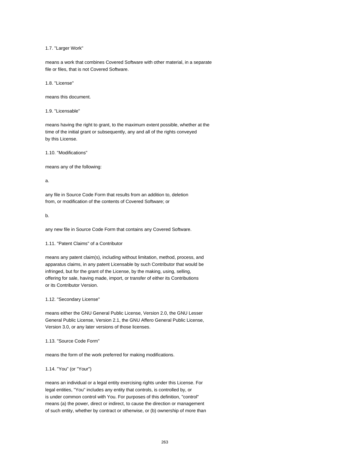#### 1.7. "Larger Work"

means a work that combines Covered Software with other material, in a separate file or files, that is not Covered Software.

1.8. "License"

means this document.

1.9. "Licensable"

means having the right to grant, to the maximum extent possible, whether at the time of the initial grant or subsequently, any and all of the rights conveyed by this License.

1.10. "Modifications"

means any of the following:

a.

any file in Source Code Form that results from an addition to, deletion from, or modification of the contents of Covered Software; or

b.

any new file in Source Code Form that contains any Covered Software.

1.11. "Patent Claims" of a Contributor

means any patent claim(s), including without limitation, method, process, and apparatus claims, in any patent Licensable by such Contributor that would be infringed, but for the grant of the License, by the making, using, selling, offering for sale, having made, import, or transfer of either its Contributions or its Contributor Version.

1.12. "Secondary License"

means either the GNU General Public License, Version 2.0, the GNU Lesser General Public License, Version 2.1, the GNU Affero General Public License, Version 3.0, or any later versions of those licenses.

1.13. "Source Code Form"

means the form of the work preferred for making modifications.

1.14. "You" (or "Your")

means an individual or a legal entity exercising rights under this License. For legal entities, "You" includes any entity that controls, is controlled by, or is under common control with You. For purposes of this definition, "control" means (a) the power, direct or indirect, to cause the direction or management of such entity, whether by contract or otherwise, or (b) ownership of more than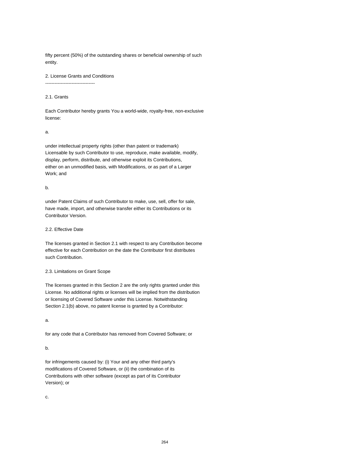fifty percent (50%) of the outstanding shares or beneficial ownership of such entity.

### 2. License Grants and Conditions

--------------------------------

## 2.1. Grants

Each Contributor hereby grants You a world-wide, royalty-free, non-exclusive license:

## a.

under intellectual property rights (other than patent or trademark) Licensable by such Contributor to use, reproduce, make available, modify, display, perform, distribute, and otherwise exploit its Contributions, either on an unmodified basis, with Modifications, or as part of a Larger Work; and

## b.

under Patent Claims of such Contributor to make, use, sell, offer for sale, have made, import, and otherwise transfer either its Contributions or its Contributor Version.

2.2. Effective Date

The licenses granted in Section 2.1 with respect to any Contribution become effective for each Contribution on the date the Contributor first distributes such Contribution.

## 2.3. Limitations on Grant Scope

The licenses granted in this Section 2 are the only rights granted under this License. No additional rights or licenses will be implied from the distribution or licensing of Covered Software under this License. Notwithstanding Section 2.1(b) above, no patent license is granted by a Contributor:

a.

for any code that a Contributor has removed from Covered Software; or

## b.

for infringements caused by: (i) Your and any other third party's modifications of Covered Software, or (ii) the combination of its Contributions with other software (except as part of its Contributor Version); or

c.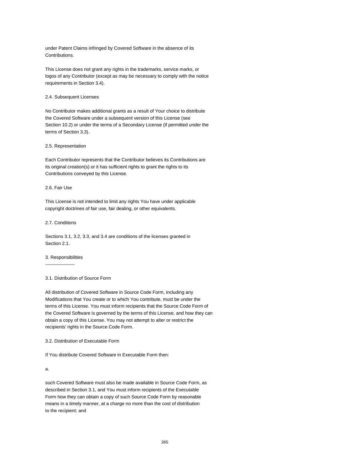under Patent Claims infringed by Covered Software in the absence of its Contributions.

This License does not grant any rights in the trademarks, service marks, or logos of any Contributor (except as may be necessary to comply with the notice requirements in Section 3.4).

#### 2.4. Subsequent Licenses

No Contributor makes additional grants as a result of Your choice to distribute the Covered Software under a subsequent version of this License (see Section 10.2) or under the terms of a Secondary License (if permitted under the terms of Section 3.3).

### 2.5. Representation

Each Contributor represents that the Contributor believes its Contributions are its original creation(s) or it has sufficient rights to grant the rights to its Contributions conveyed by this License.

### 2.6. Fair Use

This License is not intended to limit any rights You have under applicable copyright doctrines of fair use, fair dealing, or other equivalents.

### 2.7. Conditions

Sections 3.1, 3.2, 3.3, and 3.4 are conditions of the licenses granted in Section 2.1.

#### 3. Responsibilities

-------------------

## 3.1. Distribution of Source Form

All distribution of Covered Software in Source Code Form, including any Modifications that You create or to which You contribute, must be under the terms of this License. You must inform recipients that the Source Code Form of the Covered Software is governed by the terms of this License, and how they can obtain a copy of this License. You may not attempt to alter or restrict the recipients' rights in the Source Code Form.

### 3.2. Distribution of Executable Form

If You distribute Covered Software in Executable Form then:

### a.

such Covered Software must also be made available in Source Code Form, as described in Section 3.1, and You must inform recipients of the Executable Form how they can obtain a copy of such Source Code Form by reasonable means in a timely manner, at a charge no more than the cost of distribution to the recipient; and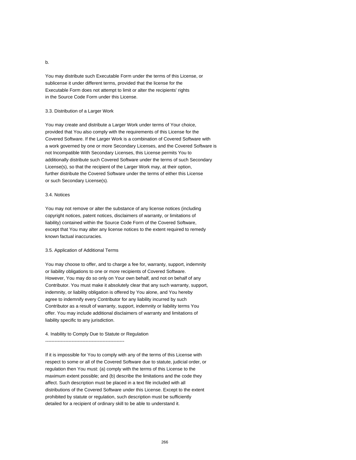b.

You may distribute such Executable Form under the terms of this License, or sublicense it under different terms, provided that the license for the Executable Form does not attempt to limit or alter the recipients' rights in the Source Code Form under this License.

## 3.3. Distribution of a Larger Work

You may create and distribute a Larger Work under terms of Your choice, provided that You also comply with the requirements of this License for the Covered Software. If the Larger Work is a combination of Covered Software with a work governed by one or more Secondary Licenses, and the Covered Software is not Incompatible With Secondary Licenses, this License permits You to additionally distribute such Covered Software under the terms of such Secondary License(s), so that the recipient of the Larger Work may, at their option, further distribute the Covered Software under the terms of either this License or such Secondary License(s).

## 3.4. Notices

You may not remove or alter the substance of any license notices (including copyright notices, patent notices, disclaimers of warranty, or limitations of liability) contained within the Source Code Form of the Covered Software, except that You may alter any license notices to the extent required to remedy known factual inaccuracies.

### 3.5. Application of Additional Terms

You may choose to offer, and to charge a fee for, warranty, support, indemnity or liability obligations to one or more recipients of Covered Software. However, You may do so only on Your own behalf, and not on behalf of any Contributor. You must make it absolutely clear that any such warranty, support, indemnity, or liability obligation is offered by You alone, and You hereby agree to indemnify every Contributor for any liability incurred by such Contributor as a result of warranty, support, indemnity or liability terms You offer. You may include additional disclaimers of warranty and limitations of liability specific to any jurisdiction.

#### 4. Inability to Comply Due to Statute or Regulation ---------------------------------------------------

If it is impossible for You to comply with any of the terms of this License with respect to some or all of the Covered Software due to statute, judicial order, or regulation then You must: (a) comply with the terms of this License to the maximum extent possible; and (b) describe the limitations and the code they affect. Such description must be placed in a text file included with all distributions of the Covered Software under this License. Except to the extent prohibited by statute or regulation, such description must be sufficiently detailed for a recipient of ordinary skill to be able to understand it.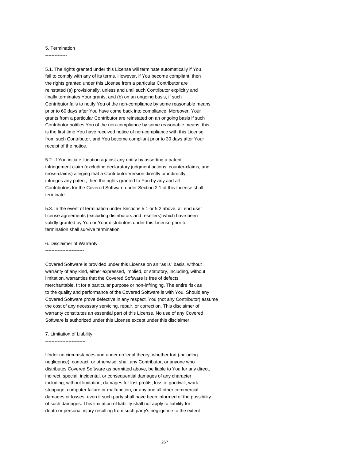#### 5. Termination

--------------

5.1. The rights granted under this License will terminate automatically if You fail to comply with any of its terms. However, if You become compliant, then the rights granted under this License from a particular Contributor are reinstated (a) provisionally, unless and until such Contributor explicitly and finally terminates Your grants, and (b) on an ongoing basis, if such Contributor fails to notify You of the non-compliance by some reasonable means prior to 60 days after You have come back into compliance. Moreover, Your grants from a particular Contributor are reinstated on an ongoing basis if such Contributor notifies You of the non-compliance by some reasonable means, this is the first time You have received notice of non-compliance with this License from such Contributor, and You become compliant prior to 30 days after Your receipt of the notice.

5.2. If You initiate litigation against any entity by asserting a patent infringement claim (excluding declaratory judgment actions, counter-claims, and cross-claims) alleging that a Contributor Version directly or indirectly infringes any patent, then the rights granted to You by any and all Contributors for the Covered Software under Section 2.1 of this License shall terminate.

5.3. In the event of termination under Sections 5.1 or 5.2 above, all end user license agreements (excluding distributors and resellers) which have been validly granted by You or Your distributors under this License prior to termination shall survive termination.

6. Disclaimer of Warranty

-------------------------

Covered Software is provided under this License on an "as is" basis, without warranty of any kind, either expressed, implied, or statutory, including, without limitation, warranties that the Covered Software is free of defects, merchantable, fit for a particular purpose or non-infringing. The entire risk as to the quality and performance of the Covered Software is with You. Should any Covered Software prove defective in any respect, You (not any Contributor) assume the cost of any necessary servicing, repair, or correction. This disclaimer of warranty constitutes an essential part of this License. No use of any Covered Software is authorized under this License except under this disclaimer.

### 7. Limitation of Liability

--------------------------

Under no circumstances and under no legal theory, whether tort (including negligence), contract, or otherwise, shall any Contributor, or anyone who distributes Covered Software as permitted above, be liable to You for any direct, indirect, special, incidental, or consequential damages of any character including, without limitation, damages for lost profits, loss of goodwill, work stoppage, computer failure or malfunction, or any and all other commercial damages or losses, even if such party shall have been informed of the possibility of such damages. This limitation of liability shall not apply to liability for death or personal injury resulting from such party's negligence to the extent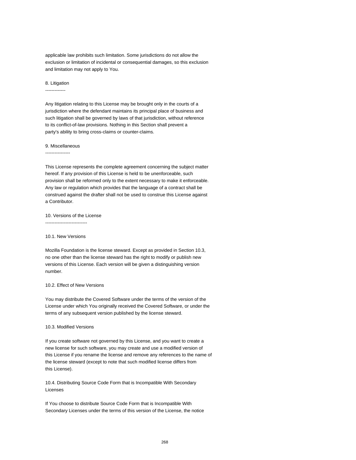applicable law prohibits such limitation. Some jurisdictions do not allow the exclusion or limitation of incidental or consequential damages, so this exclusion and limitation may not apply to You.

#### 8. Litigation

#### -------------

Any litigation relating to this License may be brought only in the courts of a jurisdiction where the defendant maintains its principal place of business and such litigation shall be governed by laws of that jurisdiction, without reference to its conflict-of-law provisions. Nothing in this Section shall prevent a party's ability to bring cross-claims or counter-claims.

#### 9. Miscellaneous

----------------

This License represents the complete agreement concerning the subject matter hereof. If any provision of this License is held to be unenforceable, such provision shall be reformed only to the extent necessary to make it enforceable. Any law or regulation which provides that the language of a contract shall be construed against the drafter shall not be used to construe this License against a Contributor.

### 10. Versions of the License

---------------------------

## 10.1. New Versions

Mozilla Foundation is the license steward. Except as provided in Section 10.3, no one other than the license steward has the right to modify or publish new versions of this License. Each version will be given a distinguishing version number.

### 10.2. Effect of New Versions

You may distribute the Covered Software under the terms of the version of the License under which You originally received the Covered Software, or under the terms of any subsequent version published by the license steward.

### 10.3. Modified Versions

If you create software not governed by this License, and you want to create a new license for such software, you may create and use a modified version of this License if you rename the license and remove any references to the name of the license steward (except to note that such modified license differs from this License).

10.4. Distributing Source Code Form that is Incompatible With Secondary Licenses

If You choose to distribute Source Code Form that is Incompatible With Secondary Licenses under the terms of this version of the License, the notice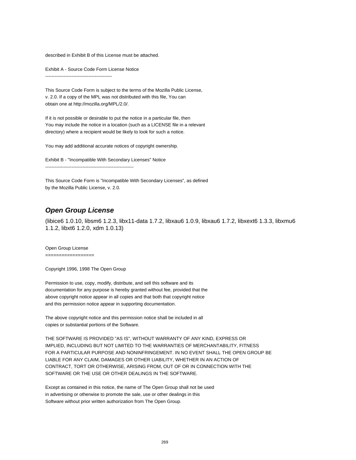described in Exhibit B of this License must be attached.

Exhibit A - Source Code Form License Notice -------------------------------------------

This Source Code Form is subject to the terms of the Mozilla Public License, v. 2.0. If a copy of the MPL was not distributed with this file, You can obtain one at http://mozilla.org/MPL/2.0/.

If it is not possible or desirable to put the notice in a particular file, then You may include the notice in a location (such as a LICENSE file in a relevant directory) where a recipient would be likely to look for such a notice.

You may add additional accurate notices of copyright ownership.

Exhibit B - "Incompatible With Secondary Licenses" Notice ---------------------------------------------------------

This Source Code Form is "Incompatible With Secondary Licenses", as defined by the Mozilla Public License, v. 2.0.

# **Open Group License**

(libice6 1.0.10, libsm6 1.2.3, libx11-data 1.7.2, libxau6 1.0.9, libxau6 1.7.2, libxext6 1.3.3, libxmu6 1.1.2, libxt6 1.2.0, xdm 1.0.13)

Open Group License

==================

Copyright 1996, 1998 The Open Group

Permission to use, copy, modify, distribute, and sell this software and its documentation for any purpose is hereby granted without fee, provided that the above copyright notice appear in all copies and that both that copyright notice and this permission notice appear in supporting documentation.

The above copyright notice and this permission notice shall be included in all copies or substantial portions of the Software.

THE SOFTWARE IS PROVIDED "AS IS", WITHOUT WARRANTY OF ANY KIND, EXPRESS OR IMPLIED, INCLUDING BUT NOT LIMITED TO THE WARRANTIES OF MERCHANTABILITY, FITNESS FOR A PARTICULAR PURPOSE AND NONINFRINGEMENT. IN NO EVENT SHALL THE OPEN GROUP BE LIABLE FOR ANY CLAIM, DAMAGES OR OTHER LIABILITY, WHETHER IN AN ACTION OF CONTRACT, TORT OR OTHERWISE, ARISING FROM, OUT OF OR IN CONNECTION WITH THE SOFTWARE OR THE USE OR OTHER DEALINGS IN THE SOFTWARE.

Except as contained in this notice, the name of The Open Group shall not be used in advertising or otherwise to promote the sale, use or other dealings in this Software without prior written authorization from The Open Group.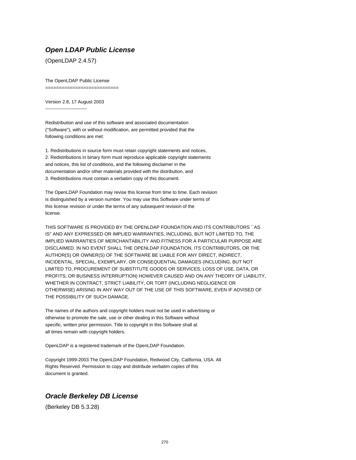## **Open LDAP Public License**

(OpenLDAP 2.4.57)

The OpenLDAP Public License ===========================

Version 2.8, 17 August 2003 ---------------------------

Redistribution and use of this software and associated documentation ("Software"), with or without modification, are permitted provided that the following conditions are met:

1. Redistributions in source form must retain copyright statements and notices, 2. Redistributions in binary form must reproduce applicable copyright statements and notices, this list of conditions, and the following disclaimer in the documentation and/or other materials provided with the distribution, and 3. Redistributions must contain a verbatim copy of this document.

The OpenLDAP Foundation may revise this license from time to time. Each revision is distinguished by a version number. You may use this Software under terms of this license revision or under the terms of any subsequent revision of the license.

THIS SOFTWARE IS PROVIDED BY THE OPENLDAP FOUNDATION AND ITS CONTRIBUTORS ``AS IS'' AND ANY EXPRESSED OR IMPLIED WARRANTIES, INCLUDING, BUT NOT LIMITED TO, THE IMPLIED WARRANTIES OF MERCHANTABILITY AND FITNESS FOR A PARTICULAR PURPOSE ARE DISCLAIMED. IN NO EVENT SHALL THE OPENLDAP FOUNDATION, ITS CONTRIBUTORS, OR THE AUTHOR(S) OR OWNER(S) OF THE SOFTWARE BE LIABLE FOR ANY DIRECT, INDIRECT, INCIDENTAL, SPECIAL, EXEMPLARY, OR CONSEQUENTIAL DAMAGES (INCLUDING, BUT NOT LIMITED TO, PROCUREMENT OF SUBSTITUTE GOODS OR SERVICES; LOSS OF USE, DATA, OR PROFITS; OR BUSINESS INTERRUPTION) HOWEVER CAUSED AND ON ANY THEORY OF LIABILITY, WHETHER IN CONTRACT, STRICT LIABILITY, OR TORT (INCLUDING NEGLIGENCE OR OTHERWISE) ARISING IN ANY WAY OUT OF THE USE OF THIS SOFTWARE, EVEN IF ADVISED OF THE POSSIBILITY OF SUCH DAMAGE.

The names of the authors and copyright holders must not be used in advertising or otherwise to promote the sale, use or other dealing in this Software without specific, written prior permission. Title to copyright in this Software shall at all times remain with copyright holders.

OpenLDAP is a registered trademark of the OpenLDAP Foundation.

Copyright 1999-2003 The OpenLDAP Foundation, Redwood City, California, USA. All Rights Reserved. Permission to copy and distribute verbatim copies of this document is granted.

## **Oracle Berkeley DB License**

(Berkeley DB 5.3.28)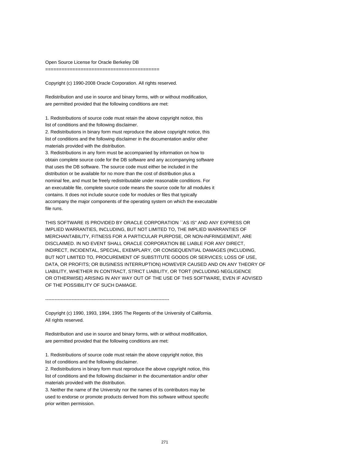Open Source License for Oracle Berkeley DB ==========================================

Copyright (c) 1990-2008 Oracle Corporation. All rights reserved.

Redistribution and use in source and binary forms, with or without modification, are permitted provided that the following conditions are met:

1. Redistributions of source code must retain the above copyright notice, this list of conditions and the following disclaimer.

2. Redistributions in binary form must reproduce the above copyright notice, this list of conditions and the following disclaimer in the documentation and/or other materials provided with the distribution.

3. Redistributions in any form must be accompanied by information on how to obtain complete source code for the DB software and any accompanying software that uses the DB software. The source code must either be included in the distribution or be available for no more than the cost of distribution plus a nominal fee, and must be freely redistributable under reasonable conditions. For an executable file, complete source code means the source code for all modules it contains. It does not include source code for modules or files that typically accompany the major components of the operating system on which the executable file runs.

THIS SOFTWARE IS PROVIDED BY ORACLE CORPORATION ``AS IS'' AND ANY EXPRESS OR IMPLIED WARRANTIES, INCLUDING, BUT NOT LIMITED TO, THE IMPLIED WARRANTIES OF MERCHANTABILITY, FITNESS FOR A PARTICULAR PURPOSE, OR NON-INFRINGEMENT, ARE DISCLAIMED. IN NO EVENT SHALL ORACLE CORPORATION BE LIABLE FOR ANY DIRECT, INDIRECT, INCIDENTAL, SPECIAL, EXEMPLARY, OR CONSEQUENTIAL DAMAGES (INCLUDING, BUT NOT LIMITED TO, PROCUREMENT OF SUBSTITUTE GOODS OR SERVICES; LOSS OF USE, DATA, OR PROFITS; OR BUSINESS INTERRUPTION) HOWEVER CAUSED AND ON ANY THEORY OF LIABILITY, WHETHER IN CONTRACT, STRICT LIABILITY, OR TORT (INCLUDING NEGLIGENCE OR OTHERWISE) ARISING IN ANY WAY OUT OF THE USE OF THIS SOFTWARE, EVEN IF ADVISED OF THE POSSIBILITY OF SUCH DAMAGE.

--------------------------------------------------------------------------------

Copyright (c) 1990, 1993, 1994, 1995 The Regents of the University of California. All rights reserved.

Redistribution and use in source and binary forms, with or without modification, are permitted provided that the following conditions are met:

1. Redistributions of source code must retain the above copyright notice, this list of conditions and the following disclaimer.

2. Redistributions in binary form must reproduce the above copyright notice, this list of conditions and the following disclaimer in the documentation and/or other materials provided with the distribution.

3. Neither the name of the University nor the names of its contributors may be used to endorse or promote products derived from this software without specific prior written permission.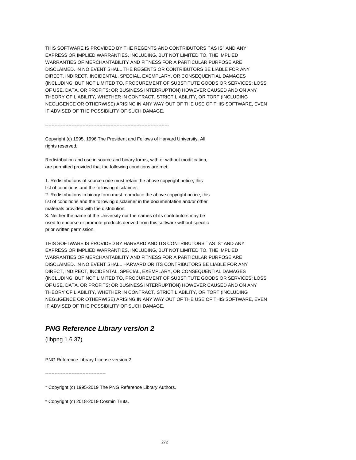THIS SOFTWARE IS PROVIDED BY THE REGENTS AND CONTRIBUTORS ``AS IS'' AND ANY EXPRESS OR IMPLIED WARRANTIES, INCLUDING, BUT NOT LIMITED TO, THE IMPLIED WARRANTIES OF MERCHANTABILITY AND FITNESS FOR A PARTICULAR PURPOSE ARE DISCLAIMED. IN NO EVENT SHALL THE REGENTS OR CONTRIBUTORS BE LIABLE FOR ANY DIRECT, INDIRECT, INCIDENTAL, SPECIAL, EXEMPLARY, OR CONSEQUENTIAL DAMAGES (INCLUDING, BUT NOT LIMITED TO, PROCUREMENT OF SUBSTITUTE GOODS OR SERVICES; LOSS OF USE, DATA, OR PROFITS; OR BUSINESS INTERRUPTION) HOWEVER CAUSED AND ON ANY THEORY OF LIABILITY, WHETHER IN CONTRACT, STRICT LIABILITY, OR TORT (INCLUDING NEGLIGENCE OR OTHERWISE) ARISING IN ANY WAY OUT OF THE USE OF THIS SOFTWARE, EVEN IF ADVISED OF THE POSSIBILITY OF SUCH DAMAGE.

--------------------------------------------------------------------------------

Copyright (c) 1995, 1996 The President and Fellows of Harvard University. All rights reserved.

Redistribution and use in source and binary forms, with or without modification, are permitted provided that the following conditions are met:

1. Redistributions of source code must retain the above copyright notice, this list of conditions and the following disclaimer.

2. Redistributions in binary form must reproduce the above copyright notice, this list of conditions and the following disclaimer in the documentation and/or other materials provided with the distribution.

3. Neither the name of the University nor the names of its contributors may be used to endorse or promote products derived from this software without specific prior written permission.

THIS SOFTWARE IS PROVIDED BY HARVARD AND ITS CONTRIBUTORS ``AS IS'' AND ANY EXPRESS OR IMPLIED WARRANTIES, INCLUDING, BUT NOT LIMITED TO, THE IMPLIED WARRANTIES OF MERCHANTABILITY AND FITNESS FOR A PARTICULAR PURPOSE ARE DISCLAIMED. IN NO EVENT SHALL HARVARD OR ITS CONTRIBUTORS BE LIABLE FOR ANY DIRECT, INDIRECT, INCIDENTAL, SPECIAL, EXEMPLARY, OR CONSEQUENTIAL DAMAGES (INCLUDING, BUT NOT LIMITED TO, PROCUREMENT OF SUBSTITUTE GOODS OR SERVICES; LOSS OF USE, DATA, OR PROFITS; OR BUSINESS INTERRUPTION) HOWEVER CAUSED AND ON ANY THEORY OF LIABILITY, WHETHER IN CONTRACT, STRICT LIABILITY, OR TORT (INCLUDING NEGLIGENCE OR OTHERWISE) ARISING IN ANY WAY OUT OF THE USE OF THIS SOFTWARE, EVEN IF ADVISED OF THE POSSIBILITY OF SUCH DAMAGE.

# **PNG Reference Library version 2**

(libpng 1.6.37)

PNG Reference Library License version 2

---------------------------------------

\* Copyright (c) 1995-2019 The PNG Reference Library Authors.

\* Copyright (c) 2018-2019 Cosmin Truta.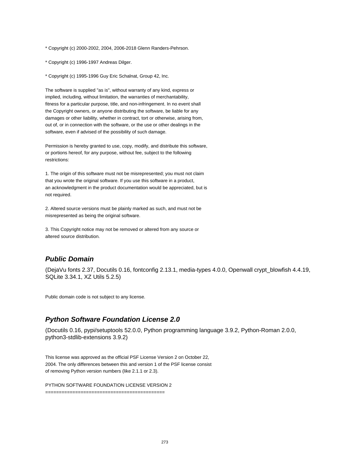- \* Copyright (c) 2000-2002, 2004, 2006-2018 Glenn Randers-Pehrson.
- \* Copyright (c) 1996-1997 Andreas Dilger.
- \* Copyright (c) 1995-1996 Guy Eric Schalnat, Group 42, Inc.

The software is supplied "as is", without warranty of any kind, express or implied, including, without limitation, the warranties of merchantability, fitness for a particular purpose, title, and non-infringement. In no event shall the Copyright owners, or anyone distributing the software, be liable for any damages or other liability, whether in contract, tort or otherwise, arising from, out of, or in connection with the software, or the use or other dealings in the software, even if advised of the possibility of such damage.

Permission is hereby granted to use, copy, modify, and distribute this software, or portions hereof, for any purpose, without fee, subject to the following restrictions:

1. The origin of this software must not be misrepresented; you must not claim that you wrote the original software. If you use this software in a product, an acknowledgment in the product documentation would be appreciated, but is not required.

2. Altered source versions must be plainly marked as such, and must not be misrepresented as being the original software.

3. This Copyright notice may not be removed or altered from any source or altered source distribution.

## **Public Domain**

(DejaVu fonts 2.37, Docutils 0.16, fontconfig 2.13.1, media-types 4.0.0, Openwall crypt\_blowfish 4.4.19, SQLite 3.34.1, XZ Utils 5.2.5)

Public domain code is not subject to any license.

## **Python Software Foundation License 2.0**

(Docutils 0.16, pypi/setuptools 52.0.0, Python programming language 3.9.2, Python-Roman 2.0.0, python3-stdlib-extensions 3.9.2)

This license was approved as the official PSF License Version 2 on October 22, 2004. The only differences between this and version 1 of the PSF license consist of removing Python version numbers (like 2.1.1 or 2.3).

PYTHON SOFTWARE FOUNDATION LICENSE VERSION 2

============================================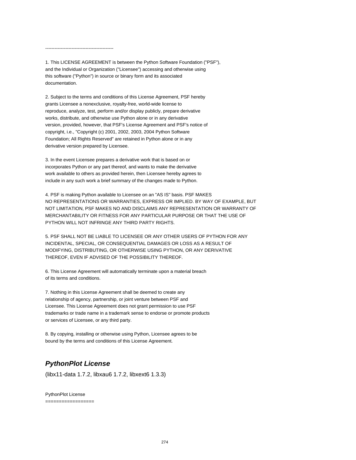--------------------------------------------

1. This LICENSE AGREEMENT is between the Python Software Foundation ("PSF"), and the Individual or Organization ("Licensee") accessing and otherwise using this software ("Python") in source or binary form and its associated documentation.

2. Subject to the terms and conditions of this License Agreement, PSF hereby grants Licensee a nonexclusive, royalty-free, world-wide license to reproduce, analyze, test, perform and/or display publicly, prepare derivative works, distribute, and otherwise use Python alone or in any derivative version, provided, however, that PSF's License Agreement and PSF's notice of copyright, i.e., "Copyright (c) 2001, 2002, 2003, 2004 Python Software Foundation; All Rights Reserved" are retained in Python alone or in any derivative version prepared by Licensee.

3. In the event Licensee prepares a derivative work that is based on or incorporates Python or any part thereof, and wants to make the derivative work available to others as provided herein, then Licensee hereby agrees to include in any such work a brief summary of the changes made to Python.

4. PSF is making Python available to Licensee on an "AS IS" basis. PSF MAKES NO REPRESENTATIONS OR WARRANTIES, EXPRESS OR IMPLIED. BY WAY OF EXAMPLE, BUT NOT LIMITATION, PSF MAKES NO AND DISCLAIMS ANY REPRESENTATION OR WARRANTY OF MERCHANTABILITY OR FITNESS FOR ANY PARTICULAR PURPOSE OR THAT THE USE OF PYTHON WILL NOT INFRINGE ANY THIRD PARTY RIGHTS.

5. PSF SHALL NOT BE LIABLE TO LICENSEE OR ANY OTHER USERS OF PYTHON FOR ANY INCIDENTAL, SPECIAL, OR CONSEQUENTIAL DAMAGES OR LOSS AS A RESULT OF MODIFYING, DISTRIBUTING, OR OTHERWISE USING PYTHON, OR ANY DERIVATIVE THEREOF, EVEN IF ADVISED OF THE POSSIBILITY THEREOF.

6. This License Agreement will automatically terminate upon a material breach of its terms and conditions.

7. Nothing in this License Agreement shall be deemed to create any relationship of agency, partnership, or joint venture between PSF and Licensee. This License Agreement does not grant permission to use PSF trademarks or trade name in a trademark sense to endorse or promote products or services of Licensee, or any third party.

8. By copying, installing or otherwise using Python, Licensee agrees to be bound by the terms and conditions of this License Agreement.

# **PythonPlot License**

(libx11-data 1.7.2, libxau6 1.7.2, libxext6 1.3.3)

PythonPlot License ==================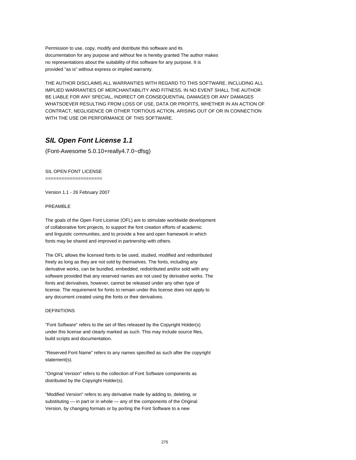Permission to use, copy, modify and distribute this software and its documentation for any purpose and without fee is hereby granted The author makes no representations about the suitability of this software for any purpose. It is provided "as is" without express or implied warranty.

THE AUTHOR DISCLAIMS ALL WARRANTIES WITH REGARD TO THIS SOFTWARE, INCLUDING ALL IMPLIED WARRANTIES OF MERCHANTABILITY AND FITNESS. IN NO EVENT SHALL THE AUTHOR BE LIABLE FOR ANY SPECIAL, INDIRECT OR CONSEQUENTIAL DAMAGES OR ANY DAMAGES WHATSOEVER RESULTING FROM LOSS OF USE, DATA OR PROFITS, WHETHER IN AN ACTION OF CONTRACT, NEGLIGENCE OR OTHER TORTIOUS ACTION, ARISING OUT OF OR IN CONNECTION WITH THE USE OR PERFORMANCE OF THIS SOFTWARE.

## **SIL Open Font License 1.1**

(Font-Awesome 5.0.10+really4.7.0~dfsg)

## SIL OPEN FONT LICENSE

=====================

Version 1.1 - 26 February 2007

### PREAMBLE

The goals of the Open Font License (OFL) are to stimulate worldwide development of collaborative font projects, to support the font creation efforts of academic and linguistic communities, and to provide a free and open framework in which fonts may be shared and improved in partnership with others.

The OFL allows the licensed fonts to be used, studied, modified and redistributed freely as long as they are not sold by themselves. The fonts, including any derivative works, can be bundled, embedded, redistributed and/or sold with any software provided that any reserved names are not used by derivative works. The fonts and derivatives, however, cannot be released under any other type of license. The requirement for fonts to remain under this license does not apply to any document created using the fonts or their derivatives.

### DEFINITIONS

"Font Software" refers to the set of files released by the Copyright Holder(s) under this license and clearly marked as such. This may include source files, build scripts and documentation.

"Reserved Font Name" refers to any names specified as such after the copyright statement(s).

"Original Version" refers to the collection of Font Software components as distributed by the Copyright Holder(s).

"Modified Version" refers to any derivative made by adding to, deleting, or substituting — in part or in whole — any of the components of the Original Version, by changing formats or by porting the Font Software to a new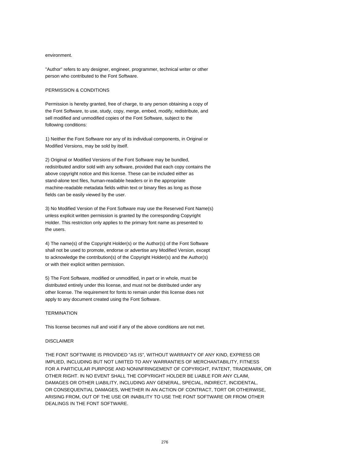#### environment.

"Author" refers to any designer, engineer, programmer, technical writer or other person who contributed to the Font Software.

## PERMISSION & CONDITIONS

Permission is hereby granted, free of charge, to any person obtaining a copy of the Font Software, to use, study, copy, merge, embed, modify, redistribute, and sell modified and unmodified copies of the Font Software, subject to the following conditions:

1) Neither the Font Software nor any of its individual components, in Original or Modified Versions, may be sold by itself.

2) Original or Modified Versions of the Font Software may be bundled, redistributed and/or sold with any software, provided that each copy contains the above copyright notice and this license. These can be included either as stand-alone text files, human-readable headers or in the appropriate machine-readable metadata fields within text or binary files as long as those fields can be easily viewed by the user.

3) No Modified Version of the Font Software may use the Reserved Font Name(s) unless explicit written permission is granted by the corresponding Copyright Holder. This restriction only applies to the primary font name as presented to the users.

4) The name(s) of the Copyright Holder(s) or the Author(s) of the Font Software shall not be used to promote, endorse or advertise any Modified Version, except to acknowledge the contribution(s) of the Copyright Holder(s) and the Author(s) or with their explicit written permission.

5) The Font Software, modified or unmodified, in part or in whole, must be distributed entirely under this license, and must not be distributed under any other license. The requirement for fonts to remain under this license does not apply to any document created using the Font Software.

## **TERMINATION**

This license becomes null and void if any of the above conditions are not met.

### DISCLAIMER

THE FONT SOFTWARE IS PROVIDED "AS IS", WITHOUT WARRANTY OF ANY KIND, EXPRESS OR IMPLIED, INCLUDING BUT NOT LIMITED TO ANY WARRANTIES OF MERCHANTABILITY, FITNESS FOR A PARTICULAR PURPOSE AND NONINFRINGEMENT OF COPYRIGHT, PATENT, TRADEMARK, OR OTHER RIGHT. IN NO EVENT SHALL THE COPYRIGHT HOLDER BE LIABLE FOR ANY CLAIM, DAMAGES OR OTHER LIABILITY, INCLUDING ANY GENERAL, SPECIAL, INDIRECT, INCIDENTAL, OR CONSEQUENTIAL DAMAGES, WHETHER IN AN ACTION OF CONTRACT, TORT OR OTHERWISE, ARISING FROM, OUT OF THE USE OR INABILITY TO USE THE FONT SOFTWARE OR FROM OTHER DEALINGS IN THE FONT SOFTWARE.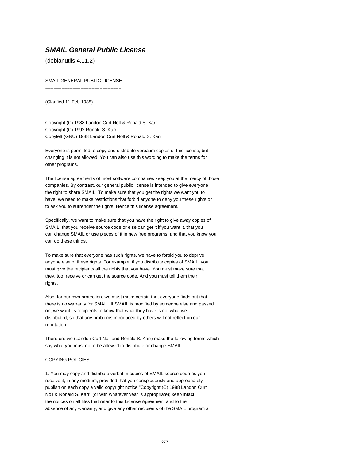## **SMAIL General Public License**

(debianutils 4.11.2)

SMAIL GENERAL PUBLIC LICENSE ============================

(Clarified 11 Feb 1988) -----------------------

Copyright (C) 1988 Landon Curt Noll & Ronald S. Karr Copyright (C) 1992 Ronald S. Karr Copyleft (GNU) 1988 Landon Curt Noll & Ronald S. Karr

Everyone is permitted to copy and distribute verbatim copies of this license, but changing it is not allowed. You can also use this wording to make the terms for other programs.

The license agreements of most software companies keep you at the mercy of those companies. By contrast, our general public license is intended to give everyone the right to share SMAIL. To make sure that you get the rights we want you to have, we need to make restrictions that forbid anyone to deny you these rights or to ask you to surrender the rights. Hence this license agreement.

Specifically, we want to make sure that you have the right to give away copies of SMAIL, that you receive source code or else can get it if you want it, that you can change SMAIL or use pieces of it in new free programs, and that you know you can do these things.

To make sure that everyone has such rights, we have to forbid you to deprive anyone else of these rights. For example, if you distribute copies of SMAIL, you must give the recipients all the rights that you have. You must make sure that they, too, receive or can get the source code. And you must tell them their rights.

Also, for our own protection, we must make certain that everyone finds out that there is no warranty for SMAIL. If SMAIL is modified by someone else and passed on, we want its recipients to know that what they have is not what we distributed, so that any problems introduced by others will not reflect on our reputation.

Therefore we (Landon Curt Noll and Ronald S. Karr) make the following terms which say what you must do to be allowed to distribute or change SMAIL.

## COPYING POLICIES

1. You may copy and distribute verbatim copies of SMAIL source code as you receive it, in any medium, provided that you conspicuously and appropriately publish on each copy a valid copyright notice "Copyright (C) 1988 Landon Curt Noll & Ronald S. Karr" (or with whatever year is appropriate); keep intact the notices on all files that refer to this License Agreement and to the absence of any warranty; and give any other recipients of the SMAIL program a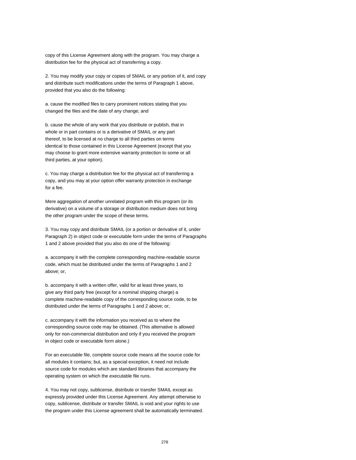copy of this License Agreement along with the program. You may charge a distribution fee for the physical act of transferring a copy.

2. You may modify your copy or copies of SMAIL or any portion of it, and copy and distribute such modifications under the terms of Paragraph 1 above, provided that you also do the following:

a. cause the modified files to carry prominent notices stating that you changed the files and the date of any change; and

b. cause the whole of any work that you distribute or publish, that in whole or in part contains or is a derivative of SMAIL or any part thereof, to be licensed at no charge to all third parties on terms identical to those contained in this License Agreement (except that you may choose to grant more extensive warranty protection to some or all third parties, at your option).

c. You may charge a distribution fee for the physical act of transferring a copy, and you may at your option offer warranty protection in exchange for a fee.

Mere aggregation of another unrelated program with this program (or its derivative) on a volume of a storage or distribution medium does not bring the other program under the scope of these terms.

3. You may copy and distribute SMAIL (or a portion or derivative of it, under Paragraph 2) in object code or executable form under the terms of Paragraphs 1 and 2 above provided that you also do one of the following:

a. accompany it with the complete corresponding machine-readable source code, which must be distributed under the terms of Paragraphs 1 and 2 above; or,

b. accompany it with a written offer, valid for at least three years, to give any third party free (except for a nominal shipping charge) a complete machine-readable copy of the corresponding source code, to be distributed under the terms of Paragraphs 1 and 2 above; or,

c. accompany it with the information you received as to where the corresponding source code may be obtained. (This alternative is allowed only for non-commercial distribution and only if you received the program in object code or executable form alone.)

For an executable file, complete source code means all the source code for all modules it contains; but, as a special exception, it need not include source code for modules which are standard libraries that accompany the operating system on which the executable file runs.

4. You may not copy, sublicense, distribute or transfer SMAIL except as expressly provided under this License Agreement. Any attempt otherwise to copy, sublicense, distribute or transfer SMAIL is void and your rights to use the program under this License agreement shall be automatically terminated.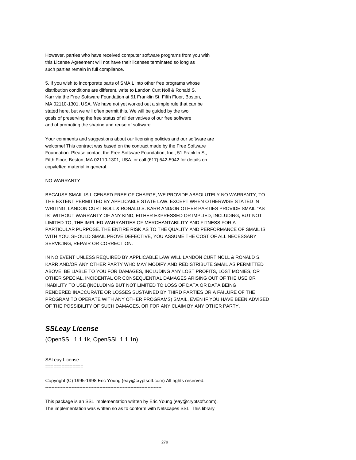However, parties who have received computer software programs from you with this License Agreement will not have their licenses terminated so long as such parties remain in full compliance.

5. If you wish to incorporate parts of SMAIL into other free programs whose distribution conditions are different, write to Landon Curt Noll & Ronald S. Karr via the Free Software Foundation at 51 Franklin St, Fifth Floor, Boston, MA 02110-1301, USA. We have not yet worked out a simple rule that can be stated here, but we will often permit this. We will be guided by the two goals of preserving the free status of all derivatives of our free software and of promoting the sharing and reuse of software.

Your comments and suggestions about our licensing policies and our software are welcome! This contract was based on the contract made by the Free Software Foundation. Please contact the Free Software Foundation, Inc., 51 Franklin St, Fifth Floor, Boston, MA 02110-1301, USA, or call (617) 542-5942 for details on copylefted material in general.

### NO WARRANTY

BECAUSE SMAIL IS LICENSED FREE OF CHARGE, WE PROVIDE ABSOLUTELY NO WARRANTY, TO THE EXTENT PERMITTED BY APPLICABLE STATE LAW. EXCEPT WHEN OTHERWISE STATED IN WRITING, LANDON CURT NOLL & RONALD S. KARR AND/OR OTHER PARTIES PROVIDE SMAIL "AS IS" WITHOUT WARRANTY OF ANY KIND, EITHER EXPRESSED OR IMPLIED, INCLUDING, BUT NOT LIMITED TO, THE IMPLIED WARRANTIES OF MERCHANTABILITY AND FITNESS FOR A PARTICULAR PURPOSE. THE ENTIRE RISK AS TO THE QUALITY AND PERFORMANCE OF SMAIL IS WITH YOU. SHOULD SMAIL PROVE DEFECTIVE, YOU ASSUME THE COST OF ALL NECESSARY SERVICING, REPAIR OR CORRECTION.

IN NO EVENT UNLESS REQUIRED BY APPLICABLE LAW WILL LANDON CURT NOLL & RONALD S. KARR AND/OR ANY OTHER PARTY WHO MAY MODIFY AND REDISTRIBUTE SMAIL AS PERMITTED ABOVE, BE LIABLE TO YOU FOR DAMAGES, INCLUDING ANY LOST PROFITS, LOST MONIES, OR OTHER SPECIAL, INCIDENTAL OR CONSEQUENTIAL DAMAGES ARISING OUT OF THE USE OR INABILITY TO USE (INCLUDING BUT NOT LIMITED TO LOSS OF DATA OR DATA BEING RENDERED INACCURATE OR LOSSES SUSTAINED BY THIRD PARTIES OR A FAILURE OF THE PROGRAM TO OPERATE WITH ANY OTHER PROGRAMS) SMAIL, EVEN IF YOU HAVE BEEN ADVISED OF THE POSSIBILITY OF SUCH DAMAGES, OR FOR ANY CLAIM BY ANY OTHER PARTY.

## **SSLeay License**

(OpenSSL 1.1.1k, OpenSSL 1.1.1n)

## SSLeay License

==============

Copyright (C) 1995-1998 Eric Young (eay@cryptsoft.com) All rights reserved. ---------------------------------------------------------------------------

This package is an SSL implementation written by Eric Young (eay@cryptsoft.com). The implementation was written so as to conform with Netscapes SSL. This library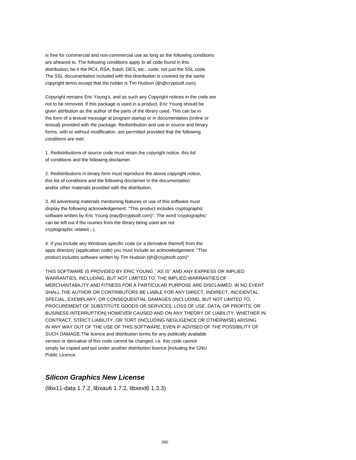is free for commercial and non-commercial use as long as the following conditions are aheared to. The following conditions apply to all code found in this distribution, be it the RC4, RSA, lhash, DES, etc., code; not just the SSL code. The SSL documentation included with this distribution is covered by the same copyright terms except that the holder is Tim Hudson (tjh@cryptsoft.com).

Copyright remains Eric Young's, and as such any Copyright notices in the code are not to be removed. If this package is used in a product, Eric Young should be given attribution as the author of the parts of the library used. This can be in the form of a textual message at program startup or in documentation (online or textual) provided with the package. Redistribution and use in source and binary forms, with or without modification, are permitted provided that the following conditions are met:

1. Redistributions of source code must retain the copyright notice, this list of conditions and the following disclaimer.

2. Redistributions in binary form must reproduce the above copyright notice, this list of conditions and the following disclaimer in the documentation and/or other materials provided with the distribution.

3. All advertising materials mentioning features or use of this software must display the following acknowledgement: "This product includes cryptographic software written by Eric Young (eay@cryptsoft.com)". The word 'cryptographic' can be left out if the rouines from the library being used are not cryptographic related :-).

4. If you include any Windows specific code (or a derivative thereof) from the apps directory (application code) you must include an acknowledgement: "This product includes software written by Tim Hudson (tjh@cryptsoft.com)"

THIS SOFTWARE IS PROVIDED BY ERIC YOUNG ``AS IS'' AND ANY EXPRESS OR IMPLIED WARRANTIES, INCLUDING, BUT NOT LIMITED TO, THE IMPLIED WARRANTIES OF MERCHANTABILITY AND FITNESS FOR A PARTICULAR PURPOSE ARE DISCLAIMED. IN NO EVENT SHALL THE AUTHOR OR CONTRIBUTORS BE LIABLE FOR ANY DIRECT, INDIRECT, INCIDENTAL, SPECIAL, EXEMPLARY, OR CONSEQUENTIAL DAMAGES (INCLUDING, BUT NOT LIMITED TO, PROCUREMENT OF SUBSTITUTE GOODS OR SERVICES; LOSS OF USE, DATA, OR PROFITS; OR BUSINESS INTERRUPTION) HOWEVER CAUSED AND ON ANY THEORY OF LIABILITY, WHETHER IN CONTRACT, STRICT LIABILITY, OR TORT (INCLUDING NEGLIGENCE OR OTHERWISE) ARISING IN ANY WAY OUT OF THE USE OF THIS SOFTWARE, EVEN IF ADVISED OF THE POSSIBILITY OF SUCH DAMAGE.The licence and distribution terms for any publically available version or derivative of this code cannot be changed. i.e. this code cannot simply be copied and put under another distribution licence [including the GNU Public Licence.

## **Silicon Graphics New License**

(libx11-data 1.7.2, libxau6 1.7.2, libxext6 1.3.3)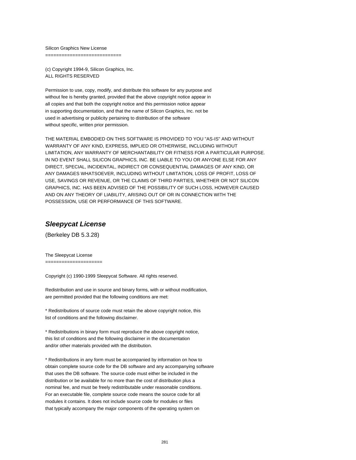Silicon Graphics New License

===========================

(c) Copyright 1994-9, Silicon Graphics, Inc. ALL RIGHTS RESERVED

Permission to use, copy, modify, and distribute this software for any purpose and without fee is hereby granted, provided that the above copyright notice appear in all copies and that both the copyright notice and this permission notice appear in supporting documentation, and that the name of Silicon Graphics, Inc. not be used in advertising or publicity pertaining to distribution of the software without specific, written prior permission.

THE MATERIAL EMBODIED ON THIS SOFTWARE IS PROVIDED TO YOU "AS-IS" AND WITHOUT WARRANTY OF ANY KIND, EXPRESS, IMPLIED OR OTHERWISE, INCLUDING WITHOUT LIMITATION, ANY WARRANTY OF MERCHANTABILITY OR FITNESS FOR A PARTICULAR PURPOSE. IN NO EVENT SHALL SILICON GRAPHICS, INC. BE LIABLE TO YOU OR ANYONE ELSE FOR ANY DIRECT, SPECIAL, INCIDENTAL, INDIRECT OR CONSEQUENTIAL DAMAGES OF ANY KIND, OR ANY DAMAGES WHATSOEVER, INCLUDING WITHOUT LIMITATION, LOSS OF PROFIT, LOSS OF USE, SAVINGS OR REVENUE, OR THE CLAIMS OF THIRD PARTIES, WHETHER OR NOT SILICON GRAPHICS, INC. HAS BEEN ADVISED OF THE POSSIBILITY OF SUCH LOSS, HOWEVER CAUSED AND ON ANY THEORY OF LIABILITY, ARISING OUT OF OR IN CONNECTION WITH THE POSSESSION, USE OR PERFORMANCE OF THIS SOFTWARE.

## **Sleepycat License**

(Berkeley DB 5.3.28)

The Sleepycat License

=====================

Copyright (c) 1990-1999 Sleepycat Software. All rights reserved.

Redistribution and use in source and binary forms, with or without modification, are permitted provided that the following conditions are met:

\* Redistributions of source code must retain the above copyright notice, this list of conditions and the following disclaimer.

\* Redistributions in binary form must reproduce the above copyright notice, this list of conditions and the following disclaimer in the documentation and/or other materials provided with the distribution.

\* Redistributions in any form must be accompanied by information on how to obtain complete source code for the DB software and any accompanying software that uses the DB software. The source code must either be included in the distribution or be available for no more than the cost of distribution plus a nominal fee, and must be freely redistributable under reasonable conditions. For an executable file, complete source code means the source code for all modules it contains. It does not include source code for modules or files that typically accompany the major components of the operating system on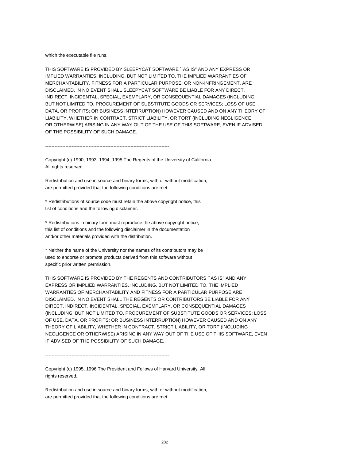### which the executable file runs.

THIS SOFTWARE IS PROVIDED BY SLEEPYCAT SOFTWARE ``AS IS'' AND ANY EXPRESS OR IMPLIED WARRANTIES, INCLUDING, BUT NOT LIMITED TO, THE IMPLIED WARRANTIES OF MERCHANTABILITY, FITNESS FOR A PARTICULAR PURPOSE, OR NON-INFRINGEMENT, ARE DISCLAIMED. IN NO EVENT SHALL SLEEPYCAT SOFTWARE BE LIABLE FOR ANY DIRECT, INDIRECT, INCIDENTAL, SPECIAL, EXEMPLARY, OR CONSEQUENTIAL DAMAGES (INCLUDING, BUT NOT LIMITED TO, PROCUREMENT OF SUBSTITUTE GOODS OR SERVICES; LOSS OF USE, DATA, OR PROFITS; OR BUSINESS INTERRUPTION) HOWEVER CAUSED AND ON ANY THEORY OF LIABILITY, WHETHER IN CONTRACT, STRICT LIABILITY, OR TORT (INCLUDING NEGLIGENCE OR OTHERWISE) ARISING IN ANY WAY OUT OF THE USE OF THIS SOFTWARE, EVEN IF ADVISED OF THE POSSIBILITY OF SUCH DAMAGE.

--------------------------------------------------------------------------------

Copyright (c) 1990, 1993, 1994, 1995 The Regents of the University of California. All rights reserved.

Redistribution and use in source and binary forms, with or without modification, are permitted provided that the following conditions are met:

\* Redistributions of source code must retain the above copyright notice, this list of conditions and the following disclaimer.

\* Redistributions in binary form must reproduce the above copyright notice, this list of conditions and the following disclaimer in the documentation and/or other materials provided with the distribution.

\* Neither the name of the University nor the names of its contributors may be used to endorse or promote products derived from this software without specific prior written permission.

THIS SOFTWARE IS PROVIDED BY THE REGENTS AND CONTRIBUTORS ``AS IS'' AND ANY EXPRESS OR IMPLIED WARRANTIES, INCLUDING, BUT NOT LIMITED TO, THE IMPLIED WARRANTIES OF MERCHANTABILITY AND FITNESS FOR A PARTICULAR PURPOSE ARE DISCLAIMED. IN NO EVENT SHALL THE REGENTS OR CONTRIBUTORS BE LIABLE FOR ANY DIRECT, INDIRECT, INCIDENTAL, SPECIAL, EXEMPLARY, OR CONSEQUENTIAL DAMAGES (INCLUDING, BUT NOT LIMITED TO, PROCUREMENT OF SUBSTITUTE GOODS OR SERVICES; LOSS OF USE, DATA, OR PROFITS; OR BUSINESS INTERRUPTION) HOWEVER CAUSED AND ON ANY THEORY OF LIABILITY, WHETHER IN CONTRACT, STRICT LIABILITY, OR TORT (INCLUDING NEGLIGENCE OR OTHERWISE) ARISING IN ANY WAY OUT OF THE USE OF THIS SOFTWARE, EVEN IF ADVISED OF THE POSSIBILITY OF SUCH DAMAGE.

--------------------------------------------------------------------------------

Copyright (c) 1995, 1996 The President and Fellows of Harvard University. All rights reserved.

Redistribution and use in source and binary forms, with or without modification, are permitted provided that the following conditions are met: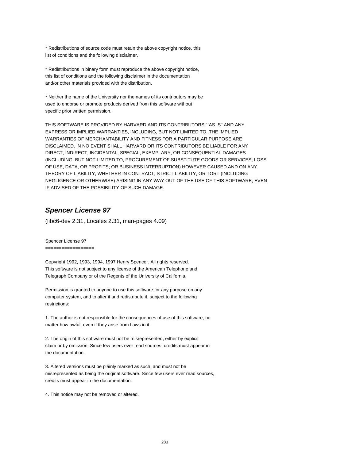\* Redistributions of source code must retain the above copyright notice, this list of conditions and the following disclaimer.

\* Redistributions in binary form must reproduce the above copyright notice, this list of conditions and the following disclaimer in the documentation and/or other materials provided with the distribution.

\* Neither the name of the University nor the names of its contributors may be used to endorse or promote products derived from this software without specific prior written permission.

THIS SOFTWARE IS PROVIDED BY HARVARD AND ITS CONTRIBUTORS ``AS IS'' AND ANY EXPRESS OR IMPLIED WARRANTIES, INCLUDING, BUT NOT LIMITED TO, THE IMPLIED WARRANTIES OF MERCHANTABILITY AND FITNESS FOR A PARTICULAR PURPOSE ARE DISCLAIMED. IN NO EVENT SHALL HARVARD OR ITS CONTRIBUTORS BE LIABLE FOR ANY DIRECT, INDIRECT, INCIDENTAL, SPECIAL, EXEMPLARY, OR CONSEQUENTIAL DAMAGES (INCLUDING, BUT NOT LIMITED TO, PROCUREMENT OF SUBSTITUTE GOODS OR SERVICES; LOSS OF USE, DATA, OR PROFITS; OR BUSINESS INTERRUPTION) HOWEVER CAUSED AND ON ANY THEORY OF LIABILITY, WHETHER IN CONTRACT, STRICT LIABILITY, OR TORT (INCLUDING NEGLIGENCE OR OTHERWISE) ARISING IN ANY WAY OUT OF THE USE OF THIS SOFTWARE, EVEN IF ADVISED OF THE POSSIBILITY OF SUCH DAMAGE.

# **Spencer License 97**

(libc6-dev 2.31, Locales 2.31, man-pages 4.09)

Spencer License 97

==================

Copyright 1992, 1993, 1994, 1997 Henry Spencer. All rights reserved. This software is not subject to any license of the American Telephone and Telegraph Company or of the Regents of the University of California.

Permission is granted to anyone to use this software for any purpose on any computer system, and to alter it and redistribute it, subject to the following restrictions:

1. The author is not responsible for the consequences of use of this software, no matter how awful, even if they arise from flaws in it.

2. The origin of this software must not be misrepresented, either by explicit claim or by omission. Since few users ever read sources, credits must appear in the documentation.

3. Altered versions must be plainly marked as such, and must not be misrepresented as being the original software. Since few users ever read sources, credits must appear in the documentation.

4. This notice may not be removed or altered.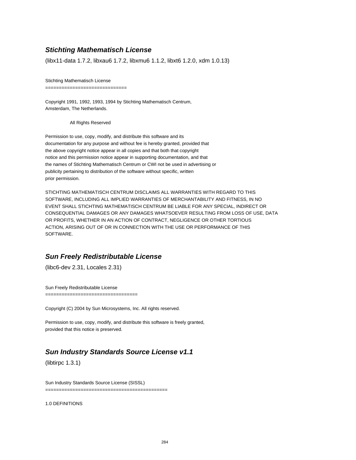## **Stichting Mathematisch License**

(libx11-data 1.7.2, libxau6 1.7.2, libxmu6 1.1.2, libxt6 1.2.0, xdm 1.0.13)

Stichting Mathematisch License

==============================

Copyright 1991, 1992, 1993, 1994 by Stichting Mathematisch Centrum, Amsterdam, The Netherlands.

All Rights Reserved

Permission to use, copy, modify, and distribute this software and its documentation for any purpose and without fee is hereby granted, provided that the above copyright notice appear in all copies and that both that copyright notice and this permission notice appear in supporting documentation, and that the names of Stichting Mathematisch Centrum or CWI not be used in advertising or publicity pertaining to distribution of the software without specific, written prior permission.

STICHTING MATHEMATISCH CENTRUM DISCLAIMS ALL WARRANTIES WITH REGARD TO THIS SOFTWARE, INCLUDING ALL IMPLIED WARRANTIES OF MERCHANTABILITY AND FITNESS, IN NO EVENT SHALL STICHTING MATHEMATISCH CENTRUM BE LIABLE FOR ANY SPECIAL, INDIRECT OR CONSEQUENTIAL DAMAGES OR ANY DAMAGES WHATSOEVER RESULTING FROM LOSS OF USE, DATA OR PROFITS, WHETHER IN AN ACTION OF CONTRACT, NEGLIGENCE OR OTHER TORTIOUS ACTION, ARISING OUT OF OR IN CONNECTION WITH THE USE OR PERFORMANCE OF THIS SOFTWARE.

## **Sun Freely Redistributable License**

(libc6-dev 2.31, Locales 2.31)

Sun Freely Redistributable License ==================================

Copyright (C) 2004 by Sun Microsystems, Inc. All rights reserved.

Permission to use, copy, modify, and distribute this software is freely granted, provided that this notice is preserved.

## **Sun Industry Standards Source License v1.1**

(libtirpc 1.3.1)

Sun Industry Standards Source License (SISSL) =============================================

1.0 DEFINITIONS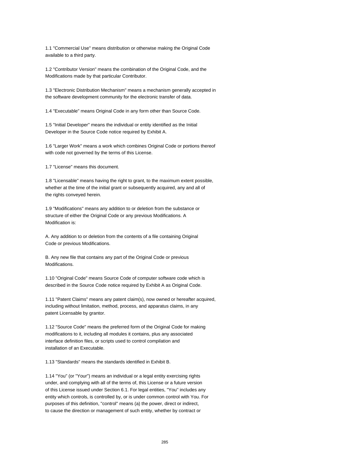1.1 "Commercial Use" means distribution or otherwise making the Original Code available to a third party.

1.2 "Contributor Version" means the combination of the Original Code, and the Modifications made by that particular Contributor.

1.3 "Electronic Distribution Mechanism" means a mechanism generally accepted in the software development community for the electronic transfer of data.

1.4 "Executable" means Original Code in any form other than Source Code.

1.5 "Initial Developer" means the individual or entity identified as the Initial Developer in the Source Code notice required by Exhibit A.

1.6 "Larger Work" means a work which combines Original Code or portions thereof with code not governed by the terms of this License.

1.7 "License" means this document.

1.8 "Licensable" means having the right to grant, to the maximum extent possible, whether at the time of the initial grant or subsequently acquired, any and all of the rights conveyed herein.

1.9 "Modifications" means any addition to or deletion from the substance or structure of either the Original Code or any previous Modifications. A Modification is:

A. Any addition to or deletion from the contents of a file containing Original Code or previous Modifications.

B. Any new file that contains any part of the Original Code or previous Modifications.

1.10 "Original Code" means Source Code of computer software code which is described in the Source Code notice required by Exhibit A as Original Code.

1.11 "Patent Claims" means any patent claim(s), now owned or hereafter acquired, including without limitation, method, process, and apparatus claims, in any patent Licensable by grantor.

1.12 "Source Code" means the preferred form of the Original Code for making modifications to it, including all modules it contains, plus any associated interface definition files, or scripts used to control compilation and installation of an Executable.

1.13 "Standards" means the standards identified in Exhibit B.

1.14 "You" (or "Your") means an individual or a legal entity exercising rights under, and complying with all of the terms of, this License or a future version of this License issued under Section 6.1. For legal entities, "You'' includes any entity which controls, is controlled by, or is under common control with You. For purposes of this definition, "control'' means (a) the power, direct or indirect, to cause the direction or management of such entity, whether by contract or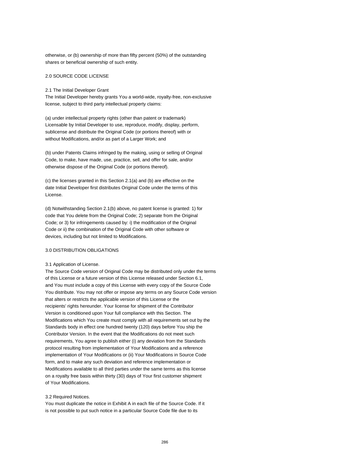otherwise, or (b) ownership of more than fifty percent (50%) of the outstanding shares or beneficial ownership of such entity.

### 2.0 SOURCE CODE LICENSE

#### 2.1 The Initial Developer Grant

The Initial Developer hereby grants You a world-wide, royalty-free, non-exclusive license, subject to third party intellectual property claims:

(a) under intellectual property rights (other than patent or trademark) Licensable by Initial Developer to use, reproduce, modify, display, perform, sublicense and distribute the Original Code (or portions thereof) with or without Modifications, and/or as part of a Larger Work; and

(b) under Patents Claims infringed by the making, using or selling of Original Code, to make, have made, use, practice, sell, and offer for sale, and/or otherwise dispose of the Original Code (or portions thereof).

(c) the licenses granted in this Section 2.1(a) and (b) are effective on the date Initial Developer first distributes Original Code under the terms of this License.

(d) Notwithstanding Section 2.1(b) above, no patent license is granted: 1) for code that You delete from the Original Code; 2) separate from the Original Code; or 3) for infringements caused by: i) the modification of the Original Code or ii) the combination of the Original Code with other software or devices, including but not limited to Modifications.

### 3.0 DISTRIBUTION OBLIGATIONS

### 3.1 Application of License.

The Source Code version of Original Code may be distributed only under the terms of this License or a future version of this License released under Section 6.1, and You must include a copy of this License with every copy of the Source Code You distribute. You may not offer or impose any terms on any Source Code version that alters or restricts the applicable version of this License or the recipients' rights hereunder. Your license for shipment of the Contributor Version is conditioned upon Your full compliance with this Section. The Modifications which You create must comply with all requirements set out by the Standards body in effect one hundred twenty (120) days before You ship the Contributor Version. In the event that the Modifications do not meet such requirements, You agree to publish either (i) any deviation from the Standards protocol resulting from implementation of Your Modifications and a reference implementation of Your Modifications or (ii) Your Modifications in Source Code form, and to make any such deviation and reference implementation or Modifications available to all third parties under the same terms as this license on a royalty free basis within thirty (30) days of Your first customer shipment of Your Modifications.

### 3.2 Required Notices.

You must duplicate the notice in Exhibit A in each file of the Source Code. If it is not possible to put such notice in a particular Source Code file due to its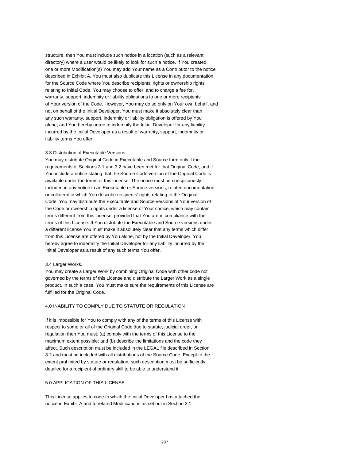structure, then You must include such notice in a location (such as a relevant directory) where a user would be likely to look for such a notice. If You created one or more Modification(s) You may add Your name as a Contributor to the notice described in Exhibit A. You must also duplicate this License in any documentation for the Source Code where You describe recipients' rights or ownership rights relating to Initial Code. You may choose to offer, and to charge a fee for, warranty, support, indemnity or liability obligations to one or more recipients of Your version of the Code. However, You may do so only on Your own behalf, and not on behalf of the Initial Developer. You must make it absolutely clear than any such warranty, support, indemnity or liability obligation is offered by You alone, and You hereby agree to indemnify the Initial Developer for any liability incurred by the Initial Developer as a result of warranty, support, indemnity or liability terms You offer.

### 3.3 Distribution of Executable Versions.

You may distribute Original Code in Executable and Source form only if the requirements of Sections 3.1 and 3.2 have been met for that Original Code, and if You include a notice stating that the Source Code version of the Original Code is available under the terms of this License. The notice must be conspicuously included in any notice in an Executable or Source versions, related documentation or collateral in which You describe recipients' rights relating to the Original Code. You may distribute the Executable and Source versions of Your version of the Code or ownership rights under a license of Your choice, which may contain terms different from this License, provided that You are in compliance with the terms of this License. If You distribute the Executable and Source versions under a different license You must make it absolutely clear that any terms which differ from this License are offered by You alone, not by the Initial Developer. You hereby agree to indemnify the Initial Developer for any liability incurred by the Initial Developer as a result of any such terms You offer.

#### 3.4 Larger Works.

You may create a Larger Work by combining Original Code with other code not governed by the terms of this License and distribute the Larger Work as a single product. In such a case, You must make sure the requirements of this License are fulfilled for the Original Code.

## 4.0 INABILITY TO COMPLY DUE TO STATUTE OR REGULATION

If it is impossible for You to comply with any of the terms of this License with respect to some or all of the Original Code due to statute, judicial order, or regulation then You must: (a) comply with the terms of this License to the maximum extent possible; and (b) describe the limitations and the code they affect. Such description must be included in the LEGAL file described in Section 3.2 and must be included with all distributions of the Source Code. Except to the extent prohibited by statute or regulation, such description must be sufficiently detailed for a recipient of ordinary skill to be able to understand it.

## 5.0 APPLICATION OF THIS LICENSE

This License applies to code to which the Initial Developer has attached the notice in Exhibit A and to related Modifications as set out in Section 3.1.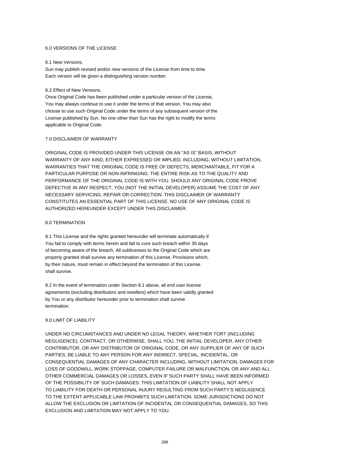### 6.0 VERSIONS OF THE LICENSE

### 6.1 New Versions.

Sun may publish revised and/or new versions of the License from time to time. Each version will be given a distinguishing version number.

### 6.2 Effect of New Versions.

Once Original Code has been published under a particular version of the License, You may always continue to use it under the terms of that version. You may also choose to use such Original Code under the terms of any subsequent version of the License published by Sun. No one other than Sun has the right to modify the terms applicable to Original Code.

### 7.0 DISCLAIMER OF WARRANTY

ORIGINAL CODE IS PROVIDED UNDER THIS LICENSE ON AN "AS IS" BASIS, WITHOUT WARRANTY OF ANY KIND, EITHER EXPRESSED OR IMPLIED, INCLUDING, WITHOUT LIMITATION, WARRANTIES THAT THE ORIGINAL CODE IS FREE OF DEFECTS, MERCHANTABLE, FIT FOR A PARTICULAR PURPOSE OR NON-INFRINGING. THE ENTIRE RISK AS TO THE QUALITY AND PERFORMANCE OF THE ORIGINAL CODE IS WITH YOU. SHOULD ANY ORIGINAL CODE PROVE DEFECTIVE IN ANY RESPECT, YOU (NOT THE INITIAL DEVELOPER) ASSUME THE COST OF ANY NECESSARY SERVICING, REPAIR OR CORRECTION. THIS DISCLAIMER OF WARRANTY CONSTITUTES AN ESSENTIAL PART OF THIS LICENSE. NO USE OF ANY ORIGINAL CODE IS AUTHORIZED HEREUNDER EXCEPT UNDER THIS DISCLAIMER.

## 8.0 TERMINATION

8.1 This License and the rights granted hereunder will terminate automatically if You fail to comply with terms herein and fail to cure such breach within 30 days of becoming aware of the breach. All sublicenses to the Original Code which are properly granted shall survive any termination of this License. Provisions which, by their nature, must remain in effect beyond the termination of this License shall survive.

8.2 In the event of termination under Section 8.1 above, all end user license agreements (excluding distributors and resellers) which have been validly granted by You or any distributor hereunder prior to termination shall survive termination.

## 9.0 LIMIT OF LIABILITY

UNDER NO CIRCUMSTANCES AND UNDER NO LEGAL THEORY, WHETHER TORT (INCLUDING NEGLIGENCE), CONTRACT, OR OTHERWISE, SHALL YOU, THE INITIAL DEVELOPER, ANY OTHER CONTRIBUTOR, OR ANY DISTRIBUTOR OF ORIGINAL CODE, OR ANY SUPPLIER OF ANY OF SUCH PARTIES, BE LIABLE TO ANY PERSON FOR ANY INDIRECT, SPECIAL, INCIDENTAL, OR CONSEQUENTIAL DAMAGES OF ANY CHARACTER INCLUDING, WITHOUT LIMITATION, DAMAGES FOR LOSS OF GOODWILL, WORK STOPPAGE, COMPUTER FAILURE OR MALFUNCTION, OR ANY AND ALL OTHER COMMERCIAL DAMAGES OR LOSSES, EVEN IF SUCH PARTY SHALL HAVE BEEN INFORMED OF THE POSSIBILITY OF SUCH DAMAGES. THIS LIMITATION OF LIABILITY SHALL NOT APPLY TO LIABILITY FOR DEATH OR PERSONAL INJURY RESULTING FROM SUCH PARTY'S NEGLIGENCE TO THE EXTENT APPLICABLE LAW PROHIBITS SUCH LIMITATION. SOME JURISDICTIONS DO NOT ALLOW THE EXCLUSION OR LIMITATION OF INCIDENTAL OR CONSEQUENTIAL DAMAGES, SO THIS EXCLUSION AND LIMITATION MAY NOT APPLY TO YOU.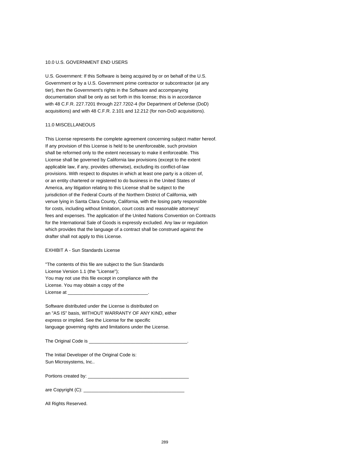### 10.0 U.S. GOVERNMENT END USERS

U.S. Government: If this Software is being acquired by or on behalf of the U.S. Government or by a U.S. Government prime contractor or subcontractor (at any tier), then the Government's rights in the Software and accompanying documentation shall be only as set forth in this license; this is in accordance with 48 C.F.R. 227.7201 through 227.7202-4 (for Department of Defense (DoD) acquisitions) and with 48 C.F.R. 2.101 and 12.212 (for non-DoD acquisitions).

### 11.0 MISCELLANEOUS

This License represents the complete agreement concerning subject matter hereof. If any provision of this License is held to be unenforceable, such provision shall be reformed only to the extent necessary to make it enforceable. This License shall be governed by California law provisions (except to the extent applicable law, if any, provides otherwise), excluding its conflict-of-law provisions. With respect to disputes in which at least one party is a citizen of, or an entity chartered or registered to do business in the United States of America, any litigation relating to this License shall be subject to the jurisdiction of the Federal Courts of the Northern District of California, with venue lying in Santa Clara County, California, with the losing party responsible for costs, including without limitation, court costs and reasonable attorneys' fees and expenses. The application of the United Nations Convention on Contracts for the International Sale of Goods is expressly excluded. Any law or regulation which provides that the language of a contract shall be construed against the drafter shall not apply to this License.

### EXHIBIT A - Sun Standards License

"The contents of this file are subject to the Sun Standards License Version 1.1 (the "License"); You may not use this file except in compliance with the License. You may obtain a copy of the License at \_

Software distributed under the License is distributed on an "AS IS" basis, WITHOUT WARRANTY OF ANY KIND, either express or implied. See the License for the specific language governing rights and limitations under the License.

The Original Code is \_\_\_\_

The Initial Developer of the Original Code is: Sun Microsystems, Inc..

Portions created by: \_

| are Copyright (C): |  |
|--------------------|--|
|--------------------|--|

All Rights Reserved.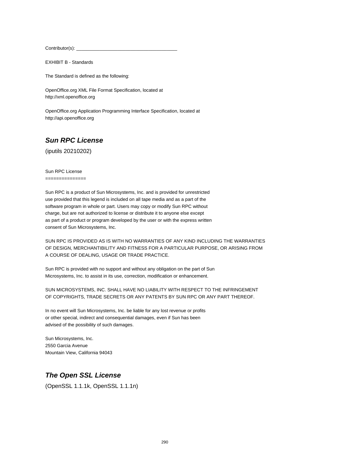Contributor(s):  $\_$ 

EXHIBIT B - Standards

The Standard is defined as the following:

OpenOffice.org XML File Format Specification, located at http://xml.openoffice.org

OpenOffice.org Application Programming Interface Specification, located at http://api.openoffice.org

## **Sun RPC License**

(iputils 20210202)

#### Sun RPC License

===============

Sun RPC is a product of Sun Microsystems, Inc. and is provided for unrestricted use provided that this legend is included on all tape media and as a part of the software program in whole or part. Users may copy or modify Sun RPC without charge, but are not authorized to license or distribute it to anyone else except as part of a product or program developed by the user or with the express written consent of Sun Microsystems, Inc.

SUN RPC IS PROVIDED AS IS WITH NO WARRANTIES OF ANY KIND INCLUDING THE WARRANTIES OF DESIGN, MERCHANTIBILITY AND FITNESS FOR A PARTICULAR PURPOSE, OR ARISING FROM A COURSE OF DEALING, USAGE OR TRADE PRACTICE.

Sun RPC is provided with no support and without any obligation on the part of Sun Microsystems, Inc. to assist in its use, correction, modification or enhancement.

SUN MICROSYSTEMS, INC. SHALL HAVE NO LIABILITY WITH RESPECT TO THE INFRINGEMENT OF COPYRIGHTS, TRADE SECRETS OR ANY PATENTS BY SUN RPC OR ANY PART THEREOF.

In no event will Sun Microsystems, Inc. be liable for any lost revenue or profits or other special, indirect and consequential damages, even if Sun has been advised of the possibility of such damages.

Sun Microsystems, Inc. 2550 Garcia Avenue Mountain View, California 94043

## **The Open SSL License**

(OpenSSL 1.1.1k, OpenSSL 1.1.1n)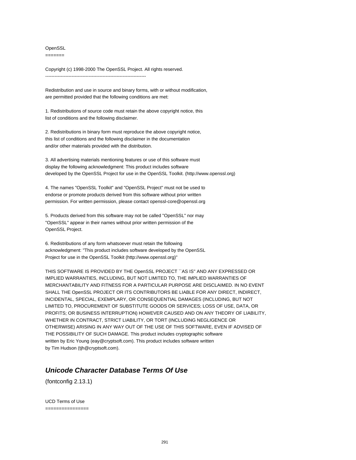### OpenSSL

=======

Copyright (c) 1998-2000 The OpenSSL Project. All rights reserved. -----------------------------------------------------------------

Redistribution and use in source and binary forms, with or without modification, are permitted provided that the following conditions are met:

1. Redistributions of source code must retain the above copyright notice, this list of conditions and the following disclaimer.

2. Redistributions in binary form must reproduce the above copyright notice, this list of conditions and the following disclaimer in the documentation and/or other materials provided with the distribution.

3. All advertising materials mentioning features or use of this software must display the following acknowledgment: This product includes software developed by the OpenSSL Project for use in the OpenSSL Toolkit. (http://www.openssl.org)

4. The names "OpenSSL Toolkit" and "OpenSSL Project" must not be used to endorse or promote products derived from this software without prior written permission. For written permission, please contact openssl-core@openssl.org

5. Products derived from this software may not be called "OpenSSL" nor may "OpenSSL" appear in their names without prior written permission of the OpenSSL Project.

6. Redistributions of any form whatsoever must retain the following acknowledgment: "This product includes software developed by the OpenSSL Project for use in the OpenSSL Toolkit (http://www.openssl.org)"

THIS SOFTWARE IS PROVIDED BY THE OpenSSL PROJECT ``AS IS'' AND ANY EXPRESSED OR IMPLIED WARRANTIES, INCLUDING, BUT NOT LIMITED TO, THE IMPLIED WARRANTIES OF MERCHANTABILITY AND FITNESS FOR A PARTICULAR PURPOSE ARE DISCLAIMED. IN NO EVENT SHALL THE OpenSSL PROJECT OR ITS CONTRIBUTORS BE LIABLE FOR ANY DIRECT, INDIRECT, INCIDENTAL, SPECIAL, EXEMPLARY, OR CONSEQUENTIAL DAMAGES (INCLUDING, BUT NOT LIMITED TO, PROCUREMENT OF SUBSTITUTE GOODS OR SERVICES; LOSS OF USE, DATA, OR PROFITS; OR BUSINESS INTERRUPTION) HOWEVER CAUSED AND ON ANY THEORY OF LIABILITY, WHETHER IN CONTRACT, STRICT LIABILITY, OR TORT (INCLUDING NEGLIGENCE OR OTHERWISE) ARISING IN ANY WAY OUT OF THE USE OF THIS SOFTWARE, EVEN IF ADVISED OF THE POSSIBILITY OF SUCH DAMAGE. This product includes cryptographic software written by Eric Young (eay@cryptsoft.com). This product includes software written by Tim Hudson (tjh@cryptsoft.com).

# **Unicode Character Database Terms Of Use**

(fontconfig 2.13.1)

UCD Terms of Use ================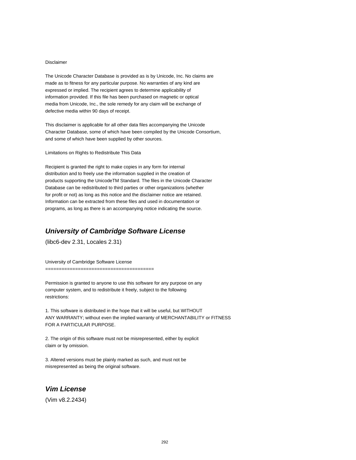#### Disclaimer

The Unicode Character Database is provided as is by Unicode, Inc. No claims are made as to fitness for any particular purpose. No warranties of any kind are expressed or implied. The recipient agrees to determine applicability of information provided. If this file has been purchased on magnetic or optical media from Unicode, Inc., the sole remedy for any claim will be exchange of defective media within 90 days of receipt.

This disclaimer is applicable for all other data files accompanying the Unicode Character Database, some of which have been compiled by the Unicode Consortium, and some of which have been supplied by other sources.

Limitations on Rights to Redistribute This Data

Recipient is granted the right to make copies in any form for internal distribution and to freely use the information supplied in the creation of products supporting the UnicodeTM Standard. The files in the Unicode Character Database can be redistributed to third parties or other organizations (whether for profit or not) as long as this notice and the disclaimer notice are retained. Information can be extracted from these files and used in documentation or programs, as long as there is an accompanying notice indicating the source.

### **University of Cambridge Software License**

(libc6-dev 2.31, Locales 2.31)

University of Cambridge Software License

========================================

Permission is granted to anyone to use this software for any purpose on any computer system, and to redistribute it freely, subject to the following restrictions:

1. This software is distributed in the hope that it will be useful, but WITHOUT ANY WARRANTY; without even the implied warranty of MERCHANTABILITY or FITNESS FOR A PARTICULAR PURPOSE.

2. The origin of this software must not be misrepresented, either by explicit claim or by omission.

3. Altered versions must be plainly marked as such, and must not be misrepresented as being the original software.

## **Vim License**

(Vim v8.2.2434)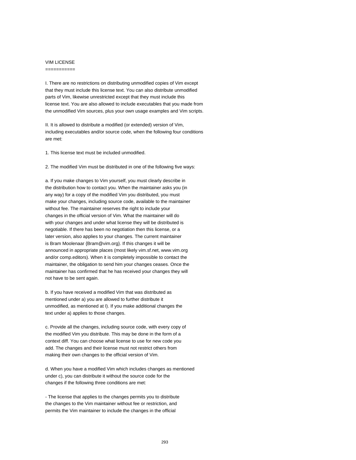#### VIM LICENSE

===========

I. There are no restrictions on distributing unmodified copies of Vim except that they must include this license text. You can also distribute unmodified parts of Vim, likewise unrestricted except that they must include this license text. You are also allowed to include executables that you made from the unmodified Vim sources, plus your own usage examples and Vim scripts.

II. It is allowed to distribute a modified (or extended) version of Vim, including executables and/or source code, when the following four conditions are met:

1. This license text must be included unmodified.

2. The modified Vim must be distributed in one of the following five ways:

a. If you make changes to Vim yourself, you must clearly describe in the distribution how to contact you. When the maintainer asks you (in any way) for a copy of the modified Vim you distributed, you must make your changes, including source code, available to the maintainer without fee. The maintainer reserves the right to include your changes in the official version of Vim. What the maintainer will do with your changes and under what license they will be distributed is negotiable. If there has been no negotiation then this license, or a later version, also applies to your changes. The current maintainer is Bram Moolenaar {Bram@vim.org}. If this changes it will be announced in appropriate places (most likely vim.sf.net, www.vim.org and/or comp.editors). When it is completely impossible to contact the maintainer, the obligation to send him your changes ceases. Once the maintainer has confirmed that he has received your changes they will not have to be sent again.

b. If you have received a modified Vim that was distributed as mentioned under a) you are allowed to further distribute it unmodified, as mentioned at I). If you make additional changes the text under a) applies to those changes.

c. Provide all the changes, including source code, with every copy of the modified Vim you distribute. This may be done in the form of a context diff. You can choose what license to use for new code you add. The changes and their license must not restrict others from making their own changes to the official version of Vim.

d. When you have a modified Vim which includes changes as mentioned under c), you can distribute it without the source code for the changes if the following three conditions are met:

- The license that applies to the changes permits you to distribute the changes to the Vim maintainer without fee or restriction, and permits the Vim maintainer to include the changes in the official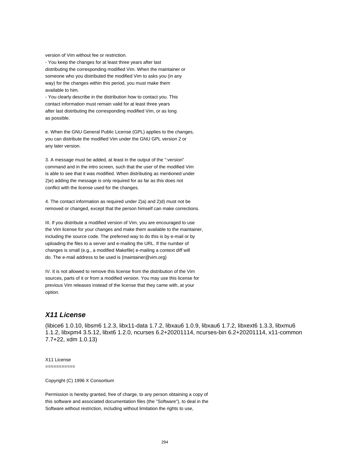version of Vim without fee or restriction.

- You keep the changes for at least three years after last distributing the corresponding modified Vim. When the maintainer or someone who you distributed the modified Vim to asks you (in any way) for the changes within this period, you must make them available to him.

- You clearly describe in the distribution how to contact you. This contact information must remain valid for at least three years after last distributing the corresponding modified Vim, or as long as possible.

e. When the GNU General Public License (GPL) applies to the changes, you can distribute the modified Vim under the GNU GPL version 2 or any later version.

3. A message must be added, at least in the output of the ":version" command and in the intro screen, such that the user of the modified Vim is able to see that it was modified. When distributing as mentioned under 2)e) adding the message is only required for as far as this does not conflict with the license used for the changes.

4. The contact information as required under 2)a) and 2)d) must not be removed or changed, except that the person himself can make corrections.

III. If you distribute a modified version of Vim, you are encouraged to use the Vim license for your changes and make them available to the maintainer, including the source code. The preferred way to do this is by e-mail or by uploading the files to a server and e-mailing the URL. If the number of changes is small (e.g., a modified Makefile) e-mailing a context diff will do. The e-mail address to be used is {maintainer@vim.org}

IV. It is not allowed to remove this license from the distribution of the Vim sources, parts of it or from a modified version. You may use this license for previous Vim releases instead of the license that they came with, at your option.

### **X11 License**

(libice6 1.0.10, libsm6 1.2.3, libx11-data 1.7.2, libxau6 1.0.9, libxau6 1.7.2, libxext6 1.3.3, libxmu6 1.1.2, libxpm4 3.5.12, libxt6 1.2.0, ncurses 6.2+20201114, ncurses-bin 6.2+20201114, x11-common 7.7+22, xdm 1.0.13)

X11 License

===========

Copyright (C) 1996 X Consortium

Permission is hereby granted, free of charge, to any person obtaining a copy of this software and associated documentation files (the "Software"), to deal in the Software without restriction, including without limitation the rights to use,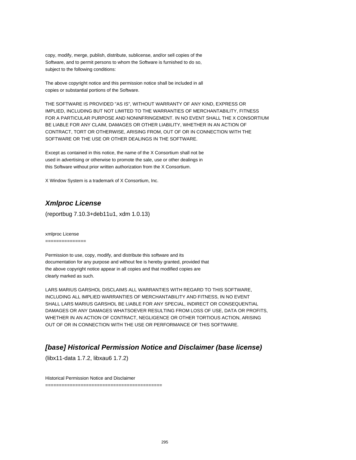copy, modify, merge, publish, distribute, sublicense, and/or sell copies of the Software, and to permit persons to whom the Software is furnished to do so, subject to the following conditions:

The above copyright notice and this permission notice shall be included in all copies or substantial portions of the Software.

THE SOFTWARE IS PROVIDED "AS IS", WITHOUT WARRANTY OF ANY KIND, EXPRESS OR IMPLIED, INCLUDING BUT NOT LIMITED TO THE WARRANTIES OF MERCHANTABILITY, FITNESS FOR A PARTICULAR PURPOSE AND NONINFRINGEMENT. IN NO EVENT SHALL THE X CONSORTIUM BE LIABLE FOR ANY CLAIM, DAMAGES OR OTHER LIABILITY, WHETHER IN AN ACTION OF CONTRACT, TORT OR OTHERWISE, ARISING FROM, OUT OF OR IN CONNECTION WITH THE SOFTWARE OR THE USE OR OTHER DEALINGS IN THE SOFTWARE.

Except as contained in this notice, the name of the X Consortium shall not be used in advertising or otherwise to promote the sale, use or other dealings in this Software without prior written authorization from the X Consortium.

X Window System is a trademark of X Consortium, Inc.

## **Xmlproc License**

(reportbug 7.10.3+deb11u1, xdm 1.0.13)

xmlproc License

===============

Permission to use, copy, modify, and distribute this software and its documentation for any purpose and without fee is hereby granted, provided that the above copyright notice appear in all copies and that modified copies are clearly marked as such.

LARS MARIUS GARSHOL DISCLAIMS ALL WARRANTIES WITH REGARD TO THIS SOFTWARE, INCLUDING ALL IMPLIED WARRANTIES OF MERCHANTABILITY AND FITNESS, IN NO EVENT SHALL LARS MARIUS GARSHOL BE LIABLE FOR ANY SPECIAL, INDIRECT OR CONSEQUENTIAL DAMAGES OR ANY DAMAGES WHATSOEVER RESULTING FROM LOSS OF USE, DATA OR PROFITS, WHETHER IN AN ACTION OF CONTRACT, NEGLIGENCE OR OTHER TORTIOUS ACTION, ARISING OUT OF OR IN CONNECTION WITH THE USE OR PERFORMANCE OF THIS SOFTWARE.

### **[base] Historical Permission Notice and Disclaimer (base license)**

(libx11-data 1.7.2, libxau6 1.7.2)

Historical Permission Notice and Disclaimer

===========================================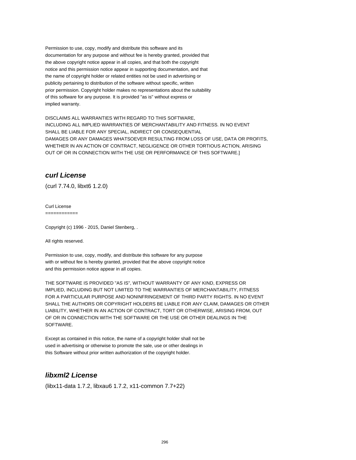Permission to use, copy, modify and distribute this software and its documentation for any purpose and without fee is hereby granted, provided that the above copyright notice appear in all copies, and that both the copyright notice and this permission notice appear in supporting documentation, and that the name of copyright holder or related entities not be used in advertising or publicity pertaining to distribution of the software without specific, written prior permission. Copyright holder makes no representations about the suitability of this software for any purpose. It is provided "as is" without express or implied warranty.

DISCLAIMS ALL WARRANTIES WITH REGARD TO THIS SOFTWARE, INCLUDING ALL IMPLIED WARRANTIES OF MERCHANTABILITY AND FITNESS. IN NO EVENT SHALL BE LIABLE FOR ANY SPECIAL, INDIRECT OR CONSEQUENTIAL DAMAGES OR ANY DAMAGES WHATSOEVER RESULTING FROM LOSS OF USE, DATA OR PROFITS, WHETHER IN AN ACTION OF CONTRACT, NEGLIGENCE OR OTHER TORTIOUS ACTION, ARISING OUT OF OR IN CONNECTION WITH THE USE OR PERFORMANCE OF THIS SOFTWARE.]

### **curl License**

(curl 7.74.0, libxt6 1.2.0)

Curl License

============

Copyright (c) 1996 - 2015, Daniel Stenberg, .

All rights reserved.

Permission to use, copy, modify, and distribute this software for any purpose with or without fee is hereby granted, provided that the above copyright notice and this permission notice appear in all copies.

THE SOFTWARE IS PROVIDED "AS IS", WITHOUT WARRANTY OF ANY KIND, EXPRESS OR IMPLIED, INCLUDING BUT NOT LIMITED TO THE WARRANTIES OF MERCHANTABILITY, FITNESS FOR A PARTICULAR PURPOSE AND NONINFRINGEMENT OF THIRD PARTY RIGHTS. IN NO EVENT SHALL THE AUTHORS OR COPYRIGHT HOLDERS BE LIABLE FOR ANY CLAIM, DAMAGES OR OTHER LIABILITY, WHETHER IN AN ACTION OF CONTRACT, TORT OR OTHERWISE, ARISING FROM, OUT OF OR IN CONNECTION WITH THE SOFTWARE OR THE USE OR OTHER DEALINGS IN THE SOFTWARE.

Except as contained in this notice, the name of a copyright holder shall not be used in advertising or otherwise to promote the sale, use or other dealings in this Software without prior written authorization of the copyright holder.

# **libxml2 License**

(libx11-data 1.7.2, libxau6 1.7.2, x11-common 7.7+22)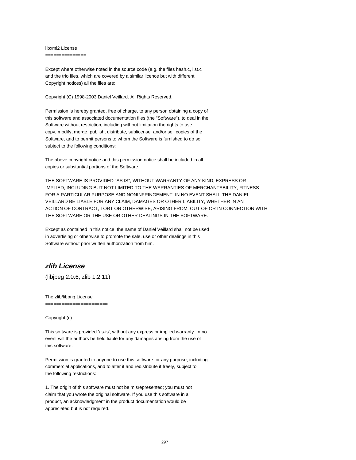### libxml2 License

===============

Except where otherwise noted in the source code (e.g. the files hash.c, list.c and the trio files, which are covered by a similar licence but with different Copyright notices) all the files are:

Copyright (C) 1998-2003 Daniel Veillard. All Rights Reserved.

Permission is hereby granted, free of charge, to any person obtaining a copy of this software and associated documentation files (the "Software"), to deal in the Software without restriction, including without limitation the rights to use, copy, modify, merge, publish, distribute, sublicense, and/or sell copies of the Software, and to permit persons to whom the Software is furnished to do so, subject to the following conditions:

The above copyright notice and this permission notice shall be included in all copies or substantial portions of the Software.

THE SOFTWARE IS PROVIDED "AS IS", WITHOUT WARRANTY OF ANY KIND, EXPRESS OR IMPLIED, INCLUDING BUT NOT LIMITED TO THE WARRANTIES OF MERCHANTABILITY, FITNESS FOR A PARTICULAR PURPOSE AND NONINFRINGEMENT. IN NO EVENT SHALL THE DANIEL VEILLARD BE LIABLE FOR ANY CLAIM, DAMAGES OR OTHER LIABILITY, WHETHER IN AN ACTION OF CONTRACT, TORT OR OTHERWISE, ARISING FROM, OUT OF OR IN CONNECTION WITH THE SOFTWARE OR THE USE OR OTHER DEALINGS IN THE SOFTWARE.

Except as contained in this notice, the name of Daniel Veillard shall not be used in advertising or otherwise to promote the sale, use or other dealings in this Software without prior written authorization from him.

### **zlib License**

(libjpeg 2.0.6, zlib 1.2.11)

The zlib/libpng License

=======================

Copyright (c)

This software is provided 'as-is', without any express or implied warranty. In no event will the authors be held liable for any damages arising from the use of this software.

Permission is granted to anyone to use this software for any purpose, including commercial applications, and to alter it and redistribute it freely, subject to the following restrictions:

1. The origin of this software must not be misrepresented; you must not claim that you wrote the original software. If you use this software in a product, an acknowledgment in the product documentation would be appreciated but is not required.